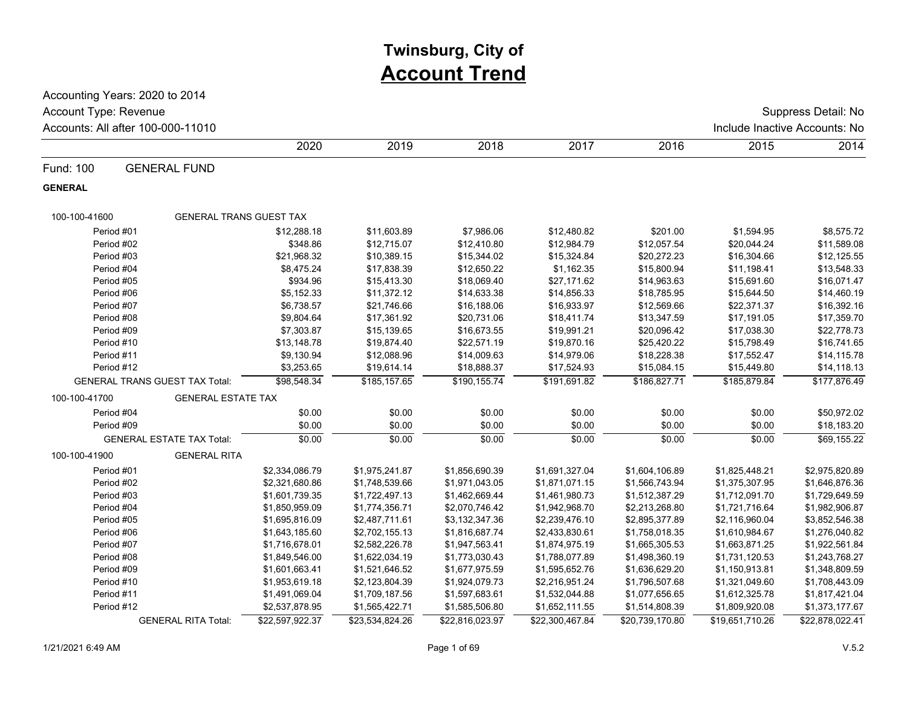# **Twinsburg, City of Account Trend**

Accounting Years: 2020 to 2014 Accounts: All after 100-000-11010 **Include Inactive Accounts: No** Include Inactive Accounts: No Account Type: Revenue Suppress Detail: No

|                |                                       | 2020            | 2019            | 2018            | 2017            | 2016            | 2015            | 2014            |
|----------------|---------------------------------------|-----------------|-----------------|-----------------|-----------------|-----------------|-----------------|-----------------|
| Fund: 100      | <b>GENERAL FUND</b>                   |                 |                 |                 |                 |                 |                 |                 |
| <b>GENERAL</b> |                                       |                 |                 |                 |                 |                 |                 |                 |
| 100-100-41600  | <b>GENERAL TRANS GUEST TAX</b>        |                 |                 |                 |                 |                 |                 |                 |
| Period #01     |                                       | \$12,288.18     | \$11,603.89     | \$7,986.06      | \$12,480.82     | \$201.00        | \$1,594.95      | \$8,575.72      |
| Period #02     |                                       | \$348.86        | \$12,715.07     | \$12,410.80     | \$12,984.79     | \$12,057.54     | \$20,044.24     | \$11,589.08     |
| Period #03     |                                       | \$21,968.32     | \$10,389.15     | \$15,344.02     | \$15,324.84     | \$20,272.23     | \$16,304.66     | \$12,125.55     |
| Period #04     |                                       | \$8,475.24      | \$17,838.39     | \$12,650.22     | \$1,162.35      | \$15,800.94     | \$11,198.41     | \$13,548.33     |
| Period #05     |                                       | \$934.96        | \$15,413.30     | \$18,069.40     | \$27,171.62     | \$14,963.63     | \$15,691.60     | \$16,071.47     |
| Period #06     |                                       | \$5,152.33      | \$11,372.12     | \$14,633.38     | \$14,856.33     | \$18,785.95     | \$15,644.50     | \$14,460.19     |
| Period #07     |                                       | \$6,738.57      | \$21,746.66     | \$16,188.06     | \$16,933.97     | \$12,569.66     | \$22,371.37     | \$16,392.16     |
| Period #08     |                                       | \$9,804.64      | \$17,361.92     | \$20,731.06     | \$18,411.74     | \$13,347.59     | \$17,191.05     | \$17,359.70     |
| Period #09     |                                       | \$7,303.87      | \$15,139.65     | \$16,673.55     | \$19,991.21     | \$20,096.42     | \$17,038.30     | \$22,778.73     |
| Period #10     |                                       | \$13,148.78     | \$19,874.40     | \$22,571.19     | \$19,870.16     | \$25,420.22     | \$15,798.49     | \$16,741.65     |
| Period #11     |                                       | \$9,130.94      | \$12,088.96     | \$14,009.63     | \$14,979.06     | \$18,228.38     | \$17,552.47     | \$14,115.78     |
| Period #12     |                                       | \$3,253.65      | \$19,614.14     | \$18,888.37     | \$17,524.93     | \$15,084.15     | \$15,449.80     | \$14,118.13     |
|                | <b>GENERAL TRANS GUEST TAX Total:</b> | \$98,548.34     | \$185,157.65    | \$190, 155.74   | \$191,691.82    | \$186,827.71    | \$185,879.84    | \$177,876.49    |
| 100-100-41700  | <b>GENERAL ESTATE TAX</b>             |                 |                 |                 |                 |                 |                 |                 |
| Period #04     |                                       | \$0.00          | \$0.00          | \$0.00          | \$0.00          | \$0.00          | \$0.00          | \$50,972.02     |
| Period #09     |                                       | \$0.00          | \$0.00          | \$0.00          | \$0.00          | \$0.00          | \$0.00          | \$18,183.20     |
|                | <b>GENERAL ESTATE TAX Total:</b>      | \$0.00          | \$0.00          | \$0.00          | \$0.00          | \$0.00          | \$0.00          | \$69,155.22     |
| 100-100-41900  | <b>GENERAL RITA</b>                   |                 |                 |                 |                 |                 |                 |                 |
| Period #01     |                                       | \$2,334,086.79  | \$1,975,241.87  | \$1,856,690.39  | \$1,691,327.04  | \$1,604,106.89  | \$1,825,448.21  | \$2,975,820.89  |
| Period #02     |                                       | \$2,321,680.86  | \$1,748,539.66  | \$1,971,043.05  | \$1,871,071.15  | \$1,566,743.94  | \$1,375,307.95  | \$1,646,876.36  |
| Period #03     |                                       | \$1,601,739.35  | \$1,722,497.13  | \$1,462,669.44  | \$1,461,980.73  | \$1,512,387.29  | \$1,712,091.70  | \$1,729,649.59  |
| Period #04     |                                       | \$1,850,959.09  | \$1,774,356.71  | \$2,070,746.42  | \$1,942,968.70  | \$2,213,268.80  | \$1,721,716.64  | \$1,982,906.87  |
| Period #05     |                                       | \$1,695,816.09  | \$2,487,711.61  | \$3,132,347.36  | \$2,239,476.10  | \$2,895,377.89  | \$2,116,960.04  | \$3,852,546.38  |
| Period #06     |                                       | \$1,643,185.60  | \$2,702,155.13  | \$1,816,687.74  | \$2,433,830.61  | \$1,758,018.35  | \$1,610,984.67  | \$1,276,040.82  |
| Period #07     |                                       | \$1,716,678.01  | \$2,582,226.78  | \$1,947,563.41  | \$1,874,975.19  | \$1,665,305.53  | \$1,663,871.25  | \$1,922,561.84  |
| Period #08     |                                       | \$1,849,546.00  | \$1,622,034.19  | \$1,773,030.43  | \$1,788,077.89  | \$1,498,360.19  | \$1,731,120.53  | \$1,243,768.27  |
| Period #09     |                                       | \$1,601,663.41  | \$1,521,646.52  | \$1,677,975.59  | \$1,595,652.76  | \$1,636,629.20  | \$1,150,913.81  | \$1,348,809.59  |
| Period #10     |                                       | \$1,953,619.18  | \$2,123,804.39  | \$1,924,079.73  | \$2,216,951.24  | \$1,796,507.68  | \$1,321,049.60  | \$1,708,443.09  |
| Period #11     |                                       | \$1,491,069.04  | \$1,709,187.56  | \$1,597,683.61  | \$1,532,044.88  | \$1,077,656.65  | \$1,612,325.78  | \$1,817,421.04  |
| Period #12     |                                       | \$2,537,878.95  | \$1,565,422.71  | \$1,585,506.80  | \$1,652,111.55  | \$1,514,808.39  | \$1,809,920.08  | \$1,373,177.67  |
|                | <b>GENERAL RITA Total:</b>            | \$22,597,922.37 | \$23,534,824.26 | \$22,816,023.97 | \$22,300,467.84 | \$20,739,170.80 | \$19,651,710.26 | \$22,878,022.41 |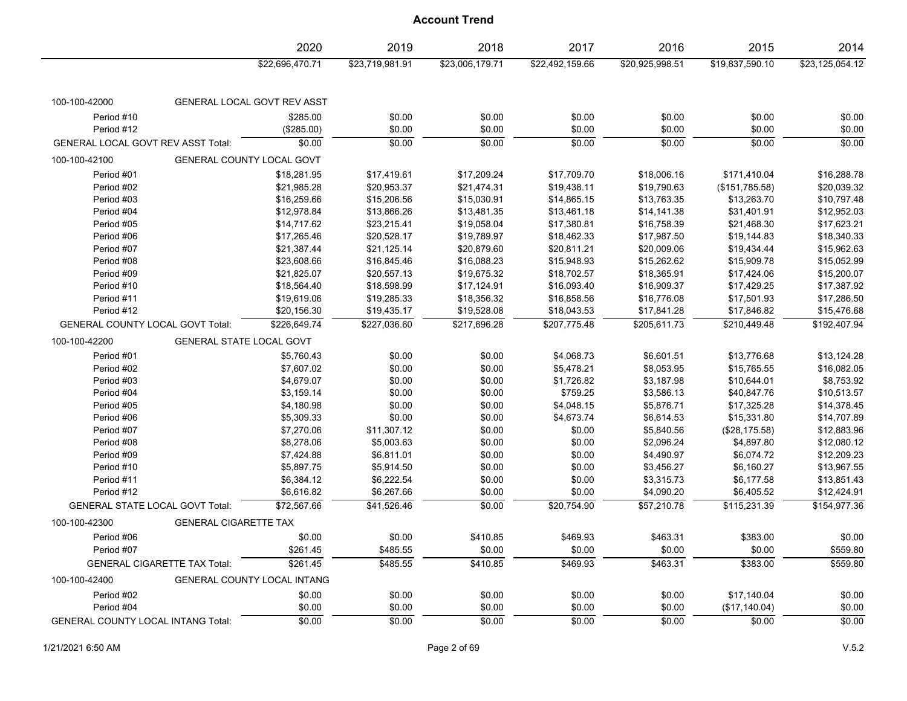|                                           |                                 | 2020                               | 2019            | 2018            | 2017            | 2016            | 2015            | 2014               |
|-------------------------------------------|---------------------------------|------------------------------------|-----------------|-----------------|-----------------|-----------------|-----------------|--------------------|
|                                           |                                 | \$22,696,470.71                    | \$23,719,981.91 | \$23,006,179.71 | \$22,492,159.66 | \$20,925,998.51 | \$19,837,590.10 | \$23,125,054.12    |
| 100-100-42000                             |                                 | GENERAL LOCAL GOVT REV ASST        |                 |                 |                 |                 |                 |                    |
| Period #10                                |                                 | \$285.00                           | \$0.00          | \$0.00          | \$0.00          | \$0.00          | \$0.00          | \$0.00             |
| Period #12                                |                                 | (\$285.00)                         | \$0.00          | \$0.00          | \$0.00          | \$0.00          | \$0.00          | \$0.00             |
| <b>GENERAL LOCAL GOVT REV ASST Total:</b> |                                 | \$0.00                             | \$0.00          | \$0.00          | \$0.00          | \$0.00          | \$0.00          | \$0.00             |
| 100-100-42100                             |                                 | GENERAL COUNTY LOCAL GOVT          |                 |                 |                 |                 |                 |                    |
| Period #01                                |                                 | \$18,281.95                        | \$17,419.61     | \$17,209.24     | \$17,709.70     | \$18,006.16     | \$171,410.04    | \$16,288.78        |
| Period #02                                |                                 | \$21,985.28                        | \$20,953.37     | \$21,474.31     | \$19,438.11     | \$19,790.63     | (\$151,785.58)  | \$20,039.32        |
| Period #03                                |                                 | \$16,259.66                        | \$15,206.56     | \$15,030.91     | \$14,865.15     | \$13,763.35     | \$13,263.70     | \$10,797.48        |
| Period #04                                |                                 | \$12,978.84                        | \$13,866.26     | \$13,481.35     | \$13,461.18     | \$14,141.38     | \$31,401.91     | \$12,952.03        |
| Period #05                                |                                 | \$14,717.62                        | \$23,215.41     | \$19,058.04     | \$17,380.81     | \$16,758.39     | \$21,468.30     | \$17,623.21        |
| Period #06                                |                                 | \$17,265.46                        | \$20,528.17     | \$19,789.97     | \$18,462.33     | \$17,987.50     | \$19,144.83     | \$18,340.33        |
| Period #07                                |                                 | \$21,387.44                        | \$21,125.14     | \$20,879.60     | \$20,811.21     | \$20,009.06     | \$19,434.44     | \$15,962.63        |
| Period #08                                |                                 | \$23,608.66                        | \$16,845.46     | \$16,088.23     | \$15,948.93     | \$15,262.62     | \$15,909.78     | \$15,052.99        |
| Period #09                                |                                 | \$21,825.07                        | \$20,557.13     | \$19,675.32     | \$18,702.57     | \$18,365.91     | \$17,424.06     | \$15,200.07        |
| Period #10                                |                                 | \$18,564.40                        | \$18,598.99     | \$17,124.91     | \$16,093.40     | \$16,909.37     | \$17,429.25     | \$17,387.92        |
| Period #11                                |                                 | \$19,619.06                        | \$19,285.33     | \$18,356.32     | \$16,858.56     | \$16,776.08     | \$17,501.93     | \$17,286.50        |
| Period #12                                |                                 | \$20,156.30                        | \$19,435.17     | \$19,528.08     | \$18,043.53     | \$17,841.28     | \$17,846.82     | \$15,476.68        |
| GENERAL COUNTY LOCAL GOVT Total:          |                                 | \$226,649.74                       | \$227,036.60    | \$217,696.28    | \$207,775.48    | \$205,611.73    | \$210,449.48    | \$192,407.94       |
| 100-100-42200                             | <b>GENERAL STATE LOCAL GOVT</b> |                                    |                 |                 |                 |                 |                 |                    |
| Period #01                                |                                 | \$5,760.43                         | \$0.00          | \$0.00          | \$4,068.73      | \$6,601.51      | \$13,776.68     | \$13,124.28        |
| Period #02                                |                                 | \$7,607.02                         | \$0.00          | \$0.00          | \$5,478.21      | \$8,053.95      | \$15,765.55     | \$16,082.05        |
| Period #03                                |                                 | \$4,679.07                         | \$0.00          | \$0.00          | \$1,726.82      | \$3,187.98      | \$10,644.01     | \$8,753.92         |
| Period #04                                |                                 | \$3,159.14                         | \$0.00          | \$0.00          | \$759.25        | \$3,586.13      | \$40,847.76     | \$10,513.57        |
| Period #05                                |                                 | \$4,180.98                         | \$0.00          | \$0.00          | \$4,048.15      | \$5,876.71      | \$17,325.28     | \$14,378.45        |
| Period #06                                |                                 | \$5,309.33                         | \$0.00          | \$0.00          | \$4,673.74      | \$6,614.53      | \$15,331.80     | \$14,707.89        |
| Period #07                                |                                 | \$7,270.06                         | \$11,307.12     | \$0.00          | \$0.00          | \$5,840.56      | (\$28,175.58)   | \$12,883.96        |
| Period #08                                |                                 | \$8,278.06                         | \$5,003.63      | \$0.00          | \$0.00          | \$2,096.24      | \$4,897.80      | \$12,080.12        |
| Period #09                                |                                 | \$7,424.88                         | \$6,811.01      | \$0.00          | \$0.00          | \$4,490.97      | \$6,074.72      | \$12,209.23        |
| Period #10                                |                                 | \$5,897.75                         | \$5,914.50      | \$0.00          | \$0.00          | \$3,456.27      | \$6,160.27      | \$13,967.55        |
| Period #11                                |                                 | \$6,384.12                         | \$6,222.54      | \$0.00          | \$0.00          | \$3,315.73      | \$6,177.58      | \$13,851.43        |
| Period #12                                |                                 | \$6,616.82                         | \$6,267.66      | \$0.00          | \$0.00          | \$4,090.20      | \$6,405.52      | \$12,424.91        |
| <b>GENERAL STATE LOCAL GOVT Total:</b>    |                                 | \$72,567.66                        | \$41,526.46     | \$0.00          | \$20.754.90     | \$57,210.78     | \$115,231.39    | \$154,977.36       |
| 100-100-42300                             | <b>GENERAL CIGARETTE TAX</b>    |                                    |                 |                 |                 |                 |                 |                    |
|                                           |                                 |                                    |                 |                 |                 |                 |                 |                    |
| Period #06                                |                                 | \$0.00                             | \$0.00          | \$410.85        | \$469.93        | \$463.31        | \$383.00        | \$0.00<br>\$559.80 |
| Period #07                                |                                 | \$261.45                           | \$485.55        | \$0.00          | \$0.00          | \$0.00          | \$0.00          |                    |
| <b>GENERAL CIGARETTE TAX Total:</b>       |                                 | \$261.45                           | \$485.55        | \$410.85        | \$469.93        | \$463.31        | \$383.00        | \$559.80           |
| 100-100-42400                             |                                 | <b>GENERAL COUNTY LOCAL INTANG</b> |                 |                 |                 |                 |                 |                    |
| Period #02                                |                                 | \$0.00                             | \$0.00          | \$0.00          | \$0.00          | \$0.00          | \$17,140.04     | \$0.00             |
| Period #04                                |                                 | \$0.00                             | \$0.00          | \$0.00          | \$0.00          | \$0.00          | (\$17,140.04)   | \$0.00             |
| <b>GENERAL COUNTY LOCAL INTANG Total:</b> |                                 | \$0.00                             | \$0.00          | \$0.00          | \$0.00          | \$0.00          | \$0.00          | \$0.00             |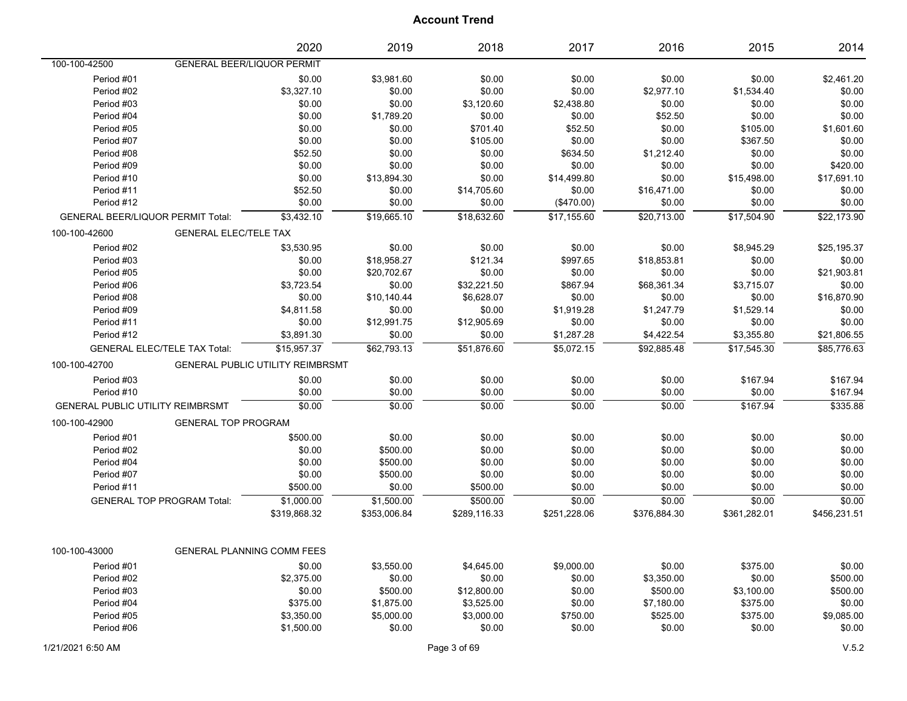|                                          |                                   | 2020                                    | 2019         | 2018         | 2017         | 2016         | 2015         | 2014         |
|------------------------------------------|-----------------------------------|-----------------------------------------|--------------|--------------|--------------|--------------|--------------|--------------|
| 100-100-42500                            | <b>GENERAL BEER/LIQUOR PERMIT</b> |                                         |              |              |              |              |              |              |
| Period #01                               |                                   | \$0.00                                  | \$3,981.60   | \$0.00       | \$0.00       | \$0.00       | \$0.00       | \$2,461.20   |
| Period #02                               |                                   | \$3,327.10                              | \$0.00       | \$0.00       | \$0.00       | \$2,977.10   | \$1,534.40   | \$0.00       |
| Period #03                               |                                   | \$0.00                                  | \$0.00       | \$3,120.60   | \$2,438.80   | \$0.00       | \$0.00       | \$0.00       |
| Period #04                               |                                   | \$0.00                                  | \$1,789.20   | \$0.00       | \$0.00       | \$52.50      | \$0.00       | \$0.00       |
| Period #05                               |                                   | \$0.00                                  | \$0.00       | \$701.40     | \$52.50      | \$0.00       | \$105.00     | \$1,601.60   |
| Period #07                               |                                   | \$0.00                                  | \$0.00       | \$105.00     | \$0.00       | \$0.00       | \$367.50     | \$0.00       |
| Period #08                               |                                   | \$52.50                                 | \$0.00       | \$0.00       | \$634.50     | \$1,212.40   | \$0.00       | \$0.00       |
| Period #09                               |                                   | \$0.00                                  | \$0.00       | \$0.00       | \$0.00       | \$0.00       | \$0.00       | \$420.00     |
| Period #10                               |                                   | \$0.00                                  | \$13,894.30  | \$0.00       | \$14,499.80  | \$0.00       | \$15,498.00  | \$17,691.10  |
| Period #11                               |                                   | \$52.50                                 | \$0.00       | \$14,705.60  | \$0.00       | \$16,471.00  | \$0.00       | \$0.00       |
| Period #12                               |                                   | \$0.00                                  | \$0.00       | \$0.00       | (\$470.00)   | \$0.00       | \$0.00       | \$0.00       |
| <b>GENERAL BEER/LIQUOR PERMIT Total:</b> |                                   | \$3,432.10                              | \$19,665.10  | \$18,632.60  | \$17,155.60  | \$20,713.00  | \$17,504.90  | \$22,173.90  |
| 100-100-42600                            | <b>GENERAL ELEC/TELE TAX</b>      |                                         |              |              |              |              |              |              |
| Period #02                               |                                   | \$3,530.95                              | \$0.00       | \$0.00       | \$0.00       | \$0.00       | \$8,945.29   | \$25,195.37  |
| Period #03                               |                                   | \$0.00                                  | \$18,958.27  | \$121.34     | \$997.65     | \$18,853.81  | \$0.00       | \$0.00       |
| Period #05                               |                                   | \$0.00                                  | \$20,702.67  | \$0.00       | \$0.00       | \$0.00       | \$0.00       | \$21,903.81  |
| Period #06                               |                                   | \$3,723.54                              | \$0.00       | \$32,221.50  | \$867.94     | \$68,361.34  | \$3,715.07   | \$0.00       |
| Period #08                               |                                   | \$0.00                                  | \$10,140.44  | \$6,628.07   | \$0.00       | \$0.00       | \$0.00       | \$16,870.90  |
| Period #09                               |                                   | \$4,811.58                              | \$0.00       | \$0.00       | \$1,919.28   | \$1,247.79   | \$1,529.14   | \$0.00       |
| Period #11                               |                                   | \$0.00                                  | \$12,991.75  | \$12,905.69  | \$0.00       | \$0.00       | \$0.00       | \$0.00       |
| Period #12                               |                                   | \$3,891.30                              | \$0.00       | \$0.00       | \$1,287.28   | \$4,422.54   | \$3,355.80   | \$21,806.55  |
| <b>GENERAL ELEC/TELE TAX Total:</b>      |                                   | \$15,957.37                             | \$62,793.13  | \$51,876.60  | \$5,072.15   | \$92,885.48  | \$17,545.30  | \$85,776.63  |
| 100-100-42700                            |                                   | <b>GENERAL PUBLIC UTILITY REIMBRSMT</b> |              |              |              |              |              |              |
| Period #03                               |                                   | \$0.00                                  | \$0.00       | \$0.00       | \$0.00       | \$0.00       | \$167.94     | \$167.94     |
| Period #10                               |                                   | \$0.00                                  | \$0.00       | \$0.00       | \$0.00       | \$0.00       | \$0.00       | \$167.94     |
| <b>GENERAL PUBLIC UTILITY REIMBRSMT</b>  |                                   | \$0.00                                  | \$0.00       | \$0.00       | \$0.00       | \$0.00       | \$167.94     | \$335.88     |
| 100-100-42900                            | <b>GENERAL TOP PROGRAM</b>        |                                         |              |              |              |              |              |              |
| Period #01                               |                                   | \$500.00                                | \$0.00       | \$0.00       | \$0.00       | \$0.00       | \$0.00       | \$0.00       |
| Period #02                               |                                   | \$0.00                                  | \$500.00     | \$0.00       | \$0.00       | \$0.00       | \$0.00       | \$0.00       |
| Period #04                               |                                   | \$0.00                                  | \$500.00     | \$0.00       | \$0.00       | \$0.00       | \$0.00       | \$0.00       |
| Period #07                               |                                   | \$0.00                                  | \$500.00     | \$0.00       | \$0.00       | \$0.00       | \$0.00       | \$0.00       |
| Period #11                               |                                   | \$500.00                                | \$0.00       | \$500.00     | \$0.00       | \$0.00       | \$0.00       | \$0.00       |
| <b>GENERAL TOP PROGRAM Total:</b>        |                                   | \$1,000.00                              | \$1,500.00   | \$500.00     | \$0.00       | \$0.00       | \$0.00       | \$0.00       |
|                                          |                                   | \$319,868.32                            | \$353,006.84 | \$289,116.33 | \$251,228.06 | \$376,884.30 | \$361,282.01 | \$456,231.51 |
|                                          |                                   |                                         |              |              |              |              |              |              |
| 100-100-43000                            |                                   | GENERAL PLANNING COMM FEES              |              |              |              |              |              |              |
| Period #01                               |                                   | \$0.00                                  | \$3,550.00   | \$4,645.00   | \$9,000.00   | \$0.00       | \$375.00     | \$0.00       |
| Period #02                               |                                   | \$2,375.00                              | \$0.00       | \$0.00       | \$0.00       | \$3,350.00   | \$0.00       | \$500.00     |
| Period #03                               |                                   | \$0.00                                  | \$500.00     | \$12,800.00  | \$0.00       | \$500.00     | \$3,100.00   | \$500.00     |
| Period #04                               |                                   | \$375.00                                | \$1,875.00   | \$3,525.00   | \$0.00       | \$7,180.00   | \$375.00     | \$0.00       |
| Period #05                               |                                   | \$3,350.00                              | \$5,000.00   | \$3,000.00   | \$750.00     | \$525.00     | \$375.00     | \$9,085.00   |
| Period #06                               |                                   | \$1,500.00                              | \$0.00       | \$0.00       | \$0.00       | \$0.00       | \$0.00       | \$0.00       |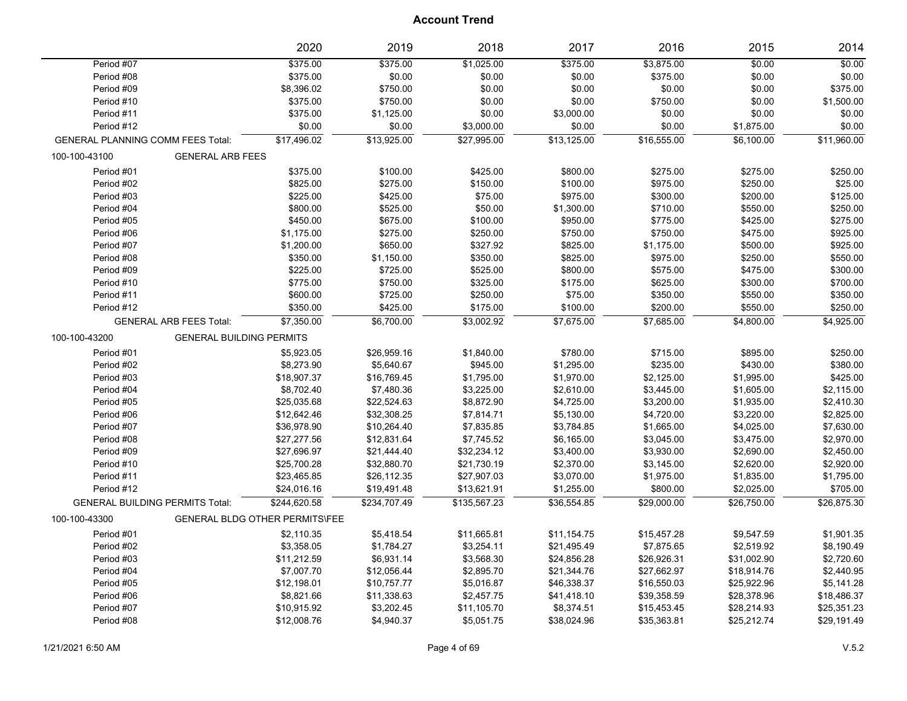|                                          |                                 | 2020                                  | 2019         | 2018         | 2017        | 2016        | 2015        | 2014        |
|------------------------------------------|---------------------------------|---------------------------------------|--------------|--------------|-------------|-------------|-------------|-------------|
| Period #07                               |                                 | \$375.00                              | \$375.00     | \$1,025.00   | \$375.00    | \$3,875.00  | \$0.00      | \$0.00      |
| Period #08                               |                                 | \$375.00                              | \$0.00       | \$0.00       | \$0.00      | \$375.00    | \$0.00      | \$0.00      |
| Period #09                               |                                 | \$8,396.02                            | \$750.00     | \$0.00       | \$0.00      | \$0.00      | \$0.00      | \$375.00    |
| Period #10                               |                                 | \$375.00                              | \$750.00     | \$0.00       | \$0.00      | \$750.00    | \$0.00      | \$1,500.00  |
| Period #11                               |                                 | \$375.00                              | \$1,125.00   | \$0.00       | \$3,000.00  | \$0.00      | \$0.00      | \$0.00      |
| Period #12                               |                                 | \$0.00                                | \$0.00       | \$3,000.00   | \$0.00      | \$0.00      | \$1,875.00  | \$0.00      |
| <b>GENERAL PLANNING COMM FEES Total:</b> |                                 | \$17,496.02                           | \$13,925.00  | \$27,995.00  | \$13,125.00 | \$16,555.00 | \$6,100.00  | \$11,960.00 |
| 100-100-43100                            | <b>GENERAL ARB FEES</b>         |                                       |              |              |             |             |             |             |
| Period #01                               |                                 | \$375.00                              | \$100.00     | \$425.00     | \$800.00    | \$275.00    | \$275.00    | \$250.00    |
| Period #02                               |                                 | \$825.00                              | \$275.00     | \$150.00     | \$100.00    | \$975.00    | \$250.00    | \$25.00     |
| Period #03                               |                                 | \$225.00                              | \$425.00     | \$75.00      | \$975.00    | \$300.00    | \$200.00    | \$125.00    |
| Period #04                               |                                 | \$800.00                              | \$525.00     | \$50.00      | \$1,300.00  | \$710.00    | \$550.00    | \$250.00    |
| Period #05                               |                                 | \$450.00                              | \$675.00     | \$100.00     | \$950.00    | \$775.00    | \$425.00    | \$275.00    |
| Period #06                               |                                 | \$1,175.00                            | \$275.00     | \$250.00     | \$750.00    | \$750.00    | \$475.00    | \$925.00    |
| Period #07                               |                                 | \$1,200.00                            | \$650.00     | \$327.92     | \$825.00    | \$1,175.00  | \$500.00    | \$925.00    |
| Period #08                               |                                 | \$350.00                              | \$1,150.00   | \$350.00     | \$825.00    | \$975.00    | \$250.00    | \$550.00    |
| Period #09                               |                                 | \$225.00                              | \$725.00     | \$525.00     | \$800.00    | \$575.00    | \$475.00    | \$300.00    |
| Period #10                               |                                 | \$775.00                              | \$750.00     | \$325.00     | \$175.00    | \$625.00    | \$300.00    | \$700.00    |
| Period #11                               |                                 | \$600.00                              | \$725.00     | \$250.00     | \$75.00     | \$350.00    | \$550.00    | \$350.00    |
| Period #12                               |                                 | \$350.00                              | \$425.00     | \$175.00     | \$100.00    | \$200.00    | \$550.00    | \$250.00    |
|                                          | <b>GENERAL ARB FEES Total:</b>  | \$7,350.00                            | \$6,700.00   | \$3,002.92   | \$7,675.00  | \$7,685.00  | \$4,800.00  | \$4,925.00  |
| 100-100-43200                            | <b>GENERAL BUILDING PERMITS</b> |                                       |              |              |             |             |             |             |
| Period #01                               |                                 | \$5,923.05                            | \$26,959.16  | \$1,840.00   | \$780.00    | \$715.00    | \$895.00    | \$250.00    |
| Period #02                               |                                 | \$8,273.90                            | \$5,640.67   | \$945.00     | \$1,295.00  | \$235.00    | \$430.00    | \$380.00    |
| Period #03                               |                                 | \$18,907.37                           | \$16,769.45  | \$1,795.00   | \$1,970.00  | \$2,125.00  | \$1,995.00  | \$425.00    |
| Period #04                               |                                 | \$8,702.40                            | \$7,480.36   | \$3,225.00   | \$2,610.00  | \$3,445.00  | \$1,605.00  | \$2,115.00  |
| Period #05                               |                                 | \$25,035.68                           | \$22,524.63  | \$8,872.90   | \$4,725.00  | \$3,200.00  | \$1,935.00  | \$2,410.30  |
| Period #06                               |                                 | \$12,642.46                           | \$32,308.25  | \$7,814.71   | \$5,130.00  | \$4,720.00  | \$3,220.00  | \$2,825.00  |
| Period #07                               |                                 | \$36,978.90                           | \$10,264.40  | \$7,835.85   | \$3,784.85  | \$1,665.00  | \$4,025.00  | \$7,630.00  |
| Period #08                               |                                 | \$27,277.56                           | \$12,831.64  | \$7,745.52   | \$6,165.00  | \$3,045.00  | \$3,475.00  | \$2,970.00  |
| Period #09                               |                                 | \$27,696.97                           | \$21,444.40  | \$32,234.12  | \$3,400.00  | \$3,930.00  | \$2,690.00  | \$2,450.00  |
| Period #10                               |                                 | \$25,700.28                           | \$32,880.70  | \$21,730.19  | \$2,370.00  | \$3,145.00  | \$2,620.00  | \$2,920.00  |
| Period #11                               |                                 | \$23,465.85                           | \$26,112.35  | \$27,907.03  | \$3,070.00  | \$1,975.00  | \$1,835.00  | \$1,795.00  |
| Period #12                               |                                 | \$24,016.16                           | \$19,491.48  | \$13,621.91  | \$1,255.00  | \$800.00    | \$2,025.00  | \$705.00    |
| <b>GENERAL BUILDING PERMITS Total:</b>   |                                 | \$244,620.58                          | \$234,707.49 | \$135,567.23 | \$36,554.85 | \$29,000.00 | \$26,750.00 | \$26,875.30 |
| 100-100-43300                            |                                 | <b>GENERAL BLDG OTHER PERMITS\FEE</b> |              |              |             |             |             |             |
| Period #01                               |                                 | \$2,110.35                            | \$5,418.54   | \$11,665.81  | \$11,154.75 | \$15,457.28 | \$9,547.59  | \$1,901.35  |
| Period #02                               |                                 | \$3,358.05                            | \$1,784.27   | \$3,254.11   | \$21,495.49 | \$7,875.65  | \$2,519.92  | \$8,190.49  |
| Period #03                               |                                 | \$11,212.59                           | \$6,931.14   | \$3,568.30   | \$24,856.28 | \$26,926.31 | \$31,002.90 | \$2,720.60  |
| Period #04                               |                                 | \$7,007.70                            | \$12,056.44  | \$2,895.70   | \$21,344.76 | \$27,662.97 | \$18,914.76 | \$2,440.95  |
| Period #05                               |                                 | \$12,198.01                           | \$10,757.77  | \$5,016.87   | \$46,338.37 | \$16,550.03 | \$25,922.96 | \$5,141.28  |
| Period #06                               |                                 | \$8,821.66                            | \$11,338.63  | \$2,457.75   | \$41,418.10 | \$39,358.59 | \$28,378.96 | \$18,486.37 |
| Period #07                               |                                 | \$10,915.92                           | \$3,202.45   | \$11,105.70  | \$8,374.51  | \$15,453.45 | \$28,214.93 | \$25,351.23 |
| Period #08                               |                                 | \$12,008.76                           | \$4,940.37   | \$5,051.75   | \$38,024.96 | \$35,363.81 | \$25,212.74 | \$29,191.49 |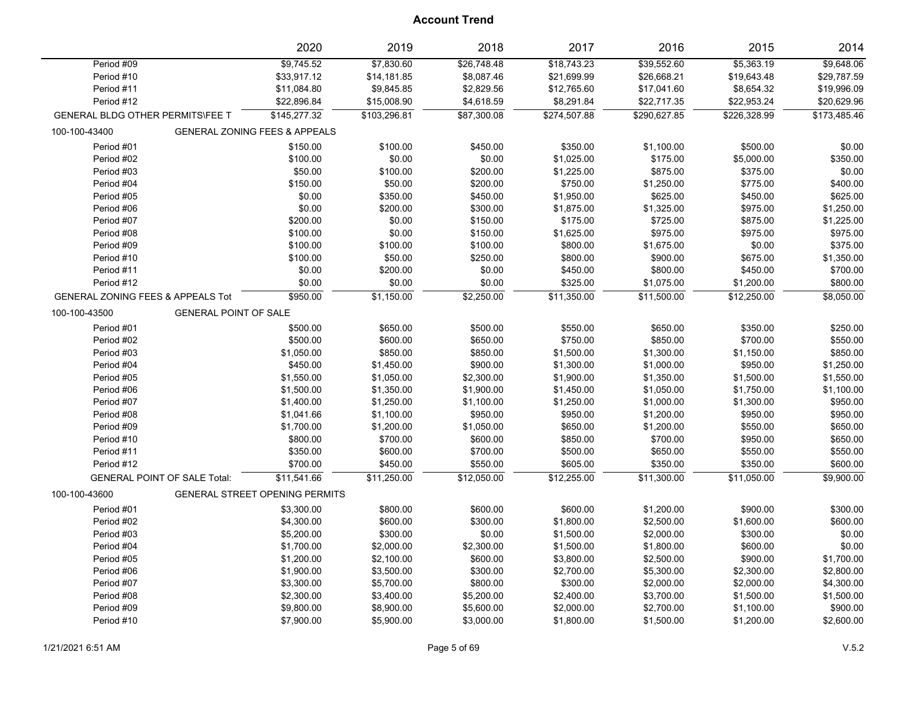|                                              | 2020                                     | 2019         | 2018        | 2017         | 2016         | 2015         | 2014         |
|----------------------------------------------|------------------------------------------|--------------|-------------|--------------|--------------|--------------|--------------|
| Period #09                                   | \$9,745.52                               | \$7,830.60   | \$26,748.48 | \$18,743.23  | \$39,552.60  | \$5,363.19   | \$9,648.06   |
| Period #10                                   | \$33,917.12                              | \$14,181.85  | \$8,087.46  | \$21,699.99  | \$26,668.21  | \$19,643.48  | \$29,787.59  |
| Period #11                                   | \$11,084.80                              | \$9,845.85   | \$2,829.56  | \$12,765.60  | \$17,041.60  | \$8,654.32   | \$19,996.09  |
| Period #12                                   | \$22,896.84                              | \$15,008.90  | \$4,618.59  | \$8,291.84   | \$22,717.35  | \$22,953.24  | \$20,629.96  |
| <b>GENERAL BLDG OTHER PERMITS\FEE T</b>      | \$145.277.32                             | \$103.296.81 | \$87,300.08 | \$274.507.88 | \$290.627.85 | \$226,328.99 | \$173.485.46 |
| 100-100-43400                                | <b>GENERAL ZONING FEES &amp; APPEALS</b> |              |             |              |              |              |              |
| Period #01                                   | \$150.00                                 | \$100.00     | \$450.00    | \$350.00     | \$1,100.00   | \$500.00     | \$0.00       |
| Period #02                                   | \$100.00                                 | \$0.00       | \$0.00      | \$1,025.00   | \$175.00     | \$5,000.00   | \$350.00     |
| Period #03                                   | \$50.00                                  | \$100.00     | \$200.00    | \$1,225.00   | \$875.00     | \$375.00     | \$0.00       |
| Period #04                                   | \$150.00                                 | \$50.00      | \$200.00    | \$750.00     | \$1,250.00   | \$775.00     | \$400.00     |
| Period #05                                   | \$0.00                                   | \$350.00     | \$450.00    | \$1,950.00   | \$625.00     | \$450.00     | \$625.00     |
| Period #06                                   | \$0.00                                   | \$200.00     | \$300.00    | \$1,875.00   | \$1,325.00   | \$975.00     | \$1,250.00   |
| Period #07                                   | \$200.00                                 | \$0.00       | \$150.00    | \$175.00     | \$725.00     | \$875.00     | \$1,225.00   |
| Period #08                                   | \$100.00                                 | \$0.00       | \$150.00    | \$1,625.00   | \$975.00     | \$975.00     | \$975.00     |
| Period #09                                   | \$100.00                                 | \$100.00     | \$100.00    | \$800.00     | \$1,675.00   | \$0.00       | \$375.00     |
| Period #10                                   | \$100.00                                 | \$50.00      | \$250.00    | \$800.00     | \$900.00     | \$675.00     | \$1,350.00   |
| Period #11                                   | \$0.00                                   | \$200.00     | \$0.00      | \$450.00     | \$800.00     | \$450.00     | \$700.00     |
| Period #12                                   | \$0.00                                   | \$0.00       | \$0.00      | \$325.00     | \$1,075.00   | \$1,200.00   | \$800.00     |
| <b>GENERAL ZONING FEES &amp; APPEALS Tot</b> | \$950.00                                 | \$1,150.00   | \$2,250.00  | \$11,350.00  | \$11,500.00  | \$12,250.00  | \$8,050.00   |
| GENERAL POINT OF SALE<br>100-100-43500       |                                          |              |             |              |              |              |              |
| Period #01                                   | \$500.00                                 | \$650.00     | \$500.00    | \$550.00     | \$650.00     | \$350.00     | \$250.00     |
| Period #02                                   | \$500.00                                 | \$600.00     | \$650.00    | \$750.00     | \$850.00     | \$700.00     | \$550.00     |
| Period #03                                   | \$1,050.00                               | \$850.00     | \$850.00    | \$1,500.00   | \$1,300.00   | \$1,150.00   | \$850.00     |
| Period #04                                   | \$450.00                                 | \$1,450.00   | \$900.00    | \$1,300.00   | \$1,000.00   | \$950.00     | \$1,250.00   |
| Period #05                                   | \$1,550.00                               | \$1,050.00   | \$2,300.00  | \$1,900.00   | \$1,350.00   | \$1,500.00   | \$1,550.00   |
| Period #06                                   | \$1,500.00                               | \$1,350.00   | \$1,900.00  | \$1,450.00   | \$1,050.00   | \$1,750.00   | \$1,100.00   |
| Period #07                                   | \$1,400.00                               | \$1,250.00   | \$1,100.00  | \$1,250.00   | \$1,000.00   | \$1,300.00   | \$950.00     |
| Period #08                                   | \$1,041.66                               | \$1,100.00   | \$950.00    | \$950.00     | \$1,200.00   | \$950.00     | \$950.00     |
| Period #09                                   | \$1,700.00                               | \$1,200.00   | \$1,050.00  | \$650.00     | \$1,200.00   | \$550.00     | \$650.00     |
| Period #10                                   | \$800.00                                 | \$700.00     | \$600.00    | \$850.00     | \$700.00     | \$950.00     | \$650.00     |
| Period #11                                   | \$350.00                                 | \$600.00     | \$700.00    | \$500.00     | \$650.00     | \$550.00     | \$550.00     |
| Period #12                                   | \$700.00                                 | \$450.00     | \$550.00    | \$605.00     | \$350.00     | \$350.00     | \$600.00     |
| <b>GENERAL POINT OF SALE Total:</b>          | \$11,541.66                              | \$11,250.00  | \$12,050.00 | \$12,255.00  | \$11,300.00  | \$11,050.00  | \$9,900.00   |
| 100-100-43600                                | <b>GENERAL STREET OPENING PERMITS</b>    |              |             |              |              |              |              |
| Period #01                                   | \$3,300.00                               | \$800.00     | \$600.00    | \$600.00     | \$1,200.00   | \$900.00     | \$300.00     |
| Period #02                                   | \$4,300.00                               | \$600.00     | \$300.00    | \$1,800.00   | \$2,500.00   | \$1,600.00   | \$600.00     |
| Period #03                                   | \$5,200.00                               | \$300.00     | \$0.00      | \$1,500.00   | \$2,000.00   | \$300.00     | \$0.00       |
| Period #04                                   | \$1,700.00                               | \$2,000.00   | \$2,300.00  | \$1,500.00   | \$1,800.00   | \$600.00     | \$0.00       |
| Period #05                                   | \$1,200.00                               | \$2,100.00   | \$600.00    | \$3,800.00   | \$2,500.00   | \$900.00     | \$1,700.00   |
| Period #06                                   | \$1,900.00                               | \$3,500.00   | \$300.00    | \$2,700.00   | \$5,300.00   | \$2,300.00   | \$2,800.00   |
| Period #07                                   | \$3,300.00                               | \$5,700.00   | \$800.00    | \$300.00     | \$2,000.00   | \$2,000.00   | \$4,300.00   |
| Period #08                                   | \$2,300.00                               | \$3,400.00   | \$5,200.00  | \$2,400.00   | \$3,700.00   | \$1,500.00   | \$1,500.00   |
| Period #09                                   | \$9,800.00                               | \$8,900.00   | \$5,600.00  | \$2,000.00   | \$2,700.00   | \$1,100.00   | \$900.00     |
| Period #10                                   | \$7,900.00                               | \$5,900.00   | \$3,000.00  | \$1,800.00   | \$1,500.00   | \$1,200.00   | \$2,600.00   |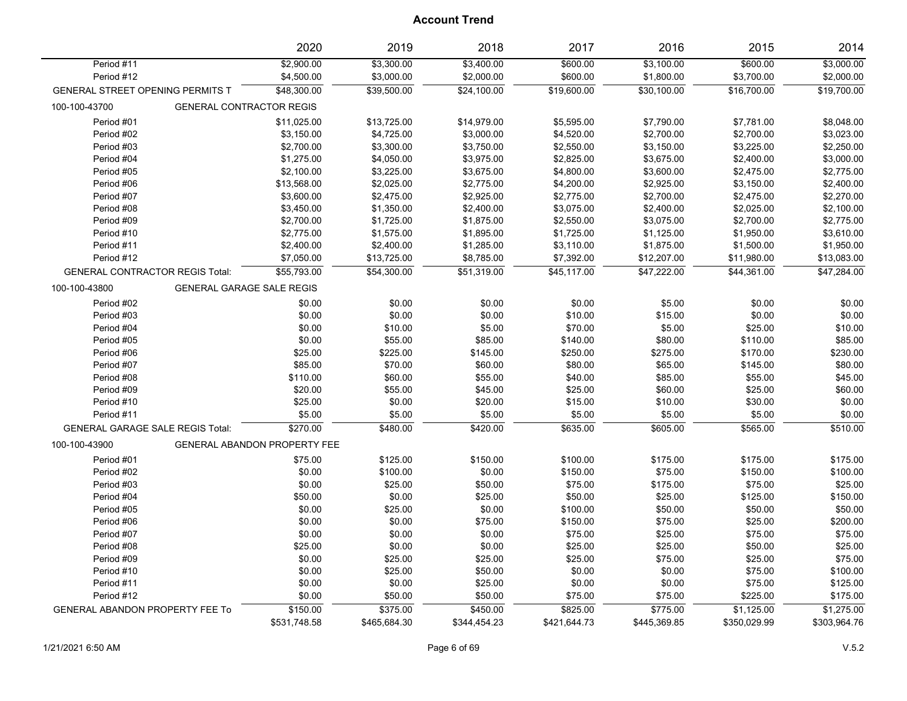|                                         | 2020                            | 2019                     | 2018                     | 2017                 | 2016                     | 2015                   | 2014                     |
|-----------------------------------------|---------------------------------|--------------------------|--------------------------|----------------------|--------------------------|------------------------|--------------------------|
| Period #11<br>Period #12                | \$2,900.00<br>\$4,500.00        | \$3,300.00<br>\$3,000.00 | \$3,400.00<br>\$2,000.00 | \$600.00<br>\$600.00 | \$3,100.00<br>\$1,800.00 | \$600.00<br>\$3,700.00 | \$3,000.00<br>\$2,000.00 |
| GENERAL STREET OPENING PERMITS T        | \$48,300.00                     | \$39,500.00              | \$24,100.00              | \$19,600.00          | \$30,100.00              | \$16,700.00            | \$19,700.00              |
| 100-100-43700                           | <b>GENERAL CONTRACTOR REGIS</b> |                          |                          |                      |                          |                        |                          |
| Period #01                              | \$11,025.00                     | \$13,725.00              | \$14,979.00              | \$5,595.00           | \$7,790.00               | \$7,781.00             | \$8,048.00               |
| Period #02                              | \$3,150.00                      | \$4,725.00               | \$3,000.00               | \$4,520.00           | \$2,700.00               | \$2,700.00             | \$3,023.00               |
| Period #03                              | \$2,700.00                      | \$3,300.00               | \$3,750.00               | \$2,550.00           | \$3,150.00               | \$3,225.00             | \$2,250.00               |
| Period #04                              | \$1,275.00                      | \$4,050.00               | \$3,975.00               | \$2,825.00           | \$3,675.00               | \$2,400.00             | \$3,000.00               |
| Period #05                              | \$2,100.00                      | \$3,225.00               | \$3,675.00               | \$4,800.00           | \$3,600.00               | \$2,475.00             | \$2,775.00               |
| Period #06                              | \$13,568.00                     | \$2,025.00               | \$2,775.00               | \$4,200.00           | \$2,925.00               | \$3,150.00             | \$2,400.00               |
| Period #07                              | \$3,600.00                      | \$2,475.00               | \$2,925.00               | \$2,775.00           | \$2,700.00               | \$2,475.00             | \$2,270.00               |
| Period #08                              | \$3,450.00                      | \$1,350.00               | \$2,400.00               | \$3,075.00           | \$2,400.00               | \$2,025.00             | \$2,100.00               |
| Period #09                              | \$2,700.00                      | \$1,725.00               | \$1,875.00               | \$2,550.00           | \$3,075.00               | \$2,700.00             | \$2,775.00               |
| Period #10                              | \$2,775.00                      | \$1,575.00               | \$1,895.00               | \$1,725.00           | \$1,125.00               | \$1,950.00             | \$3,610.00               |
| Period #11                              | \$2,400.00                      | \$2,400.00               | \$1,285.00               | \$3,110.00           | \$1,875.00               | \$1,500.00             | \$1,950.00               |
| Period #12                              | \$7,050.00                      | \$13,725.00              | \$8,785.00               | \$7,392.00           | \$12,207.00              | \$11,980.00            | \$13,083.00              |
| <b>GENERAL CONTRACTOR REGIS Total:</b>  | \$55,793.00                     | \$54,300.00              | \$51,319.00              | \$45,117.00          | \$47,222.00              | \$44,361.00            | \$47,284.00              |
| 100-100-43800                           | GENERAL GARAGE SALE REGIS       |                          |                          |                      |                          |                        |                          |
| Period #02                              | \$0.00                          | \$0.00                   | \$0.00                   | \$0.00               | \$5.00                   | \$0.00                 | \$0.00                   |
| Period #03                              | \$0.00                          | \$0.00                   | \$0.00                   | \$10.00              | \$15.00                  | \$0.00                 | \$0.00                   |
| Period #04                              | \$0.00                          | \$10.00                  | \$5.00                   | \$70.00              | \$5.00                   | \$25.00                | \$10.00                  |
| Period #05                              | \$0.00                          | \$55.00                  | \$85.00                  | \$140.00             | \$80.00                  | \$110.00               | \$85.00                  |
| Period #06                              | \$25.00                         | \$225.00                 | \$145.00                 | \$250.00             | \$275.00                 | \$170.00               | \$230.00                 |
| Period #07                              | \$85.00                         | \$70.00                  | \$60.00                  | \$80.00              | \$65.00                  | \$145.00               | \$80.00                  |
| Period #08                              | \$110.00                        | \$60.00                  | \$55.00                  | \$40.00              | \$85.00                  | \$55.00                | \$45.00                  |
| Period #09                              | \$20.00                         | \$55.00                  | \$45.00                  | \$25.00              | \$60.00                  | \$25.00                | \$60.00                  |
| Period #10                              | \$25.00                         | \$0.00                   | \$20.00                  | \$15.00              | \$10.00                  | \$30.00                | \$0.00                   |
| Period #11                              | \$5.00                          | \$5.00                   | \$5.00                   | \$5.00               | \$5.00                   | \$5.00                 | \$0.00                   |
| <b>GENERAL GARAGE SALE REGIS Total:</b> | \$270.00                        | \$480.00                 | \$420.00                 | \$635.00             | \$605.00                 | \$565.00               | \$510.00                 |
| 100-100-43900                           | GENERAL ABANDON PROPERTY FEE    |                          |                          |                      |                          |                        |                          |
| Period #01                              | \$75.00                         | \$125.00                 | \$150.00                 | \$100.00             | \$175.00                 | \$175.00               | \$175.00                 |
| Period #02                              | \$0.00                          | \$100.00                 | \$0.00                   | \$150.00             | \$75.00                  | \$150.00               | \$100.00                 |
| Period #03                              | \$0.00                          | \$25.00                  | \$50.00                  | \$75.00              | \$175.00                 | \$75.00                | \$25.00                  |
| Period #04                              | \$50.00                         | \$0.00                   | \$25.00                  | \$50.00              | \$25.00                  | \$125.00               | \$150.00                 |
| Period #05                              | \$0.00                          | \$25.00                  | \$0.00                   | \$100.00             | \$50.00                  | \$50.00                | \$50.00                  |
| Period #06                              | \$0.00                          | \$0.00                   | \$75.00                  | \$150.00             | \$75.00                  | \$25.00                | \$200.00                 |
| Period #07                              | \$0.00                          | \$0.00                   | \$0.00                   | \$75.00              | \$25.00                  | \$75.00                | \$75.00                  |
| Period #08                              | \$25.00                         | \$0.00                   | \$0.00                   | \$25.00              | \$25.00                  | \$50.00                | \$25.00                  |
| Period #09                              | \$0.00                          | \$25.00                  | \$25.00                  | \$25.00              | \$75.00                  | \$25.00                | \$75.00                  |
| Period #10                              | \$0.00                          | \$25.00                  | \$50.00                  | \$0.00               | \$0.00                   | \$75.00                | \$100.00                 |
| Period #11                              | \$0.00                          | \$0.00                   | \$25.00                  | \$0.00               | \$0.00                   | \$75.00                | \$125.00                 |
| Period #12                              | \$0.00                          | \$50.00                  | \$50.00                  | \$75.00              | \$75.00                  | \$225.00               | \$175.00                 |
| <b>GENERAL ABANDON PROPERTY FEE To</b>  | \$150.00                        | \$375.00                 | \$450.00                 | \$825.00             | \$775.00                 | \$1,125.00             | \$1,275.00               |
|                                         | \$531,748.58                    | \$465,684.30             | \$344,454.23             | \$421,644.73         | \$445,369.85             | \$350,029.99           | \$303,964.76             |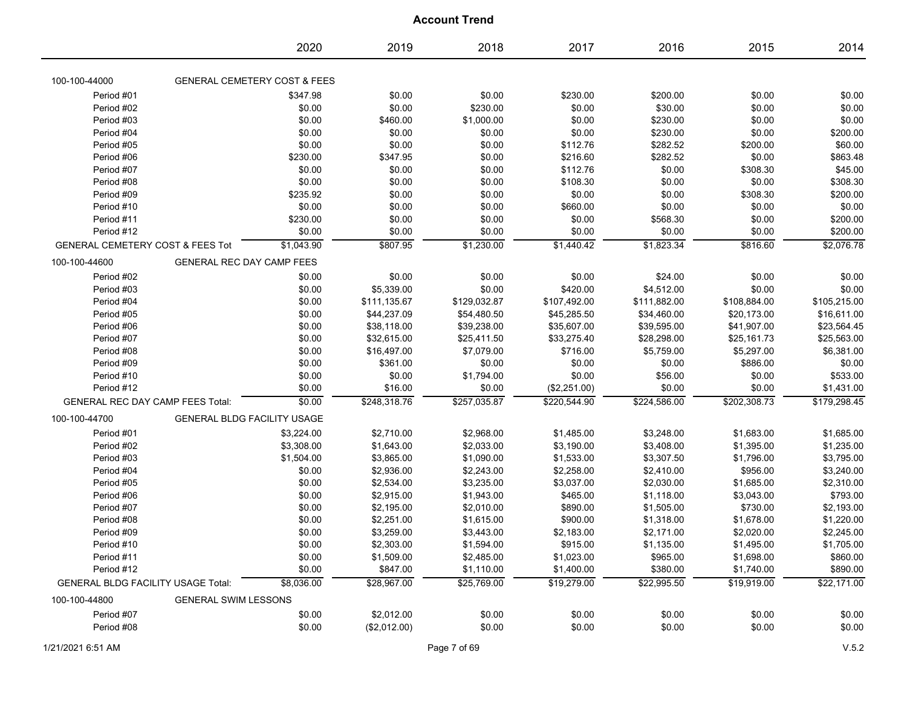|                                             | 2020                                    | 2019         | 2018         | 2017         | 2016         | 2015         | 2014         |
|---------------------------------------------|-----------------------------------------|--------------|--------------|--------------|--------------|--------------|--------------|
| 100-100-44000                               | <b>GENERAL CEMETERY COST &amp; FEES</b> |              |              |              |              |              |              |
| Period #01                                  | \$347.98                                | \$0.00       | \$0.00       | \$230.00     | \$200.00     | \$0.00       | \$0.00       |
| Period #02                                  | \$0.00                                  | \$0.00       | \$230.00     | \$0.00       | \$30.00      | \$0.00       | \$0.00       |
| Period #03                                  | \$0.00                                  | \$460.00     | \$1,000.00   | \$0.00       | \$230.00     | \$0.00       | \$0.00       |
| Period #04                                  | \$0.00                                  | \$0.00       | \$0.00       | \$0.00       | \$230.00     | \$0.00       | \$200.00     |
| Period #05                                  | \$0.00                                  | \$0.00       | \$0.00       | \$112.76     | \$282.52     | \$200.00     | \$60.00      |
| Period #06                                  | \$230.00                                | \$347.95     | \$0.00       | \$216.60     | \$282.52     | \$0.00       | \$863.48     |
| Period #07                                  | \$0.00                                  | \$0.00       | \$0.00       | \$112.76     | \$0.00       | \$308.30     | \$45.00      |
| Period #08                                  | \$0.00                                  | \$0.00       | \$0.00       | \$108.30     | \$0.00       | \$0.00       | \$308.30     |
| Period #09                                  | \$235.92                                | \$0.00       | \$0.00       | \$0.00       | \$0.00       | \$308.30     | \$200.00     |
| Period #10                                  | \$0.00                                  | \$0.00       | \$0.00       | \$660.00     | \$0.00       | \$0.00       | \$0.00       |
| Period #11                                  | \$230.00                                | \$0.00       | \$0.00       | \$0.00       | \$568.30     | \$0.00       | \$200.00     |
| Period #12                                  | \$0.00                                  | \$0.00       | \$0.00       | \$0.00       | \$0.00       | \$0.00       | \$200.00     |
| <b>GENERAL CEMETERY COST &amp; FEES Tot</b> | \$1,043.90                              | \$807.95     | \$1,230.00   | \$1,440.42   | \$1,823.34   | \$816.60     | \$2,076.78   |
| 100-100-44600                               | <b>GENERAL REC DAY CAMP FEES</b>        |              |              |              |              |              |              |
| Period #02                                  | \$0.00                                  | \$0.00       | \$0.00       | \$0.00       | \$24.00      | \$0.00       | \$0.00       |
| Period #03                                  | \$0.00                                  | \$5,339.00   | \$0.00       | \$420.00     | \$4,512.00   | \$0.00       | \$0.00       |
| Period #04                                  | \$0.00                                  | \$111,135.67 | \$129,032.87 | \$107,492.00 | \$111,882.00 | \$108,884.00 | \$105,215.00 |
| Period #05                                  | \$0.00                                  | \$44,237.09  | \$54,480.50  | \$45,285.50  | \$34,460.00  | \$20,173.00  | \$16,611.00  |
| Period #06                                  | \$0.00                                  | \$38,118.00  | \$39,238.00  | \$35,607.00  | \$39,595.00  | \$41,907.00  | \$23,564.45  |
| Period #07                                  | \$0.00                                  | \$32,615.00  | \$25,411.50  | \$33,275.40  | \$28,298.00  | \$25,161.73  | \$25,563.00  |
| Period #08                                  | \$0.00                                  | \$16,497.00  | \$7,079.00   | \$716.00     | \$5,759.00   | \$5,297.00   | \$6,381.00   |
| Period #09                                  | \$0.00                                  | \$361.00     | \$0.00       | \$0.00       | \$0.00       | \$886.00     | \$0.00       |
| Period #10                                  | \$0.00                                  | \$0.00       | \$1,794.00   | \$0.00       | \$56.00      | \$0.00       | \$533.00     |
| Period #12                                  | \$0.00                                  | \$16.00      | \$0.00       | (\$2,251.00) | \$0.00       | \$0.00       | \$1,431.00   |
| <b>GENERAL REC DAY CAMP FEES Total:</b>     | \$0.00                                  | \$248,318.76 | \$257,035.87 | \$220,544.90 | \$224,586.00 | \$202,308.73 | \$179,298.45 |
| 100-100-44700                               | <b>GENERAL BLDG FACILITY USAGE</b>      |              |              |              |              |              |              |
| Period #01                                  | \$3,224.00                              | \$2,710.00   | \$2,968.00   | \$1,485.00   | \$3,248.00   | \$1,683.00   | \$1,685.00   |
| Period #02                                  | \$3,308.00                              | \$1,643.00   | \$2,033.00   | \$3,190.00   | \$3,408.00   | \$1,395.00   | \$1,235.00   |
| Period #03                                  | \$1,504.00                              | \$3,865.00   | \$1,090.00   | \$1,533.00   | \$3,307.50   | \$1,796.00   | \$3,795.00   |
| Period #04                                  | \$0.00                                  | \$2,936.00   | \$2,243.00   | \$2,258.00   | \$2,410.00   | \$956.00     | \$3,240.00   |
| Period #05                                  | \$0.00                                  | \$2,534.00   | \$3,235.00   | \$3,037.00   | \$2,030.00   | \$1,685.00   | \$2,310.00   |
| Period #06                                  | \$0.00                                  | \$2,915.00   | \$1,943.00   | \$465.00     | \$1,118.00   | \$3,043.00   | \$793.00     |
| Period #07                                  | \$0.00                                  | \$2,195.00   | \$2,010.00   | \$890.00     | \$1,505.00   | \$730.00     | \$2,193.00   |
| Period #08                                  | \$0.00                                  | \$2,251.00   | \$1,615.00   | \$900.00     | \$1,318.00   | \$1,678.00   | \$1,220.00   |
| Period #09                                  | \$0.00                                  | \$3,259.00   | \$3,443.00   | \$2,183.00   | \$2,171.00   | \$2,020.00   | \$2,245.00   |
| Period #10                                  | \$0.00                                  | \$2,303.00   | \$1,594.00   | \$915.00     | \$1,135.00   | \$1,495.00   | \$1,705.00   |
| Period #11                                  | \$0.00                                  | \$1,509.00   | \$2,485.00   | \$1,023.00   | \$965.00     | \$1,698.00   | \$860.00     |
| Period #12                                  | \$0.00                                  | \$847.00     | \$1,110.00   | \$1,400.00   | \$380.00     | \$1,740.00   | \$890.00     |
| <b>GENERAL BLDG FACILITY USAGE Total:</b>   | \$8,036.00                              | \$28,967.00  | \$25,769.00  | \$19,279.00  | \$22,995.50  | \$19,919.00  | \$22,171.00  |
| 100-100-44800                               | <b>GENERAL SWIM LESSONS</b>             |              |              |              |              |              |              |
| Period #07                                  | \$0.00                                  | \$2,012.00   | \$0.00       | \$0.00       | \$0.00       | \$0.00       | \$0.00       |
| Period #08                                  | \$0.00                                  | (\$2,012.00) | \$0.00       | \$0.00       | \$0.00       | \$0.00       | \$0.00       |
|                                             |                                         |              |              |              |              |              |              |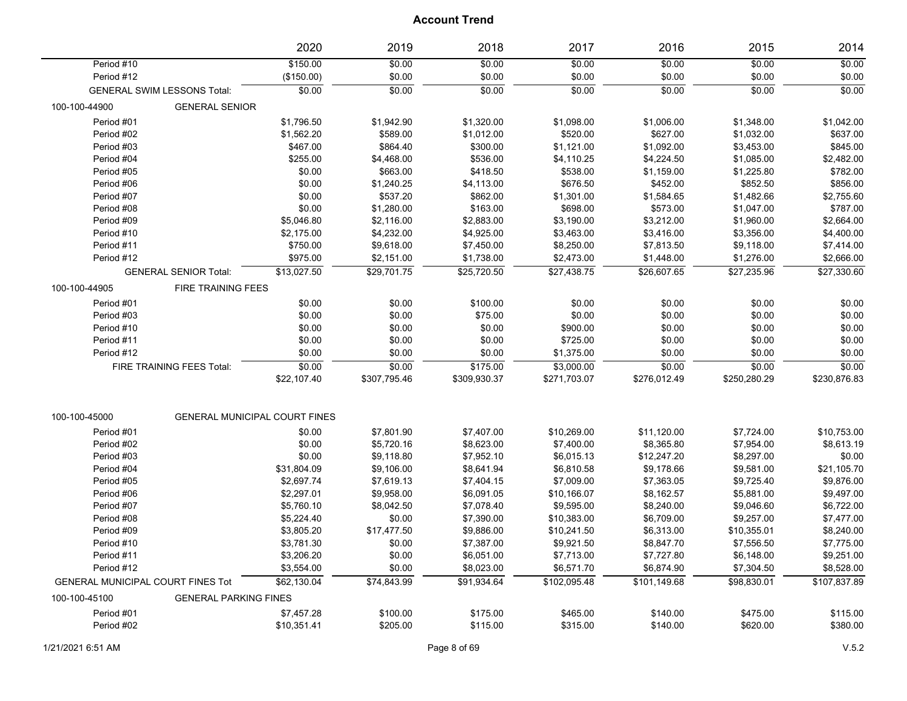|                                   |                                    | 2020                                 | 2019         | 2018         | 2017         | 2016         | 2015         | 2014         |
|-----------------------------------|------------------------------------|--------------------------------------|--------------|--------------|--------------|--------------|--------------|--------------|
| Period #10                        |                                    | \$150.00                             | \$0.00       | \$0.00       | \$0.00       | \$0.00       | \$0.00       | \$0.00       |
| Period #12                        |                                    | (\$150.00)                           | \$0.00       | \$0.00       | \$0.00       | \$0.00       | \$0.00       | \$0.00       |
|                                   | <b>GENERAL SWIM LESSONS Total:</b> | \$0.00                               | \$0.00       | \$0.00       | \$0.00       | \$0.00       | \$0.00       | \$0.00       |
| 100-100-44900                     | <b>GENERAL SENIOR</b>              |                                      |              |              |              |              |              |              |
| Period #01                        |                                    | \$1,796.50                           | \$1,942.90   | \$1,320.00   | \$1,098.00   | \$1,006.00   | \$1,348.00   | \$1,042.00   |
| Period #02                        |                                    | \$1,562.20                           | \$589.00     | \$1,012.00   | \$520.00     | \$627.00     | \$1,032.00   | \$637.00     |
| Period #03                        |                                    | \$467.00                             | \$864.40     | \$300.00     | \$1,121.00   | \$1,092.00   | \$3,453.00   | \$845.00     |
| Period #04                        |                                    | \$255.00                             | \$4,468.00   | \$536.00     | \$4,110.25   | \$4,224.50   | \$1,085.00   | \$2,482.00   |
| Period #05                        |                                    | \$0.00                               | \$663.00     | \$418.50     | \$538.00     | \$1,159.00   | \$1,225.80   | \$782.00     |
| Period #06                        |                                    | \$0.00                               | \$1,240.25   | \$4,113.00   | \$676.50     | \$452.00     | \$852.50     | \$856.00     |
| Period #07                        |                                    | \$0.00                               | \$537.20     | \$862.00     | \$1,301.00   | \$1,584.65   | \$1,482.66   | \$2,755.60   |
| Period #08                        |                                    | \$0.00                               | \$1,280.00   | \$163.00     | \$698.00     | \$573.00     | \$1,047.00   | \$787.00     |
| Period #09                        |                                    | \$5,046.80                           | \$2,116.00   | \$2,883.00   | \$3,190.00   | \$3,212.00   | \$1,960.00   | \$2,664.00   |
| Period #10                        |                                    | \$2,175.00                           | \$4,232.00   | \$4,925.00   | \$3,463.00   | \$3,416.00   | \$3,356.00   | \$4,400.00   |
| Period #11                        |                                    | \$750.00                             | \$9,618.00   | \$7,450.00   | \$8,250.00   | \$7,813.50   | \$9,118.00   | \$7,414.00   |
| Period #12                        |                                    | \$975.00                             | \$2,151.00   | \$1,738.00   | \$2,473.00   | \$1,448.00   | \$1,276.00   | \$2,666.00   |
|                                   | <b>GENERAL SENIOR Total:</b>       | \$13,027.50                          | \$29,701.75  | \$25,720.50  | \$27,438.75  | \$26,607.65  | \$27,235.96  | \$27,330.60  |
| 100-100-44905                     | <b>FIRE TRAINING FEES</b>          |                                      |              |              |              |              |              |              |
| Period #01                        |                                    | \$0.00                               | \$0.00       | \$100.00     | \$0.00       | \$0.00       | \$0.00       | \$0.00       |
| Period #03                        |                                    | \$0.00                               | \$0.00       | \$75.00      | \$0.00       | \$0.00       | \$0.00       | \$0.00       |
| Period #10                        |                                    | \$0.00                               | \$0.00       | \$0.00       | \$900.00     | \$0.00       | \$0.00       | \$0.00       |
| Period #11                        |                                    | \$0.00                               | \$0.00       | \$0.00       | \$725.00     | \$0.00       | \$0.00       | \$0.00       |
| Period #12                        |                                    | \$0.00                               | \$0.00       | \$0.00       | \$1,375.00   | \$0.00       | \$0.00       | \$0.00       |
|                                   | FIRE TRAINING FEES Total:          | \$0.00                               | \$0.00       | \$175.00     | \$3,000.00   | \$0.00       | \$0.00       | \$0.00       |
|                                   |                                    | \$22,107.40                          | \$307,795.46 | \$309,930.37 | \$271,703.07 | \$276,012.49 | \$250,280.29 | \$230,876.83 |
|                                   |                                    |                                      |              |              |              |              |              |              |
| 100-100-45000                     |                                    | <b>GENERAL MUNICIPAL COURT FINES</b> |              |              |              |              |              |              |
| Period #01                        |                                    | \$0.00                               | \$7,801.90   | \$7,407.00   | \$10,269.00  | \$11,120.00  | \$7,724.00   | \$10,753.00  |
| Period #02                        |                                    | \$0.00                               | \$5,720.16   | \$8,623.00   | \$7,400.00   | \$8,365.80   | \$7,954.00   | \$8,613.19   |
| Period #03                        |                                    | \$0.00                               | \$9,118.80   | \$7,952.10   | \$6,015.13   | \$12,247.20  | \$8,297.00   | \$0.00       |
| Period #04                        |                                    | \$31,804.09                          | \$9,106.00   | \$8,641.94   | \$6,810.58   | \$9,178.66   | \$9,581.00   | \$21,105.70  |
| Period #05                        |                                    | \$2,697.74                           | \$7,619.13   | \$7,404.15   | \$7,009.00   | \$7,363.05   | \$9,725.40   | \$9,876.00   |
| Period #06                        |                                    | \$2,297.01                           | \$9,958.00   | \$6,091.05   | \$10,166.07  | \$8,162.57   | \$5,881.00   | \$9,497.00   |
| Period #07                        |                                    | \$5,760.10                           | \$8,042.50   | \$7,078.40   | \$9,595.00   | \$8,240.00   | \$9,046.60   | \$6,722.00   |
| Period #08                        |                                    | \$5,224.40                           | \$0.00       | \$7,390.00   | \$10,383.00  | \$6,709.00   | \$9,257.00   | \$7,477.00   |
| Period #09                        |                                    | \$3,805.20                           | \$17,477.50  | \$9,886.00   | \$10,241.50  | \$6,313.00   | \$10,355.01  | \$8,240.00   |
| Period #10                        |                                    | \$3,781.30                           | \$0.00       | \$7,387.00   | \$9,921.50   | \$8,847.70   | \$7,556.50   | \$7,775.00   |
| Period #11                        |                                    | \$3,206.20                           | \$0.00       | \$6,051.00   | \$7,713.00   | \$7,727.80   | \$6,148.00   | \$9,251.00   |
| Period #12                        |                                    | \$3,554.00                           | \$0.00       | \$8,023.00   | \$6,571.70   | \$6,874.90   | \$7,304.50   | \$8,528.00   |
| GENERAL MUNICIPAL COURT FINES Tot |                                    | \$62,130.04                          | \$74,843.99  | \$91.934.64  | \$102,095.48 | \$101,149.68 | \$98,830.01  | \$107,837.89 |
| 100-100-45100                     | <b>GENERAL PARKING FINES</b>       |                                      |              |              |              |              |              |              |
| Period #01                        |                                    | \$7,457.28                           | \$100.00     | \$175.00     | \$465.00     | \$140.00     | \$475.00     | \$115.00     |
| Period #02                        |                                    | \$10,351.41                          | \$205.00     | \$115.00     | \$315.00     | \$140.00     | \$620.00     | \$380.00     |
|                                   |                                    |                                      |              |              |              |              |              |              |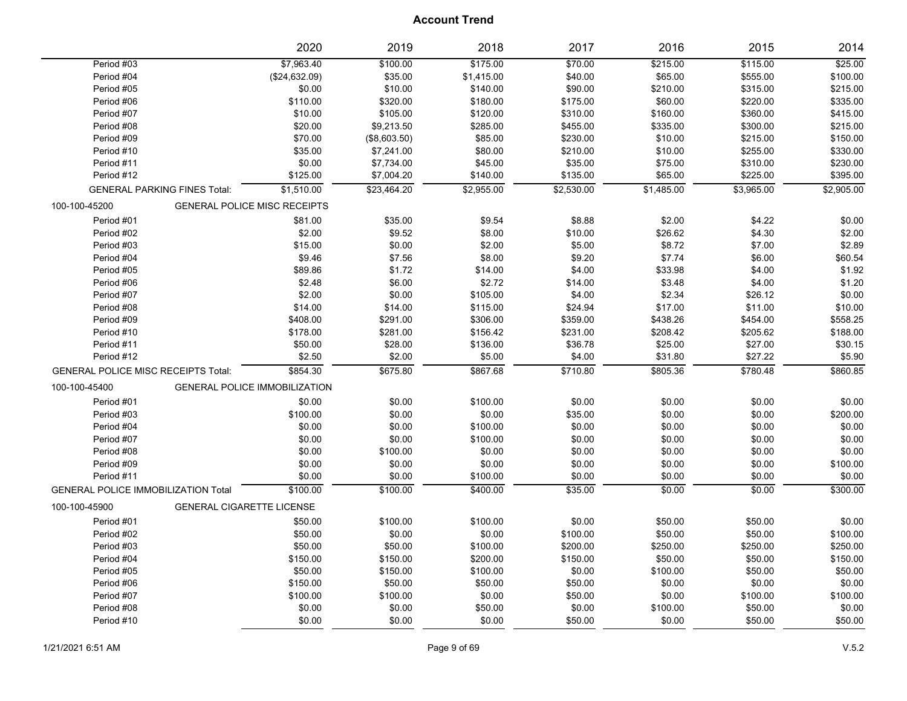|                                            |                                  | 2020                                 | 2019         | 2018       | 2017       | 2016       | 2015       | 2014       |
|--------------------------------------------|----------------------------------|--------------------------------------|--------------|------------|------------|------------|------------|------------|
| Period #03                                 |                                  | \$7,963.40                           | \$100.00     | \$175.00   | \$70.00    | \$215.00   | \$115.00   | \$25.00    |
| Period #04                                 |                                  | (\$24,632.09)                        | \$35.00      | \$1,415.00 | \$40.00    | \$65.00    | \$555.00   | \$100.00   |
| Period #05                                 |                                  | \$0.00                               | \$10.00      | \$140.00   | \$90.00    | \$210.00   | \$315.00   | \$215.00   |
| Period #06                                 |                                  | \$110.00                             | \$320.00     | \$180.00   | \$175.00   | \$60.00    | \$220.00   | \$335.00   |
| Period #07                                 |                                  | \$10.00                              | \$105.00     | \$120.00   | \$310.00   | \$160.00   | \$360.00   | \$415.00   |
| Period #08                                 |                                  | \$20.00                              | \$9,213.50   | \$285.00   | \$455.00   | \$335.00   | \$300.00   | \$215.00   |
| Period #09                                 |                                  | \$70.00                              | (\$8,603.50) | \$85.00    | \$230.00   | \$10.00    | \$215.00   | \$150.00   |
| Period #10                                 |                                  | \$35.00                              | \$7,241.00   | \$80.00    | \$210.00   | \$10.00    | \$255.00   | \$330.00   |
| Period #11                                 |                                  | \$0.00                               | \$7,734.00   | \$45.00    | \$35.00    | \$75.00    | \$310.00   | \$230.00   |
| Period #12                                 |                                  | \$125.00                             | \$7,004.20   | \$140.00   | \$135.00   | \$65.00    | \$225.00   | \$395.00   |
| <b>GENERAL PARKING FINES Total:</b>        |                                  | \$1,510.00                           | \$23,464.20  | \$2,955.00 | \$2,530.00 | \$1,485.00 | \$3,965.00 | \$2,905.00 |
| 100-100-45200                              |                                  | <b>GENERAL POLICE MISC RECEIPTS</b>  |              |            |            |            |            |            |
| Period #01                                 |                                  | \$81.00                              | \$35.00      | \$9.54     | \$8.88     | \$2.00     | \$4.22     | \$0.00     |
| Period #02                                 |                                  | \$2.00                               | \$9.52       | \$8.00     | \$10.00    | \$26.62    | \$4.30     | \$2.00     |
| Period #03                                 |                                  | \$15.00                              | \$0.00       | \$2.00     | \$5.00     | \$8.72     | \$7.00     | \$2.89     |
| Period #04                                 |                                  | \$9.46                               | \$7.56       | \$8.00     | \$9.20     | \$7.74     | \$6.00     | \$60.54    |
| Period #05                                 |                                  | \$89.86                              | \$1.72       | \$14.00    | \$4.00     | \$33.98    | \$4.00     | \$1.92     |
| Period #06                                 |                                  | \$2.48                               | \$6.00       | \$2.72     | \$14.00    | \$3.48     | \$4.00     | \$1.20     |
| Period #07                                 |                                  | \$2.00                               | \$0.00       | \$105.00   | \$4.00     | \$2.34     | \$26.12    | \$0.00     |
| Period #08                                 |                                  | \$14.00                              | \$14.00      | \$115.00   | \$24.94    | \$17.00    | \$11.00    | \$10.00    |
| Period #09                                 |                                  | \$408.00                             | \$291.00     | \$306.00   | \$359.00   | \$438.26   | \$454.00   | \$558.25   |
| Period #10                                 |                                  | \$178.00                             | \$281.00     | \$156.42   | \$231.00   | \$208.42   | \$205.62   | \$188.00   |
| Period #11                                 |                                  | \$50.00                              | \$28.00      | \$136.00   | \$36.78    | \$25.00    | \$27.00    | \$30.15    |
| Period #12                                 |                                  | \$2.50                               | \$2.00       | \$5.00     | \$4.00     | \$31.80    | \$27.22    | \$5.90     |
| <b>GENERAL POLICE MISC RECEIPTS Total:</b> |                                  | \$854.30                             | \$675.80     | \$867.68   | \$710.80   | \$805.36   | \$780.48   | \$860.85   |
| 100-100-45400                              |                                  | <b>GENERAL POLICE IMMOBILIZATION</b> |              |            |            |            |            |            |
| Period #01                                 |                                  | \$0.00                               | \$0.00       | \$100.00   | \$0.00     | \$0.00     | \$0.00     | \$0.00     |
| Period #03                                 |                                  | \$100.00                             | \$0.00       | \$0.00     | \$35.00    | \$0.00     | \$0.00     | \$200.00   |
| Period #04                                 |                                  | \$0.00                               | \$0.00       | \$100.00   | \$0.00     | \$0.00     | \$0.00     | \$0.00     |
| Period #07                                 |                                  | \$0.00                               | \$0.00       | \$100.00   | \$0.00     | \$0.00     | \$0.00     | \$0.00     |
| Period #08                                 |                                  | \$0.00                               | \$100.00     | \$0.00     | \$0.00     | \$0.00     | \$0.00     | \$0.00     |
| Period #09                                 |                                  | \$0.00                               | \$0.00       | \$0.00     | \$0.00     | \$0.00     | \$0.00     | \$100.00   |
| Period #11                                 |                                  | \$0.00                               | \$0.00       | \$100.00   | \$0.00     | \$0.00     | \$0.00     | \$0.00     |
| <b>GENERAL POLICE IMMOBILIZATION Total</b> |                                  | \$100.00                             | \$100.00     | \$400.00   | \$35.00    | \$0.00     | \$0.00     | \$300.00   |
| 100-100-45900                              | <b>GENERAL CIGARETTE LICENSE</b> |                                      |              |            |            |            |            |            |
| Period #01                                 |                                  | \$50.00                              | \$100.00     | \$100.00   | \$0.00     | \$50.00    | \$50.00    | \$0.00     |
| Period #02                                 |                                  | \$50.00                              | \$0.00       | \$0.00     | \$100.00   | \$50.00    | \$50.00    | \$100.00   |
| Period #03                                 |                                  | \$50.00                              | \$50.00      | \$100.00   | \$200.00   | \$250.00   | \$250.00   | \$250.00   |
| Period #04                                 |                                  | \$150.00                             | \$150.00     | \$200.00   | \$150.00   | \$50.00    | \$50.00    | \$150.00   |
| Period #05                                 |                                  | \$50.00                              | \$150.00     | \$100.00   | \$0.00     | \$100.00   | \$50.00    | \$50.00    |
| Period #06                                 |                                  | \$150.00                             | \$50.00      | \$50.00    | \$50.00    | \$0.00     | \$0.00     | \$0.00     |
| Period #07                                 |                                  | \$100.00                             | \$100.00     | \$0.00     | \$50.00    | \$0.00     | \$100.00   | \$100.00   |
| Period #08                                 |                                  | \$0.00                               | \$0.00       | \$50.00    | \$0.00     | \$100.00   | \$50.00    | \$0.00     |
| Period #10                                 |                                  | \$0.00                               | \$0.00       | \$0.00     | \$50.00    | \$0.00     | \$50.00    | \$50.00    |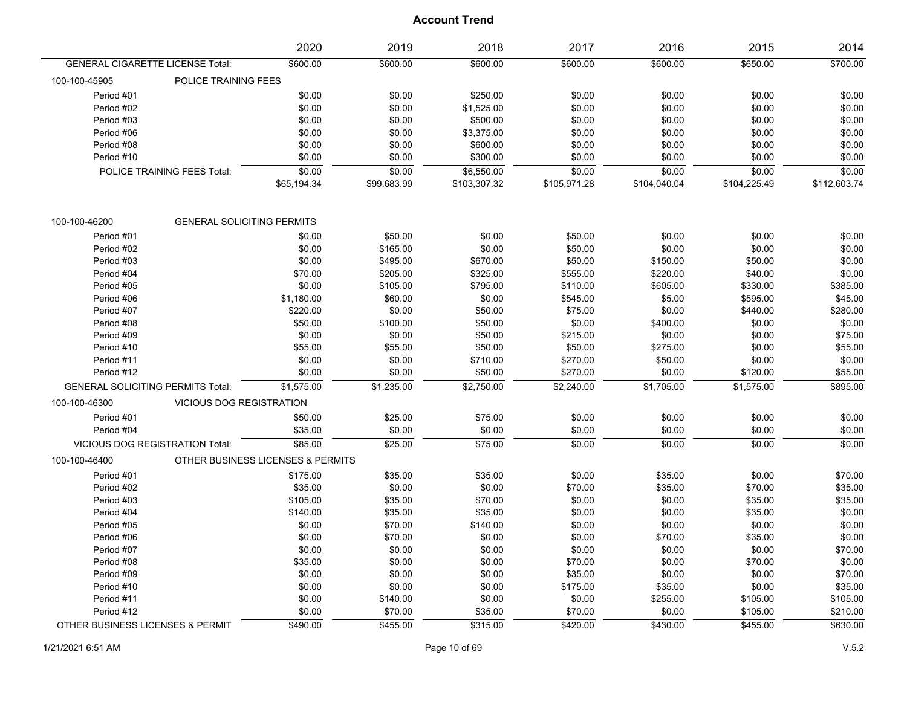|                                  |                                          | 2020                              | 2019        | 2018         | 2017         | 2016         | 2015         | 2014         |
|----------------------------------|------------------------------------------|-----------------------------------|-------------|--------------|--------------|--------------|--------------|--------------|
|                                  | <b>GENERAL CIGARETTE LICENSE Total:</b>  | \$600.00                          | \$600.00    | \$600.00     | \$600.00     | \$600.00     | \$650.00     | \$700.00     |
| 100-100-45905                    | POLICE TRAINING FEES                     |                                   |             |              |              |              |              |              |
| Period #01                       |                                          | \$0.00                            | \$0.00      | \$250.00     | \$0.00       | \$0.00       | \$0.00       | \$0.00       |
| Period #02                       |                                          | \$0.00                            | \$0.00      | \$1,525.00   | \$0.00       | \$0.00       | \$0.00       | \$0.00       |
| Period #03                       |                                          | \$0.00                            | \$0.00      | \$500.00     | \$0.00       | \$0.00       | \$0.00       | \$0.00       |
| Period #06                       |                                          | \$0.00                            | \$0.00      | \$3,375.00   | \$0.00       | \$0.00       | \$0.00       | \$0.00       |
| Period #08                       |                                          | \$0.00                            | \$0.00      | \$600.00     | \$0.00       | \$0.00       | \$0.00       | \$0.00       |
| Period #10                       |                                          | \$0.00                            | \$0.00      | \$300.00     | \$0.00       | \$0.00       | \$0.00       | \$0.00       |
|                                  | POLICE TRAINING FEES Total:              | \$0.00                            | \$0.00      | \$6.550.00   | \$0.00       | \$0.00       | \$0.00       | \$0.00       |
|                                  |                                          | \$65,194.34                       | \$99,683.99 | \$103,307.32 | \$105,971.28 | \$104,040.04 | \$104,225.49 | \$112,603.74 |
| 100-100-46200                    | <b>GENERAL SOLICITING PERMITS</b>        |                                   |             |              |              |              |              |              |
| Period #01                       |                                          | \$0.00                            | \$50.00     | \$0.00       | \$50.00      | \$0.00       | \$0.00       | \$0.00       |
| Period #02                       |                                          | \$0.00                            | \$165.00    | \$0.00       | \$50.00      | \$0.00       | \$0.00       | \$0.00       |
| Period #03                       |                                          | \$0.00                            | \$495.00    | \$670.00     | \$50.00      | \$150.00     | \$50.00      | \$0.00       |
| Period #04                       |                                          | \$70.00                           | \$205.00    | \$325.00     | \$555.00     | \$220.00     | \$40.00      | \$0.00       |
| Period #05                       |                                          | \$0.00                            | \$105.00    | \$795.00     | \$110.00     | \$605.00     | \$330.00     | \$385.00     |
| Period #06                       |                                          | \$1,180.00                        | \$60.00     | \$0.00       | \$545.00     | \$5.00       | \$595.00     | \$45.00      |
| Period #07                       |                                          | \$220.00                          | \$0.00      | \$50.00      | \$75.00      | \$0.00       | \$440.00     | \$280.00     |
| Period #08                       |                                          | \$50.00                           | \$100.00    | \$50.00      | \$0.00       | \$400.00     | \$0.00       | \$0.00       |
| Period #09                       |                                          | \$0.00                            | \$0.00      | \$50.00      | \$215.00     | \$0.00       | \$0.00       | \$75.00      |
| Period #10                       |                                          | \$55.00                           | \$55.00     | \$50.00      | \$50.00      | \$275.00     | \$0.00       | \$55.00      |
| Period #11                       |                                          | \$0.00                            | \$0.00      | \$710.00     | \$270.00     | \$50.00      | \$0.00       | \$0.00       |
| Period #12                       |                                          | \$0.00                            | \$0.00      | \$50.00      | \$270.00     | \$0.00       | \$120.00     | \$55.00      |
|                                  | <b>GENERAL SOLICITING PERMITS Total:</b> | \$1,575.00                        | \$1,235.00  | \$2,750.00   | \$2,240.00   | \$1,705.00   | \$1,575.00   | \$895.00     |
| 100-100-46300                    | <b>VICIOUS DOG REGISTRATION</b>          |                                   |             |              |              |              |              |              |
| Period #01                       |                                          | \$50.00                           | \$25.00     | \$75.00      | \$0.00       | \$0.00       | \$0.00       | \$0.00       |
| Period #04                       |                                          | \$35.00                           | \$0.00      | \$0.00       | \$0.00       | \$0.00       | \$0.00       | \$0.00       |
|                                  | VICIOUS DOG REGISTRATION Total:          | \$85.00                           | \$25.00     | \$75.00      | 50.00        | \$0.00       | \$0.00       | \$0.00       |
| 100-100-46400                    |                                          | OTHER BUSINESS LICENSES & PERMITS |             |              |              |              |              |              |
| Period #01                       |                                          | \$175.00                          | \$35.00     | \$35.00      | \$0.00       | \$35.00      | \$0.00       | \$70.00      |
| Period #02                       |                                          | \$35.00                           | \$0.00      | \$0.00       | \$70.00      | \$35.00      | \$70.00      | \$35.00      |
| Period #03                       |                                          | \$105.00                          | \$35.00     | \$70.00      | \$0.00       | \$0.00       | \$35.00      | \$35.00      |
| Period #04                       |                                          | \$140.00                          | \$35.00     | \$35.00      | \$0.00       | \$0.00       | \$35.00      | \$0.00       |
| Period #05                       |                                          | \$0.00                            | \$70.00     | \$140.00     | \$0.00       | \$0.00       | \$0.00       | \$0.00       |
| Period #06                       |                                          | \$0.00                            | \$70.00     | \$0.00       | \$0.00       | \$70.00      | \$35.00      | \$0.00       |
| Period #07                       |                                          | \$0.00                            | \$0.00      | \$0.00       | \$0.00       | \$0.00       | \$0.00       | \$70.00      |
| Period #08                       |                                          | \$35.00                           | \$0.00      | \$0.00       | \$70.00      | \$0.00       | \$70.00      | \$0.00       |
| Period #09                       |                                          | \$0.00                            | \$0.00      | \$0.00       | \$35.00      | \$0.00       | \$0.00       | \$70.00      |
| Period #10                       |                                          | \$0.00                            | \$0.00      | \$0.00       | \$175.00     | \$35.00      | \$0.00       | \$35.00      |
| Period #11                       |                                          | \$0.00                            | \$140.00    | \$0.00       | \$0.00       | \$255.00     | \$105.00     | \$105.00     |
| Period #12                       |                                          | \$0.00                            | \$70.00     | \$35.00      | \$70.00      | \$0.00       | \$105.00     | \$210.00     |
| OTHER BUSINESS LICENSES & PERMIT |                                          | \$490.00                          | \$455.00    | \$315.00     | \$420.00     | \$430.00     | \$455.00     | \$630.00     |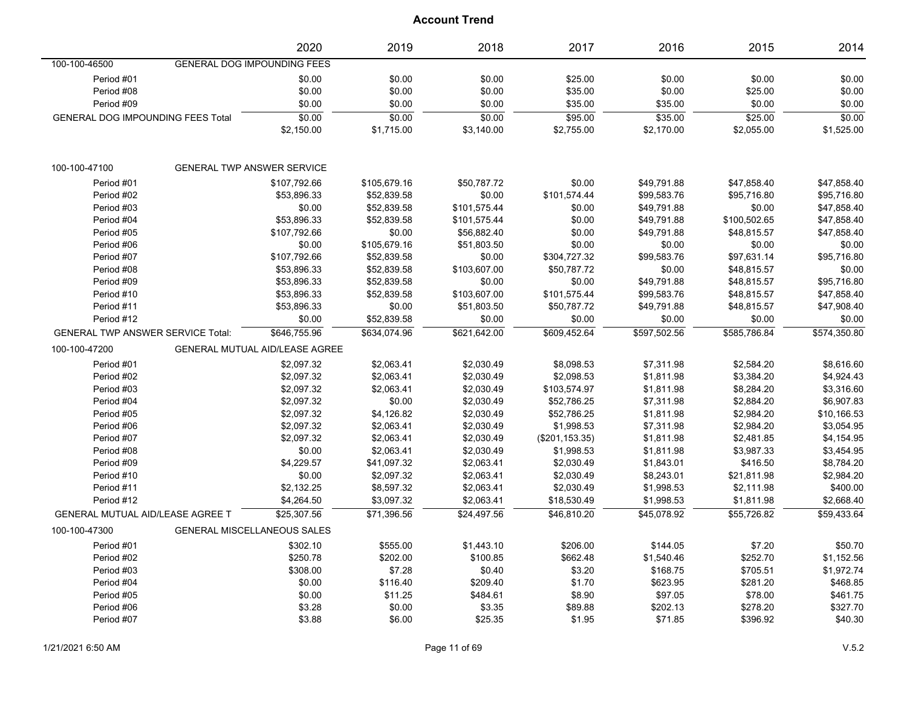|                                          | 2020                                  | 2019         | 2018         | 2017            | 2016         | 2015         | 2014         |
|------------------------------------------|---------------------------------------|--------------|--------------|-----------------|--------------|--------------|--------------|
| 100-100-46500                            | GENERAL DOG IMPOUNDING FEES           |              |              |                 |              |              |              |
| Period #01                               | \$0.00                                | \$0.00       | \$0.00       | \$25.00         | \$0.00       | \$0.00       | \$0.00       |
| Period #08                               | \$0.00                                | \$0.00       | \$0.00       | \$35.00         | \$0.00       | \$25.00      | \$0.00       |
| Period #09                               | \$0.00                                | \$0.00       | \$0.00       | \$35.00         | \$35.00      | \$0.00       | \$0.00       |
| <b>GENERAL DOG IMPOUNDING FEES Total</b> | \$0.00                                | \$0.00       | \$0.00       | \$95.00         | \$35.00      | \$25.00      | \$0.00       |
|                                          | \$2,150.00                            | \$1,715.00   | \$3,140.00   | \$2,755.00      | \$2,170.00   | \$2,055.00   | \$1,525.00   |
| 100-100-47100                            | <b>GENERAL TWP ANSWER SERVICE</b>     |              |              |                 |              |              |              |
| Period #01                               | \$107,792.66                          | \$105,679.16 | \$50,787.72  | \$0.00          | \$49,791.88  | \$47,858.40  | \$47,858.40  |
| Period #02                               | \$53,896.33                           | \$52,839.58  | \$0.00       | \$101,574.44    | \$99,583.76  | \$95,716.80  | \$95,716.80  |
| Period #03                               | \$0.00                                | \$52,839.58  | \$101,575.44 | \$0.00          | \$49,791.88  | \$0.00       | \$47,858.40  |
| Period #04                               | \$53,896.33                           | \$52,839.58  | \$101,575.44 | \$0.00          | \$49,791.88  | \$100,502.65 | \$47,858.40  |
| Period #05                               | \$107,792.66                          | \$0.00       | \$56,882.40  | \$0.00          | \$49,791.88  | \$48,815.57  | \$47,858.40  |
| Period #06                               | \$0.00                                | \$105,679.16 | \$51,803.50  | \$0.00          | \$0.00       | \$0.00       | \$0.00       |
| Period #07                               | \$107,792.66                          | \$52,839.58  | \$0.00       | \$304,727.32    | \$99,583.76  | \$97,631.14  | \$95,716.80  |
| Period #08                               | \$53,896.33                           | \$52,839.58  | \$103,607.00 | \$50,787.72     | \$0.00       | \$48,815.57  | \$0.00       |
| Period #09                               | \$53,896.33                           | \$52,839.58  | \$0.00       | \$0.00          | \$49,791.88  | \$48,815.57  | \$95,716.80  |
| Period #10                               | \$53,896.33                           | \$52,839.58  | \$103,607.00 | \$101,575.44    | \$99,583.76  | \$48,815.57  | \$47,858.40  |
| Period #11                               | \$53,896.33                           | \$0.00       | \$51,803.50  | \$50,787.72     | \$49,791.88  | \$48,815.57  | \$47,908.40  |
| Period #12                               | \$0.00                                | \$52,839.58  | \$0.00       | \$0.00          | \$0.00       | \$0.00       | \$0.00       |
| <b>GENERAL TWP ANSWER SERVICE Total:</b> | \$646,755.96                          | \$634,074.96 | \$621.642.00 | \$609,452.64    | \$597,502.56 | \$585,786.84 | \$574,350.80 |
| 100-100-47200                            | <b>GENERAL MUTUAL AID/LEASE AGREE</b> |              |              |                 |              |              |              |
| Period #01                               | \$2,097.32                            | \$2,063.41   | \$2,030.49   | \$8,098.53      | \$7,311.98   | \$2,584.20   | \$8,616.60   |
| Period #02                               | \$2,097.32                            | \$2,063.41   | \$2,030.49   | \$2,098.53      | \$1,811.98   | \$3,384.20   | \$4,924.43   |
| Period #03                               | \$2,097.32                            | \$2,063.41   | \$2,030.49   | \$103,574.97    | \$1,811.98   | \$8,284.20   | \$3,316.60   |
| Period #04                               | \$2,097.32                            | \$0.00       | \$2,030.49   | \$52,786.25     | \$7,311.98   | \$2,884.20   | \$6,907.83   |
| Period #05                               | \$2,097.32                            | \$4,126.82   | \$2,030.49   | \$52,786.25     | \$1,811.98   | \$2,984.20   | \$10,166.53  |
| Period #06                               | \$2,097.32                            | \$2,063.41   | \$2,030.49   | \$1,998.53      | \$7,311.98   | \$2,984.20   | \$3,054.95   |
| Period #07                               | \$2,097.32                            | \$2,063.41   | \$2,030.49   | (\$201, 153.35) | \$1,811.98   | \$2,481.85   | \$4,154.95   |
| Period #08                               | \$0.00                                | \$2,063.41   | \$2,030.49   | \$1,998.53      | \$1,811.98   | \$3,987.33   | \$3,454.95   |
| Period #09                               | \$4,229.57                            | \$41,097.32  | \$2,063.41   | \$2,030.49      | \$1,843.01   | \$416.50     | \$8,784.20   |
| Period #10                               | \$0.00                                | \$2,097.32   | \$2,063.41   | \$2,030.49      | \$8,243.01   | \$21,811.98  | \$2,984.20   |
| Period #11                               | \$2,132.25                            | \$8,597.32   | \$2,063.41   | \$2,030.49      | \$1,998.53   | \$2,111.98   | \$400.00     |
| Period #12                               | \$4,264.50                            | \$3,097.32   | \$2,063.41   | \$18,530.49     | \$1,998.53   | \$1,811.98   | \$2,668.40   |
| <b>GENERAL MUTUAL AID/LEASE AGREE T</b>  | \$25.307.56                           | \$71.396.56  | \$24.497.56  | \$46.810.20     | \$45.078.92  | \$55,726.82  | \$59.433.64  |
| 100-100-47300                            | <b>GENERAL MISCELLANEOUS SALES</b>    |              |              |                 |              |              |              |
| Period #01                               | \$302.10                              | \$555.00     | \$1,443.10   | \$206.00        | \$144.05     | \$7.20       | \$50.70      |
| Period #02                               | \$250.78                              | \$202.00     | \$100.85     | \$662.48        | \$1,540.46   | \$252.70     | \$1,152.56   |
| Period #03                               | \$308.00                              | \$7.28       | \$0.40       | \$3.20          | \$168.75     | \$705.51     | \$1,972.74   |
| Period #04                               | \$0.00                                | \$116.40     | \$209.40     | \$1.70          | \$623.95     | \$281.20     | \$468.85     |
| Period #05                               | \$0.00                                | \$11.25      | \$484.61     | \$8.90          | \$97.05      | \$78.00      | \$461.75     |
| Period #06                               | \$3.28                                | \$0.00       | \$3.35       | \$89.88         | \$202.13     | \$278.20     | \$327.70     |
| Period #07                               | \$3.88                                | \$6.00       | \$25.35      | \$1.95          | \$71.85      | \$396.92     | \$40.30      |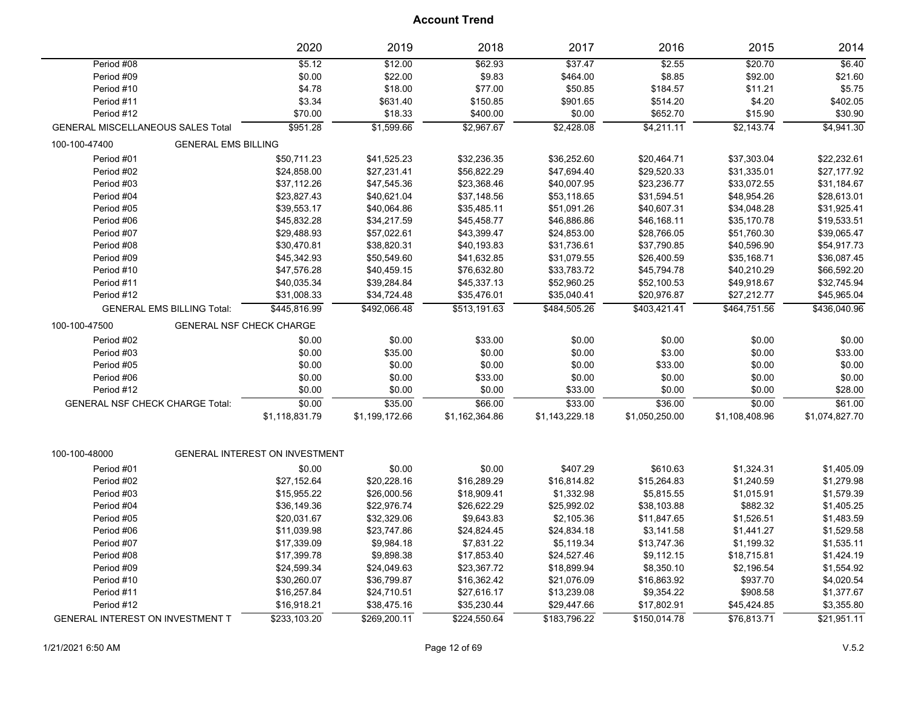|                                          |                                        | 2020                           | 2019           | 2018           | 2017           | 2016           | 2015           | 2014           |
|------------------------------------------|----------------------------------------|--------------------------------|----------------|----------------|----------------|----------------|----------------|----------------|
| Period #08                               |                                        | 55.12                          | \$12.00        | \$62.93        | \$37.47        | \$2.55         | \$20.70        | \$6.40         |
| Period #09                               |                                        | \$0.00                         | \$22.00        | \$9.83         | \$464.00       | \$8.85         | \$92.00        | \$21.60        |
| Period #10                               |                                        | \$4.78                         | \$18.00        | \$77.00        | \$50.85        | \$184.57       | \$11.21        | \$5.75         |
| Period #11                               |                                        | \$3.34                         | \$631.40       | \$150.85       | \$901.65       | \$514.20       | \$4.20         | \$402.05       |
| Period #12                               |                                        | \$70.00                        | \$18.33        | \$400.00       | \$0.00         | \$652.70       | \$15.90        | \$30.90        |
| <b>GENERAL MISCELLANEOUS SALES Total</b> |                                        | \$951.28                       | \$1,599.66     | \$2,967.67     | \$2,428.08     | \$4,211.11     | \$2,143.74     | \$4,941.30     |
| 100-100-47400                            | <b>GENERAL EMS BILLING</b>             |                                |                |                |                |                |                |                |
| Period #01                               |                                        | \$50,711.23                    | \$41,525.23    | \$32,236.35    | \$36,252.60    | \$20,464.71    | \$37,303.04    | \$22,232.61    |
| Period #02                               |                                        | \$24,858.00                    | \$27,231.41    | \$56,822.29    | \$47,694.40    | \$29,520.33    | \$31,335.01    | \$27,177.92    |
| Period #03                               |                                        | \$37,112.26                    | \$47,545.36    | \$23,368.46    | \$40,007.95    | \$23,236.77    | \$33,072.55    | \$31,184.67    |
| Period #04                               |                                        | \$23,827.43                    | \$40,621.04    | \$37,148.56    | \$53,118.65    | \$31,594.51    | \$48,954.26    | \$28,613.01    |
| Period #05                               |                                        | \$39,553.17                    | \$40,064.86    | \$35,485.11    | \$51,091.26    | \$40,607.31    | \$34,048.28    | \$31,925.41    |
| Period #06                               |                                        | \$45,832.28                    | \$34,217.59    | \$45,458.77    | \$46,886.86    | \$46,168.11    | \$35,170.78    | \$19,533.51    |
| Period #07                               |                                        | \$29,488.93                    | \$57,022.61    | \$43,399.47    | \$24,853.00    | \$28,766.05    | \$51,760.30    | \$39,065.47    |
| Period #08                               |                                        | \$30,470.81                    | \$38,820.31    | \$40,193.83    | \$31,736.61    | \$37,790.85    | \$40,596.90    | \$54,917.73    |
| Period #09                               |                                        | \$45,342.93                    | \$50,549.60    | \$41,632.85    | \$31,079.55    | \$26,400.59    | \$35,168.71    | \$36,087.45    |
| Period #10                               |                                        | \$47,576.28                    | \$40,459.15    | \$76,632.80    | \$33,783.72    | \$45,794.78    | \$40,210.29    | \$66,592.20    |
| Period #11                               |                                        | \$40,035.34                    | \$39,284.84    | \$45,337.13    | \$52,960.25    | \$52,100.53    | \$49,918.67    | \$32,745.94    |
| Period #12                               |                                        | \$31,008.33                    | \$34,724.48    | \$35,476.01    | \$35,040.41    | \$20,976.87    | \$27,212.77    | \$45,965.04    |
|                                          | <b>GENERAL EMS BILLING Total:</b>      | \$445,816.99                   | \$492,066.48   | \$513,191.63   | \$484,505.26   | \$403,421.41   | \$464,751.56   | \$436,040.96   |
| 100-100-47500                            |                                        | GENERAL NSF CHECK CHARGE       |                |                |                |                |                |                |
| Period #02                               |                                        | \$0.00                         | \$0.00         | \$33.00        | \$0.00         | \$0.00         | \$0.00         | \$0.00         |
| Period #03                               |                                        | \$0.00                         | \$35.00        | \$0.00         | \$0.00         | \$3.00         | \$0.00         | \$33.00        |
| Period #05                               |                                        | \$0.00                         | \$0.00         | \$0.00         | \$0.00         | \$33.00        | \$0.00         | \$0.00         |
| Period #06                               |                                        | \$0.00                         | \$0.00         | \$33.00        | \$0.00         | \$0.00         | \$0.00         | \$0.00         |
| Period #12                               |                                        | \$0.00                         | \$0.00         | \$0.00         | \$33.00        | \$0.00         | \$0.00         | \$28.00        |
|                                          | <b>GENERAL NSF CHECK CHARGE Total:</b> | \$0.00                         | \$35.00        | \$66.00        | \$33.00        | \$36.00        | \$0.00         | \$61.00        |
|                                          |                                        | \$1,118,831.79                 | \$1,199,172.66 | \$1,162,364.86 | \$1,143,229.18 | \$1,050,250.00 | \$1,108,408.96 | \$1,074,827.70 |
|                                          |                                        |                                |                |                |                |                |                |                |
| 100-100-48000                            |                                        | GENERAL INTEREST ON INVESTMENT |                |                |                |                |                |                |
| Period #01                               |                                        | \$0.00                         | \$0.00         | \$0.00         | \$407.29       | \$610.63       | \$1,324.31     | \$1,405.09     |
| Period #02                               |                                        | \$27,152.64                    | \$20,228.16    | \$16,289.29    | \$16,814.82    | \$15,264.83    | \$1,240.59     | \$1,279.98     |
| Period #03                               |                                        | \$15,955.22                    | \$26,000.56    | \$18,909.41    | \$1,332.98     | \$5,815.55     | \$1,015.91     | \$1,579.39     |
| Period #04                               |                                        | \$36,149.36                    | \$22,976.74    | \$26,622.29    | \$25,992.02    | \$38,103.88    | \$882.32       | \$1,405.25     |
| Period #05                               |                                        | \$20,031.67                    | \$32,329.06    | \$9,643.83     | \$2,105.36     | \$11,847.65    | \$1,526.51     | \$1,483.59     |
| Period #06                               |                                        | \$11,039.98                    | \$23,747.86    | \$24,824.45    | \$24,834.18    | \$3,141.58     | \$1,441.27     | \$1,529.58     |
| Period #07                               |                                        | \$17,339.09                    | \$9,984.18     | \$7,831.22     | \$5,119.34     | \$13,747.36    | \$1,199.32     | \$1,535.11     |
| Period #08                               |                                        | \$17,399.78                    | \$9,898.38     | \$17,853.40    | \$24,527.46    | \$9,112.15     | \$18,715.81    | \$1,424.19     |
| Period #09                               |                                        | \$24,599.34                    | \$24,049.63    | \$23,367.72    | \$18,899.94    | \$8,350.10     | \$2,196.54     | \$1,554.92     |
| Period #10                               |                                        | \$30,260.07                    | \$36,799.87    | \$16,362.42    | \$21,076.09    | \$16,863.92    | \$937.70       | \$4,020.54     |
| Period #11                               |                                        | \$16,257.84                    | \$24,710.51    | \$27,616.17    | \$13,239.08    | \$9,354.22     | \$908.58       | \$1,377.67     |
| Period #12                               |                                        | \$16,918.21                    | \$38,475.16    | \$35,230.44    | \$29,447.66    | \$17,802.91    | \$45,424.85    | \$3,355.80     |
| GENERAL INTEREST ON INVESTMENT T         |                                        | \$233,103.20                   | \$269,200.11   | \$224,550.64   | \$183,796.22   | \$150,014.78   | \$76,813.71    | \$21,951.11    |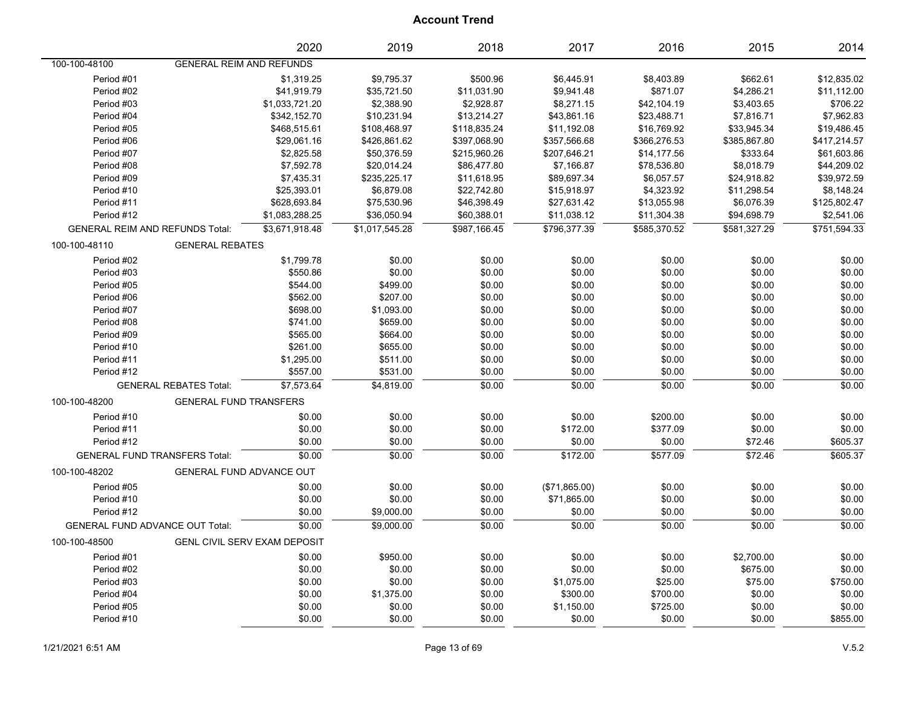|                                         | 2020                            | 2019           | 2018         | 2017          | 2016         | 2015              | 2014         |
|-----------------------------------------|---------------------------------|----------------|--------------|---------------|--------------|-------------------|--------------|
| 100-100-48100                           | <b>GENERAL REIM AND REFUNDS</b> |                |              |               |              |                   |              |
| Period #01                              | \$1,319.25                      | \$9,795.37     | \$500.96     | \$6,445.91    | \$8,403.89   | \$662.61          | \$12,835.02  |
| Period #02                              | \$41,919.79                     | \$35,721.50    | \$11,031.90  | \$9,941.48    | \$871.07     | \$4,286.21        | \$11,112.00  |
| Period #03                              | \$1,033,721.20                  | \$2,388.90     | \$2,928.87   | \$8,271.15    | \$42,104.19  | \$3,403.65        | \$706.22     |
| Period #04                              | \$342,152.70                    | \$10,231.94    | \$13,214.27  | \$43,861.16   | \$23,488.71  | \$7,816.71        | \$7,962.83   |
| Period #05                              | \$468,515.61                    | \$108,468.97   | \$118,835.24 | \$11,192.08   | \$16,769.92  | \$33,945.34       | \$19,486.45  |
| Period #06                              | \$29,061.16                     | \$426,861.62   | \$397,068.90 | \$357,566.68  | \$366,276.53 | \$385,867.80      | \$417,214.57 |
| Period #07                              | \$2,825.58                      | \$50,376.59    | \$215,960.26 | \$207,646.21  | \$14,177.56  | \$333.64          | \$61,603.86  |
| Period #08                              | \$7,592.78                      | \$20,014.24    | \$86,477.80  | \$7,166.87    | \$78,536.80  | \$8,018.79        | \$44,209.02  |
| Period #09                              | \$7,435.31                      | \$235,225.17   | \$11,618.95  | \$89,697.34   | \$6,057.57   | \$24,918.82       | \$39,972.59  |
| Period #10                              | \$25,393.01                     | \$6,879.08     | \$22,742.80  | \$15,918.97   | \$4,323.92   | \$11,298.54       | \$8,148.24   |
| Period #11                              | \$628,693.84                    | \$75,530.96    | \$46,398.49  | \$27,631.42   | \$13,055.98  | \$6,076.39        | \$125,802.47 |
| Period #12                              | \$1,083,288.25                  | \$36,050.94    | \$60,388.01  | \$11,038.12   | \$11,304.38  | \$94,698.79       | \$2,541.06   |
| <b>GENERAL REIM AND REFUNDS Total:</b>  | \$3,671,918.48                  | \$1.017.545.28 | \$987.166.45 | \$796,377.39  | \$585,370.52 | \$581,327.29      | \$751,594.33 |
| 100-100-48110<br><b>GENERAL REBATES</b> |                                 |                |              |               |              |                   |              |
| Period #02                              | \$1,799.78                      | \$0.00         | \$0.00       | \$0.00        | \$0.00       | \$0.00            | \$0.00       |
| Period #03                              | \$550.86                        | \$0.00         | \$0.00       | \$0.00        | \$0.00       | \$0.00            | \$0.00       |
| Period #05                              | \$544.00                        | \$499.00       | \$0.00       | \$0.00        | \$0.00       | \$0.00            | \$0.00       |
| Period #06                              | \$562.00                        | \$207.00       | \$0.00       | \$0.00        | \$0.00       | \$0.00            | \$0.00       |
| Period #07                              | \$698.00                        | \$1,093.00     | \$0.00       | \$0.00        | \$0.00       | \$0.00            | \$0.00       |
| Period #08                              | \$741.00                        | \$659.00       | \$0.00       | \$0.00        | \$0.00       | \$0.00            | \$0.00       |
| Period #09                              | \$565.00                        | \$664.00       | \$0.00       | \$0.00        | \$0.00       | \$0.00            | \$0.00       |
| Period #10                              | \$261.00                        | \$655.00       | \$0.00       | \$0.00        | \$0.00       | \$0.00            | \$0.00       |
| Period #11                              | \$1,295.00                      | \$511.00       | \$0.00       | \$0.00        | \$0.00       | \$0.00            | \$0.00       |
| Period #12                              | \$557.00                        | \$531.00       | \$0.00       | \$0.00        | \$0.00       | \$0.00            | \$0.00       |
| <b>GENERAL REBATES Total:</b>           | \$7,573.64                      | \$4,819.00     | \$0.00       | \$0.00        | \$0.00       | \$0.00            | \$0.00       |
| 100-100-48200                           | <b>GENERAL FUND TRANSFERS</b>   |                |              |               |              |                   |              |
| Period #10                              | \$0.00                          | \$0.00         | \$0.00       | \$0.00        | \$200.00     | \$0.00            | \$0.00       |
| Period #11                              | \$0.00                          | \$0.00         | \$0.00       | \$172.00      | \$377.09     | \$0.00            | \$0.00       |
| Period #12                              | \$0.00                          | \$0.00         | \$0.00       | \$0.00        | \$0.00       | \$72.46           | \$605.37     |
| <b>GENERAL FUND TRANSFERS Total:</b>    | \$0.00                          | \$0.00         | \$0.00       | \$172.00      | \$577.09     | \$72.46           | \$605.37     |
| 100-100-48202                           | <b>GENERAL FUND ADVANCE OUT</b> |                |              |               |              |                   |              |
| Period #05                              | \$0.00                          | \$0.00         | \$0.00       | (\$71,865.00) | \$0.00       | \$0.00            | \$0.00       |
| Period #10                              | \$0.00                          | \$0.00         | \$0.00       | \$71,865.00   | \$0.00       | \$0.00            | \$0.00       |
| Period #12                              | \$0.00                          | \$9,000.00     | \$0.00       | \$0.00        | \$0.00       | \$0.00            | \$0.00       |
| <b>GENERAL FUND ADVANCE OUT Total:</b>  | \$0.00                          | \$9,000.00     | \$0.00       | \$0.00        | 50.00        | $\frac{1}{60.00}$ | \$0.00       |
| 100-100-48500                           | GENL CIVIL SERV EXAM DEPOSIT    |                |              |               |              |                   |              |
| Period #01                              | \$0.00                          | \$950.00       | \$0.00       | \$0.00        | \$0.00       | \$2,700.00        | \$0.00       |
| Period #02                              | \$0.00                          | \$0.00         | \$0.00       | \$0.00        | \$0.00       | \$675.00          | \$0.00       |
| Period #03                              | \$0.00                          | \$0.00         | \$0.00       | \$1,075.00    | \$25.00      | \$75.00           | \$750.00     |
| Period #04                              | \$0.00                          | \$1,375.00     | \$0.00       | \$300.00      | \$700.00     | \$0.00            | \$0.00       |
| Period #05                              | \$0.00                          | \$0.00         | \$0.00       | \$1,150.00    | \$725.00     | \$0.00            | \$0.00       |
| Period #10                              | \$0.00                          | \$0.00         | \$0.00       | \$0.00        | \$0.00       | \$0.00            | \$855.00     |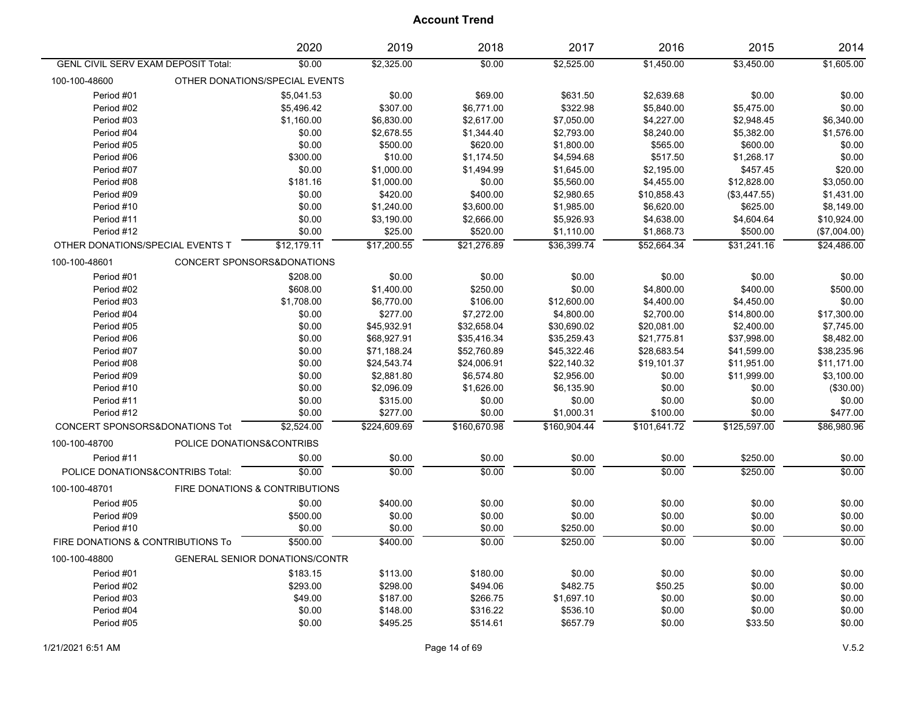|                                            | 2020                                  | 2019         | 2018         | 2017         | 2016         | 2015         | 2014         |
|--------------------------------------------|---------------------------------------|--------------|--------------|--------------|--------------|--------------|--------------|
| <b>GENL CIVIL SERV EXAM DEPOSIT Total:</b> | \$0.00                                | \$2,325.00   | \$0.00       | \$2,525.00   | \$1,450.00   | \$3,450.00   | \$1,605.00   |
| 100-100-48600                              | OTHER DONATIONS/SPECIAL EVENTS        |              |              |              |              |              |              |
| Period #01                                 | \$5,041.53                            | \$0.00       | \$69.00      | \$631.50     | \$2,639.68   | \$0.00       | \$0.00       |
| Period #02                                 | \$5,496.42                            | \$307.00     | \$6,771.00   | \$322.98     | \$5,840.00   | \$5,475.00   | \$0.00       |
| Period #03                                 | \$1,160.00                            | \$6,830.00   | \$2,617.00   | \$7,050.00   | \$4,227.00   | \$2,948.45   | \$6,340.00   |
| Period #04                                 | \$0.00                                | \$2,678.55   | \$1,344.40   | \$2,793.00   | \$8,240.00   | \$5,382.00   | \$1,576.00   |
| Period #05                                 | \$0.00                                | \$500.00     | \$620.00     | \$1,800.00   | \$565.00     | \$600.00     | \$0.00       |
| Period #06                                 | \$300.00                              | \$10.00      | \$1,174.50   | \$4,594.68   | \$517.50     | \$1,268.17   | \$0.00       |
| Period #07                                 | \$0.00                                | \$1,000.00   | \$1,494.99   | \$1,645.00   | \$2,195.00   | \$457.45     | \$20.00      |
| Period #08                                 | \$181.16                              | \$1,000.00   | \$0.00       | \$5,560.00   | \$4,455.00   | \$12,828.00  | \$3,050.00   |
| Period #09                                 | \$0.00                                | \$420.00     | \$400.00     | \$2,980.65   | \$10,858.43  | (\$3,447.55) | \$1,431.00   |
| Period #10                                 | \$0.00                                | \$1,240.00   | \$3,600.00   | \$1,985.00   | \$6,620.00   | \$625.00     | \$8,149.00   |
| Period #11                                 | \$0.00                                | \$3,190.00   | \$2,666.00   | \$5,926.93   | \$4,638.00   | \$4,604.64   | \$10,924.00  |
| Period #12                                 | \$0.00                                | \$25.00      | \$520.00     | \$1,110.00   | \$1,868.73   | \$500.00     | (\$7,004.00) |
| OTHER DONATIONS/SPECIAL EVENTS T           | \$12,179.11                           | \$17,200.55  | \$21,276.89  | \$36.399.74  | \$52.664.34  | \$31,241.16  | \$24,486.00  |
| 100-100-48601                              | CONCERT SPONSORS&DONATIONS            |              |              |              |              |              |              |
| Period #01                                 | \$208.00                              | \$0.00       | \$0.00       | \$0.00       | \$0.00       | \$0.00       | \$0.00       |
| Period #02                                 | \$608.00                              | \$1,400.00   | \$250.00     | \$0.00       | \$4,800.00   | \$400.00     | \$500.00     |
| Period #03                                 | \$1,708.00                            | \$6,770.00   | \$106.00     | \$12,600.00  | \$4,400.00   | \$4,450.00   | \$0.00       |
| Period #04                                 | \$0.00                                | \$277.00     | \$7,272.00   | \$4,800.00   | \$2,700.00   | \$14,800.00  | \$17,300.00  |
| Period #05                                 | \$0.00                                | \$45,932.91  | \$32,658.04  | \$30,690.02  | \$20,081.00  | \$2,400.00   | \$7,745.00   |
| Period #06                                 | \$0.00                                | \$68,927.91  | \$35,416.34  | \$35,259.43  | \$21,775.81  | \$37,998.00  | \$8,482.00   |
| Period #07                                 | \$0.00                                | \$71,188.24  | \$52,760.89  | \$45,322.46  | \$28,683.54  | \$41,599.00  | \$38,235.96  |
| Period #08                                 | \$0.00                                | \$24,543.74  | \$24,006.91  | \$22,140.32  | \$19,101.37  | \$11,951.00  | \$11,171.00  |
| Period #09                                 | \$0.00                                | \$2,881.80   | \$6,574.80   | \$2,956.00   | \$0.00       | \$11,999.00  | \$3,100.00   |
| Period #10                                 | \$0.00                                | \$2,096.09   | \$1,626.00   | \$6,135.90   | \$0.00       | \$0.00       | (\$30.00)    |
| Period #11                                 | \$0.00                                | \$315.00     | \$0.00       | \$0.00       | \$0.00       | \$0.00       | \$0.00       |
| Period #12                                 | \$0.00                                | \$277.00     | \$0.00       | \$1,000.31   | \$100.00     | \$0.00       | \$477.00     |
| CONCERT SPONSORS&DONATIONS Tot             | \$2,524.00                            | \$224,609.69 | \$160,670.98 | \$160,904.44 | \$101,641.72 | \$125,597.00 | \$86,980.96  |
| 100-100-48700                              | POLICE DONATIONS&CONTRIBS             |              |              |              |              |              |              |
| Period #11                                 | \$0.00                                | \$0.00       | \$0.00       | \$0.00       | \$0.00       | \$250.00     | \$0.00       |
| POLICE DONATIONS&CONTRIBS Total:           | \$0.00                                | \$0.00       | \$0.00       | \$0.00       | \$0.00       | \$250.00     | \$0.00       |
| 100-100-48701                              | FIRE DONATIONS & CONTRIBUTIONS        |              |              |              |              |              |              |
| Period #05                                 | \$0.00                                | \$400.00     | \$0.00       | \$0.00       | \$0.00       | \$0.00       | \$0.00       |
| Period #09                                 | \$500.00                              | \$0.00       | \$0.00       | \$0.00       | \$0.00       | \$0.00       | \$0.00       |
| Period #10                                 | \$0.00                                | \$0.00       | \$0.00       | \$250.00     | \$0.00       | \$0.00       | \$0.00       |
| FIRE DONATIONS & CONTRIBUTIONS To          | \$500.00                              | \$400.00     | \$0.00       | \$250.00     | \$0.00       | \$0.00       | \$0.00       |
| 100-100-48800                              | <b>GENERAL SENIOR DONATIONS/CONTR</b> |              |              |              |              |              |              |
| Period #01                                 | \$183.15                              | \$113.00     | \$180.00     | \$0.00       | \$0.00       | \$0.00       | \$0.00       |
| Period #02                                 | \$293.00                              | \$298.00     | \$494.06     | \$482.75     | \$50.25      | \$0.00       | \$0.00       |
| Period #03                                 | \$49.00                               | \$187.00     | \$266.75     | \$1,697.10   | \$0.00       | \$0.00       | \$0.00       |
| Period #04                                 | \$0.00                                | \$148.00     | \$316.22     | \$536.10     | \$0.00       | \$0.00       | \$0.00       |
| Period #05                                 | \$0.00                                | \$495.25     | \$514.61     | \$657.79     | \$0.00       | \$33.50      | \$0.00       |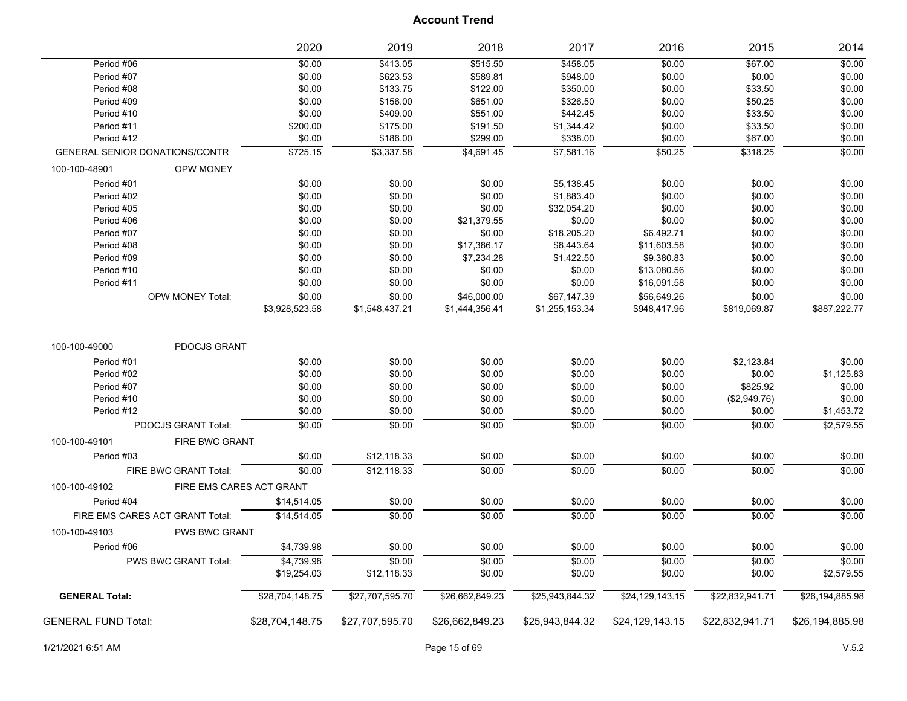|                                             | 2020                     | 2019            | 2018            | 2017            | 2016            | 2015            | 2014            |
|---------------------------------------------|--------------------------|-----------------|-----------------|-----------------|-----------------|-----------------|-----------------|
| Period #06                                  | \$0.00                   | \$413.05        | \$515.50        | \$458.05        | \$0.00          | \$67.00         | \$0.00          |
| Period #07                                  | \$0.00                   | \$623.53        | \$589.81        | \$948.00        | \$0.00          | \$0.00          | \$0.00          |
| Period #08                                  | \$0.00                   | \$133.75        | \$122.00        | \$350.00        | \$0.00          | \$33.50         | \$0.00          |
| Period #09                                  | \$0.00                   | \$156.00        | \$651.00        | \$326.50        | \$0.00          | \$50.25         | \$0.00          |
| Period #10                                  | \$0.00                   | \$409.00        | \$551.00        | \$442.45        | \$0.00          | \$33.50         | \$0.00          |
| Period #11                                  | \$200.00                 | \$175.00        | \$191.50        | \$1,344.42      | \$0.00          | \$33.50         | \$0.00          |
| Period #12                                  | \$0.00                   | \$186.00        | \$299.00        | \$338.00        | \$0.00          | \$67.00         | \$0.00          |
| <b>GENERAL SENIOR DONATIONS/CONTR</b>       | \$725.15                 | \$3,337.58      | \$4,691.45      | \$7,581.16      | \$50.25         | \$318.25        | \$0.00          |
| 100-100-48901<br><b>OPW MONEY</b>           |                          |                 |                 |                 |                 |                 |                 |
| Period #01                                  | \$0.00                   | \$0.00          | \$0.00          | \$5,138.45      | \$0.00          | \$0.00          | \$0.00          |
| Period #02                                  | \$0.00                   | \$0.00          | \$0.00          | \$1,883.40      | \$0.00          | \$0.00          | \$0.00          |
| Period #05                                  | \$0.00                   | \$0.00          | \$0.00          | \$32,054.20     | \$0.00          | \$0.00          | \$0.00          |
| Period #06                                  | \$0.00                   | \$0.00          | \$21,379.55     | \$0.00          | \$0.00          | \$0.00          | \$0.00          |
| Period #07                                  | \$0.00                   | \$0.00          | \$0.00          | \$18,205.20     | \$6,492.71      | \$0.00          | \$0.00          |
| Period #08                                  | \$0.00                   | \$0.00          | \$17,386.17     | \$8,443.64      | \$11,603.58     | \$0.00          | \$0.00          |
| Period #09                                  | \$0.00                   | \$0.00          | \$7,234.28      | \$1,422.50      | \$9,380.83      | \$0.00          | \$0.00          |
| Period #10                                  | \$0.00                   | \$0.00          | \$0.00          | \$0.00          | \$13,080.56     | \$0.00          | \$0.00          |
| Period #11                                  | \$0.00                   | \$0.00          | \$0.00          | \$0.00          | \$16,091.58     | \$0.00          | \$0.00          |
| OPW MONEY Total:                            | \$0.00                   | \$0.00          | \$46,000.00     | \$67,147.39     | \$56,649.26     | \$0.00          | \$0.00          |
|                                             | \$3,928,523.58           | \$1,548,437.21  | \$1,444,356.41  | \$1,255,153.34  | \$948,417.96    | \$819,069.87    | \$887,222.77    |
| PDOCJS GRANT<br>100-100-49000<br>Period #01 | \$0.00                   | \$0.00          | \$0.00          | \$0.00          | \$0.00          | \$2,123.84      | \$0.00          |
| Period #02                                  | \$0.00                   | \$0.00          | \$0.00          | \$0.00          | \$0.00          | \$0.00          | \$1,125.83      |
| Period #07                                  | \$0.00                   | \$0.00          | \$0.00          | \$0.00          | \$0.00          | \$825.92        | \$0.00          |
| Period #10                                  | \$0.00                   | \$0.00          | \$0.00          | \$0.00          | \$0.00          | (\$2,949.76)    | \$0.00          |
| Period #12                                  | \$0.00                   | \$0.00          | \$0.00          | \$0.00          | \$0.00          | \$0.00          | \$1,453.72      |
| PDOCJS GRANT Total:                         | \$0.00                   | \$0.00          | \$0.00          | \$0.00          | \$0.00          | \$0.00          | \$2,579.55      |
| 100-100-49101<br><b>FIRE BWC GRANT</b>      |                          |                 |                 |                 |                 |                 |                 |
| Period #03                                  | \$0.00                   | \$12,118.33     | \$0.00          | \$0.00          | \$0.00          | \$0.00          | \$0.00          |
| FIRE BWC GRANT Total:                       | \$0.00                   | \$12,118.33     | \$0.00          | \$0.00          | \$0.00          | \$0.00          | \$0.00          |
| 100-100-49102                               | FIRE EMS CARES ACT GRANT |                 |                 |                 |                 |                 |                 |
| Period #04                                  | \$14,514.05              | \$0.00          | \$0.00          | \$0.00          | \$0.00          | \$0.00          | \$0.00          |
| FIRE EMS CARES ACT GRANT Total:             | \$14,514.05              | \$0.00          | \$0.00          | 50.00           | \$0.00          | \$0.00          | \$0.00          |
| 100-100-49103<br><b>PWS BWC GRANT</b>       |                          |                 |                 |                 |                 |                 |                 |
| Period #06                                  | \$4,739.98               | \$0.00          | \$0.00          | \$0.00          | \$0.00          | \$0.00          | \$0.00          |
| PWS BWC GRANT Total:                        | \$4,739.98               | \$0.00          | \$0.00          | \$0.00          | \$0.00          | \$0.00          | \$0.00          |
|                                             | \$19,254.03              | \$12,118.33     | \$0.00          | \$0.00          | \$0.00          | \$0.00          | \$2,579.55      |
| <b>GENERAL Total:</b>                       | \$28,704,148.75          | \$27,707,595.70 | \$26,662,849.23 | \$25,943,844.32 | \$24,129,143.15 | \$22,832,941.71 | \$26,194,885.98 |
| <b>GENERAL FUND Total:</b>                  | \$28,704,148.75          | \$27,707,595.70 | \$26,662,849.23 | \$25,943,844.32 | \$24,129,143.15 | \$22,832,941.71 | \$26,194,885.98 |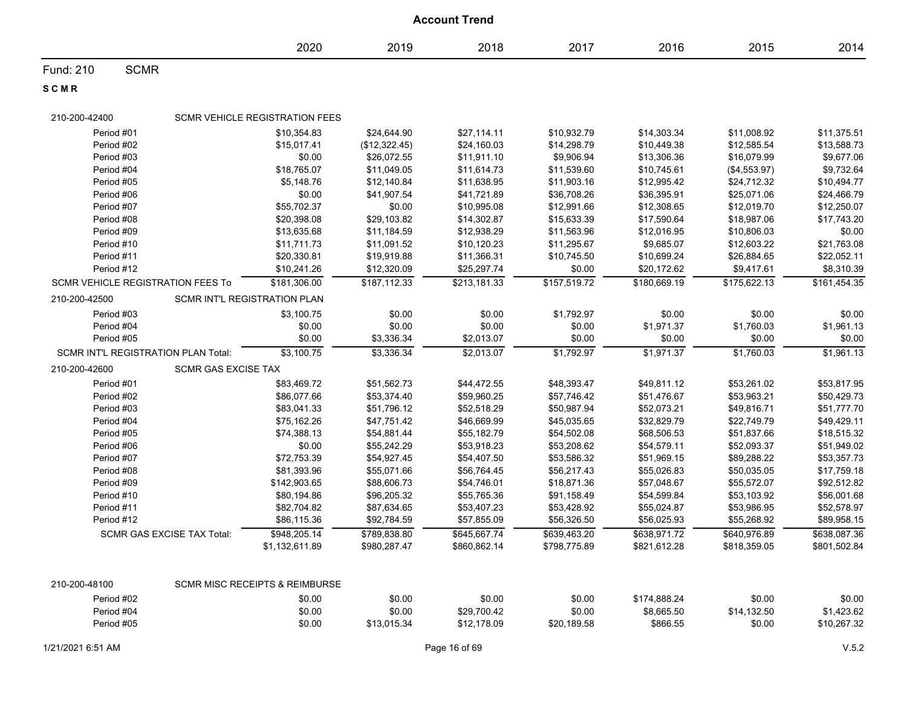|               | <b>Account Trend</b>                     |                                                             |               |              |              |              |              |              |  |
|---------------|------------------------------------------|-------------------------------------------------------------|---------------|--------------|--------------|--------------|--------------|--------------|--|
|               |                                          | 2020                                                        | 2019          | 2018         | 2017         | 2016         | 2015         | 2014         |  |
| Fund: 210     | <b>SCMR</b>                              |                                                             |               |              |              |              |              |              |  |
| SCMR          |                                          |                                                             |               |              |              |              |              |              |  |
| 210-200-42400 |                                          | <b>SCMR VEHICLE REGISTRATION FEES</b>                       |               |              |              |              |              |              |  |
|               | Period #01                               | \$10.354.83                                                 | \$24,644.90   | \$27,114.11  | \$10,932.79  | \$14,303.34  | \$11,008.92  | \$11,375.51  |  |
|               | Period #02                               | \$15,017.41                                                 | (\$12,322.45) | \$24,160.03  | \$14,298.79  | \$10,449.38  | \$12,585.54  | \$13,588.73  |  |
|               | Period #03                               | \$0.00                                                      | \$26,072.55   | \$11,911.10  | \$9,906.94   | \$13,306.36  | \$16,079.99  | \$9,677.06   |  |
|               | Period #04                               | \$18,765.07                                                 | \$11,049.05   | \$11,614.73  | \$11,539.60  | \$10,745.61  | (\$4,553.97) | \$9,732.64   |  |
|               | Period #05                               | \$5,148.76                                                  | \$12,140.84   | \$11,638.95  | \$11,903.16  | \$12,995.42  | \$24,712.32  | \$10,494.77  |  |
|               | Period #06                               | \$0.00                                                      | \$41,907.54   | \$41,721.89  | \$36,708.26  | \$36,395.91  | \$25,071.06  | \$24,466.79  |  |
|               | Period #07                               | \$55,702.37                                                 | \$0.00        | \$10,995.08  | \$12,991.66  | \$12,308.65  | \$12,019.70  | \$12,250.07  |  |
|               | Period #08                               | \$20,398.08                                                 | \$29,103.82   | \$14,302.87  | \$15,633.39  | \$17,590.64  | \$18,987.06  | \$17,743.20  |  |
|               | Period #09                               | \$13,635.68                                                 | \$11,184.59   | \$12,938.29  | \$11,563.96  | \$12,016.95  | \$10,806.03  | \$0.00       |  |
|               | Period #10                               | \$11,711.73                                                 | \$11,091.52   | \$10,120.23  | \$11,295.67  | \$9,685.07   | \$12,603.22  | \$21,763.08  |  |
|               | Period #11                               | \$20,330.81                                                 | \$19,919.88   | \$11,366.31  | \$10,745.50  | \$10,699.24  | \$26,884.65  | \$22,052.11  |  |
|               | Period #12                               | \$10,241.26                                                 | \$12,320.09   | \$25,297.74  | \$0.00       | \$20,172.62  | \$9,417.61   | \$8,310.39   |  |
|               | <b>SCMR VEHICLE REGISTRATION FEES To</b> | \$181,306.00                                                | \$187,112.33  | \$213,181.33 | \$157,519.72 | \$180,669.19 | \$175,622.13 | \$161,454.35 |  |
| 210-200-42500 |                                          | SCMR INT'L REGISTRATION PLAN                                |               |              |              |              |              |              |  |
|               | Period #03                               | \$3,100.75                                                  | \$0.00        | \$0.00       | \$1,792.97   | \$0.00       | \$0.00       | \$0.00       |  |
|               | Period #04                               | \$0.00                                                      | \$0.00        | \$0.00       | \$0.00       | \$1,971.37   | \$1,760.03   | \$1,961.13   |  |
|               | Period #05                               | \$0.00                                                      | \$3,336.34    | \$2,013.07   | \$0.00       | \$0.00       | \$0.00       | \$0.00       |  |
|               | SCMR INT'L REGISTRATION PLAN Total:      | \$3,100.75                                                  | \$3,336.34    | \$2,013.07   | \$1,792.97   | \$1,971.37   | \$1,760.03   | \$1,961.13   |  |
| 210-200-42600 |                                          | <b>SCMR GAS EXCISE TAX</b>                                  |               |              |              |              |              |              |  |
|               | Period #01                               | \$83,469.72                                                 | \$51,562.73   | \$44,472.55  | \$48,393.47  | \$49,811.12  | \$53,261.02  | \$53,817.95  |  |
|               | Period #02                               | \$86,077.66                                                 | \$53,374.40   | \$59,960.25  | \$57,746.42  | \$51,476.67  | \$53,963.21  | \$50,429.73  |  |
|               | Period #03                               | \$83,041.33                                                 | \$51,796.12   | \$52,518.29  | \$50,987.94  | \$52,073.21  | \$49,816.71  | \$51,777.70  |  |
|               | Period #04                               | \$75,162.26                                                 | \$47,751.42   | \$46,669.99  | \$45,035.65  | \$32,829.79  | \$22,749.79  | \$49,429.11  |  |
|               | Period #05                               | \$74,388.13                                                 | \$54,881.44   | \$55,182.79  | \$54,502.08  | \$68,506.53  | \$51,837.66  | \$18,515.32  |  |
|               | Period #06                               | \$0.00                                                      | \$55,242.29   | \$53,918.23  | \$53,208.62  | \$54,579.11  | \$52,093.37  | \$51,949.02  |  |
|               | Period #07                               | \$72,753.39                                                 | \$54,927.45   | \$54,407.50  | \$53,586.32  | \$51,969.15  | \$89,288.22  | \$53,357.73  |  |
|               | Period #08                               | \$81,393.96                                                 | \$55,071.66   | \$56,764.45  | \$56,217.43  | \$55,026.83  | \$50,035.05  | \$17,759.18  |  |
|               | Period #09                               | \$142,903.65                                                | \$88,606.73   | \$54,746.01  | \$18,871.36  | \$57,048.67  | \$55,572.07  | \$92,512.82  |  |
|               | Period #10                               | \$80,194.86                                                 | \$96,205.32   | \$55,765.36  | \$91,158.49  | \$54,599.84  | \$53,103.92  | \$56,001.68  |  |
|               | Period #11                               | \$82,704.82                                                 | \$87,634.65   | \$53,407.23  | \$53,428.92  | \$55,024.87  | \$53,986.95  | \$52,578.97  |  |
|               | Period #12                               | \$86,115.36                                                 | \$92,784.59   | \$57,855.09  | \$56,326.50  | \$56,025.93  | \$55,268.92  | \$89,958.15  |  |
|               | SCMR GAS EXCISE TAX Total:               | \$948,205.14                                                | \$789,838.80  | \$645,667.74 | \$639,463.20 | \$638,971.72 | \$640,976.89 | \$638,087.36 |  |
| 210-200-48100 |                                          | \$1,132,611.89<br><b>SCMR MISC RECEIPTS &amp; REIMBURSE</b> | \$980,287.47  | \$860,862.14 | \$798,775.89 | \$821,612.28 | \$818,359.05 | \$801,502.84 |  |
|               | Period #02                               | \$0.00                                                      | \$0.00        | \$0.00       | \$0.00       | \$174,888.24 | \$0.00       | \$0.00       |  |
|               | Period #04                               | \$0.00                                                      | \$0.00        | \$29,700.42  | \$0.00       | \$8,665.50   | \$14,132.50  | \$1,423.62   |  |
|               | Period #05                               | \$0.00                                                      | \$13,015.34   | \$12,178.09  | \$20,189.58  | \$866.55     | \$0.00       | \$10,267.32  |  |
|               |                                          |                                                             |               |              |              |              |              |              |  |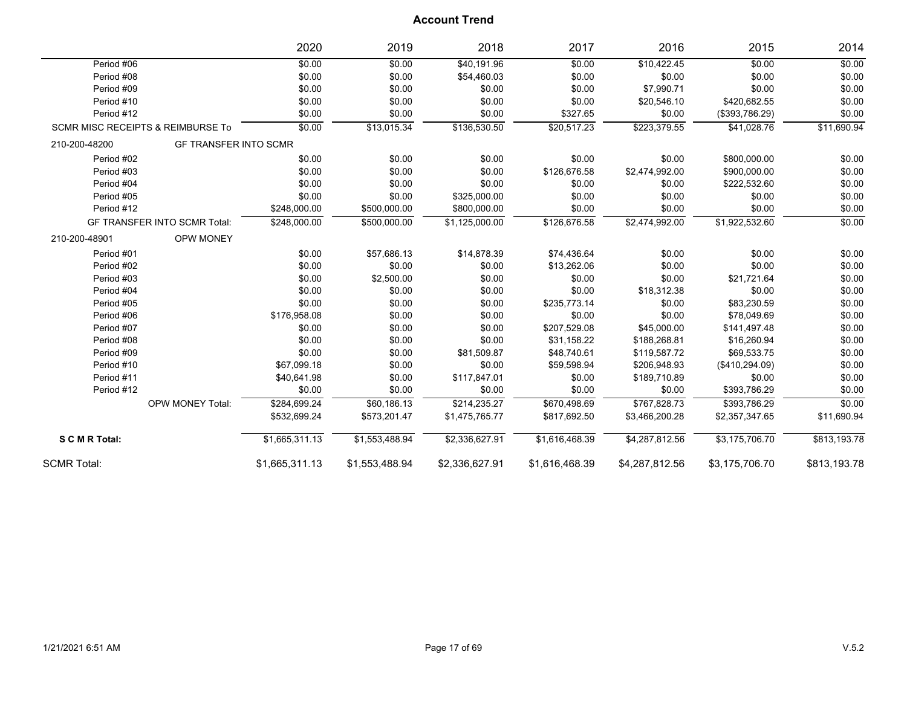|                                              | 2020                             | 2019                        | 2018           | 2017           | 2016           | 2015           | 2014         |
|----------------------------------------------|----------------------------------|-----------------------------|----------------|----------------|----------------|----------------|--------------|
| Period #06                                   | \$0.00                           | \$0.00                      | \$40,191.96    | \$0.00         | \$10,422.45    | \$0.00         | \$0.00       |
| Period #08                                   | \$0.00                           | \$0.00                      | \$54,460.03    | \$0.00         | \$0.00         | \$0.00         | \$0.00       |
| Period #09                                   | \$0.00                           | \$0.00                      | \$0.00         | \$0.00         | \$7,990.71     | \$0.00         | \$0.00       |
| Period #10                                   | \$0.00                           | \$0.00                      | \$0.00         | \$0.00         | \$20,546.10    | \$420,682.55   | \$0.00       |
| Period #12                                   | \$0.00                           | \$0.00                      | \$0.00         | \$327.65       | \$0.00         | (\$393,786.29) | \$0.00       |
| <b>SCMR MISC RECEIPTS &amp; REIMBURSE To</b> | \$0.00                           | \$13,015.34                 | \$136,530.50   | \$20,517.23    | \$223,379.55   | \$41,028.76    | \$11,690.94  |
| 210-200-48200                                | <b>GF TRANSFER INTO SCMR</b>     |                             |                |                |                |                |              |
| Period #02                                   | \$0.00                           | \$0.00                      | \$0.00         | \$0.00         | \$0.00         | \$800,000.00   | \$0.00       |
| Period #03                                   | \$0.00                           | \$0.00                      | \$0.00         | \$126,676.58   | \$2,474,992.00 | \$900,000.00   | \$0.00       |
| Period #04                                   | \$0.00                           | \$0.00                      | \$0.00         | \$0.00         | \$0.00         | \$222,532.60   | \$0.00       |
| Period #05                                   | \$0.00                           | \$0.00                      | \$325,000.00   | \$0.00         | \$0.00         | \$0.00         | \$0.00       |
| Period #12                                   | \$248,000.00                     | \$500,000.00                | \$800,000.00   | \$0.00         | \$0.00         | \$0.00         | \$0.00       |
| <b>GF TRANSFER INTO SCMR Total:</b>          | \$248,000.00                     | \$500,000.00                | \$1,125,000.00 | \$126,676.58   | \$2,474,992.00 | \$1,922,532.60 | \$0.00       |
| 210-200-48901                                | <b>OPW MONEY</b>                 |                             |                |                |                |                |              |
| Period #01                                   | \$0.00                           | \$57,686.13                 | \$14,878.39    | \$74,436.64    | \$0.00         | \$0.00         | \$0.00       |
| Period #02                                   | \$0.00                           | \$0.00                      | \$0.00         | \$13,262.06    | \$0.00         | \$0.00         | \$0.00       |
| Period #03                                   | \$0.00                           | \$2,500.00                  | \$0.00         | \$0.00         | \$0.00         | \$21,721.64    | \$0.00       |
| Period #04                                   | \$0.00                           | \$0.00                      | \$0.00         | \$0.00         | \$18,312.38    | \$0.00         | \$0.00       |
| Period #05                                   | \$0.00                           | \$0.00                      | \$0.00         | \$235,773.14   | \$0.00         | \$83,230.59    | \$0.00       |
| Period #06                                   | \$176,958.08                     | \$0.00                      | \$0.00         | \$0.00         | \$0.00         | \$78,049.69    | \$0.00       |
| Period #07                                   | \$0.00                           | \$0.00                      | \$0.00         | \$207,529.08   | \$45,000.00    | \$141,497.48   | \$0.00       |
| Period #08                                   | \$0.00                           | \$0.00                      | \$0.00         | \$31,158.22    | \$188,268.81   | \$16,260.94    | \$0.00       |
| Period #09                                   | \$0.00                           | \$0.00                      | \$81,509.87    | \$48,740.61    | \$119,587.72   | \$69,533.75    | \$0.00       |
| Period #10                                   | \$67,099.18                      | \$0.00                      | \$0.00         | \$59,598.94    | \$206,948.93   | (\$410,294.09) | \$0.00       |
| Period #11                                   | \$40,641.98                      | \$0.00                      | \$117,847.01   | \$0.00         | \$189,710.89   | \$0.00         | \$0.00       |
| Period #12                                   | \$0.00                           | \$0.00                      | \$0.00         | \$0.00         | \$0.00         | \$393,786.29   | \$0.00       |
|                                              | \$284,699.24<br>OPW MONEY Total: | \$60,186.13                 | \$214,235.27   | \$670,498.69   | \$767,828.73   | \$393,786.29   | \$0.00       |
|                                              | \$532,699.24                     | \$573,201.47                | \$1,475,765.77 | \$817,692.50   | \$3,466,200.28 | \$2,357,347.65 | \$11,690.94  |
| S C M R Total:                               | \$1,665,311.13                   | $\overline{\$1,553,488.94}$ | \$2,336,627.91 | \$1,616,468.39 | \$4,287,812.56 | \$3,175,706.70 | \$813,193.78 |
| <b>SCMR Total:</b>                           | \$1,665,311.13                   | \$1,553,488.94              | \$2,336,627.91 | \$1,616,468.39 | \$4,287,812.56 | \$3,175,706.70 | \$813,193.78 |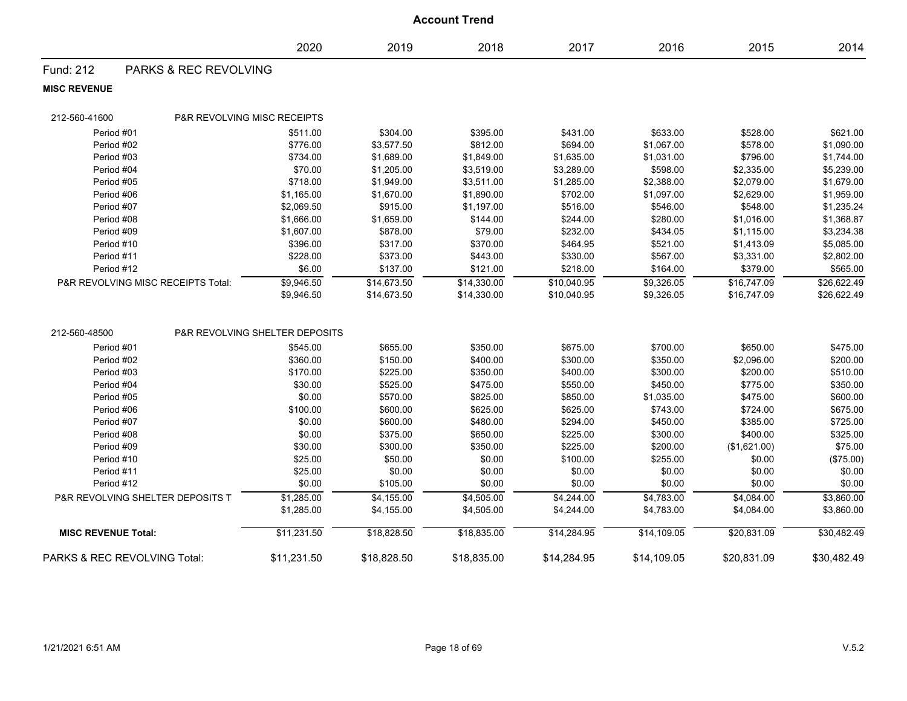|                              | <b>Account Trend</b>                        |                                |             |             |             |             |              |             |  |  |
|------------------------------|---------------------------------------------|--------------------------------|-------------|-------------|-------------|-------------|--------------|-------------|--|--|
|                              |                                             | 2020                           | 2019        | 2018        | 2017        | 2016        | 2015         | 2014        |  |  |
| Fund: 212                    | <b>PARKS &amp; REC REVOLVING</b>            |                                |             |             |             |             |              |             |  |  |
| <b>MISC REVENUE</b>          |                                             |                                |             |             |             |             |              |             |  |  |
| 212-560-41600                | <b>P&amp;R REVOLVING MISC RECEIPTS</b>      |                                |             |             |             |             |              |             |  |  |
| Period #01                   |                                             | \$511.00                       | \$304.00    | \$395.00    | \$431.00    | \$633.00    | \$528.00     | \$621.00    |  |  |
| Period #02                   |                                             | \$776.00                       | \$3,577.50  | \$812.00    | \$694.00    | \$1,067.00  | \$578.00     | \$1,090.00  |  |  |
| Period #03                   |                                             | \$734.00                       | \$1,689.00  | \$1,849.00  | \$1,635.00  | \$1,031.00  | \$796.00     | \$1,744.00  |  |  |
| Period #04                   |                                             | \$70.00                        | \$1,205.00  | \$3,519.00  | \$3,289.00  | \$598.00    | \$2,335.00   | \$5,239.00  |  |  |
| Period #05                   |                                             | \$718.00                       | \$1,949.00  | \$3,511.00  | \$1,285.00  | \$2,388.00  | \$2,079.00   | \$1,679.00  |  |  |
| Period #06                   |                                             | \$1,165.00                     | \$1,670.00  | \$1,890.00  | \$702.00    | \$1,097.00  | \$2,629.00   | \$1,959.00  |  |  |
| Period #07                   |                                             | \$2,069.50                     | \$915.00    | \$1,197.00  | \$516.00    | \$546.00    | \$548.00     | \$1,235.24  |  |  |
| Period #08                   |                                             | \$1,666.00                     | \$1,659.00  | \$144.00    | \$244.00    | \$280.00    | \$1,016.00   | \$1,368.87  |  |  |
| Period #09                   |                                             | \$1,607.00                     | \$878.00    | \$79.00     | \$232.00    | \$434.05    | \$1,115.00   | \$3,234.38  |  |  |
| Period #10                   |                                             | \$396.00                       | \$317.00    | \$370.00    | \$464.95    | \$521.00    | \$1,413.09   | \$5,085.00  |  |  |
| Period #11                   |                                             | \$228.00                       | \$373.00    | \$443.00    | \$330.00    | \$567.00    | \$3,331.00   | \$2,802.00  |  |  |
| Period #12                   |                                             | \$6.00                         | \$137.00    | \$121.00    | \$218.00    | \$164.00    | \$379.00     | \$565.00    |  |  |
|                              | P&R REVOLVING MISC RECEIPTS Total:          | \$9,946.50                     | \$14,673.50 | \$14,330.00 | \$10,040.95 | \$9,326.05  | \$16,747.09  | \$26,622.49 |  |  |
|                              |                                             | \$9,946.50                     | \$14,673.50 | \$14,330.00 | \$10,040.95 | \$9,326.05  | \$16,747.09  | \$26,622.49 |  |  |
| 212-560-48500                |                                             | P&R REVOLVING SHELTER DEPOSITS |             |             |             |             |              |             |  |  |
| Period #01                   |                                             | \$545.00                       | \$655.00    | \$350.00    | \$675.00    | \$700.00    | \$650.00     | \$475.00    |  |  |
| Period #02                   |                                             | \$360.00                       | \$150.00    | \$400.00    | \$300.00    | \$350.00    | \$2,096.00   | \$200.00    |  |  |
| Period #03                   |                                             | \$170.00                       | \$225.00    | \$350.00    | \$400.00    | \$300.00    | \$200.00     | \$510.00    |  |  |
| Period #04                   |                                             | \$30.00                        | \$525.00    | \$475.00    | \$550.00    | \$450.00    | \$775.00     | \$350.00    |  |  |
| Period #05                   |                                             | \$0.00                         | \$570.00    | \$825.00    | \$850.00    | \$1,035.00  | \$475.00     | \$600.00    |  |  |
| Period #06                   |                                             | \$100.00                       | \$600.00    | \$625.00    | \$625.00    | \$743.00    | \$724.00     | \$675.00    |  |  |
| Period #07                   |                                             | \$0.00                         | \$600.00    | \$480.00    | \$294.00    | \$450.00    | \$385.00     | \$725.00    |  |  |
| Period #08                   |                                             | \$0.00                         | \$375.00    | \$650.00    | \$225.00    | \$300.00    | \$400.00     | \$325.00    |  |  |
| Period #09                   |                                             | \$30.00                        | \$300.00    | \$350.00    | \$225.00    | \$200.00    | (\$1,621.00) | \$75.00     |  |  |
| Period #10                   |                                             | \$25.00                        | \$50.00     | \$0.00      | \$100.00    | \$255.00    | \$0.00       | (\$75.00)   |  |  |
| Period #11                   |                                             | \$25.00                        | \$0.00      | \$0.00      | \$0.00      | \$0.00      | \$0.00       | \$0.00      |  |  |
| Period #12                   |                                             | \$0.00                         | \$105.00    | \$0.00      | \$0.00      | \$0.00      | \$0.00       | \$0.00      |  |  |
|                              | <b>P&amp;R REVOLVING SHELTER DEPOSITS T</b> | \$1,285.00                     | \$4,155.00  | \$4,505.00  | \$4,244.00  | \$4,783.00  | \$4,084.00   | \$3,860.00  |  |  |
|                              |                                             | \$1,285.00                     | \$4,155.00  | \$4,505.00  | \$4,244.00  | \$4,783.00  | \$4,084.00   | \$3,860.00  |  |  |
| <b>MISC REVENUE Total:</b>   |                                             | \$11,231.50                    | \$18,828.50 | \$18,835.00 | \$14,284.95 | \$14,109.05 | \$20,831.09  | \$30,482.49 |  |  |
| PARKS & REC REVOLVING Total: |                                             | \$11,231.50                    | \$18,828.50 | \$18,835.00 | \$14,284.95 | \$14,109.05 | \$20,831.09  | \$30,482.49 |  |  |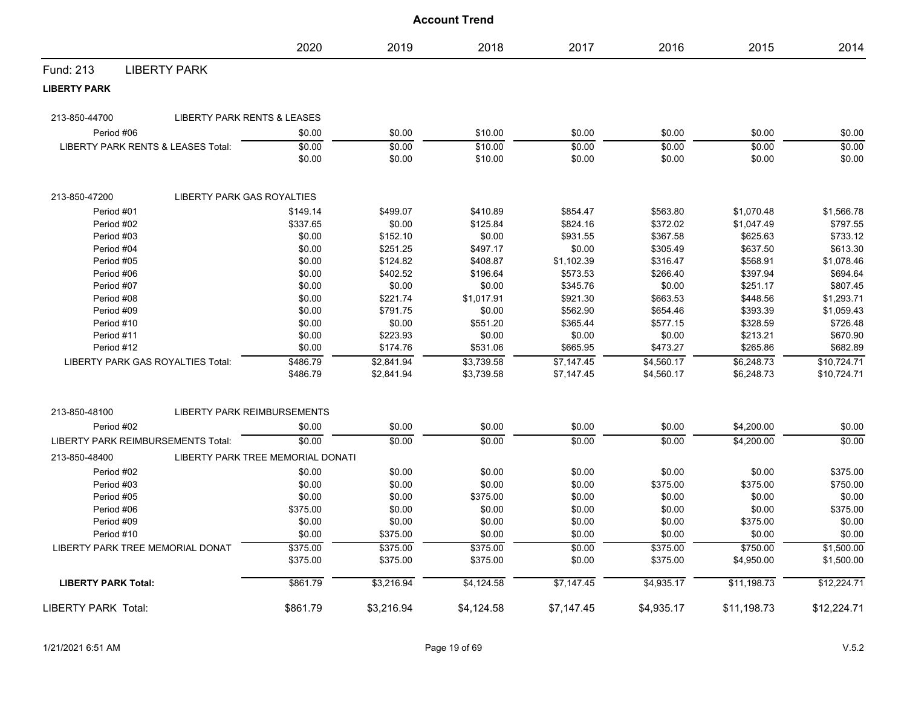|                                           |                                    | 2020                              | 2019                     | 2018                     | 2017                     | 2016                     | 2015                     | 2014                       |
|-------------------------------------------|------------------------------------|-----------------------------------|--------------------------|--------------------------|--------------------------|--------------------------|--------------------------|----------------------------|
| Fund: 213                                 | <b>LIBERTY PARK</b>                |                                   |                          |                          |                          |                          |                          |                            |
| <b>LIBERTY PARK</b>                       |                                    |                                   |                          |                          |                          |                          |                          |                            |
| 213-850-44700                             | LIBERTY PARK RENTS & LEASES        |                                   |                          |                          |                          |                          |                          |                            |
| Period #06                                |                                    | \$0.00                            | \$0.00                   | \$10.00                  | \$0.00                   | \$0.00                   | \$0.00                   | \$0.00                     |
| LIBERTY PARK RENTS & LEASES Total:        |                                    | \$0.00                            | \$0.00                   | \$10.00                  | \$0.00                   | \$0.00                   | \$0.00                   | \$0.00                     |
|                                           |                                    | \$0.00                            | \$0.00                   | \$10.00                  | \$0.00                   | \$0.00                   | \$0.00                   | \$0.00                     |
| 213-850-47200                             | <b>LIBERTY PARK GAS ROYALTIES</b>  |                                   |                          |                          |                          |                          |                          |                            |
| Period #01                                |                                    | \$149.14                          | \$499.07                 | \$410.89                 | \$854.47                 | \$563.80                 | \$1,070.48               | \$1,566.78                 |
| Period #02                                |                                    | \$337.65                          | \$0.00                   | \$125.84                 | \$824.16                 | \$372.02                 | \$1,047.49               | \$797.55                   |
| Period #03                                |                                    | \$0.00                            | \$152.10                 | \$0.00                   | \$931.55                 | \$367.58                 | \$625.63                 | \$733.12                   |
| Period #04                                |                                    | \$0.00                            | \$251.25                 | \$497.17                 | \$0.00                   | \$305.49                 | \$637.50                 | \$613.30                   |
| Period #05                                |                                    | \$0.00                            | \$124.82                 | \$408.87                 | \$1,102.39               | \$316.47                 | \$568.91                 | \$1,078.46                 |
| Period #06                                |                                    | \$0.00                            | \$402.52                 | \$196.64                 | \$573.53                 | \$266.40                 | \$397.94                 | \$694.64                   |
| Period #07                                |                                    | \$0.00                            | \$0.00                   | \$0.00                   | \$345.76                 | \$0.00                   | \$251.17                 | \$807.45                   |
| Period #08                                |                                    | \$0.00                            | \$221.74                 | \$1,017.91               | \$921.30                 | \$663.53                 | \$448.56                 | \$1,293.71                 |
| Period #09                                |                                    | \$0.00                            | \$791.75                 | \$0.00                   | \$562.90                 | \$654.46                 | \$393.39                 | \$1,059.43                 |
| Period #10                                |                                    | \$0.00                            | \$0.00                   | \$551.20                 | \$365.44                 | \$577.15                 | \$328.59                 | \$726.48                   |
| Period #11                                |                                    | \$0.00                            | \$223.93                 | \$0.00                   | \$0.00                   | \$0.00                   | \$213.21                 | \$670.90                   |
| Period #12                                |                                    | \$0.00                            | \$174.76                 | \$531.06                 | \$665.95                 | \$473.27                 | \$265.86                 | \$682.89                   |
| LIBERTY PARK GAS ROYALTIES Total:         |                                    | \$486.79<br>\$486.79              | \$2,841.94<br>\$2,841.94 | \$3,739.58<br>\$3,739.58 | \$7,147.45<br>\$7,147.45 | \$4,560.17<br>\$4,560.17 | \$6,248.73<br>\$6,248.73 | \$10,724.71<br>\$10,724.71 |
|                                           |                                    |                                   |                          |                          |                          |                          |                          |                            |
| 213-850-48100                             | <b>LIBERTY PARK REIMBURSEMENTS</b> |                                   |                          |                          |                          |                          |                          |                            |
| Period #02                                |                                    | \$0.00                            | \$0.00                   | \$0.00                   | \$0.00                   | \$0.00                   | \$4,200.00               | \$0.00                     |
| <b>LIBERTY PARK REIMBURSEMENTS Total:</b> |                                    | \$0.00                            | \$0.00                   | \$0.00                   | \$0.00                   | \$0.00                   | \$4,200.00               | \$0.00                     |
| 213-850-48400                             |                                    | LIBERTY PARK TREE MEMORIAL DONATI |                          |                          |                          |                          |                          |                            |
| Period #02                                |                                    | \$0.00                            | \$0.00                   | \$0.00                   | \$0.00                   | \$0.00                   | \$0.00                   | \$375.00                   |
| Period #03                                |                                    | \$0.00                            | \$0.00                   | \$0.00                   | \$0.00                   | \$375.00                 | \$375.00                 | \$750.00                   |
| Period #05                                |                                    | \$0.00                            | \$0.00                   | \$375.00                 | \$0.00                   | \$0.00                   | \$0.00                   | \$0.00                     |
| Period #06                                |                                    | \$375.00                          | \$0.00                   | \$0.00                   | \$0.00                   | \$0.00                   | \$0.00                   | \$375.00                   |
| Period #09                                |                                    | \$0.00                            | \$0.00                   | \$0.00                   | \$0.00                   | \$0.00                   | \$375.00                 | \$0.00                     |
| Period #10                                |                                    | \$0.00                            | \$375.00                 | \$0.00                   | \$0.00                   | \$0.00                   | \$0.00                   | \$0.00                     |
| LIBERTY PARK TREE MEMORIAL DONAT          |                                    | \$375.00                          | \$375.00                 | \$375.00                 | \$0.00                   | \$375.00                 | \$750.00                 | \$1,500.00                 |
|                                           |                                    | \$375.00                          | \$375.00                 | \$375.00                 | \$0.00                   | \$375.00                 | \$4,950.00               | \$1,500.00                 |
| <b>LIBERTY PARK Total:</b>                |                                    | \$861.79                          | \$3,216.94               | \$4,124.58               | \$7,147.45               | \$4,935.17               | \$11,198.73              | \$12,224.71                |
| <b>LIBERTY PARK Total:</b>                |                                    | \$861.79                          | \$3,216.94               | \$4,124.58               | \$7,147.45               | \$4,935.17               | \$11,198.73              | \$12,224.71                |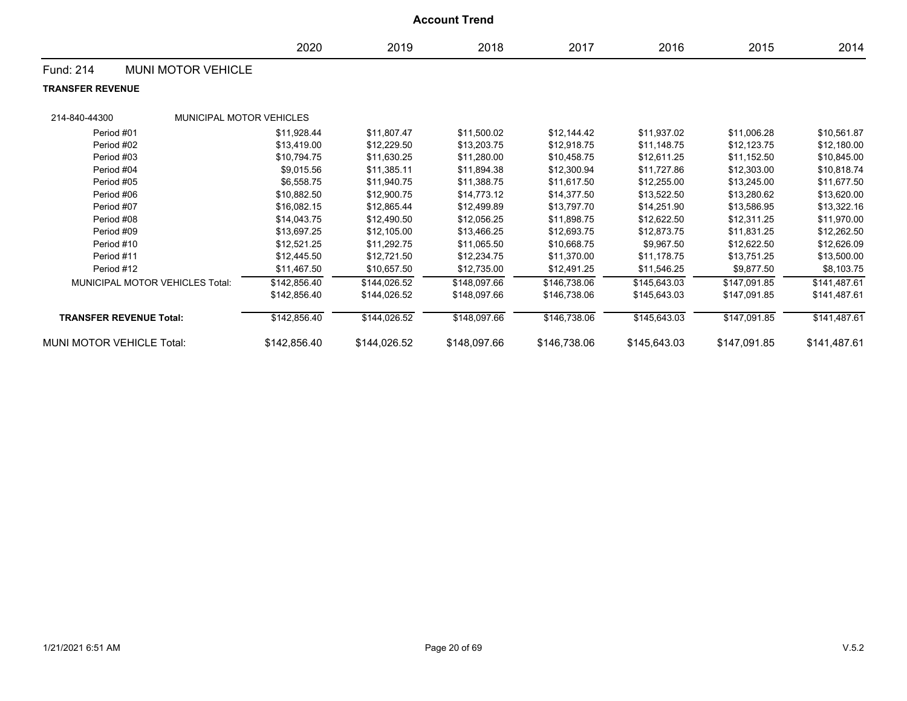| <b>Account Trend</b>                   |                                 |              |              |              |              |              |              |              |  |  |
|----------------------------------------|---------------------------------|--------------|--------------|--------------|--------------|--------------|--------------|--------------|--|--|
|                                        |                                 | 2020         | 2019         | 2018         | 2017         | 2016         | 2015         | 2014         |  |  |
| Fund: 214                              | <b>MUNI MOTOR VEHICLE</b>       |              |              |              |              |              |              |              |  |  |
| <b>TRANSFER REVENUE</b>                |                                 |              |              |              |              |              |              |              |  |  |
| 214-840-44300                          | <b>MUNICIPAL MOTOR VEHICLES</b> |              |              |              |              |              |              |              |  |  |
| Period #01                             |                                 | \$11,928.44  | \$11,807.47  | \$11,500.02  | \$12,144.42  | \$11,937.02  | \$11,006.28  | \$10,561.87  |  |  |
| Period #02                             |                                 | \$13.419.00  | \$12,229.50  | \$13,203.75  | \$12.918.75  | \$11,148.75  | \$12,123.75  | \$12,180.00  |  |  |
| Period #03                             |                                 | \$10,794.75  | \$11,630.25  | \$11,280.00  | \$10,458.75  | \$12,611.25  | \$11,152.50  | \$10,845.00  |  |  |
| Period #04                             |                                 | \$9,015.56   | \$11,385.11  | \$11,894.38  | \$12,300.94  | \$11,727.86  | \$12,303.00  | \$10,818.74  |  |  |
| Period #05                             |                                 | \$6,558.75   | \$11,940.75  | \$11,388.75  | \$11,617.50  | \$12,255.00  | \$13,245.00  | \$11,677.50  |  |  |
| Period #06                             |                                 | \$10,882.50  | \$12,900.75  | \$14,773.12  | \$14,377.50  | \$13,522.50  | \$13,280.62  | \$13,620.00  |  |  |
| Period #07                             |                                 | \$16,082.15  | \$12,865.44  | \$12,499.89  | \$13,797.70  | \$14,251.90  | \$13,586.95  | \$13,322.16  |  |  |
| Period #08                             |                                 | \$14,043.75  | \$12,490.50  | \$12,056.25  | \$11,898.75  | \$12,622.50  | \$12,311.25  | \$11,970.00  |  |  |
| Period #09                             |                                 | \$13,697.25  | \$12,105.00  | \$13,466.25  | \$12,693.75  | \$12,873.75  | \$11,831.25  | \$12,262.50  |  |  |
| Period #10                             |                                 | \$12,521.25  | \$11,292.75  | \$11,065.50  | \$10,668.75  | \$9,967.50   | \$12,622.50  | \$12,626.09  |  |  |
| Period #11                             |                                 | \$12,445.50  | \$12,721.50  | \$12,234.75  | \$11,370.00  | \$11,178.75  | \$13,751.25  | \$13,500.00  |  |  |
| Period #12                             |                                 | \$11,467.50  | \$10,657.50  | \$12,735.00  | \$12,491.25  | \$11,546.25  | \$9,877.50   | \$8,103.75   |  |  |
| <b>MUNICIPAL MOTOR VEHICLES Total:</b> |                                 | \$142,856.40 | \$144,026.52 | \$148,097.66 | \$146,738.06 | \$145,643.03 | \$147,091.85 | \$141,487.61 |  |  |
|                                        |                                 | \$142,856.40 | \$144,026.52 | \$148,097.66 | \$146,738.06 | \$145,643.03 | \$147,091.85 | \$141,487.61 |  |  |
| <b>TRANSFER REVENUE Total:</b>         |                                 | \$142,856.40 | \$144,026.52 | \$148,097.66 | \$146,738.06 | \$145,643.03 | \$147,091.85 | \$141,487.61 |  |  |
| MUNI MOTOR VEHICLE Total:              |                                 | \$142,856.40 | \$144,026.52 | \$148,097.66 | \$146,738.06 | \$145,643.03 | \$147,091.85 | \$141,487.61 |  |  |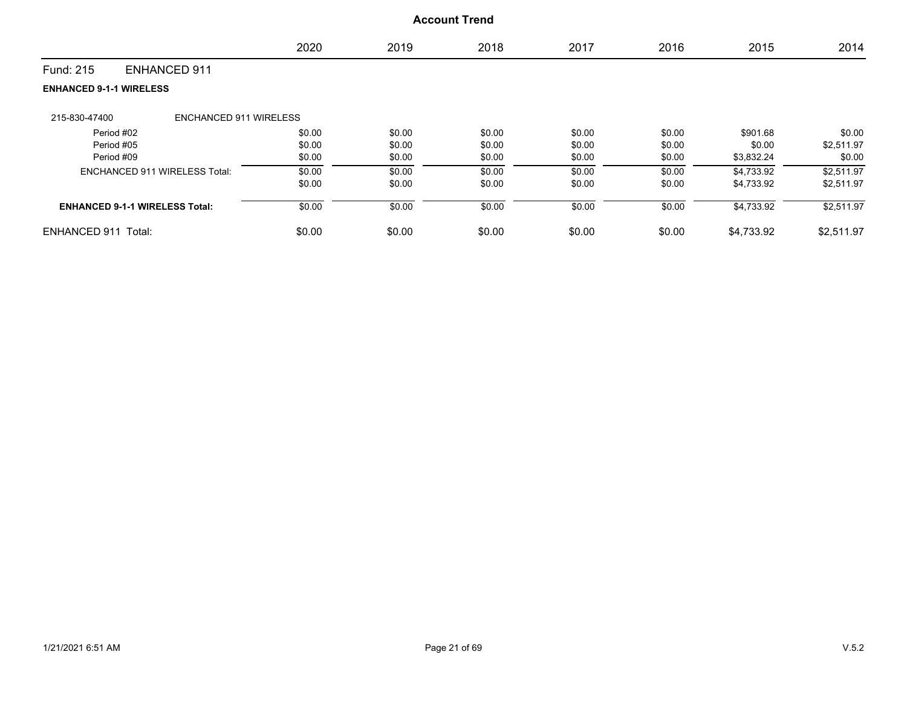|                                       |                               | 2020   | 2019   | 2018   | 2017   | 2016   | 2015       | 2014       |
|---------------------------------------|-------------------------------|--------|--------|--------|--------|--------|------------|------------|
| Fund: 215                             | <b>ENHANCED 911</b>           |        |        |        |        |        |            |            |
| <b>ENHANCED 9-1-1 WIRELESS</b>        |                               |        |        |        |        |        |            |            |
| 215-830-47400                         | <b>ENCHANCED 911 WIRELESS</b> |        |        |        |        |        |            |            |
| Period #02                            |                               | \$0.00 | \$0.00 | \$0.00 | \$0.00 | \$0.00 | \$901.68   | \$0.00     |
| Period #05                            |                               | \$0.00 | \$0.00 | \$0.00 | \$0.00 | \$0.00 | \$0.00     | \$2,511.97 |
| Period #09                            |                               | \$0.00 | \$0.00 | \$0.00 | \$0.00 | \$0.00 | \$3,832.24 | \$0.00     |
| <b>ENCHANCED 911 WIRELESS Total:</b>  |                               | \$0.00 | \$0.00 | \$0.00 | \$0.00 | \$0.00 | \$4,733.92 | \$2,511.97 |
|                                       |                               | \$0.00 | \$0.00 | \$0.00 | \$0.00 | \$0.00 | \$4,733.92 | \$2,511.97 |
| <b>ENHANCED 9-1-1 WIRELESS Total:</b> |                               | \$0.00 | \$0.00 | \$0.00 | \$0.00 | \$0.00 | \$4,733.92 | \$2,511.97 |
| ENHANCED 911 Total:                   |                               | \$0.00 | \$0.00 | \$0.00 | \$0.00 | \$0.00 | \$4,733.92 | \$2,511.97 |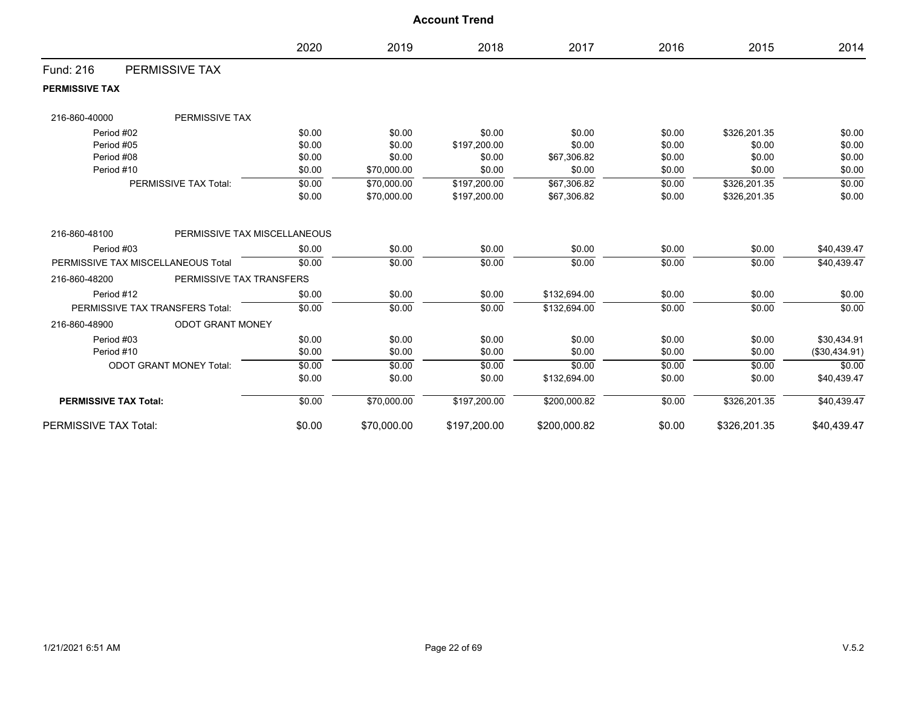|                                    |                                 | 2020   | 2019        | 2018         | 2017         | 2016   | 2015         | 2014          |
|------------------------------------|---------------------------------|--------|-------------|--------------|--------------|--------|--------------|---------------|
| <b>Fund: 216</b>                   | PERMISSIVE TAX                  |        |             |              |              |        |              |               |
| <b>PERMISSIVE TAX</b>              |                                 |        |             |              |              |        |              |               |
| 216-860-40000                      | PERMISSIVE TAX                  |        |             |              |              |        |              |               |
| Period #02                         |                                 | \$0.00 | \$0.00      | \$0.00       | \$0.00       | \$0.00 | \$326,201.35 | \$0.00        |
| Period #05                         |                                 | \$0.00 | \$0.00      | \$197,200.00 | \$0.00       | \$0.00 | \$0.00       | \$0.00        |
| Period #08                         |                                 | \$0.00 | \$0.00      | \$0.00       | \$67,306.82  | \$0.00 | \$0.00       | \$0.00        |
| Period #10                         |                                 | \$0.00 | \$70,000.00 | \$0.00       | \$0.00       | \$0.00 | \$0.00       | \$0.00        |
|                                    | PERMISSIVE TAX Total:           | \$0.00 | \$70,000.00 | \$197,200.00 | \$67,306.82  | \$0.00 | \$326,201.35 | \$0.00        |
|                                    |                                 | \$0.00 | \$70,000.00 | \$197,200.00 | \$67,306.82  | \$0.00 | \$326,201.35 | \$0.00        |
| 216-860-48100                      | PERMISSIVE TAX MISCELLANEOUS    |        |             |              |              |        |              |               |
| Period #03                         |                                 | \$0.00 | \$0.00      | \$0.00       | \$0.00       | \$0.00 | \$0.00       | \$40,439.47   |
| PERMISSIVE TAX MISCELLANEOUS Total |                                 | \$0.00 | \$0.00      | \$0.00       | \$0.00       | \$0.00 | \$0.00       | \$40,439.47   |
| 216-860-48200                      | PERMISSIVE TAX TRANSFERS        |        |             |              |              |        |              |               |
| Period #12                         |                                 | \$0.00 | \$0.00      | \$0.00       | \$132,694.00 | \$0.00 | \$0.00       | \$0.00        |
|                                    | PERMISSIVE TAX TRANSFERS Total: | \$0.00 | \$0.00      | \$0.00       | \$132,694.00 | \$0.00 | \$0.00       | \$0.00        |
| 216-860-48900                      | <b>ODOT GRANT MONEY</b>         |        |             |              |              |        |              |               |
| Period #03                         |                                 | \$0.00 | \$0.00      | \$0.00       | \$0.00       | \$0.00 | \$0.00       | \$30,434.91   |
| Period #10                         |                                 | \$0.00 | \$0.00      | \$0.00       | \$0.00       | \$0.00 | \$0.00       | (\$30,434.91) |
|                                    | <b>ODOT GRANT MONEY Total:</b>  | \$0.00 | \$0.00      | \$0.00       | \$0.00       | \$0.00 | \$0.00       | \$0.00        |
|                                    |                                 | \$0.00 | \$0.00      | \$0.00       | \$132,694.00 | \$0.00 | \$0.00       | \$40,439.47   |
| <b>PERMISSIVE TAX Total:</b>       |                                 | \$0.00 | \$70,000.00 | \$197,200.00 | \$200,000.82 | \$0.00 | \$326,201.35 | \$40,439.47   |
| PERMISSIVE TAX Total:              |                                 | \$0.00 | \$70,000.00 | \$197,200.00 | \$200,000.82 | \$0.00 | \$326,201.35 | \$40,439.47   |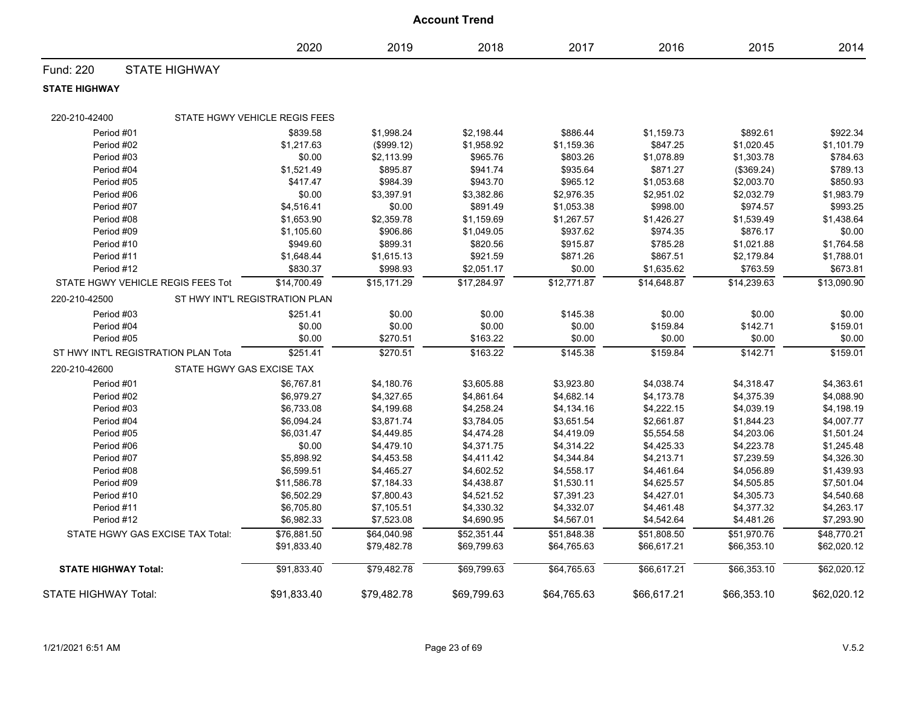| <b>Account Trend</b>                |                                  |                                |             |             |             |             |             |             |  |
|-------------------------------------|----------------------------------|--------------------------------|-------------|-------------|-------------|-------------|-------------|-------------|--|
|                                     |                                  | 2020                           | 2019        | 2018        | 2017        | 2016        | 2015        | 2014        |  |
| Fund: 220                           | <b>STATE HIGHWAY</b>             |                                |             |             |             |             |             |             |  |
| <b>STATE HIGHWAY</b>                |                                  |                                |             |             |             |             |             |             |  |
| 220-210-42400                       |                                  | STATE HGWY VEHICLE REGIS FEES  |             |             |             |             |             |             |  |
| Period #01                          |                                  | \$839.58                       | \$1,998.24  | \$2,198.44  | \$886.44    | \$1,159.73  | \$892.61    | \$922.34    |  |
| Period #02                          |                                  | \$1,217.63                     | (\$999.12)  | \$1,958.92  | \$1,159.36  | \$847.25    | \$1,020.45  | \$1,101.79  |  |
| Period #03                          |                                  | \$0.00                         | \$2,113.99  | \$965.76    | \$803.26    | \$1,078.89  | \$1,303.78  | \$784.63    |  |
| Period #04                          |                                  | \$1,521.49                     | \$895.87    | \$941.74    | \$935.64    | \$871.27    | (\$369.24)  | \$789.13    |  |
| Period #05                          |                                  | \$417.47                       | \$984.39    | \$943.70    | \$965.12    | \$1,053.68  | \$2,003.70  | \$850.93    |  |
| Period #06                          |                                  | \$0.00                         | \$3,397.91  | \$3,382.86  | \$2,976.35  | \$2,951.02  | \$2,032.79  | \$1,983.79  |  |
| Period #07                          |                                  | \$4,516.41                     | \$0.00      | \$891.49    | \$1,053.38  | \$998.00    | \$974.57    | \$993.25    |  |
| Period #08                          |                                  | \$1,653.90                     | \$2,359.78  | \$1,159.69  | \$1,267.57  | \$1,426.27  | \$1,539.49  | \$1,438.64  |  |
| Period #09                          |                                  | \$1,105.60                     | \$906.86    | \$1,049.05  | \$937.62    | \$974.35    | \$876.17    | \$0.00      |  |
| Period #10                          |                                  | \$949.60                       | \$899.31    | \$820.56    | \$915.87    | \$785.28    | \$1,021.88  | \$1,764.58  |  |
| Period #11                          |                                  | \$1,648.44                     | \$1,615.13  | \$921.59    | \$871.26    | \$867.51    | \$2,179.84  | \$1,788.01  |  |
| Period #12                          |                                  | \$830.37                       | \$998.93    | \$2,051.17  | \$0.00      | \$1,635.62  | \$763.59    | \$673.81    |  |
| STATE HGWY VEHICLE REGIS FEES Tot   |                                  | \$14,700.49                    | \$15,171.29 | \$17,284.97 | \$12,771.87 | \$14,648.87 | \$14,239.63 | \$13,090.90 |  |
| 220-210-42500                       |                                  | ST HWY INT'L REGISTRATION PLAN |             |             |             |             |             |             |  |
| Period #03                          |                                  | \$251.41                       | \$0.00      | \$0.00      | \$145.38    | \$0.00      | \$0.00      | \$0.00      |  |
| Period #04                          |                                  | \$0.00                         | \$0.00      | \$0.00      | \$0.00      | \$159.84    | \$142.71    | \$159.01    |  |
| Period #05                          |                                  | \$0.00                         | \$270.51    | \$163.22    | \$0.00      | \$0.00      | \$0.00      | \$0.00      |  |
| ST HWY INT'L REGISTRATION PLAN Tota |                                  | \$251.41                       | \$270.51    | \$163.22    | \$145.38    | \$159.84    | \$142.71    | \$159.01    |  |
| 220-210-42600                       | STATE HGWY GAS EXCISE TAX        |                                |             |             |             |             |             |             |  |
| Period #01                          |                                  | \$6,767.81                     | \$4,180.76  | \$3,605.88  | \$3,923.80  | \$4,038.74  | \$4,318.47  | \$4,363.61  |  |
| Period #02                          |                                  | \$6,979.27                     | \$4,327.65  | \$4,861.64  | \$4,682.14  | \$4,173.78  | \$4,375.39  | \$4,088.90  |  |
| Period #03                          |                                  | \$6,733.08                     | \$4,199.68  | \$4,258.24  | \$4,134.16  | \$4,222.15  | \$4,039.19  | \$4,198.19  |  |
| Period #04                          |                                  | \$6,094.24                     | \$3,871.74  | \$3,784.05  | \$3,651.54  | \$2,661.87  | \$1,844.23  | \$4,007.77  |  |
| Period #05                          |                                  | \$6,031.47                     | \$4,449.85  | \$4,474.28  | \$4,419.09  | \$5,554.58  | \$4,203.06  | \$1,501.24  |  |
| Period #06                          |                                  | \$0.00                         | \$4,479.10  | \$4,371.75  | \$4,314.22  | \$4,425.33  | \$4,223.78  | \$1,245.48  |  |
| Period #07                          |                                  | \$5,898.92                     | \$4,453.58  | \$4,411.42  | \$4,344.84  | \$4,213.71  | \$7,239.59  | \$4,326.30  |  |
| Period #08                          |                                  | \$6,599.51                     | \$4,465.27  | \$4,602.52  | \$4,558.17  | \$4,461.64  | \$4,056.89  | \$1,439.93  |  |
| Period #09                          |                                  | \$11,586.78                    | \$7,184.33  | \$4,438.87  | \$1,530.11  | \$4,625.57  | \$4,505.85  | \$7,501.04  |  |
| Period #10                          |                                  | \$6,502.29                     | \$7,800.43  | \$4,521.52  | \$7,391.23  | \$4,427.01  | \$4,305.73  | \$4,540.68  |  |
| Period #11                          |                                  | \$6,705.80                     | \$7,105.51  | \$4,330.32  | \$4,332.07  | \$4,461.48  | \$4,377.32  | \$4,263.17  |  |
| Period #12                          |                                  | \$6,982.33                     | \$7,523.08  | \$4,690.95  | \$4,567.01  | \$4,542.64  | \$4,481.26  | \$7,293.90  |  |
|                                     | STATE HGWY GAS EXCISE TAX Total: | \$76,881.50                    | \$64,040.98 | \$52,351.44 | \$51,848.38 | \$51,808.50 | \$51,970.76 | \$48,770.21 |  |
|                                     |                                  | \$91,833.40                    | \$79,482.78 | \$69,799.63 | \$64,765.63 | \$66,617.21 | \$66,353.10 | \$62,020.12 |  |
| <b>STATE HIGHWAY Total:</b>         |                                  | \$91.833.40                    | \$79.482.78 | \$69.799.63 | \$64.765.63 | \$66,617.21 | \$66,353.10 | \$62.020.12 |  |
| <b>STATE HIGHWAY Total:</b>         |                                  | \$91,833.40                    | \$79,482.78 | \$69,799.63 | \$64,765.63 | \$66,617.21 | \$66,353.10 | \$62,020.12 |  |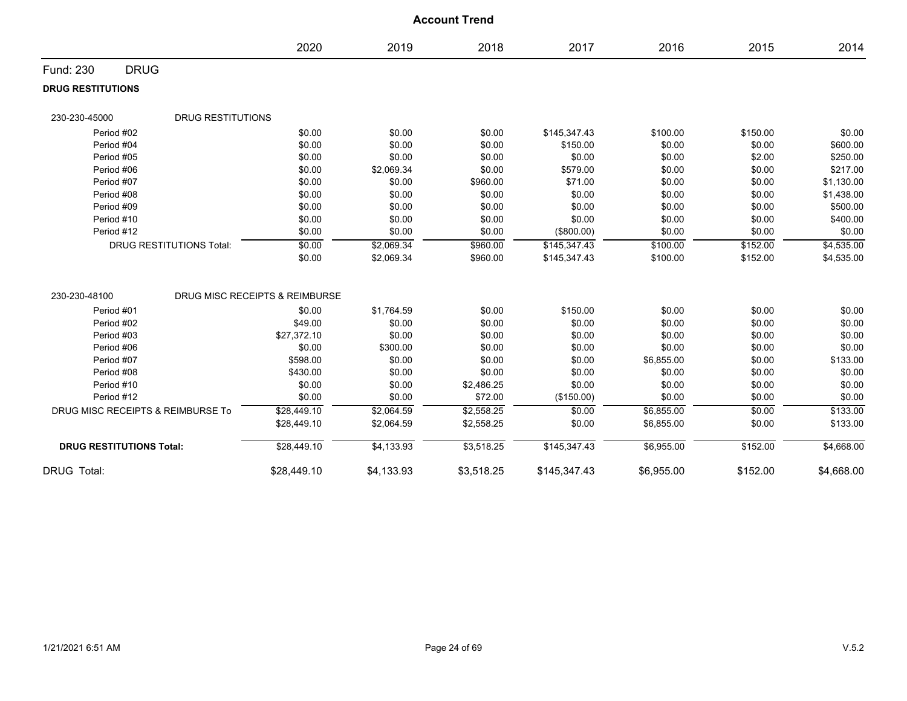|                                           |                                |            | <b>Account Trend</b> |              |            |          |            |
|-------------------------------------------|--------------------------------|------------|----------------------|--------------|------------|----------|------------|
|                                           | 2020                           | 2019       | 2018                 | 2017         | 2016       | 2015     | 2014       |
| <b>DRUG</b><br>Fund: 230                  |                                |            |                      |              |            |          |            |
| <b>DRUG RESTITUTIONS</b>                  |                                |            |                      |              |            |          |            |
| <b>DRUG RESTITUTIONS</b><br>230-230-45000 |                                |            |                      |              |            |          |            |
| Period #02                                | \$0.00                         | \$0.00     | \$0.00               | \$145,347.43 | \$100.00   | \$150.00 | \$0.00     |
| Period #04                                | \$0.00                         | \$0.00     | \$0.00               | \$150.00     | \$0.00     | \$0.00   | \$600.00   |
| Period #05                                | \$0.00                         | \$0.00     | \$0.00               | \$0.00       | \$0.00     | \$2.00   | \$250.00   |
| Period #06                                | \$0.00                         | \$2,069.34 | \$0.00               | \$579.00     | \$0.00     | \$0.00   | \$217.00   |
| Period #07                                | \$0.00                         | \$0.00     | \$960.00             | \$71.00      | \$0.00     | \$0.00   | \$1,130.00 |
| Period #08                                | \$0.00                         | \$0.00     | \$0.00               | \$0.00       | \$0.00     | \$0.00   | \$1,438.00 |
| Period #09                                | \$0.00                         | \$0.00     | \$0.00               | \$0.00       | \$0.00     | \$0.00   | \$500.00   |
| Period #10                                | \$0.00                         | \$0.00     | \$0.00               | \$0.00       | \$0.00     | \$0.00   | \$400.00   |
| Period #12                                | \$0.00                         | \$0.00     | \$0.00               | (\$800.00)   | \$0.00     | \$0.00   | \$0.00     |
| <b>DRUG RESTITUTIONS Total:</b>           | \$0.00                         | \$2,069.34 | \$960.00             | \$145,347.43 | \$100.00   | \$152.00 | \$4,535.00 |
|                                           | \$0.00                         | \$2,069.34 | \$960.00             | \$145,347.43 | \$100.00   | \$152.00 | \$4,535.00 |
| 230-230-48100                             | DRUG MISC RECEIPTS & REIMBURSE |            |                      |              |            |          |            |
| Period #01                                | \$0.00                         | \$1,764.59 | \$0.00               | \$150.00     | \$0.00     | \$0.00   | \$0.00     |
| Period #02                                | \$49.00                        | \$0.00     | \$0.00               | \$0.00       | \$0.00     | \$0.00   | \$0.00     |
| Period #03                                | \$27,372.10                    | \$0.00     | \$0.00               | \$0.00       | \$0.00     | \$0.00   | \$0.00     |
| Period #06                                | \$0.00                         | \$300.00   | \$0.00               | \$0.00       | \$0.00     | \$0.00   | \$0.00     |
| Period #07                                | \$598.00                       | \$0.00     | \$0.00               | \$0.00       | \$6,855.00 | \$0.00   | \$133.00   |
| Period #08                                | \$430.00                       | \$0.00     | \$0.00               | \$0.00       | \$0.00     | \$0.00   | \$0.00     |
| Period #10                                | \$0.00                         | \$0.00     | \$2,486.25           | \$0.00       | \$0.00     | \$0.00   | \$0.00     |
| Period #12                                | \$0.00                         | \$0.00     | \$72.00              | (\$150.00)   | \$0.00     | \$0.00   | \$0.00     |
| DRUG MISC RECEIPTS & REIMBURSE To         | \$28,449.10                    | \$2,064.59 | \$2,558.25           | \$0.00       | \$6,855.00 | \$0.00   | \$133.00   |
|                                           | \$28,449.10                    | \$2,064.59 | \$2,558.25           | \$0.00       | \$6,855.00 | \$0.00   | \$133.00   |
| <b>DRUG RESTITUTIONS Total:</b>           | \$28,449.10                    | \$4,133.93 | \$3,518.25           | \$145,347.43 | \$6,955.00 | \$152.00 | \$4,668.00 |
| <b>DRUG Total:</b>                        | \$28,449.10                    | \$4,133.93 | \$3,518.25           | \$145,347.43 | \$6,955.00 | \$152.00 | \$4,668.00 |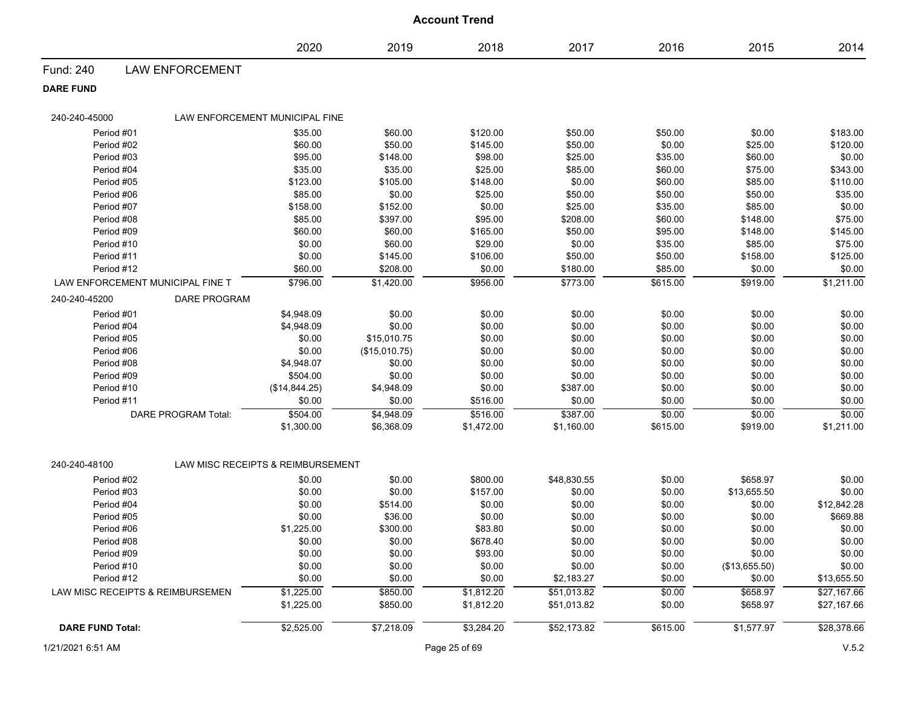|                                  |                            |                                   |               | <b>Account Trend</b> |             |          |               |             |
|----------------------------------|----------------------------|-----------------------------------|---------------|----------------------|-------------|----------|---------------|-------------|
|                                  |                            | 2020                              | 2019          | 2018                 | 2017        | 2016     | 2015          | 2014        |
| Fund: 240                        | <b>LAW ENFORCEMENT</b>     |                                   |               |                      |             |          |               |             |
| <b>DARE FUND</b>                 |                            |                                   |               |                      |             |          |               |             |
| 240-240-45000                    |                            | LAW ENFORCEMENT MUNICIPAL FINE    |               |                      |             |          |               |             |
| Period #01                       |                            | \$35.00                           | \$60.00       | \$120.00             | \$50.00     | \$50.00  | \$0.00        | \$183.00    |
| Period #02                       |                            | \$60.00                           | \$50.00       | \$145.00             | \$50.00     | \$0.00   | \$25.00       | \$120.00    |
| Period #03                       |                            | \$95.00                           | \$148.00      | \$98.00              | \$25.00     | \$35.00  | \$60.00       | \$0.00      |
| Period #04                       |                            | \$35.00                           | \$35.00       | \$25.00              | \$85.00     | \$60.00  | \$75.00       | \$343.00    |
| Period #05                       |                            | \$123.00                          | \$105.00      | \$148.00             | \$0.00      | \$60.00  | \$85.00       | \$110.00    |
| Period #06                       |                            | \$85.00                           | \$0.00        | \$25.00              | \$50.00     | \$50.00  | \$50.00       | \$35.00     |
| Period #07                       |                            | \$158.00                          | \$152.00      | \$0.00               | \$25.00     | \$35.00  | \$85.00       | \$0.00      |
| Period #08                       |                            | \$85.00                           | \$397.00      | \$95.00              | \$208.00    | \$60.00  | \$148.00      | \$75.00     |
| Period #09                       |                            | \$60.00                           | \$60.00       | \$165.00             | \$50.00     | \$95.00  | \$148.00      | \$145.00    |
| Period #10                       |                            | \$0.00                            | \$60.00       | \$29.00              | \$0.00      | \$35.00  | \$85.00       | \$75.00     |
| Period #11                       |                            | \$0.00                            | \$145.00      | \$106.00             | \$50.00     | \$50.00  | \$158.00      | \$125.00    |
| Period #12                       |                            | \$60.00                           | \$208.00      | \$0.00               | \$180.00    | \$85.00  | \$0.00        | \$0.00      |
| LAW ENFORCEMENT MUNICIPAL FINE T |                            | \$796.00                          | \$1,420.00    | \$956.00             | \$773.00    | \$615.00 | \$919.00      | \$1,211.00  |
| 240-240-45200                    | <b>DARE PROGRAM</b>        |                                   |               |                      |             |          |               |             |
| Period #01                       |                            | \$4,948.09                        | \$0.00        | \$0.00               | \$0.00      | \$0.00   | \$0.00        | \$0.00      |
| Period #04                       |                            | \$4,948.09                        | \$0.00        | \$0.00               | \$0.00      | \$0.00   | \$0.00        | \$0.00      |
| Period #05                       |                            | \$0.00                            | \$15,010.75   | \$0.00               | \$0.00      | \$0.00   | \$0.00        | \$0.00      |
| Period #06                       |                            | \$0.00                            | (\$15,010.75) | \$0.00               | \$0.00      | \$0.00   | \$0.00        | \$0.00      |
| Period #08                       |                            | \$4,948.07                        | \$0.00        | \$0.00               | \$0.00      | \$0.00   | \$0.00        | \$0.00      |
| Period #09                       |                            | \$504.00                          | \$0.00        | \$0.00               | \$0.00      | \$0.00   | \$0.00        | \$0.00      |
| Period #10                       |                            | (\$14,844.25)                     | \$4,948.09    | \$0.00               | \$387.00    | \$0.00   | \$0.00        | \$0.00      |
| Period #11                       |                            | \$0.00                            | \$0.00        | \$516.00             | \$0.00      | \$0.00   | \$0.00        | \$0.00      |
|                                  | <b>DARE PROGRAM Total:</b> | \$504.00                          | \$4,948.09    | \$516.00             | \$387.00    | \$0.00   | \$0.00        | \$0.00      |
|                                  |                            | \$1,300.00                        | \$6,368.09    | \$1,472.00           | \$1,160.00  | \$615.00 | \$919.00      | \$1,211.00  |
|                                  |                            |                                   |               |                      |             |          |               |             |
| 240-240-48100                    |                            | LAW MISC RECEIPTS & REIMBURSEMENT |               |                      |             |          |               |             |
| Period #02                       |                            | \$0.00                            | \$0.00        | \$800.00             | \$48,830.55 | \$0.00   | \$658.97      | \$0.00      |
| Period #03                       |                            | \$0.00                            | \$0.00        | \$157.00             | \$0.00      | \$0.00   | \$13,655.50   | \$0.00      |
| Period #04                       |                            | \$0.00                            | \$514.00      | \$0.00               | \$0.00      | \$0.00   | \$0.00        | \$12,842.28 |
| Period #05                       |                            | \$0.00                            | \$36.00       | \$0.00               | \$0.00      | \$0.00   | \$0.00        | \$669.88    |
| Period #06                       |                            | \$1,225.00                        | \$300.00      | \$83.80              | \$0.00      | \$0.00   | \$0.00        | \$0.00      |
| Period #08                       |                            | \$0.00                            | \$0.00        | \$678.40             | \$0.00      | \$0.00   | \$0.00        | \$0.00      |
| Period #09                       |                            | \$0.00                            | \$0.00        | \$93.00              | \$0.00      | \$0.00   | \$0.00        | \$0.00      |
| Period #10                       |                            | \$0.00                            | \$0.00        | \$0.00               | \$0.00      | \$0.00   | (\$13,655.50) | \$0.00      |
| Period #12                       |                            | \$0.00                            | \$0.00        | \$0.00               | \$2,183.27  | \$0.00   | \$0.00        | \$13,655.50 |
| LAW MISC RECEIPTS & REIMBURSEMEN |                            | \$1,225.00                        | \$850.00      | \$1,812.20           | \$51,013.82 | \$0.00   | \$658.97      | \$27,167.66 |
|                                  |                            | \$1,225.00                        | \$850.00      | \$1,812.20           | \$51,013.82 | \$0.00   | \$658.97      | \$27,167.66 |
| <b>DARE FUND Total:</b>          |                            | \$2,525.00                        | \$7,218.09    | \$3,284.20           | \$52,173.82 | \$615.00 | \$1,577.97    | \$28,378.66 |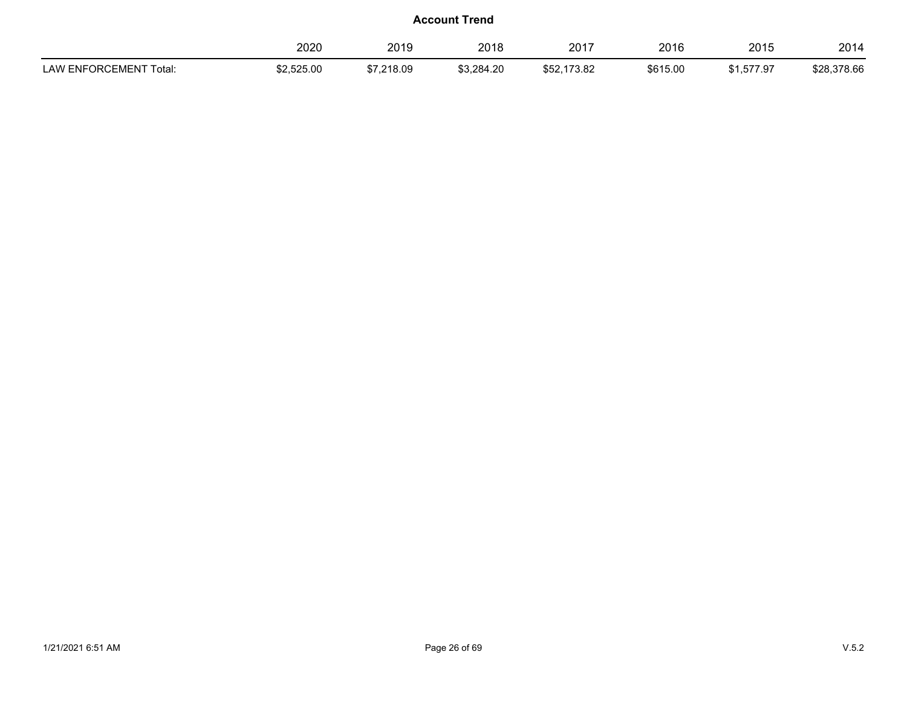|                                              | 2020       | 2019       | 2018       | nn 17<br>20 L  | 2016     | 2015      | 2014        |
|----------------------------------------------|------------|------------|------------|----------------|----------|-----------|-------------|
| ENFORCEMENT To<br>LAW <sup>r</sup><br>™otal. | \$2.525.00 | \$7.218.09 | \$3,284.20 | 173.82<br>ა52. | \$615.00 | 1,577.97ء | \$28,378.66 |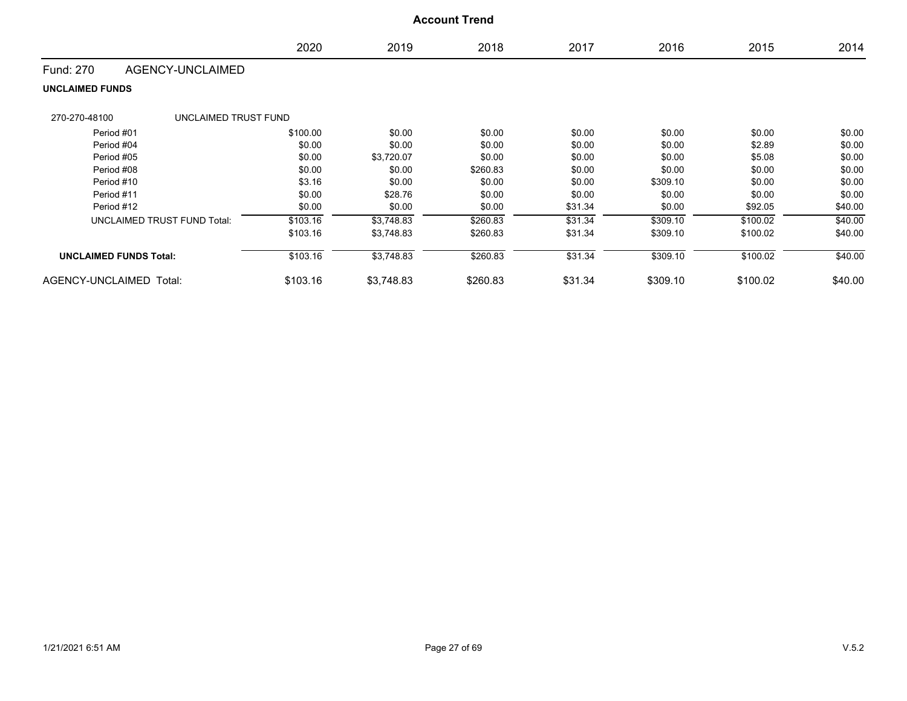|                                       |          |            | <b>Account Trend</b> |         |          |          |         |
|---------------------------------------|----------|------------|----------------------|---------|----------|----------|---------|
|                                       | 2020     | 2019       | 2018                 | 2017    | 2016     | 2015     | 2014    |
| AGENCY-UNCLAIMED<br><b>Fund: 270</b>  |          |            |                      |         |          |          |         |
| <b>UNCLAIMED FUNDS</b>                |          |            |                      |         |          |          |         |
| 270-270-48100<br>UNCLAIMED TRUST FUND |          |            |                      |         |          |          |         |
| Period #01                            | \$100.00 | \$0.00     | \$0.00               | \$0.00  | \$0.00   | \$0.00   | \$0.00  |
| Period #04                            | \$0.00   | \$0.00     | \$0.00               | \$0.00  | \$0.00   | \$2.89   | \$0.00  |
| Period #05                            | \$0.00   | \$3,720.07 | \$0.00               | \$0.00  | \$0.00   | \$5.08   | \$0.00  |
| Period #08                            | \$0.00   | \$0.00     | \$260.83             | \$0.00  | \$0.00   | \$0.00   | \$0.00  |
| Period #10                            | \$3.16   | \$0.00     | \$0.00               | \$0.00  | \$309.10 | \$0.00   | \$0.00  |
| Period #11                            | \$0.00   | \$28.76    | \$0.00               | \$0.00  | \$0.00   | \$0.00   | \$0.00  |
| Period #12                            | \$0.00   | \$0.00     | \$0.00               | \$31.34 | \$0.00   | \$92.05  | \$40.00 |
| <b>UNCLAIMED TRUST FUND Total:</b>    | \$103.16 | \$3,748.83 | \$260.83             | \$31.34 | \$309.10 | \$100.02 | \$40.00 |
|                                       | \$103.16 | \$3,748.83 | \$260.83             | \$31.34 | \$309.10 | \$100.02 | \$40.00 |
| <b>UNCLAIMED FUNDS Total:</b>         | \$103.16 | \$3,748.83 | \$260.83             | \$31.34 | \$309.10 | \$100.02 | \$40.00 |
| AGENCY-UNCLAIMED Total:               | \$103.16 | \$3,748.83 | \$260.83             | \$31.34 | \$309.10 | \$100.02 | \$40.00 |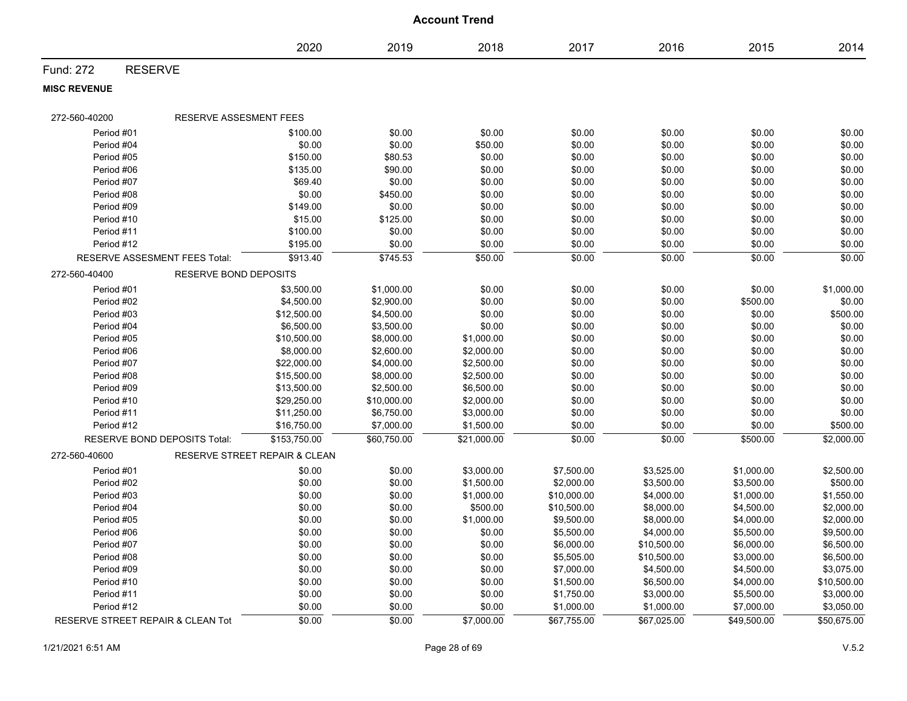|                     |                                      |                               |             | <b>Account Trend</b> |             |             |             |             |
|---------------------|--------------------------------------|-------------------------------|-------------|----------------------|-------------|-------------|-------------|-------------|
|                     |                                      | 2020                          | 2019        | 2018                 | 2017        | 2016        | 2015        | 2014        |
| Fund: 272           | <b>RESERVE</b>                       |                               |             |                      |             |             |             |             |
| <b>MISC REVENUE</b> |                                      |                               |             |                      |             |             |             |             |
| 272-560-40200       | RESERVE ASSESMENT FEES               |                               |             |                      |             |             |             |             |
| Period #01          |                                      | \$100.00                      | \$0.00      | \$0.00               | \$0.00      | \$0.00      | \$0.00      | \$0.00      |
| Period #04          |                                      | \$0.00                        | \$0.00      | \$50.00              | \$0.00      | \$0.00      | \$0.00      | \$0.00      |
| Period #05          |                                      | \$150.00                      | \$80.53     | \$0.00               | \$0.00      | \$0.00      | \$0.00      | \$0.00      |
| Period #06          |                                      | \$135.00                      | \$90.00     | \$0.00               | \$0.00      | \$0.00      | \$0.00      | \$0.00      |
| Period #07          |                                      | \$69.40                       | \$0.00      | \$0.00               | \$0.00      | \$0.00      | \$0.00      | \$0.00      |
| Period #08          |                                      | \$0.00                        | \$450.00    | \$0.00               | \$0.00      | \$0.00      | \$0.00      | \$0.00      |
| Period #09          |                                      | \$149.00                      | \$0.00      | \$0.00               | \$0.00      | \$0.00      | \$0.00      | \$0.00      |
| Period #10          |                                      | \$15.00                       | \$125.00    | \$0.00               | \$0.00      | \$0.00      | \$0.00      | \$0.00      |
| Period #11          |                                      | \$100.00                      | \$0.00      | \$0.00               | \$0.00      | \$0.00      | \$0.00      | \$0.00      |
| Period #12          |                                      | \$195.00                      | \$0.00      | \$0.00               | \$0.00      | \$0.00      | \$0.00      | \$0.00      |
|                     | <b>RESERVE ASSESMENT FEES Total:</b> | \$913.40                      | \$745.53    | \$50.00              | \$0.00      | \$0.00      | \$0.00      | \$0.00      |
| 272-560-40400       | <b>RESERVE BOND DEPOSITS</b>         |                               |             |                      |             |             |             |             |
| Period #01          |                                      | \$3,500.00                    | \$1,000.00  | \$0.00               | \$0.00      | \$0.00      | \$0.00      | \$1,000.00  |
| Period #02          |                                      | \$4,500.00                    | \$2,900.00  | \$0.00               | \$0.00      | \$0.00      | \$500.00    | \$0.00      |
| Period #03          |                                      | \$12,500.00                   | \$4,500.00  | \$0.00               | \$0.00      | \$0.00      | \$0.00      | \$500.00    |
| Period #04          |                                      | \$6,500.00                    | \$3,500.00  | \$0.00               | \$0.00      | \$0.00      | \$0.00      | \$0.00      |
| Period #05          |                                      | \$10,500.00                   | \$8,000.00  | \$1,000.00           | \$0.00      | \$0.00      | \$0.00      | \$0.00      |
| Period #06          |                                      | \$8,000.00                    | \$2,600.00  | \$2,000.00           | \$0.00      | \$0.00      | \$0.00      | \$0.00      |
| Period #07          |                                      | \$22,000.00                   | \$4,000.00  | \$2,500.00           | \$0.00      | \$0.00      | \$0.00      | \$0.00      |
| Period #08          |                                      | \$15,500.00                   | \$8,000.00  | \$2,500.00           | \$0.00      | \$0.00      | \$0.00      | \$0.00      |
| Period #09          |                                      | \$13,500.00                   | \$2,500.00  | \$6,500.00           | \$0.00      | \$0.00      | \$0.00      | \$0.00      |
| Period #10          |                                      | \$29,250.00                   | \$10,000.00 | \$2,000.00           | \$0.00      | \$0.00      | \$0.00      | \$0.00      |
| Period #11          |                                      | \$11,250.00                   | \$6,750.00  | \$3,000.00           | \$0.00      | \$0.00      | \$0.00      | \$0.00      |
| Period #12          |                                      | \$16,750.00                   | \$7,000.00  | \$1,500.00           | \$0.00      | \$0.00      | \$0.00      | \$500.00    |
|                     | RESERVE BOND DEPOSITS Total:         | \$153,750.00                  | \$60,750.00 | \$21,000.00          | \$0.00      | \$0.00      | \$500.00    | \$2,000.00  |
| 272-560-40600       |                                      | RESERVE STREET REPAIR & CLEAN |             |                      |             |             |             |             |
| Period #01          |                                      | \$0.00                        | \$0.00      | \$3,000.00           | \$7,500.00  | \$3,525.00  | \$1,000.00  | \$2,500.00  |
| Period #02          |                                      | \$0.00                        | \$0.00      | \$1,500.00           | \$2,000.00  | \$3,500.00  | \$3,500.00  | \$500.00    |
| Period #03          |                                      | \$0.00                        | \$0.00      | \$1,000.00           | \$10,000.00 | \$4,000.00  | \$1,000.00  | \$1,550.00  |
| Period #04          |                                      | \$0.00                        | \$0.00      | \$500.00             | \$10,500.00 | \$8,000.00  | \$4,500.00  | \$2,000.00  |
| Period #05          |                                      | \$0.00                        | \$0.00      | \$1,000.00           | \$9,500.00  | \$8,000.00  | \$4,000.00  | \$2,000.00  |
| Period #06          |                                      | \$0.00                        | \$0.00      | \$0.00               | \$5,500.00  | \$4,000.00  | \$5,500.00  | \$9,500.00  |
| Period #07          |                                      | \$0.00                        | \$0.00      | \$0.00               | \$6,000.00  | \$10,500.00 | \$6,000.00  | \$6,500.00  |
| Period #08          |                                      | \$0.00                        | \$0.00      | \$0.00               | \$5,505.00  | \$10,500.00 | \$3,000.00  | \$6,500.00  |
| Period #09          |                                      | \$0.00                        | \$0.00      | \$0.00               | \$7,000.00  | \$4,500.00  | \$4,500.00  | \$3,075.00  |
| Period #10          |                                      | \$0.00                        | \$0.00      | \$0.00               | \$1,500.00  | \$6,500.00  | \$4,000.00  | \$10,500.00 |
| Period #11          |                                      | \$0.00                        | \$0.00      | \$0.00               | \$1,750.00  | \$3,000.00  | \$5,500.00  | \$3,000.00  |
| Period #12          |                                      | \$0.00                        | \$0.00      | \$0.00               | \$1,000.00  | \$1,000.00  | \$7,000.00  | \$3,050.00  |
|                     | RESERVE STREET REPAIR & CLEAN Tot    | \$0.00                        | \$0.00      | \$7,000.00           | \$67,755.00 | \$67,025.00 | \$49,500.00 | \$50,675.00 |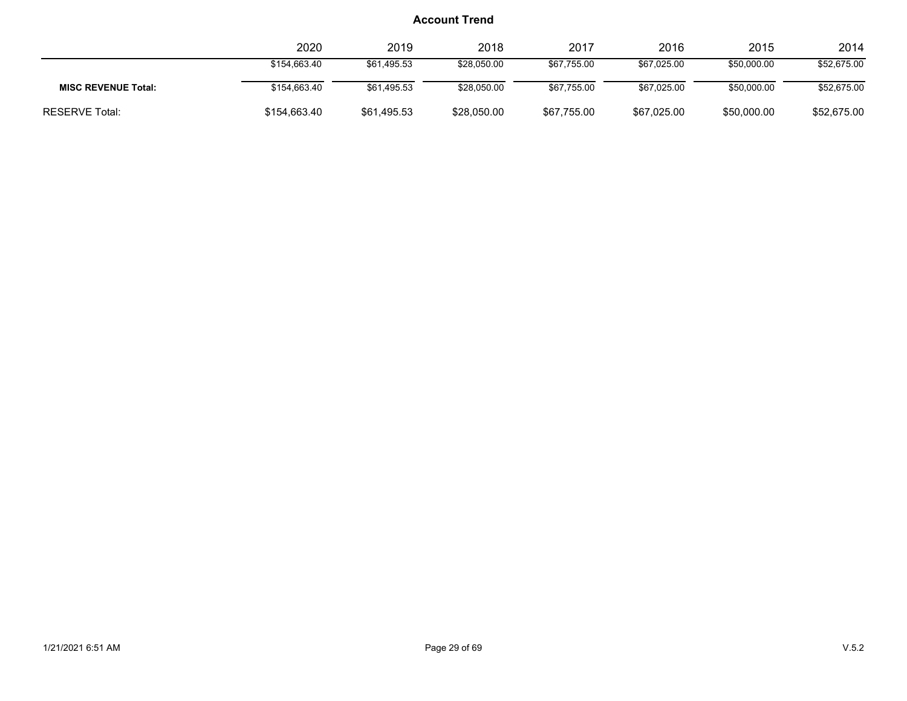|                            | 2020         | 2019        | 2018        | 2017        | 2016        | 2015        | 2014        |
|----------------------------|--------------|-------------|-------------|-------------|-------------|-------------|-------------|
|                            | \$154.663.40 | \$61.495.53 | \$28,050.00 | \$67,755.00 | \$67.025.00 | \$50,000.00 | \$52,675.00 |
| <b>MISC REVENUE Total:</b> | \$154,663.40 | \$61.495.53 | \$28,050.00 | \$67.755.00 | \$67.025.00 | \$50,000.00 | \$52,675.00 |
| <b>RESERVE Total:</b>      | \$154,663.40 | \$61,495.53 | \$28,050.00 | \$67,755.00 | \$67,025.00 | \$50,000.00 | \$52,675.00 |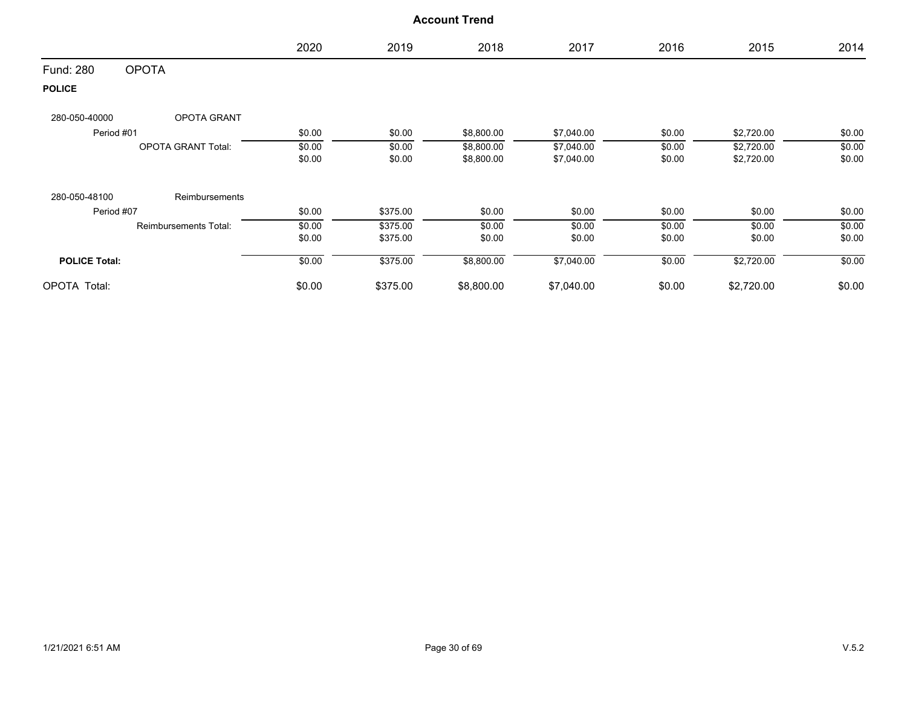|                      |                           | 2020   | 2019     | 2018       | 2017       | 2016   | 2015       | 2014   |
|----------------------|---------------------------|--------|----------|------------|------------|--------|------------|--------|
| Fund: 280            | <b>OPOTA</b>              |        |          |            |            |        |            |        |
| <b>POLICE</b>        |                           |        |          |            |            |        |            |        |
| 280-050-40000        | OPOTA GRANT               |        |          |            |            |        |            |        |
| Period #01           |                           | \$0.00 | \$0.00   | \$8,800.00 | \$7,040.00 | \$0.00 | \$2,720.00 | \$0.00 |
|                      | <b>OPOTA GRANT Total:</b> | \$0.00 | \$0.00   | \$8,800.00 | \$7,040.00 | \$0.00 | \$2,720.00 | \$0.00 |
|                      |                           | \$0.00 | \$0.00   | \$8,800.00 | \$7,040.00 | \$0.00 | \$2,720.00 | \$0.00 |
| 280-050-48100        | Reimbursements            |        |          |            |            |        |            |        |
| Period #07           |                           | \$0.00 | \$375.00 | \$0.00     | \$0.00     | \$0.00 | \$0.00     | \$0.00 |
|                      | Reimbursements Total:     | \$0.00 | \$375.00 | \$0.00     | \$0.00     | \$0.00 | \$0.00     | \$0.00 |
|                      |                           | \$0.00 | \$375.00 | \$0.00     | \$0.00     | \$0.00 | \$0.00     | \$0.00 |
| <b>POLICE Total:</b> |                           | \$0.00 | \$375.00 | \$8,800.00 | \$7,040.00 | \$0.00 | \$2,720.00 | \$0.00 |
| OPOTA Total:         |                           | \$0.00 | \$375.00 | \$8,800.00 | \$7,040.00 | \$0.00 | \$2,720.00 | \$0.00 |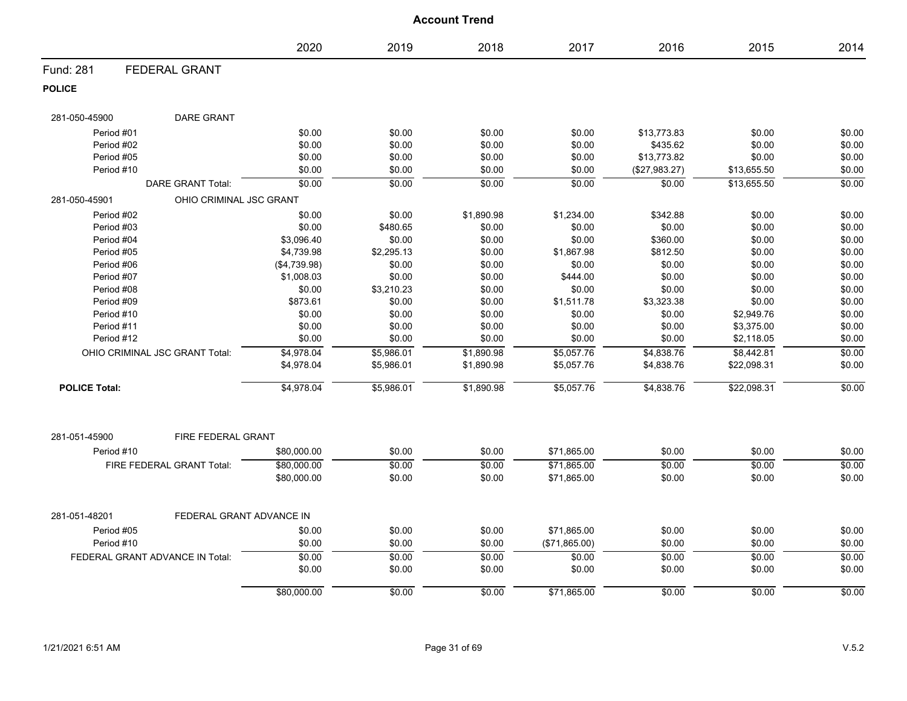|                      |                                 |              |            | <b>Account Trend</b> |               |               |             |        |
|----------------------|---------------------------------|--------------|------------|----------------------|---------------|---------------|-------------|--------|
|                      |                                 | 2020         | 2019       | 2018                 | 2017          | 2016          | 2015        | 2014   |
| Fund: 281            | <b>FEDERAL GRANT</b>            |              |            |                      |               |               |             |        |
| <b>POLICE</b>        |                                 |              |            |                      |               |               |             |        |
| 281-050-45900        | DARE GRANT                      |              |            |                      |               |               |             |        |
| Period #01           |                                 | \$0.00       | \$0.00     | \$0.00               | \$0.00        | \$13,773.83   | \$0.00      | \$0.00 |
| Period #02           |                                 | \$0.00       | \$0.00     | \$0.00               | \$0.00        | \$435.62      | \$0.00      | \$0.00 |
| Period #05           |                                 | \$0.00       | \$0.00     | \$0.00               | \$0.00        | \$13,773.82   | \$0.00      | \$0.00 |
| Period #10           |                                 | \$0.00       | \$0.00     | \$0.00               | \$0.00        | (\$27,983.27) | \$13,655.50 | \$0.00 |
|                      | <b>DARE GRANT Total:</b>        | \$0.00       | \$0.00     | \$0.00               | \$0.00        | \$0.00        | \$13,655.50 | \$0.00 |
| 281-050-45901        | OHIO CRIMINAL JSC GRANT         |              |            |                      |               |               |             |        |
| Period #02           |                                 | \$0.00       | \$0.00     | \$1,890.98           | \$1,234.00    | \$342.88      | \$0.00      | \$0.00 |
| Period #03           |                                 | \$0.00       | \$480.65   | \$0.00               | \$0.00        | \$0.00        | \$0.00      | \$0.00 |
| Period #04           |                                 | \$3,096.40   | \$0.00     | \$0.00               | \$0.00        | \$360.00      | \$0.00      | \$0.00 |
| Period #05           |                                 | \$4,739.98   | \$2,295.13 | \$0.00               | \$1,867.98    | \$812.50      | \$0.00      | \$0.00 |
| Period #06           |                                 | (\$4,739.98) | \$0.00     | \$0.00               | \$0.00        | \$0.00        | \$0.00      | \$0.00 |
| Period #07           |                                 | \$1,008.03   | \$0.00     | \$0.00               | \$444.00      | \$0.00        | \$0.00      | \$0.00 |
| Period #08           |                                 | \$0.00       | \$3,210.23 | \$0.00               | \$0.00        | \$0.00        | \$0.00      | \$0.00 |
| Period #09           |                                 | \$873.61     | \$0.00     | \$0.00               | \$1,511.78    | \$3,323.38    | \$0.00      | \$0.00 |
| Period #10           |                                 | \$0.00       | \$0.00     | \$0.00               | \$0.00        | \$0.00        | \$2,949.76  | \$0.00 |
| Period #11           |                                 | \$0.00       | \$0.00     | \$0.00               | \$0.00        | \$0.00        | \$3,375.00  | \$0.00 |
| Period #12           |                                 | \$0.00       | \$0.00     | \$0.00               | \$0.00        | \$0.00        | \$2,118.05  | \$0.00 |
|                      | OHIO CRIMINAL JSC GRANT Total:  | \$4,978.04   | \$5,986.01 | \$1,890.98           | \$5,057.76    | \$4,838.76    | \$8,442.81  | \$0.00 |
|                      |                                 | \$4,978.04   | \$5,986.01 | \$1,890.98           | \$5,057.76    | \$4,838.76    | \$22,098.31 | \$0.00 |
| <b>POLICE Total:</b> |                                 | \$4,978.04   | \$5,986.01 | \$1,890.98           | \$5,057.76    | \$4,838.76    | \$22,098.31 | \$0.00 |
| 281-051-45900        | FIRE FEDERAL GRANT              |              |            |                      |               |               |             |        |
| Period #10           |                                 | \$80,000.00  | \$0.00     | \$0.00               | \$71,865.00   | \$0.00        | \$0.00      | \$0.00 |
|                      | FIRE FEDERAL GRANT Total:       | \$80,000.00  | \$0.00     | \$0.00               | \$71,865.00   | \$0.00        | \$0.00      | \$0.00 |
|                      |                                 | \$80,000.00  | \$0.00     | \$0.00               | \$71,865.00   | \$0.00        | \$0.00      | \$0.00 |
| 281-051-48201        | FEDERAL GRANT ADVANCE IN        |              |            |                      |               |               |             |        |
| Period #05           |                                 | \$0.00       | \$0.00     | \$0.00               | \$71,865.00   | \$0.00        | \$0.00      | \$0.00 |
| Period #10           |                                 | \$0.00       | \$0.00     | \$0.00               | (\$71,865.00) | \$0.00        | \$0.00      | \$0.00 |
|                      | FEDERAL GRANT ADVANCE IN Total: | \$0.00       | \$0.00     | \$0.00               | \$0.00        | \$0.00        | \$0.00      | \$0.00 |
|                      |                                 | \$0.00       | \$0.00     | \$0.00               | \$0.00        | \$0.00        | \$0.00      | \$0.00 |
|                      |                                 | \$80,000.00  | \$0.00     | \$0.00               | \$71,865.00   | \$0.00        | \$0.00      | \$0.00 |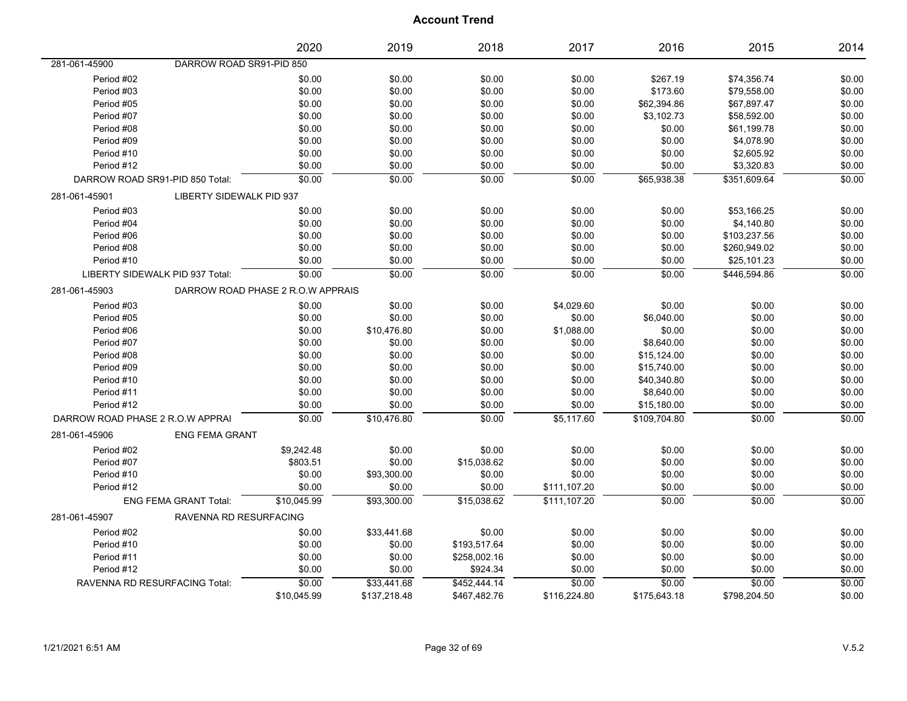|                                  |                                 | 2020                              | 2019         | 2018         | 2017         | 2016         | 2015         | 2014   |
|----------------------------------|---------------------------------|-----------------------------------|--------------|--------------|--------------|--------------|--------------|--------|
| 281-061-45900                    | DARROW ROAD SR91-PID 850        |                                   |              |              |              |              |              |        |
| Period #02                       |                                 | \$0.00                            | \$0.00       | \$0.00       | \$0.00       | \$267.19     | \$74,356.74  | \$0.00 |
| Period #03                       |                                 | \$0.00                            | \$0.00       | \$0.00       | \$0.00       | \$173.60     | \$79,558.00  | \$0.00 |
| Period #05                       |                                 | \$0.00                            | \$0.00       | \$0.00       | \$0.00       | \$62,394.86  | \$67,897.47  | \$0.00 |
| Period #07                       |                                 | \$0.00                            | \$0.00       | \$0.00       | \$0.00       | \$3,102.73   | \$58,592.00  | \$0.00 |
| Period #08                       |                                 | \$0.00                            | \$0.00       | \$0.00       | \$0.00       | \$0.00       | \$61,199.78  | \$0.00 |
| Period #09                       |                                 | \$0.00                            | \$0.00       | \$0.00       | \$0.00       | \$0.00       | \$4,078.90   | \$0.00 |
| Period #10                       |                                 | \$0.00                            | \$0.00       | \$0.00       | \$0.00       | \$0.00       | \$2,605.92   | \$0.00 |
| Period #12                       |                                 | \$0.00                            | \$0.00       | \$0.00       | \$0.00       | \$0.00       | \$3,320.83   | \$0.00 |
| DARROW ROAD SR91-PID 850 Total:  |                                 | \$0.00                            | \$0.00       | \$0.00       | \$0.00       | \$65,938.38  | \$351,609.64 | \$0.00 |
| 281-061-45901                    | LIBERTY SIDEWALK PID 937        |                                   |              |              |              |              |              |        |
| Period #03                       |                                 | \$0.00                            | \$0.00       | \$0.00       | \$0.00       | \$0.00       | \$53,166.25  | \$0.00 |
| Period #04                       |                                 | \$0.00                            | \$0.00       | \$0.00       | \$0.00       | \$0.00       | \$4,140.80   | \$0.00 |
| Period #06                       |                                 | \$0.00                            | \$0.00       | \$0.00       | \$0.00       | \$0.00       | \$103,237.56 | \$0.00 |
| Period #08                       |                                 | \$0.00                            | \$0.00       | \$0.00       | \$0.00       | \$0.00       | \$260,949.02 | \$0.00 |
| Period #10                       |                                 | \$0.00                            | \$0.00       | \$0.00       | \$0.00       | \$0.00       | \$25,101.23  | \$0.00 |
|                                  | LIBERTY SIDEWALK PID 937 Total: | \$0.00                            | \$0.00       | \$0.00       | \$0.00       | \$0.00       | \$446,594.86 | \$0.00 |
| 281-061-45903                    |                                 | DARROW ROAD PHASE 2 R.O.W APPRAIS |              |              |              |              |              |        |
| Period #03                       |                                 | \$0.00                            | \$0.00       | \$0.00       | \$4,029.60   | \$0.00       | \$0.00       | \$0.00 |
| Period #05                       |                                 | \$0.00                            | \$0.00       | \$0.00       | \$0.00       | \$6,040.00   | \$0.00       | \$0.00 |
| Period #06                       |                                 | \$0.00                            | \$10,476.80  | \$0.00       | \$1,088.00   | \$0.00       | \$0.00       | \$0.00 |
| Period #07                       |                                 | \$0.00                            | \$0.00       | \$0.00       | \$0.00       | \$8,640.00   | \$0.00       | \$0.00 |
| Period #08                       |                                 | \$0.00                            | \$0.00       | \$0.00       | \$0.00       | \$15,124.00  | \$0.00       | \$0.00 |
| Period #09                       |                                 | \$0.00                            | \$0.00       | \$0.00       | \$0.00       | \$15,740.00  | \$0.00       | \$0.00 |
| Period #10                       |                                 | \$0.00                            | \$0.00       | \$0.00       | \$0.00       | \$40,340.80  | \$0.00       | \$0.00 |
| Period #11                       |                                 | \$0.00                            | \$0.00       | \$0.00       | \$0.00       | \$8,640.00   | \$0.00       | \$0.00 |
| Period #12                       |                                 | \$0.00                            | \$0.00       | \$0.00       | \$0.00       | \$15,180.00  | \$0.00       | \$0.00 |
| DARROW ROAD PHASE 2 R.O.W APPRAI |                                 | \$0.00                            | \$10,476.80  | \$0.00       | \$5,117.60   | \$109.704.80 | \$0.00       | \$0.00 |
| 281-061-45906                    | <b>ENG FEMA GRANT</b>           |                                   |              |              |              |              |              |        |
| Period #02                       |                                 | \$9,242.48                        | \$0.00       | \$0.00       | \$0.00       | \$0.00       | \$0.00       | \$0.00 |
| Period #07                       |                                 | \$803.51                          | \$0.00       | \$15,038.62  | \$0.00       | \$0.00       | \$0.00       | \$0.00 |
| Period #10                       |                                 | \$0.00                            | \$93,300.00  | \$0.00       | \$0.00       | \$0.00       | \$0.00       | \$0.00 |
| Period #12                       |                                 | \$0.00                            | \$0.00       | \$0.00       | \$111,107.20 | \$0.00       | \$0.00       | \$0.00 |
|                                  | <b>ENG FEMA GRANT Total:</b>    | \$10,045.99                       | \$93.300.00  | \$15.038.62  | \$111.107.20 | \$0.00       | \$0.00       | \$0.00 |
| 281-061-45907                    | RAVENNA RD RESURFACING          |                                   |              |              |              |              |              |        |
| Period #02                       |                                 | \$0.00                            | \$33,441.68  | \$0.00       | \$0.00       | \$0.00       | \$0.00       | \$0.00 |
| Period #10                       |                                 | \$0.00                            | \$0.00       | \$193,517.64 | \$0.00       | \$0.00       | \$0.00       | \$0.00 |
| Period #11                       |                                 | \$0.00                            | \$0.00       | \$258,002.16 | \$0.00       | \$0.00       | \$0.00       | \$0.00 |
| Period #12                       |                                 | \$0.00                            | \$0.00       | \$924.34     | \$0.00       | \$0.00       | \$0.00       | \$0.00 |
| RAVENNA RD RESURFACING Total:    |                                 | \$0.00                            | \$33.441.68  | \$452.444.14 | \$0.00       | \$0.00       | \$0.00       | \$0.00 |
|                                  |                                 | \$10,045.99                       | \$137,218.48 | \$467,482.76 | \$116,224.80 | \$175,643.18 | \$798,204.50 | \$0.00 |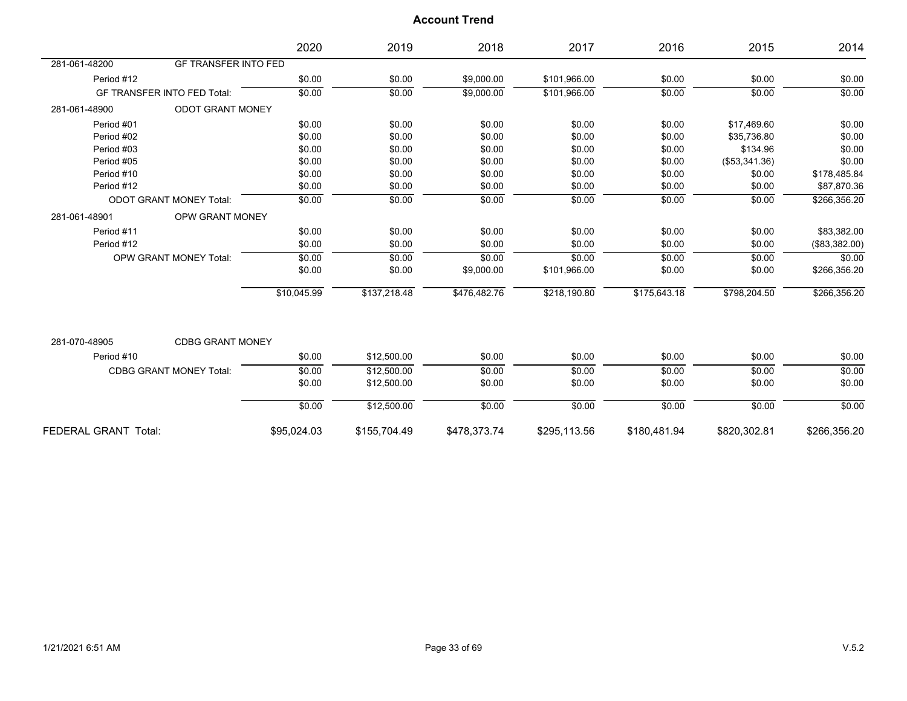|                             |                                    | 2020        | 2019         | 2018         | 2017         | 2016         | 2015           | 2014          |
|-----------------------------|------------------------------------|-------------|--------------|--------------|--------------|--------------|----------------|---------------|
| 281-061-48200               | <b>GF TRANSFER INTO FED</b>        |             |              |              |              |              |                |               |
| Period #12                  |                                    | \$0.00      | \$0.00       | \$9,000.00   | \$101,966.00 | \$0.00       | \$0.00         | \$0.00        |
|                             | <b>GF TRANSFER INTO FED Total:</b> | \$0.00      | \$0.00       | \$9,000.00   | \$101,966.00 | \$0.00       | \$0.00         | \$0.00        |
| 281-061-48900               | <b>ODOT GRANT MONEY</b>            |             |              |              |              |              |                |               |
| Period #01                  |                                    | \$0.00      | \$0.00       | \$0.00       | \$0.00       | \$0.00       | \$17,469.60    | \$0.00        |
| Period #02                  |                                    | \$0.00      | \$0.00       | \$0.00       | \$0.00       | \$0.00       | \$35,736.80    | \$0.00        |
| Period #03                  |                                    | \$0.00      | \$0.00       | \$0.00       | \$0.00       | \$0.00       | \$134.96       | \$0.00        |
| Period #05                  |                                    | \$0.00      | \$0.00       | \$0.00       | \$0.00       | \$0.00       | (\$53,341.36)  | \$0.00        |
| Period #10                  |                                    | \$0.00      | \$0.00       | \$0.00       | \$0.00       | \$0.00       | \$0.00         | \$178,485.84  |
| Period #12                  |                                    | \$0.00      | \$0.00       | \$0.00       | \$0.00       | \$0.00       | \$0.00         | \$87,870.36   |
|                             | <b>ODOT GRANT MONEY Total:</b>     | \$0.00      | \$0.00       | \$0.00       | \$0.00       | \$0.00       | \$0.00         | \$266,356.20  |
| 281-061-48901               | <b>OPW GRANT MONEY</b>             |             |              |              |              |              |                |               |
| Period #11                  |                                    | \$0.00      | \$0.00       | \$0.00       | \$0.00       | \$0.00       | \$0.00         | \$83,382.00   |
| Period #12                  |                                    | \$0.00      | \$0.00       | \$0.00       | \$0.00       | \$0.00       | \$0.00         | (\$83,382.00) |
|                             | <b>OPW GRANT MONEY Total:</b>      | \$0.00      | \$0.00       | \$0.00       | \$0.00       | \$0.00       | \$0.00         | \$0.00        |
|                             |                                    | \$0.00      | \$0.00       | \$9,000.00   | \$101,966.00 | \$0.00       | \$0.00         | \$266,356.20  |
|                             |                                    | \$10,045.99 | \$137,218.48 | \$476,482.76 | \$218,190.80 | \$175,643.18 | \$798,204.50   | \$266,356.20  |
|                             |                                    |             |              |              |              |              |                |               |
| 281-070-48905               | <b>CDBG GRANT MONEY</b>            |             |              |              |              |              |                |               |
| Period #10                  |                                    | \$0.00      | \$12,500.00  | \$0.00       | \$0.00       | \$0.00       | \$0.00         | \$0.00        |
|                             | <b>CDBG GRANT MONEY Total:</b>     | \$0.00      | \$12,500.00  | \$0.00       | \$0.00       | \$0.00       | $\frac{1}{00}$ | \$0.00        |
|                             |                                    | \$0.00      | \$12,500.00  | \$0.00       | \$0.00       | \$0.00       | \$0.00         | \$0.00        |
|                             |                                    | \$0.00      | \$12,500.00  | \$0.00       | \$0.00       | \$0.00       | \$0.00         | \$0.00        |
| <b>FEDERAL GRANT Total:</b> |                                    | \$95,024.03 | \$155,704.49 | \$478,373.74 | \$295,113.56 | \$180,481.94 | \$820,302.81   | \$266,356.20  |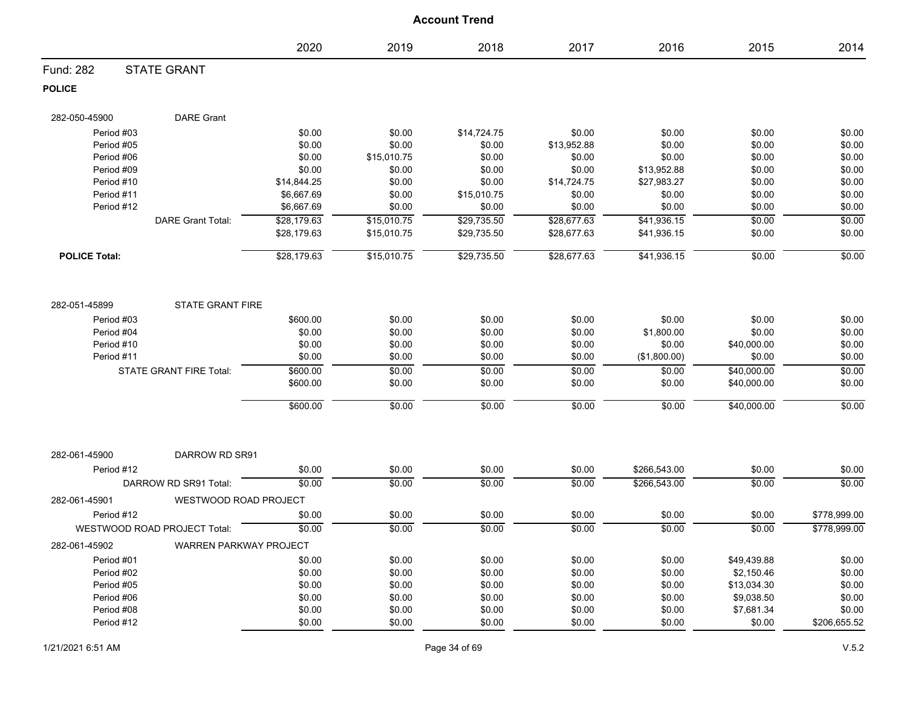|                      |                                |                            |                            | <b>Account Trend</b>       |                            |                              |                  |                  |
|----------------------|--------------------------------|----------------------------|----------------------------|----------------------------|----------------------------|------------------------------|------------------|------------------|
|                      |                                | 2020                       | 2019                       | 2018                       | 2017                       | 2016                         | 2015             | 2014             |
| Fund: 282            | <b>STATE GRANT</b>             |                            |                            |                            |                            |                              |                  |                  |
| <b>POLICE</b>        |                                |                            |                            |                            |                            |                              |                  |                  |
| 282-050-45900        | <b>DARE Grant</b>              |                            |                            |                            |                            |                              |                  |                  |
| Period #03           |                                | \$0.00                     | \$0.00                     | \$14,724.75                | \$0.00                     | \$0.00                       | \$0.00           | \$0.00           |
| Period #05           |                                | \$0.00                     | \$0.00                     | \$0.00                     | \$13,952.88                | \$0.00                       | \$0.00           | \$0.00           |
| Period #06           |                                | \$0.00                     | \$15,010.75                | \$0.00                     | \$0.00                     | \$0.00                       | \$0.00           | \$0.00           |
| Period #09           |                                | \$0.00                     | \$0.00                     | \$0.00                     | \$0.00                     | \$13,952.88                  | \$0.00           | \$0.00           |
| Period #10           |                                | \$14,844.25                | \$0.00                     | \$0.00                     | \$14,724.75                | \$27,983.27                  | \$0.00           | \$0.00           |
| Period #11           |                                | \$6,667.69                 | \$0.00                     | \$15,010.75                | \$0.00                     | \$0.00                       | \$0.00           | \$0.00           |
| Period #12           |                                | \$6,667.69                 | \$0.00                     | \$0.00                     | \$0.00                     | \$0.00                       | \$0.00           | \$0.00           |
|                      | <b>DARE Grant Total:</b>       | \$28,179.63<br>\$28,179.63 | \$15,010.75<br>\$15,010.75 | \$29,735.50<br>\$29,735.50 | \$28,677.63<br>\$28,677.63 | \$41,936.15<br>\$41,936.15   | \$0.00<br>\$0.00 | \$0.00<br>\$0.00 |
| <b>POLICE Total:</b> |                                | \$28,179.63                | \$15,010.75                | \$29,735.50                | \$28,677.63                | \$41,936.15                  | \$0.00           | \$0.00           |
| 282-051-45899        | <b>STATE GRANT FIRE</b>        |                            |                            |                            |                            |                              |                  |                  |
| Period #03           |                                | \$600.00                   | \$0.00                     | \$0.00                     | \$0.00                     | \$0.00                       | \$0.00           | \$0.00           |
| Period #04           |                                | \$0.00                     | \$0.00                     | \$0.00                     | \$0.00                     | \$1,800.00                   | \$0.00           | \$0.00           |
| Period #10           |                                | \$0.00                     | \$0.00                     | \$0.00                     | \$0.00                     | \$0.00                       | \$40,000.00      | \$0.00           |
| Period #11           |                                | \$0.00                     | \$0.00                     | \$0.00                     | \$0.00                     | (\$1,800.00)                 | \$0.00           | \$0.00           |
|                      | <b>STATE GRANT FIRE Total:</b> | \$600.00                   | \$0.00                     | \$0.00                     | \$0.00                     | \$0.00                       | \$40,000.00      | \$0.00           |
|                      |                                | \$600.00                   | \$0.00                     | \$0.00                     | \$0.00                     | \$0.00                       | \$40,000.00      | \$0.00           |
|                      |                                | \$600.00                   | \$0.00                     | \$0.00                     | \$0.00                     | \$0.00                       | \$40,000.00      | \$0.00           |
| 282-061-45900        | DARROW RD SR91                 |                            |                            |                            |                            |                              |                  |                  |
|                      |                                |                            |                            |                            |                            |                              |                  |                  |
| Period #12           | DARROW RD SR91 Total:          | \$0.00<br>\$0.00           | \$0.00<br>\$0.00           | \$0.00<br>\$0.00           | \$0.00<br>\$0.00           | \$266,543.00<br>\$266,543.00 | \$0.00<br>\$0.00 | \$0.00<br>\$0.00 |
| 282-061-45901        | WESTWOOD ROAD PROJECT          |                            |                            |                            |                            |                              |                  |                  |
| Period #12           |                                | \$0.00                     | \$0.00                     | \$0.00                     | \$0.00                     | \$0.00                       | \$0.00           | \$778,999.00     |
|                      | WESTWOOD ROAD PROJECT Total:   | \$0.00                     | \$0.00                     | \$0.00                     | \$0.00                     | \$0.00                       | \$0.00           | \$778,999.00     |
| 282-061-45902        | <b>WARREN PARKWAY PROJECT</b>  |                            |                            |                            |                            |                              |                  |                  |
| Period #01           |                                | \$0.00                     | \$0.00                     | \$0.00                     | \$0.00                     | \$0.00                       | \$49,439.88      | \$0.00           |
| Period #02           |                                | \$0.00                     | \$0.00                     | \$0.00                     | \$0.00                     | \$0.00                       | \$2,150.46       | \$0.00           |
| Period #05           |                                | \$0.00                     | \$0.00                     | \$0.00                     | \$0.00                     | \$0.00                       | \$13,034.30      | \$0.00           |
| Period #06           |                                | \$0.00                     | \$0.00                     | \$0.00                     | \$0.00                     | \$0.00                       | \$9,038.50       | \$0.00           |
| Period #08           |                                | \$0.00                     | \$0.00                     | \$0.00                     | \$0.00                     | \$0.00                       | \$7,681.34       | \$0.00           |
| Period #12           |                                | \$0.00                     | \$0.00                     | \$0.00                     | \$0.00                     | \$0.00                       | \$0.00           | \$206,655.52     |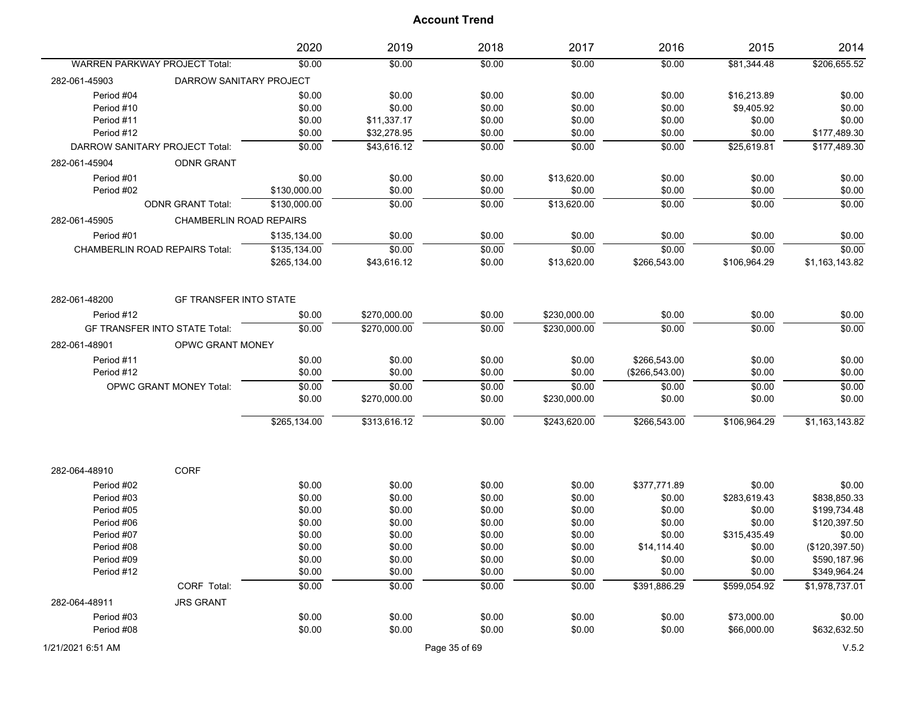|                                      |                                       | 2020         | 2019         | 2018   | 2017         | 2016             | 2015         | 2014            |
|--------------------------------------|---------------------------------------|--------------|--------------|--------|--------------|------------------|--------------|-----------------|
| <b>WARREN PARKWAY PROJECT Total:</b> |                                       | \$0.00       | \$0.00       | \$0.00 | \$0.00       | \$0.00           | \$81,344.48  | \$206,655.52    |
| 282-061-45903                        | DARROW SANITARY PROJECT               |              |              |        |              |                  |              |                 |
| Period #04                           |                                       | \$0.00       | \$0.00       | \$0.00 | \$0.00       | \$0.00           | \$16,213.89  | \$0.00          |
| Period #10                           |                                       | \$0.00       | \$0.00       | \$0.00 | \$0.00       | \$0.00           | \$9,405.92   | \$0.00          |
| Period #11                           |                                       | \$0.00       | \$11,337.17  | \$0.00 | \$0.00       | \$0.00           | \$0.00       | \$0.00          |
| Period #12                           |                                       | \$0.00       | \$32,278.95  | \$0.00 | \$0.00       | \$0.00           | \$0.00       | \$177,489.30    |
| DARROW SANITARY PROJECT Total:       |                                       | \$0.00       | \$43,616.12  | \$0.00 | \$0.00       | \$0.00           | \$25,619.81  | \$177,489.30    |
| 282-061-45904                        | <b>ODNR GRANT</b>                     |              |              |        |              |                  |              |                 |
| Period #01                           |                                       | \$0.00       | \$0.00       | \$0.00 | \$13,620.00  | \$0.00           | \$0.00       | \$0.00          |
| Period #02                           |                                       | \$130,000.00 | \$0.00       | \$0.00 | \$0.00       | \$0.00           | \$0.00       | \$0.00          |
|                                      | <b>ODNR GRANT Total:</b>              | \$130,000.00 | \$0.00       | \$0.00 | \$13,620.00  | \$0.00           | \$0.00       | \$0.00          |
| 282-061-45905                        | <b>CHAMBERLIN ROAD REPAIRS</b>        |              |              |        |              |                  |              |                 |
| Period #01                           |                                       | \$135,134.00 | \$0.00       | \$0.00 | \$0.00       | \$0.00           | \$0.00       | \$0.00          |
|                                      | <b>CHAMBERLIN ROAD REPAIRS Total:</b> | \$135,134.00 | \$0.00       | \$0.00 | \$0.00       | \$0.00           | \$0.00       | \$0.00          |
|                                      |                                       | \$265,134.00 | \$43,616.12  | \$0.00 | \$13,620.00  | \$266,543.00     | \$106,964.29 | \$1,163,143.82  |
| 282-061-48200                        | <b>GF TRANSFER INTO STATE</b>         |              |              |        |              |                  |              |                 |
| Period #12                           |                                       | \$0.00       | \$270,000.00 | \$0.00 | \$230,000.00 | \$0.00           | \$0.00       | \$0.00          |
|                                      | <b>GF TRANSFER INTO STATE Total:</b>  | \$0.00       | \$270,000.00 | \$0.00 | \$230,000.00 | \$0.00           | \$0.00       | \$0.00          |
| 282-061-48901                        | OPWC GRANT MONEY                      |              |              |        |              |                  |              |                 |
| Period #11                           |                                       | \$0.00       | \$0.00       | \$0.00 | \$0.00       | \$266,543.00     | \$0.00       | \$0.00          |
| Period #12                           |                                       | \$0.00       | \$0.00       | \$0.00 | \$0.00       | $(\$266,543.00)$ | \$0.00       | \$0.00          |
|                                      | OPWC GRANT MONEY Total:               | \$0.00       | \$0.00       | \$0.00 | \$0.00       | \$0.00           | \$0.00       | \$0.00          |
|                                      |                                       | \$0.00       | \$270,000.00 | \$0.00 | \$230,000.00 | \$0.00           | \$0.00       | \$0.00          |
|                                      |                                       |              |              |        |              |                  |              |                 |
|                                      |                                       | \$265,134.00 | \$313,616.12 | \$0.00 | \$243,620.00 | \$266,543.00     | \$106,964.29 | \$1,163,143.82  |
|                                      |                                       |              |              |        |              |                  |              |                 |
| 282-064-48910                        | CORF                                  |              |              |        |              |                  |              |                 |
| Period #02                           |                                       | \$0.00       | \$0.00       | \$0.00 | \$0.00       | \$377,771.89     | \$0.00       | \$0.00          |
| Period #03                           |                                       | \$0.00       | \$0.00       | \$0.00 | \$0.00       | \$0.00           | \$283,619.43 | \$838,850.33    |
| Period #05                           |                                       | \$0.00       | \$0.00       | \$0.00 | \$0.00       | \$0.00           | \$0.00       | \$199,734.48    |
| Period #06                           |                                       | \$0.00       | \$0.00       | \$0.00 | \$0.00       | \$0.00           | \$0.00       | \$120,397.50    |
| Period #07                           |                                       | \$0.00       | \$0.00       | \$0.00 | \$0.00       | \$0.00           | \$315,435.49 | \$0.00          |
| Period #08                           |                                       | \$0.00       | \$0.00       | \$0.00 | \$0.00       | \$14,114.40      | \$0.00       | (\$120, 397.50) |
| Period #09                           |                                       | \$0.00       | \$0.00       | \$0.00 | \$0.00       | \$0.00           | \$0.00       | \$590,187.96    |
| Period #12                           |                                       | \$0.00       | \$0.00       | \$0.00 | \$0.00       | \$0.00           | \$0.00       | \$349,964.24    |
|                                      | CORF Total:                           | \$0.00       | \$0.00       | \$0.00 | \$0.00       | \$391,886.29     | \$599,054.92 | \$1,978,737.01  |
| 282-064-48911                        | <b>JRS GRANT</b>                      |              |              |        |              |                  |              |                 |
| Period #03                           |                                       | \$0.00       | \$0.00       | \$0.00 | \$0.00       | \$0.00           | \$73,000.00  | \$0.00          |
| Period #08                           |                                       | \$0.00       | \$0.00       | \$0.00 | \$0.00       | \$0.00           | \$66,000.00  | \$632,632.50    |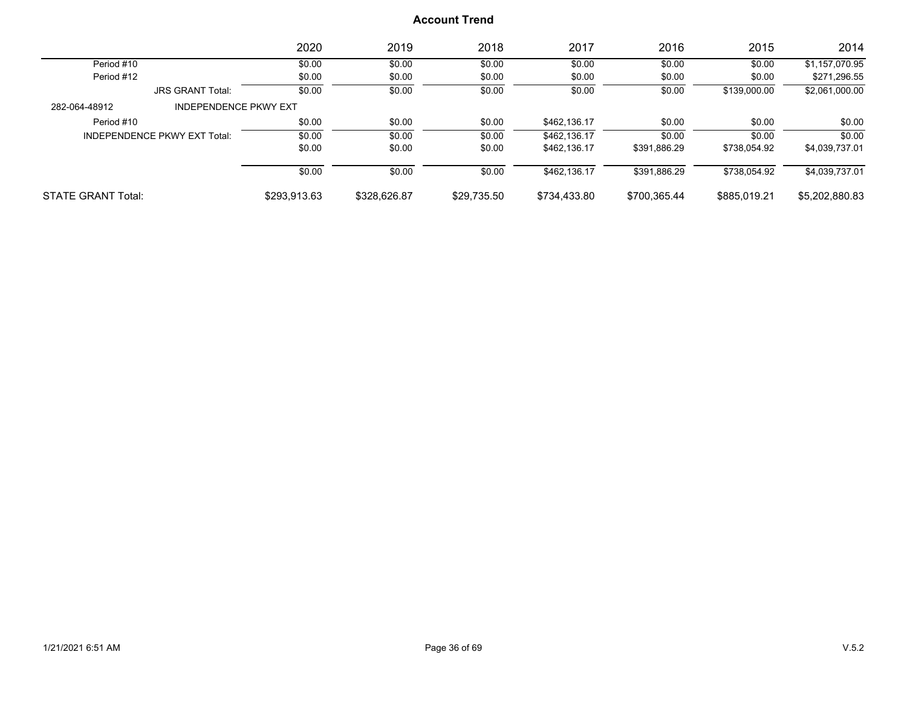|                           |                              | 2020         | 2019         | 2018        | 2017         | 2016         | 2015         | 2014           |
|---------------------------|------------------------------|--------------|--------------|-------------|--------------|--------------|--------------|----------------|
| Period #10                |                              | \$0.00       | \$0.00       | \$0.00      | \$0.00       | \$0.00       | \$0.00       | \$1,157,070.95 |
| Period #12                |                              | \$0.00       | \$0.00       | \$0.00      | \$0.00       | \$0.00       | \$0.00       | \$271,296.55   |
|                           | <b>JRS GRANT Total:</b>      | \$0.00       | \$0.00       | \$0.00      | \$0.00       | \$0.00       | \$139,000.00 | \$2,061,000.00 |
| 282-064-48912             | <b>INDEPENDENCE PKWY EXT</b> |              |              |             |              |              |              |                |
| Period #10                |                              | \$0.00       | \$0.00       | \$0.00      | \$462.136.17 | \$0.00       | \$0.00       | \$0.00         |
|                           | INDEPENDENCE PKWY EXT Total: | \$0.00       | \$0.00       | \$0.00      | \$462.136.17 | \$0.00       | \$0.00       | \$0.00         |
|                           |                              | \$0.00       | \$0.00       | \$0.00      | \$462.136.17 | \$391,886.29 | \$738,054.92 | \$4,039,737.01 |
|                           |                              | \$0.00       | \$0.00       | \$0.00      | \$462.136.17 | \$391.886.29 | \$738.054.92 | \$4,039,737.01 |
| <b>STATE GRANT Total:</b> |                              | \$293,913.63 | \$328,626.87 | \$29,735.50 | \$734,433.80 | \$700,365.44 | \$885,019.21 | \$5,202,880.83 |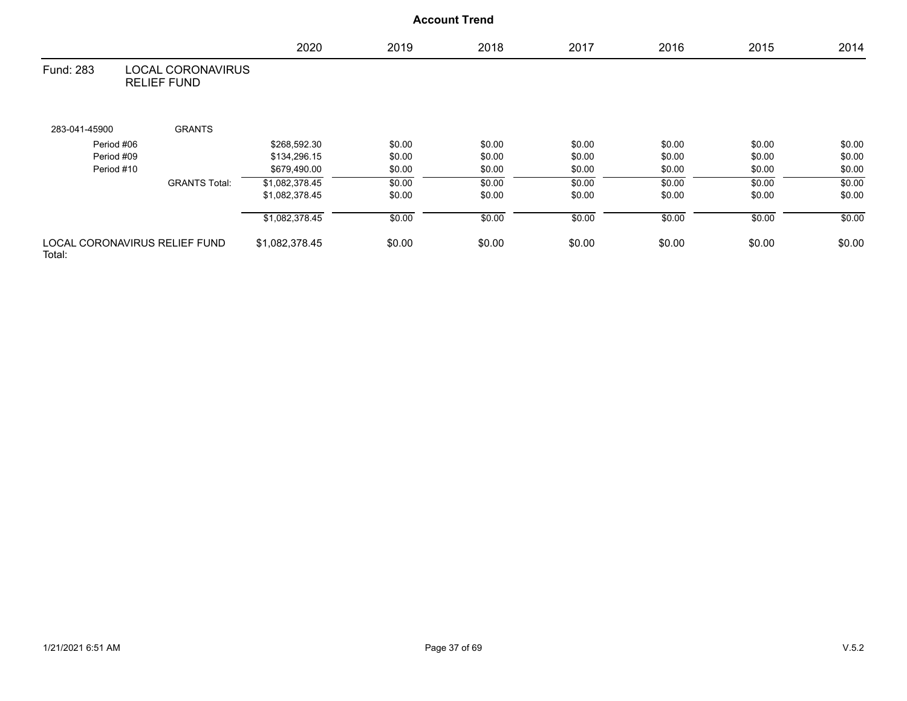## 2020 2019 2018 2017 2016 2015 2014 LOCAL CORONAVIRUS RELIEF FUND Fund: 283 283-041-45900 GRANTS Period #06 \$268,592.30 \$0.00 \$0.00 \$0.00 \$0.00 \$0.00 \$0.00 Period #09 \$134,296.15 \$0.00 \$0.00 \$0.00 \$0.00 \$0.00 \$0.00 \$0.00 Period #10 \$679,490.00 \$0.00 \$0.00 \$0.00 \$0.00 \$0.00 \$0.00 GRANTS Total: \$1,082,378.45 \$0.00 \$0.00 \$0.00 \$0.00 \$0.00 \$0.00 \$0.00 \$0.00 \$0.00 \$1,082,378.45 \$0.00 \$0.00 \$0.00 \$0.00 \$0.00 \$0.00 \$1,082,378.45 \$0.00 \$0.00 \$0.00 \$0.00 \$0.00 \$0.00 LOCAL CORONAVIRUS RELIEF FUND Total:  $$1,082,378.45$   $$0.00$   $$0.00$   $$0.00$   $$0.00$   $$0.00$   $$0.00$   $$0.00$ **Account Trend**

1/21/2021 6:51 AM Page 37 of 69 V.5.2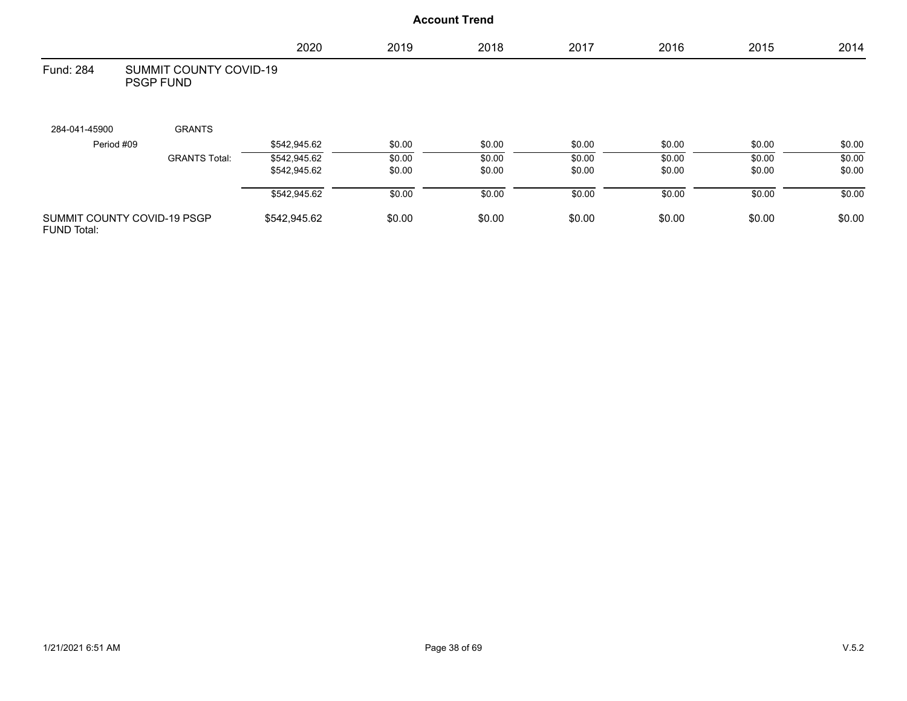|                    |                                            | 2020         | 2019   | 2018   | 2017   | 2016   | 2015   | 2014   |
|--------------------|--------------------------------------------|--------------|--------|--------|--------|--------|--------|--------|
| Fund: 284          | SUMMIT COUNTY COVID-19<br><b>PSGP FUND</b> |              |        |        |        |        |        |        |
| 284-041-45900      | <b>GRANTS</b>                              |              |        |        |        |        |        |        |
| Period #09         |                                            | \$542,945.62 | \$0.00 | \$0.00 | \$0.00 | \$0.00 | \$0.00 | \$0.00 |
|                    | <b>GRANTS Total:</b>                       | \$542,945.62 | \$0.00 | \$0.00 | \$0.00 | \$0.00 | \$0.00 | \$0.00 |
|                    |                                            | \$542,945.62 | \$0.00 | \$0.00 | \$0.00 | \$0.00 | \$0.00 | \$0.00 |
|                    |                                            | \$542,945.62 | \$0.00 | \$0.00 | \$0.00 | \$0.00 | \$0.00 | \$0.00 |
| <b>FUND Total:</b> | SUMMIT COUNTY COVID-19 PSGP                | \$542,945.62 | \$0.00 | \$0.00 | \$0.00 | \$0.00 | \$0.00 | \$0.00 |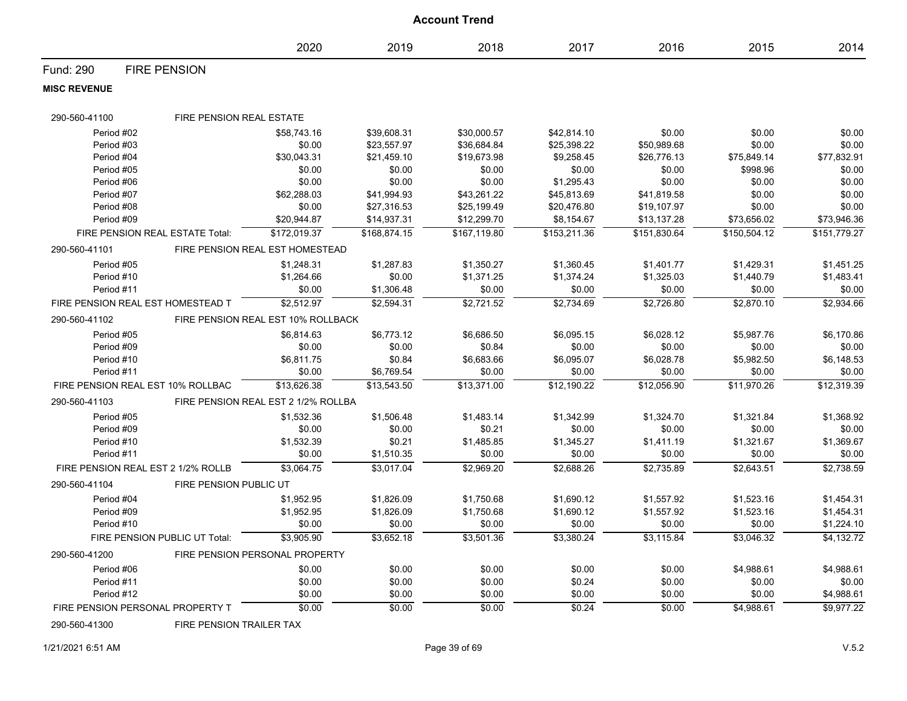|                     |                                    |                                     |              | <b>Account Trend</b> |              |              |              |              |
|---------------------|------------------------------------|-------------------------------------|--------------|----------------------|--------------|--------------|--------------|--------------|
|                     |                                    | 2020                                | 2019         | 2018                 | 2017         | 2016         | 2015         | 2014         |
| Fund: 290           | <b>FIRE PENSION</b>                |                                     |              |                      |              |              |              |              |
| <b>MISC REVENUE</b> |                                    |                                     |              |                      |              |              |              |              |
| 290-560-41100       | FIRE PENSION REAL ESTATE           |                                     |              |                      |              |              |              |              |
| Period #02          |                                    | \$58,743.16                         | \$39,608.31  | \$30,000.57          | \$42,814.10  | \$0.00       | \$0.00       | \$0.00       |
| Period #03          |                                    | \$0.00                              | \$23,557.97  | \$36,684.84          | \$25,398.22  | \$50,989.68  | \$0.00       | \$0.00       |
| Period #04          |                                    | \$30,043.31                         | \$21,459.10  | \$19,673.98          | \$9,258.45   | \$26,776.13  | \$75,849.14  | \$77,832.91  |
| Period #05          |                                    | \$0.00                              | \$0.00       | \$0.00               | \$0.00       | \$0.00       | \$998.96     | \$0.00       |
| Period #06          |                                    | \$0.00                              | \$0.00       | \$0.00               | \$1,295.43   | \$0.00       | \$0.00       | \$0.00       |
| Period #07          |                                    | \$62,288.03                         | \$41,994.93  | \$43,261.22          | \$45,813.69  | \$41,819.58  | \$0.00       | \$0.00       |
| Period #08          |                                    | \$0.00                              | \$27,316.53  | \$25,199.49          | \$20,476.80  | \$19,107.97  | \$0.00       | \$0.00       |
| Period #09          |                                    | \$20,944.87                         | \$14,937.31  | \$12,299.70          | \$8,154.67   | \$13,137.28  | \$73,656.02  | \$73,946.36  |
|                     | FIRE PENSION REAL ESTATE Total:    | \$172,019.37                        | \$168,874.15 | \$167,119.80         | \$153,211.36 | \$151,830.64 | \$150,504.12 | \$151,779.27 |
| 290-560-41101       |                                    | FIRE PENSION REAL EST HOMESTEAD     |              |                      |              |              |              |              |
| Period #05          |                                    | \$1,248.31                          | \$1,287.83   | \$1,350.27           | \$1,360.45   | \$1,401.77   | \$1,429.31   | \$1,451.25   |
| Period #10          |                                    | \$1,264.66                          | \$0.00       | \$1,371.25           | \$1,374.24   | \$1,325.03   | \$1,440.79   | \$1,483.41   |
| Period #11          |                                    | \$0.00                              | \$1,306.48   | \$0.00               | \$0.00       | \$0.00       | \$0.00       | \$0.00       |
|                     | FIRE PENSION REAL EST HOMESTEAD T  | \$2,512.97                          | \$2,594.31   | \$2,721.52           | \$2,734.69   | \$2,726.80   | \$2,870.10   | \$2,934.66   |
| 290-560-41102       |                                    | FIRE PENSION REAL EST 10% ROLLBACK  |              |                      |              |              |              |              |
| Period #05          |                                    | \$6,814.63                          | \$6,773.12   | \$6,686.50           | \$6,095.15   | \$6,028.12   | \$5,987.76   | \$6,170.86   |
| Period #09          |                                    | \$0.00                              | \$0.00       | \$0.84               | \$0.00       | \$0.00       | \$0.00       | \$0.00       |
| Period #10          |                                    | \$6,811.75                          | \$0.84       | \$6,683.66           | \$6,095.07   | \$6,028.78   | \$5,982.50   | \$6,148.53   |
| Period #11          |                                    | \$0.00                              | \$6,769.54   | \$0.00               | \$0.00       | \$0.00       | \$0.00       | \$0.00       |
|                     | FIRE PENSION REAL EST 10% ROLLBAC  | \$13,626.38                         | \$13,543.50  | \$13,371.00          | \$12,190.22  | \$12,056.90  | \$11,970.26  | \$12,319.39  |
| 290-560-41103       |                                    | FIRE PENSION REAL EST 2 1/2% ROLLBA |              |                      |              |              |              |              |
| Period #05          |                                    | \$1,532.36                          | \$1,506.48   | \$1,483.14           | \$1,342.99   | \$1,324.70   | \$1,321.84   | \$1,368.92   |
| Period #09          |                                    | \$0.00                              | \$0.00       | \$0.21               | \$0.00       | \$0.00       | \$0.00       | \$0.00       |
| Period #10          |                                    | \$1,532.39                          | \$0.21       | \$1,485.85           | \$1,345.27   | \$1,411.19   | \$1,321.67   | \$1,369.67   |
| Period #11          |                                    | \$0.00                              | \$1,510.35   | \$0.00               | \$0.00       | \$0.00       | \$0.00       | \$0.00       |
|                     | FIRE PENSION REAL EST 2 1/2% ROLLB | \$3,064.75                          | \$3,017.04   | \$2,969.20           | \$2,688.26   | \$2,735.89   | \$2,643.51   | \$2,738.59   |
| 290-560-41104       | FIRE PENSION PUBLIC UT             |                                     |              |                      |              |              |              |              |
| Period #04          |                                    | \$1,952.95                          | \$1,826.09   | \$1,750.68           | \$1,690.12   | \$1,557.92   | \$1,523.16   | \$1,454.31   |
| Period #09          |                                    | \$1,952.95                          | \$1,826.09   | \$1,750.68           | \$1.690.12   | \$1,557.92   | \$1,523.16   | \$1,454.31   |
| Period #10          |                                    | \$0.00                              | \$0.00       | \$0.00               | \$0.00       | \$0.00       | \$0.00       | \$1,224.10   |
|                     | FIRE PENSION PUBLIC UT Total:      | \$3,905.90                          | \$3,652.18   | \$3,501.36           | \$3,380.24   | \$3,115.84   | \$3,046.32   | \$4,132.72   |
| 290-560-41200       |                                    | FIRE PENSION PERSONAL PROPERTY      |              |                      |              |              |              |              |
| Period #06          |                                    | \$0.00                              | \$0.00       | \$0.00               | \$0.00       | \$0.00       | \$4,988.61   | \$4,988.61   |
| Period #11          |                                    | \$0.00                              | \$0.00       | \$0.00               | \$0.24       | \$0.00       | \$0.00       | \$0.00       |
| Period #12          |                                    | \$0.00                              | \$0.00       | \$0.00               | \$0.00       | \$0.00       | \$0.00       | \$4,988.61   |
|                     | FIRE PENSION PERSONAL PROPERTY T   | \$0.00                              | \$0.00       | \$0.00               | \$0.24       | \$0.00       | \$4,988.61   | \$9,977.22   |

290-560-41300 FIRE PENSION TRAILER TAX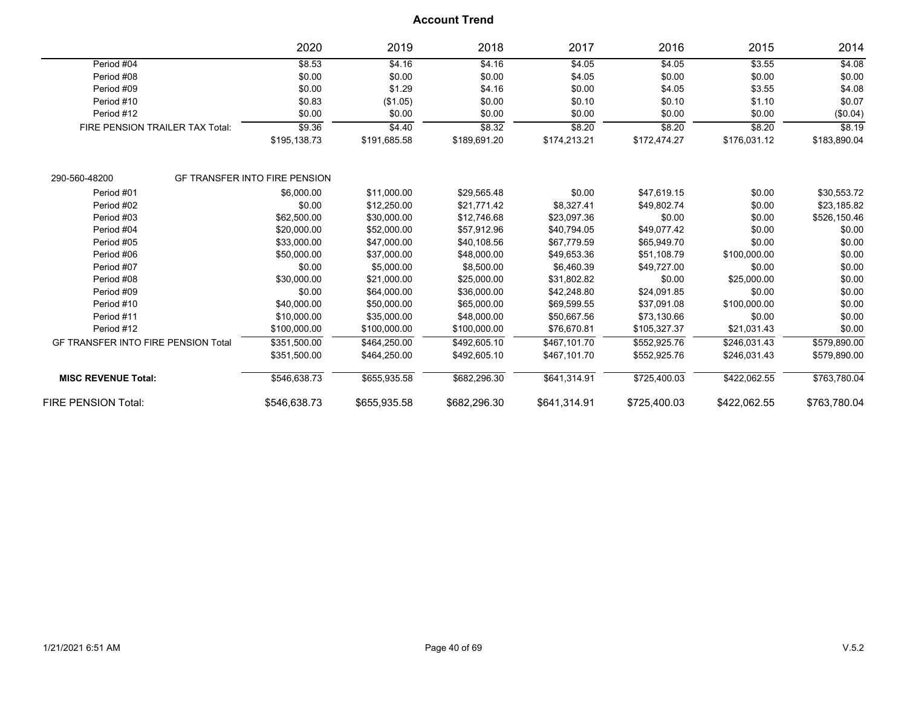|                                            |                                 | 2020                                 | 2019         | 2018         | 2017         | 2016         | 2015         | 2014         |
|--------------------------------------------|---------------------------------|--------------------------------------|--------------|--------------|--------------|--------------|--------------|--------------|
| Period #04                                 |                                 | \$8.53                               | \$4.16       | \$4.16       | \$4.05       | \$4.05       | \$3.55       | \$4.08       |
| Period #08                                 |                                 | \$0.00                               | \$0.00       | \$0.00       | \$4.05       | \$0.00       | \$0.00       | \$0.00       |
| Period #09                                 |                                 | \$0.00                               | \$1.29       | \$4.16       | \$0.00       | \$4.05       | \$3.55       | \$4.08       |
| Period #10                                 |                                 | \$0.83                               | (\$1.05)     | \$0.00       | \$0.10       | \$0.10       | \$1.10       | \$0.07       |
| Period #12                                 |                                 | \$0.00                               | \$0.00       | \$0.00       | \$0.00       | \$0.00       | \$0.00       | (\$0.04)     |
|                                            | FIRE PENSION TRAILER TAX Total: | \$9.36                               | \$4.40       | \$8.32       | \$8.20       | \$8.20       | \$8.20       | \$8.19       |
|                                            |                                 | \$195,138.73                         | \$191,685.58 | \$189,691.20 | \$174,213.21 | \$172,474.27 | \$176,031.12 | \$183,890.04 |
| 290-560-48200                              |                                 | <b>GF TRANSFER INTO FIRE PENSION</b> |              |              |              |              |              |              |
| Period #01                                 |                                 | \$6,000.00                           | \$11,000.00  | \$29,565.48  | \$0.00       | \$47,619.15  | \$0.00       | \$30,553.72  |
| Period #02                                 |                                 | \$0.00                               | \$12,250.00  | \$21,771.42  | \$8,327.41   | \$49,802.74  | \$0.00       | \$23,185.82  |
| Period #03                                 |                                 | \$62,500.00                          | \$30,000.00  | \$12,746.68  | \$23,097.36  | \$0.00       | \$0.00       | \$526,150.46 |
| Period #04                                 |                                 | \$20,000.00                          | \$52,000.00  | \$57,912.96  | \$40,794.05  | \$49,077.42  | \$0.00       | \$0.00       |
| Period #05                                 |                                 | \$33,000.00                          | \$47,000.00  | \$40,108.56  | \$67,779.59  | \$65,949.70  | \$0.00       | \$0.00       |
| Period #06                                 |                                 | \$50,000.00                          | \$37,000.00  | \$48,000.00  | \$49,653.36  | \$51,108.79  | \$100,000.00 | \$0.00       |
| Period #07                                 |                                 | \$0.00                               | \$5,000.00   | \$8,500.00   | \$6,460.39   | \$49,727.00  | \$0.00       | \$0.00       |
| Period #08                                 |                                 | \$30,000.00                          | \$21,000.00  | \$25,000.00  | \$31,802.82  | \$0.00       | \$25,000.00  | \$0.00       |
| Period #09                                 |                                 | \$0.00                               | \$64,000.00  | \$36,000.00  | \$42,248.80  | \$24,091.85  | \$0.00       | \$0.00       |
| Period #10                                 |                                 | \$40,000.00                          | \$50,000.00  | \$65,000.00  | \$69,599.55  | \$37,091.08  | \$100,000.00 | \$0.00       |
| Period #11                                 |                                 | \$10,000.00                          | \$35,000.00  | \$48,000.00  | \$50,667.56  | \$73,130.66  | \$0.00       | \$0.00       |
| Period #12                                 |                                 | \$100,000.00                         | \$100,000.00 | \$100,000.00 | \$76,670.81  | \$105,327.37 | \$21,031.43  | \$0.00       |
| <b>GF TRANSFER INTO FIRE PENSION Total</b> |                                 | \$351,500.00                         | \$464,250.00 | \$492.605.10 | \$467.101.70 | \$552,925.76 | \$246,031.43 | \$579,890.00 |
|                                            |                                 | \$351,500.00                         | \$464,250.00 | \$492,605.10 | \$467.101.70 | \$552,925.76 | \$246,031.43 | \$579,890.00 |
| <b>MISC REVENUE Total:</b>                 |                                 | \$546,638.73                         | \$655,935.58 | \$682,296.30 | \$641,314.91 | \$725,400.03 | \$422,062.55 | \$763,780.04 |
| <b>FIRE PENSION Total:</b>                 |                                 | \$546,638.73                         | \$655,935.58 | \$682,296.30 | \$641,314.91 | \$725,400.03 | \$422,062.55 | \$763,780.04 |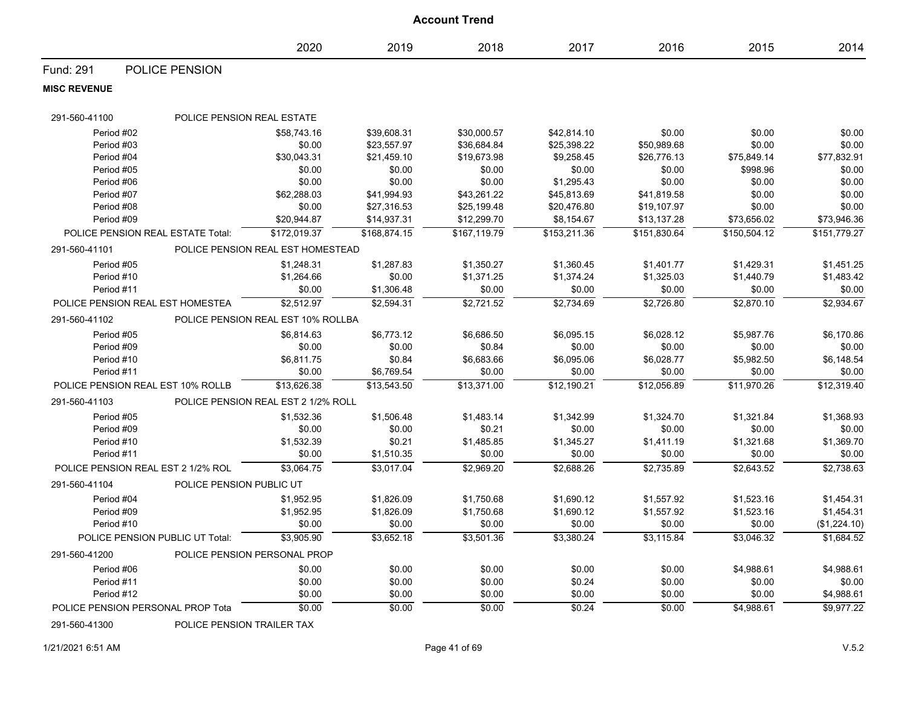|                     |                                    |                                                   |              | <b>Account Trend</b> |              |              |              |                   |
|---------------------|------------------------------------|---------------------------------------------------|--------------|----------------------|--------------|--------------|--------------|-------------------|
|                     |                                    | 2020                                              | 2019         | 2018                 | 2017         | 2016         | 2015         | 2014              |
| Fund: 291           | POLICE PENSION                     |                                                   |              |                      |              |              |              |                   |
| <b>MISC REVENUE</b> |                                    |                                                   |              |                      |              |              |              |                   |
| 291-560-41100       | POLICE PENSION REAL ESTATE         |                                                   |              |                      |              |              |              |                   |
| Period #02          |                                    | \$58,743.16                                       | \$39,608.31  | \$30,000.57          | \$42,814.10  | \$0.00       | \$0.00       | \$0.00            |
| Period #03          |                                    | \$0.00                                            | \$23,557.97  | \$36,684.84          | \$25,398.22  | \$50,989.68  | \$0.00       | \$0.00            |
| Period #04          |                                    | \$30,043.31                                       | \$21,459.10  | \$19,673.98          | \$9,258.45   | \$26,776.13  | \$75,849.14  | \$77,832.91       |
| Period #05          |                                    | \$0.00                                            | \$0.00       | \$0.00               | \$0.00       | \$0.00       | \$998.96     | \$0.00            |
| Period #06          |                                    | \$0.00                                            | \$0.00       | \$0.00               | \$1,295.43   | \$0.00       | \$0.00       | \$0.00            |
| Period #07          |                                    | \$62,288.03                                       | \$41,994.93  | \$43,261.22          | \$45,813.69  | \$41,819.58  | \$0.00       | \$0.00            |
| Period #08          |                                    | \$0.00                                            | \$27,316.53  | \$25,199.48          | \$20,476.80  | \$19,107.97  | \$0.00       | \$0.00            |
| Period #09          |                                    | \$20,944.87                                       | \$14,937.31  | \$12,299.70          | \$8,154.67   | \$13,137.28  | \$73,656.02  | \$73,946.36       |
| 291-560-41101       | POLICE PENSION REAL ESTATE Total:  | \$172,019.37<br>POLICE PENSION REAL EST HOMESTEAD | \$168,874.15 | \$167,119.79         | \$153,211.36 | \$151,830.64 | \$150,504.12 | \$151,779.27      |
| Period #05          |                                    | \$1,248.31                                        | \$1,287.83   | \$1,350.27           | \$1,360.45   | \$1,401.77   | \$1,429.31   | \$1,451.25        |
| Period #10          |                                    | \$1,264.66                                        | \$0.00       | \$1,371.25           | \$1,374.24   | \$1,325.03   | \$1,440.79   | \$1,483.42        |
| Period #11          |                                    | \$0.00                                            | \$1,306.48   | \$0.00               | \$0.00       | \$0.00       | \$0.00       | \$0.00            |
|                     | POLICE PENSION REAL EST HOMESTEA   | \$2,512.97                                        | \$2,594.31   | \$2,721.52           | \$2,734.69   | \$2,726.80   | \$2,870.10   | $\sqrt{2,934.67}$ |
| 291-560-41102       |                                    | POLICE PENSION REAL EST 10% ROLLBA                |              |                      |              |              |              |                   |
| Period #05          |                                    | \$6,814.63                                        | \$6,773.12   | \$6,686.50           | \$6,095.15   | \$6,028.12   | \$5,987.76   | \$6,170.86        |
| Period #09          |                                    | \$0.00                                            | \$0.00       | \$0.84               | \$0.00       | \$0.00       | \$0.00       | \$0.00            |
| Period #10          |                                    | \$6,811.75                                        | \$0.84       | \$6,683.66           | \$6,095.06   | \$6,028.77   | \$5,982.50   | \$6,148.54        |
| Period #11          |                                    | \$0.00                                            | \$6,769.54   | \$0.00               | \$0.00       | \$0.00       | \$0.00       | \$0.00            |
|                     | POLICE PENSION REAL EST 10% ROLLB  | \$13,626.38                                       | \$13,543.50  | \$13,371.00          | \$12,190.21  | \$12,056.89  | \$11,970.26  | \$12,319.40       |
| 291-560-41103       |                                    | POLICE PENSION REAL EST 2 1/2% ROLL               |              |                      |              |              |              |                   |
| Period #05          |                                    | \$1,532.36                                        | \$1,506.48   | \$1,483.14           | \$1,342.99   | \$1,324.70   | \$1,321.84   | \$1,368.93        |
| Period #09          |                                    | \$0.00                                            | \$0.00       | \$0.21               | \$0.00       | \$0.00       | \$0.00       | \$0.00            |
| Period #10          |                                    | \$1,532.39                                        | \$0.21       | \$1,485.85           | \$1,345.27   | \$1,411.19   | \$1,321.68   | \$1,369.70        |
| Period #11          |                                    | \$0.00                                            | \$1,510.35   | \$0.00               | \$0.00       | \$0.00       | \$0.00       | \$0.00            |
|                     | POLICE PENSION REAL EST 2 1/2% ROL | \$3,064.75                                        | \$3,017.04   | \$2,969.20           | \$2,688.26   | \$2,735.89   | \$2,643.52   | \$2.738.63        |
| 291-560-41104       | POLICE PENSION PUBLIC UT           |                                                   |              |                      |              |              |              |                   |
| Period #04          |                                    | \$1,952.95                                        | \$1,826.09   | \$1,750.68           | \$1,690.12   | \$1,557.92   | \$1,523.16   | \$1,454.31        |
| Period #09          |                                    | \$1,952.95                                        | \$1,826.09   | \$1,750.68           | \$1.690.12   | \$1,557.92   | \$1,523.16   | \$1,454.31        |
| Period #10          |                                    | \$0.00                                            | \$0.00       | \$0.00               | \$0.00       | \$0.00       | \$0.00       | (\$1,224.10)      |
|                     | POLICE PENSION PUBLIC UT Total:    | \$3,905.90                                        | \$3,652.18   | \$3,501.36           | \$3,380.24   | \$3,115.84   | \$3,046.32   | \$1,684.52        |
| 291-560-41200       |                                    | POLICE PENSION PERSONAL PROP                      |              |                      |              |              |              |                   |
| Period #06          |                                    | \$0.00                                            | \$0.00       | \$0.00               | \$0.00       | \$0.00       | \$4,988.61   | \$4,988.61        |
| Period #11          |                                    | \$0.00                                            | \$0.00       | \$0.00               | \$0.24       | \$0.00       | \$0.00       | \$0.00            |
| Period #12          |                                    | \$0.00                                            | \$0.00       | \$0.00               | \$0.00       | \$0.00       | \$0.00       | \$4,988.61        |
|                     | POLICE PENSION PERSONAL PROP Tota  | \$0.00                                            | \$0.00       | \$0.00               | \$0.24       | \$0.00       | \$4,988.61   | \$9,977.22        |

291-560-41300 POLICE PENSION TRAILER TAX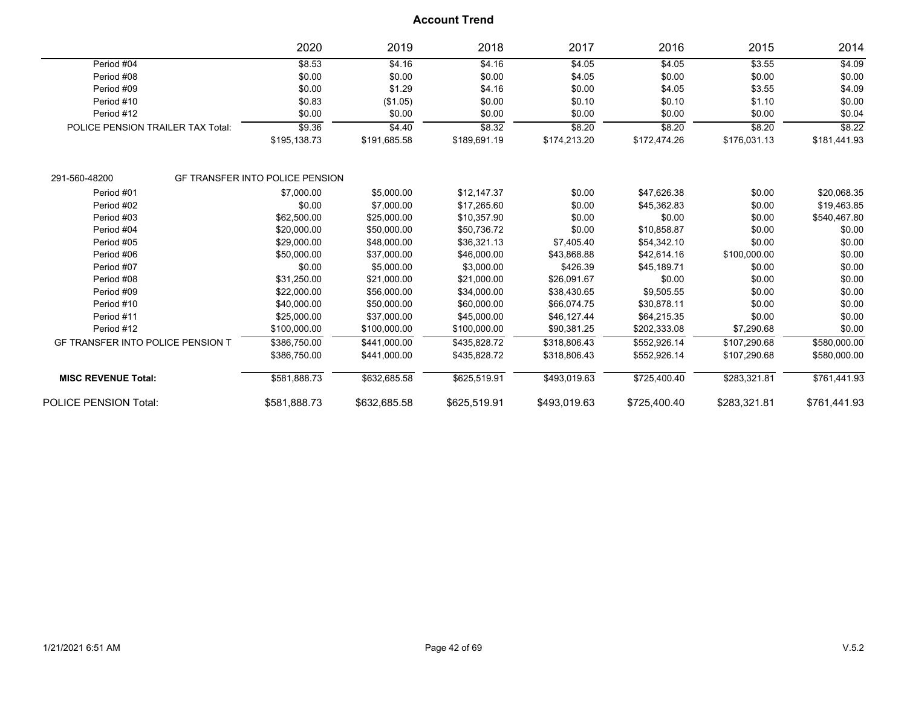|                                          |                                             | 2020                                   | 2019         | 2018         | 2017         | 2016         | 2015         | 2014         |
|------------------------------------------|---------------------------------------------|----------------------------------------|--------------|--------------|--------------|--------------|--------------|--------------|
| Period #04                               |                                             | \$8.53                                 | \$4.16       | \$4.16       | \$4.05       | \$4.05       | \$3.55       | \$4.09       |
| Period #08                               |                                             | \$0.00                                 | \$0.00       | \$0.00       | \$4.05       | \$0.00       | \$0.00       | \$0.00       |
| Period #09                               |                                             | \$0.00                                 | \$1.29       | \$4.16       | \$0.00       | \$4.05       | \$3.55       | \$4.09       |
| Period #10                               |                                             | \$0.83                                 | (\$1.05)     | \$0.00       | \$0.10       | \$0.10       | \$1.10       | \$0.00       |
| Period #12                               |                                             | \$0.00                                 | \$0.00       | \$0.00       | \$0.00       | \$0.00       | \$0.00       | \$0.04       |
|                                          | \$9.36<br>POLICE PENSION TRAILER TAX Total: |                                        | \$4.40       | \$8.32       | \$8.20       | \$8.20       | \$8.20       | \$8.22       |
|                                          |                                             | \$195,138.73                           | \$191,685.58 | \$189,691.19 | \$174,213.20 | \$172,474.26 | \$176,031.13 | \$181,441.93 |
| 291-560-48200                            |                                             | <b>GF TRANSFER INTO POLICE PENSION</b> |              |              |              |              |              |              |
| Period #01                               |                                             | \$7,000.00                             | \$5,000.00   | \$12,147.37  | \$0.00       | \$47,626.38  | \$0.00       | \$20,068.35  |
| Period #02                               |                                             | \$0.00                                 | \$7,000.00   | \$17,265.60  | \$0.00       | \$45,362.83  | \$0.00       | \$19,463.85  |
| Period #03                               |                                             | \$62,500.00                            | \$25,000.00  | \$10,357.90  | \$0.00       | \$0.00       | \$0.00       | \$540,467.80 |
| Period #04                               |                                             | \$20,000.00                            | \$50,000.00  | \$50,736.72  | \$0.00       | \$10,858.87  | \$0.00       | \$0.00       |
| Period #05                               |                                             | \$29,000.00                            | \$48,000.00  | \$36,321.13  | \$7,405.40   | \$54,342.10  | \$0.00       | \$0.00       |
| Period #06                               |                                             | \$50,000.00                            | \$37,000.00  | \$46,000.00  | \$43,868.88  | \$42,614.16  | \$100,000.00 | \$0.00       |
| Period #07                               |                                             | \$0.00                                 | \$5,000.00   | \$3,000.00   | \$426.39     | \$45,189.71  | \$0.00       | \$0.00       |
| Period #08                               |                                             | \$31,250.00                            | \$21,000.00  | \$21,000.00  | \$26,091.67  | \$0.00       | \$0.00       | \$0.00       |
| Period #09                               |                                             | \$22,000.00                            | \$56,000.00  | \$34,000.00  | \$38,430.65  | \$9,505.55   | \$0.00       | \$0.00       |
| Period #10                               |                                             | \$40,000.00                            | \$50,000.00  | \$60,000.00  | \$66,074.75  | \$30,878.11  | \$0.00       | \$0.00       |
| Period #11                               |                                             | \$25,000.00                            | \$37,000.00  | \$45,000.00  | \$46,127.44  | \$64,215.35  | \$0.00       | \$0.00       |
| Period #12                               |                                             | \$100,000.00                           | \$100,000.00 | \$100,000.00 | \$90,381.25  | \$202,333.08 | \$7,290.68   | \$0.00       |
| <b>GF TRANSFER INTO POLICE PENSION T</b> |                                             | \$386,750.00                           | \$441,000.00 | \$435.828.72 | \$318,806.43 | \$552,926.14 | \$107,290.68 | \$580,000.00 |
|                                          |                                             | \$386,750.00                           | \$441,000.00 | \$435,828.72 | \$318,806.43 | \$552,926.14 | \$107,290.68 | \$580,000.00 |
| <b>MISC REVENUE Total:</b>               |                                             | \$581,888.73                           | \$632,685.58 | \$625,519.91 | \$493,019.63 | \$725,400.40 | \$283,321.81 | \$761,441.93 |
| <b>POLICE PENSION Total:</b>             |                                             | \$581,888.73                           | \$632,685.58 | \$625,519.91 | \$493,019.63 | \$725,400.40 | \$283,321.81 | \$761,441.93 |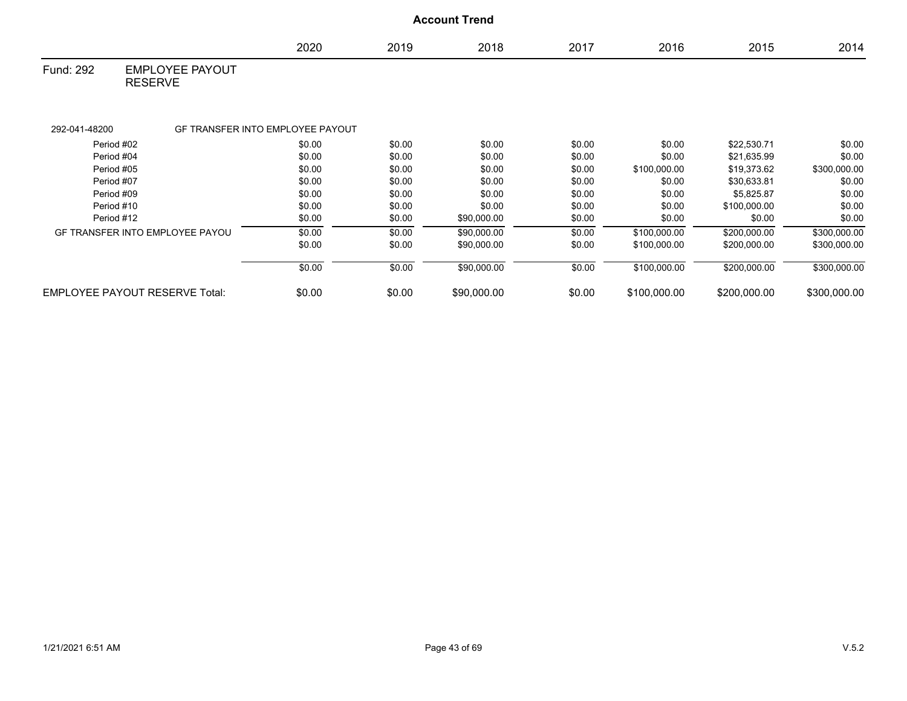|               |                                          |        |        | <b>Account Trend</b> |        |              |              |              |
|---------------|------------------------------------------|--------|--------|----------------------|--------|--------------|--------------|--------------|
|               |                                          | 2020   | 2019   | 2018                 | 2017   | 2016         | 2015         | 2014         |
| Fund: 292     | <b>EMPLOYEE PAYOUT</b><br><b>RESERVE</b> |        |        |                      |        |              |              |              |
| 292-041-48200 | GF TRANSFER INTO EMPLOYEE PAYOUT         |        |        |                      |        |              |              |              |
| Period #02    |                                          | \$0.00 | \$0.00 | \$0.00               | \$0.00 | \$0.00       | \$22,530.71  | \$0.00       |
| Period #04    |                                          | \$0.00 | \$0.00 | \$0.00               | \$0.00 | \$0.00       | \$21,635.99  | \$0.00       |
| Period #05    |                                          | \$0.00 | \$0.00 | \$0.00               | \$0.00 | \$100,000.00 | \$19,373.62  | \$300,000.00 |
| Period #07    |                                          | \$0.00 | \$0.00 | \$0.00               | \$0.00 | \$0.00       | \$30,633.81  | \$0.00       |
| Period #09    |                                          | \$0.00 | \$0.00 | \$0.00               | \$0.00 | \$0.00       | \$5,825.87   | \$0.00       |
| Period #10    |                                          | \$0.00 | \$0.00 | \$0.00               | \$0.00 | \$0.00       | \$100,000.00 | \$0.00       |
| Period #12    |                                          | \$0.00 | \$0.00 | \$90,000.00          | \$0.00 | \$0.00       | \$0.00       | \$0.00       |
|               | <b>GF TRANSFER INTO EMPLOYEE PAYOU</b>   | \$0.00 | \$0.00 | \$90,000.00          | \$0.00 | \$100,000.00 | \$200,000.00 | \$300,000.00 |
|               |                                          | \$0.00 | \$0.00 | \$90,000.00          | \$0.00 | \$100,000.00 | \$200,000.00 | \$300,000.00 |

|                                     | \$0.00 | \$0.00 | 90.000.00   | \$0.00 | \$100.000.00 | \$200.000.00 | 0.000.00<br>\$300 |
|-------------------------------------|--------|--------|-------------|--------|--------------|--------------|-------------------|
| LOYEE PAYOUT RESERVE Total:<br>EMP' | \$0.00 | \$0.00 | \$90,000.00 | \$0.00 | \$100.000.00 | \$200,000.00 | \$300.000.00      |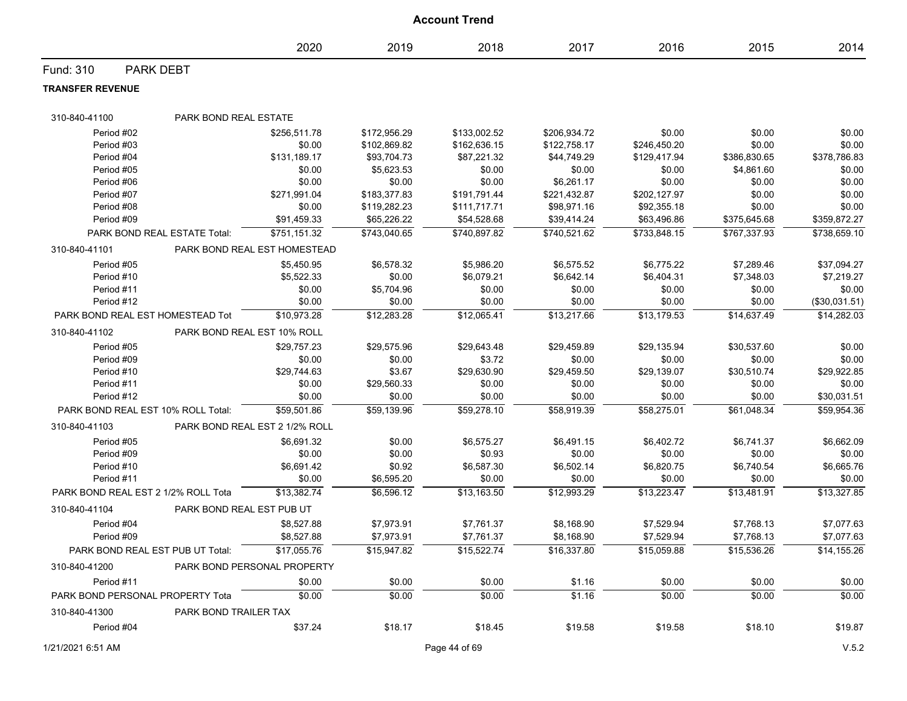|                                     |                              |                                |              | <b>Account Trend</b> |              |              |              |               |
|-------------------------------------|------------------------------|--------------------------------|--------------|----------------------|--------------|--------------|--------------|---------------|
|                                     |                              | 2020                           | 2019         | 2018                 | 2017         | 2016         | 2015         | 2014          |
| Fund: 310                           | <b>PARK DEBT</b>             |                                |              |                      |              |              |              |               |
| <b>TRANSFER REVENUE</b>             |                              |                                |              |                      |              |              |              |               |
| 310-840-41100                       | PARK BOND REAL ESTATE        |                                |              |                      |              |              |              |               |
| Period #02                          |                              | \$256,511.78                   | \$172,956.29 | \$133,002.52         | \$206,934.72 | \$0.00       | \$0.00       | \$0.00        |
| Period #03                          |                              | \$0.00                         | \$102,869.82 | \$162,636.15         | \$122,758.17 | \$246,450.20 | \$0.00       | \$0.00        |
| Period #04                          |                              | \$131,189.17                   | \$93,704.73  | \$87,221.32          | \$44,749.29  | \$129,417.94 | \$386,830.65 | \$378,786.83  |
| Period #05                          |                              | \$0.00                         | \$5,623.53   | \$0.00               | \$0.00       | \$0.00       | \$4,861.60   | \$0.00        |
| Period #06                          |                              | \$0.00                         | \$0.00       | \$0.00               | \$6,261.17   | \$0.00       | \$0.00       | \$0.00        |
| Period #07                          |                              | \$271,991.04                   | \$183,377.83 | \$191,791.44         | \$221,432.87 | \$202,127.97 | \$0.00       | \$0.00        |
| Period #08                          |                              | \$0.00                         | \$119,282.23 | \$111,717.71         | \$98,971.16  | \$92,355.18  | \$0.00       | \$0.00        |
| Period #09                          |                              | \$91,459.33                    | \$65,226.22  | \$54,528.68          | \$39,414.24  | \$63,496.86  | \$375,645.68 | \$359,872.27  |
|                                     | PARK BOND REAL ESTATE Total: | \$751,151.32                   | \$743,040.65 | \$740,897.82         | \$740,521.62 | \$733,848.15 | \$767,337.93 | \$738,659.10  |
| 310-840-41101                       |                              | PARK BOND REAL EST HOMESTEAD   |              |                      |              |              |              |               |
| Period #05                          |                              | \$5,450.95                     | \$6,578.32   | \$5,986.20           | \$6,575.52   | \$6,775.22   | \$7,289.46   | \$37,094.27   |
| Period #10                          |                              | \$5,522.33                     | \$0.00       | \$6,079.21           | \$6,642.14   | \$6,404.31   | \$7,348.03   | \$7,219.27    |
| Period #11                          |                              | \$0.00                         | \$5,704.96   | \$0.00               | \$0.00       | \$0.00       | \$0.00       | \$0.00        |
| Period #12                          |                              | \$0.00                         | \$0.00       | \$0.00               | \$0.00       | \$0.00       | \$0.00       | (\$30,031.51) |
| PARK BOND REAL EST HOMESTEAD Tot    |                              | \$10,973.28                    | \$12,283.28  | \$12,065.41          | \$13,217.66  | \$13,179.53  | \$14,637.49  | \$14.282.03   |
| 310-840-41102                       | PARK BOND REAL EST 10% ROLL  |                                |              |                      |              |              |              |               |
| Period #05                          |                              | \$29,757.23                    | \$29,575.96  | \$29,643.48          | \$29,459.89  | \$29,135.94  | \$30,537.60  | \$0.00        |
| Period #09                          |                              | \$0.00                         | \$0.00       | \$3.72               | \$0.00       | \$0.00       | \$0.00       | \$0.00        |
| Period #10                          |                              | \$29,744.63                    | \$3.67       | \$29,630.90          | \$29,459.50  | \$29,139.07  | \$30,510.74  | \$29,922.85   |
| Period #11                          |                              | \$0.00                         | \$29,560.33  | \$0.00               | \$0.00       | \$0.00       | \$0.00       | \$0.00        |
| Period #12                          |                              | \$0.00                         | \$0.00       | \$0.00               | \$0.00       | \$0.00       | \$0.00       | \$30,031.51   |
| PARK BOND REAL EST 10% ROLL Total:  |                              | \$59,501.86                    | \$59,139.96  | \$59,278.10          | \$58,919.39  | \$58,275.01  | \$61,048.34  | \$59,954.36   |
| 310-840-41103                       |                              | PARK BOND REAL EST 2 1/2% ROLL |              |                      |              |              |              |               |
| Period #05                          |                              | \$6,691.32                     | \$0.00       | \$6,575.27           | \$6,491.15   | \$6,402.72   | \$6,741.37   | \$6,662.09    |
| Period #09                          |                              | \$0.00                         | \$0.00       | \$0.93               | \$0.00       | \$0.00       | \$0.00       | \$0.00        |
| Period #10                          |                              | \$6,691.42                     | \$0.92       | \$6,587.30           | \$6,502.14   | \$6,820.75   | \$6,740.54   | \$6,665.76    |
| Period #11                          |                              | \$0.00                         | \$6,595.20   | \$0.00               | \$0.00       | \$0.00       | \$0.00       | \$0.00        |
| PARK BOND REAL EST 2 1/2% ROLL Tota |                              | \$13,382.74                    | \$6,596.12   | \$13,163.50          | \$12,993.29  | \$13,223.47  | \$13,481.91  | \$13,327.85   |
| 310-840-41104                       | PARK BOND REAL EST PUB UT    |                                |              |                      |              |              |              |               |
| Period #04                          |                              | \$8,527.88                     | \$7,973.91   | \$7,761.37           | \$8,168.90   | \$7.529.94   | \$7,768.13   | \$7,077.63    |
| Period #09                          |                              | \$8,527.88                     | \$7,973.91   | \$7,761.37           | \$8,168.90   | \$7,529.94   | \$7,768.13   | \$7,077.63    |
| PARK BOND REAL EST PUB UT Total:    |                              | \$17,055.76                    | \$15,947.82  | \$15,522.74          | \$16,337.80  | \$15,059.88  | \$15,536.26  | \$14,155.26   |
| 310-840-41200                       |                              | PARK BOND PERSONAL PROPERTY    |              |                      |              |              |              |               |
| Period #11                          |                              | \$0.00                         | \$0.00       | \$0.00               | \$1.16       | \$0.00       | \$0.00       | \$0.00        |
| PARK BOND PERSONAL PROPERTY Tota    |                              | \$0.00                         | \$0.00       | \$0.00               | \$1.16       | \$0.00       | \$0.00       | \$0.00        |
| 310-840-41300                       | PARK BOND TRAILER TAX        |                                |              |                      |              |              |              |               |
| Period #04                          |                              | \$37.24                        | \$18.17      | \$18.45              | \$19.58      | \$19.58      | \$18.10      | \$19.87       |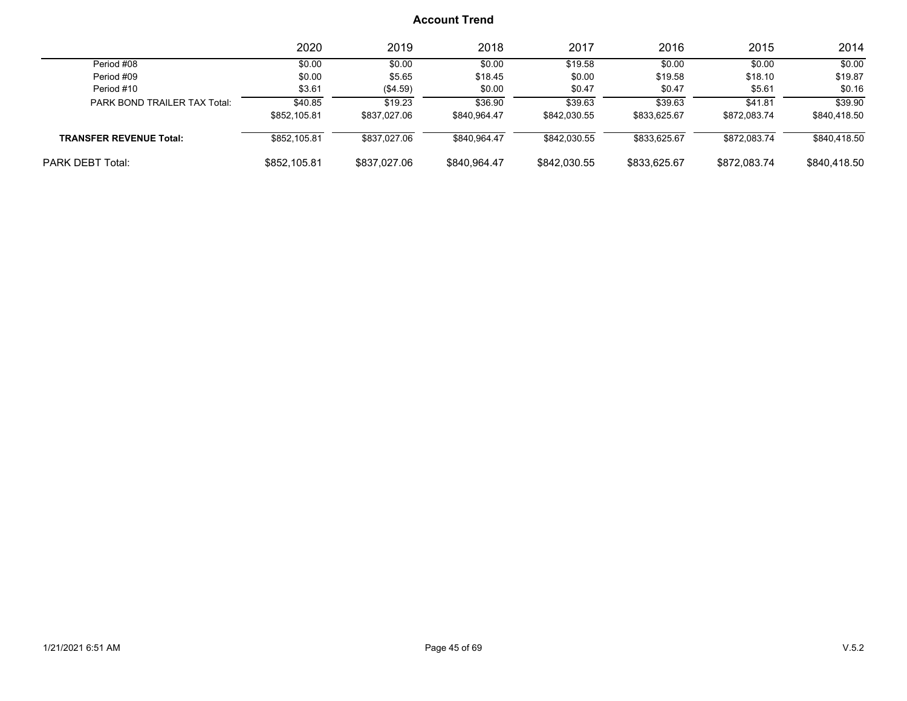|                                | 2020         | 2019         | 2018         | 2017         | 2016         | 2015         | 2014         |
|--------------------------------|--------------|--------------|--------------|--------------|--------------|--------------|--------------|
| Period #08                     | \$0.00       | \$0.00       | \$0.00       | \$19.58      | \$0.00       | \$0.00       | \$0.00       |
| Period #09                     | \$0.00       | \$5.65       | \$18.45      | \$0.00       | \$19.58      | \$18.10      | \$19.87      |
| Period #10                     | \$3.61       | (\$4.59)     | \$0.00       | \$0.47       | \$0.47       | \$5.61       | \$0.16       |
| PARK BOND TRAILER TAX Total:   | \$40.85      | \$19.23      | \$36.90      | \$39.63      | \$39.63      | \$41.81      | \$39.90      |
|                                | \$852,105.81 | \$837,027.06 | \$840,964.47 | \$842,030.55 | \$833,625.67 | \$872.083.74 | \$840,418.50 |
| <b>TRANSFER REVENUE Total:</b> | \$852,105.81 | \$837.027.06 | \$840.964.47 | \$842,030.55 | \$833,625.67 | \$872,083.74 | \$840,418.50 |
| <b>PARK DEBT Total:</b>        | \$852,105.81 | \$837,027,06 | \$840.964.47 | \$842,030.55 | \$833.625.67 | \$872,083.74 | \$840,418.50 |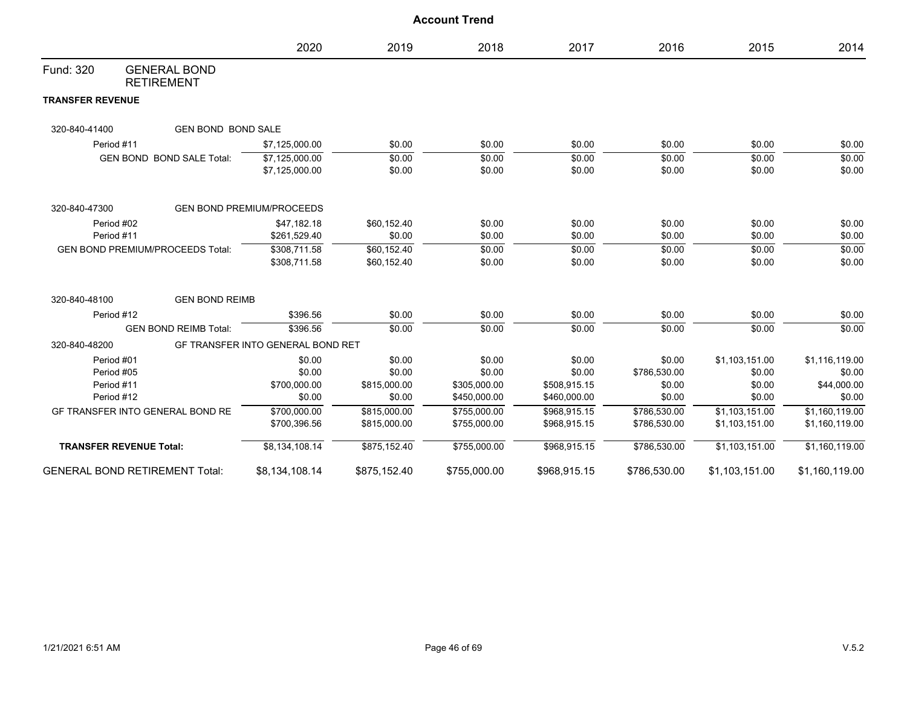|                         |                                          |                                   |              | <b>Account Trend</b> |              |              |                |                |
|-------------------------|------------------------------------------|-----------------------------------|--------------|----------------------|--------------|--------------|----------------|----------------|
|                         |                                          | 2020                              | 2019         | 2018                 | 2017         | 2016         | 2015           | 2014           |
| Fund: 320               | <b>GENERAL BOND</b><br><b>RETIREMENT</b> |                                   |              |                      |              |              |                |                |
| <b>TRANSFER REVENUE</b> |                                          |                                   |              |                      |              |              |                |                |
| 320-840-41400           | <b>GEN BOND BOND SALE</b>                |                                   |              |                      |              |              |                |                |
|                         | Period #11                               | \$7,125,000.00                    | \$0.00       | \$0.00               | \$0.00       | \$0.00       | \$0.00         | \$0.00         |
|                         | GEN BOND BOND SALE Total:                | \$7,125,000.00                    | \$0.00       | \$0.00               | \$0.00       | \$0.00       | \$0.00         | \$0.00         |
|                         |                                          | \$7,125,000.00                    | \$0.00       | \$0.00               | \$0.00       | \$0.00       | \$0.00         | \$0.00         |
| 320-840-47300           |                                          | <b>GEN BOND PREMIUM/PROCEEDS</b>  |              |                      |              |              |                |                |
|                         | Period #02                               | \$47,182.18                       | \$60,152.40  | \$0.00               | \$0.00       | \$0.00       | \$0.00         | \$0.00         |
|                         | Period #11                               | \$261,529.40                      | \$0.00       | \$0.00               | \$0.00       | \$0.00       | \$0.00         | \$0.00         |
|                         | <b>GEN BOND PREMIUM/PROCEEDS Total:</b>  | \$308,711.58                      | \$60,152.40  | \$0.00               | \$0.00       | \$0.00       | \$0.00         | \$0.00         |
|                         |                                          | \$308,711.58                      | \$60,152.40  | \$0.00               | \$0.00       | \$0.00       | \$0.00         | \$0.00         |
| 320-840-48100           | <b>GEN BOND REIMB</b>                    |                                   |              |                      |              |              |                |                |
|                         | Period #12                               | \$396.56                          | \$0.00       | \$0.00               | \$0.00       | \$0.00       | \$0.00         | \$0.00         |
|                         | <b>GEN BOND REIMB Total:</b>             | \$396.56                          | \$0.00       | \$0.00               | \$0.00       | \$0.00       | \$0.00         | \$0.00         |
| 320-840-48200           |                                          | GF TRANSFER INTO GENERAL BOND RET |              |                      |              |              |                |                |
|                         | Period #01                               | \$0.00                            | \$0.00       | \$0.00               | \$0.00       | \$0.00       | \$1,103,151.00 | \$1,116,119.00 |
|                         | Period #05                               | \$0.00                            | \$0.00       | \$0.00               | \$0.00       | \$786,530.00 | \$0.00         | \$0.00         |
|                         | Period #11                               | \$700,000.00                      | \$815,000.00 | \$305,000.00         | \$508,915.15 | \$0.00       | \$0.00         | \$44,000.00    |
|                         | Period #12                               | \$0.00                            | \$0.00       | \$450,000.00         | \$460,000.00 | \$0.00       | \$0.00         | \$0.00         |
|                         | GF TRANSFER INTO GENERAL BOND RE         | \$700,000.00                      | \$815,000.00 | \$755,000.00         | \$968,915.15 | \$786,530.00 | \$1,103,151.00 | \$1,160,119.00 |
|                         |                                          | \$700,396.56                      | \$815,000.00 | \$755,000.00         | \$968,915.15 | \$786,530.00 | \$1,103,151.00 | \$1,160,119.00 |
|                         | <b>TRANSFER REVENUE Total:</b>           | \$8,134,108.14                    | \$875,152.40 | \$755,000.00         | \$968,915.15 | \$786,530.00 | \$1,103,151.00 | \$1,160,119.00 |
|                         | <b>GENERAL BOND RETIREMENT Total:</b>    | \$8,134,108.14                    | \$875,152.40 | \$755,000.00         | \$968,915.15 | \$786,530.00 | \$1,103,151.00 | \$1,160,119.00 |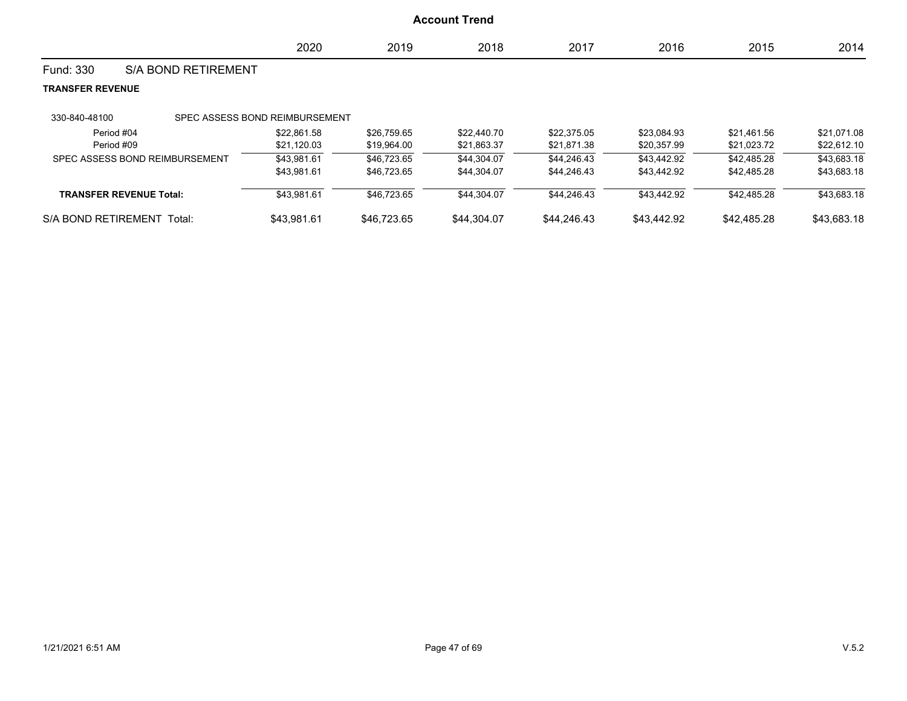|                         |                                | 2020                           | 2019        | 2018        | 2017        | 2016        | 2015        | 2014        |
|-------------------------|--------------------------------|--------------------------------|-------------|-------------|-------------|-------------|-------------|-------------|
| Fund: 330               | <b>S/A BOND RETIREMENT</b>     |                                |             |             |             |             |             |             |
| <b>TRANSFER REVENUE</b> |                                |                                |             |             |             |             |             |             |
| 330-840-48100           |                                | SPEC ASSESS BOND REIMBURSEMENT |             |             |             |             |             |             |
|                         | Period #04                     | \$22.861.58                    | \$26,759.65 | \$22,440.70 | \$22.375.05 | \$23,084.93 | \$21,461.56 | \$21,071.08 |
|                         | Period #09                     | \$21,120.03                    | \$19,964.00 | \$21,863.37 | \$21,871.38 | \$20,357.99 | \$21,023.72 | \$22,612.10 |
|                         | SPEC ASSESS BOND REIMBURSEMENT | \$43.981.61                    | \$46,723.65 | \$44,304.07 | \$44,246.43 | \$43,442.92 | \$42.485.28 | \$43,683.18 |
|                         |                                | \$43,981.61                    | \$46,723.65 | \$44,304.07 | \$44,246.43 | \$43,442.92 | \$42,485.28 | \$43,683.18 |
|                         | <b>TRANSFER REVENUE Total:</b> | \$43,981.61                    | \$46,723.65 | \$44,304.07 | \$44,246.43 | \$43,442.92 | \$42.485.28 | \$43,683.18 |
| S/A BOND RETIREMENT     | Total:                         | \$43.981.61                    | \$46,723.65 | \$44.304.07 | \$44,246.43 | \$43,442.92 | \$42,485.28 | \$43,683.18 |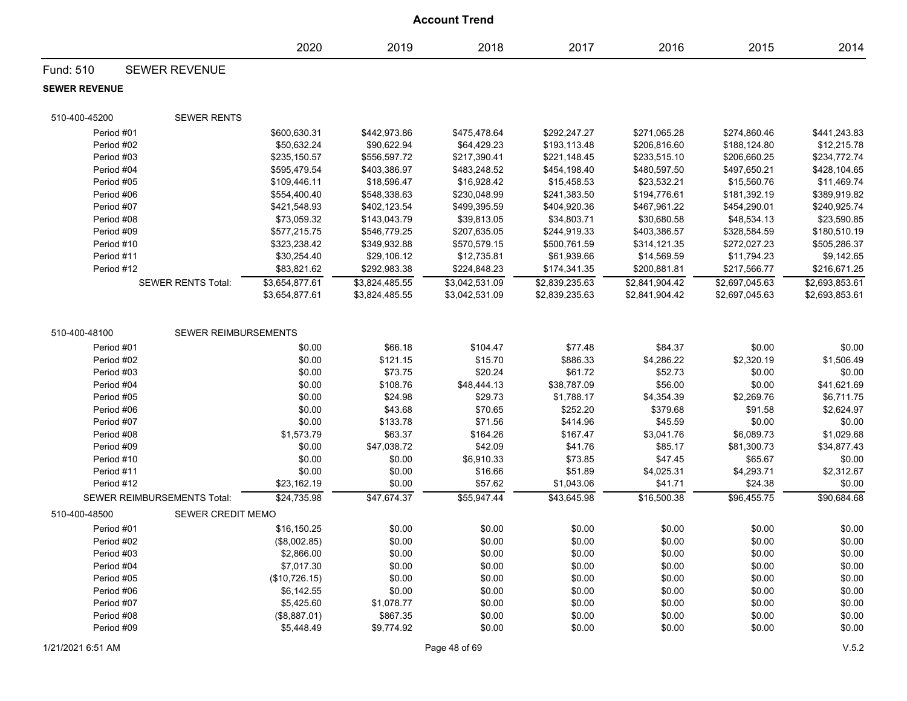|                          |                             |                            |                       | <b>Account Trend</b>   |                           |                        |                        |                       |
|--------------------------|-----------------------------|----------------------------|-----------------------|------------------------|---------------------------|------------------------|------------------------|-----------------------|
|                          |                             | 2020                       | 2019                  | 2018                   | 2017                      | 2016                   | 2015                   | 2014                  |
| Fund: 510                | <b>SEWER REVENUE</b>        |                            |                       |                        |                           |                        |                        |                       |
| <b>SEWER REVENUE</b>     |                             |                            |                       |                        |                           |                        |                        |                       |
| 510-400-45200            | <b>SEWER RENTS</b>          |                            |                       |                        |                           |                        |                        |                       |
| Period #01               |                             | \$600,630.31               | \$442,973.86          | \$475,478.64           | \$292,247.27              | \$271,065.28           | \$274,860.46           | \$441,243.83          |
| Period #02               |                             | \$50,632.24                | \$90,622.94           | \$64,429.23            | \$193,113.48              | \$206,816.60           | \$188,124.80           | \$12,215.78           |
| Period #03               |                             | \$235.150.57               | \$556,597.72          | \$217,390.41           | \$221,148.45              | \$233,515.10           | \$206,660.25           | \$234,772.74          |
| Period #04               |                             | \$595,479.54               | \$403,386.97          | \$483,248.52           | \$454,198.40              | \$480,597.50           | \$497,650.21           | \$428,104.65          |
| Period #05               |                             | \$109,446.11               | \$18,596.47           | \$16,928.42            | \$15,458.53               | \$23,532.21            | \$15,560.76            | \$11,469.74           |
| Period #06               |                             | \$554,400.40               | \$548,338.63          | \$230,048.99           | \$241,383.50              | \$194,776.61           | \$181,392.19           | \$389,919.82          |
| Period #07               |                             | \$421,548.93               | \$402,123.54          | \$499,395.59           | \$404,920.36              | \$467,961.22           | \$454,290.01           | \$240,925.74          |
| Period #08               |                             | \$73,059.32                | \$143,043.79          | \$39,813.05            | \$34,803.71               | \$30,680.58            | \$48,534.13            | \$23,590.85           |
| Period #09               |                             | \$577,215.75               | \$546,779.25          | \$207,635.05           | \$244,919.33              | \$403,386.57           | \$328,584.59           | \$180,510.19          |
| Period #10               |                             | \$323,238.42               | \$349,932.88          | \$570,579.15           | \$500,761.59              | \$314,121.35           | \$272,027.23           | \$505,286.37          |
| Period #11               |                             | \$30,254.40                | \$29,106.12           | \$12,735.81            | \$61,939.66               | \$14,569.59            | \$11,794.23            | \$9,142.65            |
| Period #12               |                             | \$83,821.62                | \$292,983.38          | \$224,848.23           | \$174,341.35              | \$200,881.81           | \$217,566.77           | \$216,671.25          |
|                          | <b>SEWER RENTS Total:</b>   | \$3,654,877.61             | \$3,824,485.55        | \$3,042,531.09         | \$2,839,235.63            | \$2,841,904.42         | \$2,697,045.63         | \$2,693,853.61        |
|                          |                             | \$3,654,877.61             | \$3,824,485.55        | \$3,042,531.09         | \$2,839,235.63            | \$2,841,904.42         | \$2,697,045.63         | \$2,693,853.61        |
|                          |                             |                            |                       |                        |                           |                        |                        |                       |
| 510-400-48100            | SEWER REIMBURSEMENTS        |                            |                       |                        |                           |                        |                        |                       |
| Period #01               |                             | \$0.00                     | \$66.18               | \$104.47               | \$77.48                   | \$84.37                | \$0.00                 | \$0.00                |
| Period #02               |                             | \$0.00                     | \$121.15              | \$15.70                | \$886.33                  | \$4,286.22             | \$2,320.19             | \$1,506.49            |
| Period #03               |                             | \$0.00                     | \$73.75               | \$20.24                | \$61.72                   | \$52.73                | \$0.00                 | \$0.00                |
| Period #04               |                             | \$0.00                     | \$108.76              | \$48,444.13            | \$38,787.09               | \$56.00                | \$0.00                 | \$41,621.69           |
| Period #05               |                             | \$0.00                     | \$24.98               | \$29.73                | \$1,788.17                | \$4,354.39             | \$2,269.76             | \$6,711.75            |
| Period #06               |                             | \$0.00                     | \$43.68               | \$70.65                | \$252.20                  | \$379.68               | \$91.58                | \$2,624.97            |
| Period #07               |                             | \$0.00                     | \$133.78              | \$71.56                | \$414.96                  | \$45.59                | \$0.00                 | \$0.00                |
| Period #08               |                             | \$1,573.79                 | \$63.37               | \$164.26               | \$167.47                  | \$3,041.76             | \$6,089.73             | \$1,029.68            |
| Period #09               |                             | \$0.00                     | \$47,038.72           | \$42.09                | \$41.76                   | \$85.17                | \$81,300.73            | \$34,877.43           |
| Period #10               |                             | \$0.00                     | \$0.00                | \$6,910.33             | \$73.85                   | \$47.45                | \$65.67                | \$0.00                |
| Period #11<br>Period #12 |                             | \$0.00                     | \$0.00                | \$16.66                | \$51.89                   | \$4,025.31             | \$4,293.71             | \$2,312.67            |
|                          | SEWER REIMBURSEMENTS Total: | \$23,162.19<br>\$24,735.98 | \$0.00<br>\$47,674.37 | \$57.62<br>\$55,947.44 | \$1,043.06<br>\$43,645.98 | \$41.71<br>\$16,500.38 | \$24.38<br>\$96,455.75 | \$0.00<br>\$90.684.68 |
| 510-400-48500            | <b>SEWER CREDIT MEMO</b>    |                            |                       |                        |                           |                        |                        |                       |
| Period #01               |                             | \$16,150.25                | \$0.00                | \$0.00                 | \$0.00                    | \$0.00                 | \$0.00                 | \$0.00                |
| Period #02               |                             | (\$8,002.85)               | \$0.00                | \$0.00                 | \$0.00                    | \$0.00                 | \$0.00                 | \$0.00                |
| Period #03               |                             | \$2,866.00                 | \$0.00                | \$0.00                 | \$0.00                    | \$0.00                 | \$0.00                 | \$0.00                |
| Period #04               |                             | \$7,017.30                 | \$0.00                | \$0.00                 | \$0.00                    | \$0.00                 | \$0.00                 | \$0.00                |
| Period #05               |                             | (\$10,726.15)              | \$0.00                | \$0.00                 | \$0.00                    | \$0.00                 | \$0.00                 | \$0.00                |
| Period #06               |                             | \$6,142.55                 | \$0.00                | \$0.00                 | \$0.00                    | \$0.00                 | \$0.00                 | \$0.00                |
| Period #07               |                             | \$5,425.60                 | \$1,078.77            | \$0.00                 | \$0.00                    | \$0.00                 | \$0.00                 | \$0.00                |
| Period #08               |                             | (\$8,887.01)               | \$867.35              | \$0.00                 | \$0.00                    | \$0.00                 | \$0.00                 | \$0.00                |
| Period #09               |                             | \$5,448.49                 | \$9,774.92            | \$0.00                 | \$0.00                    | \$0.00                 | \$0.00                 | \$0.00                |

#### 1/21/2021 6:51 AM Page 48 of 69 V.5.2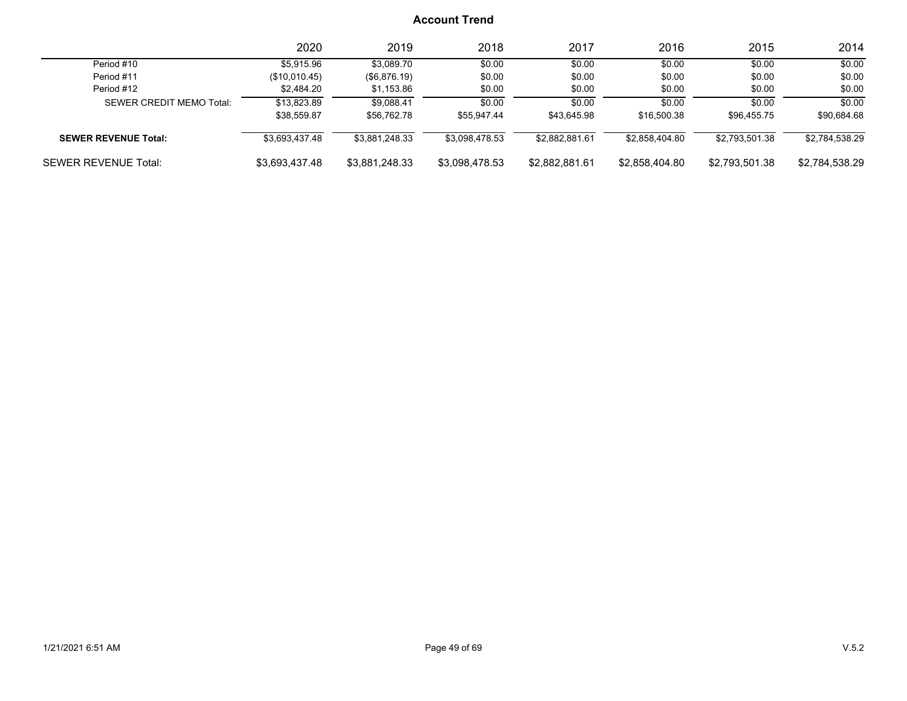|                             | 2020           | 2019           | 2018           | 2017           | 2016           | 2015           | 2014           |
|-----------------------------|----------------|----------------|----------------|----------------|----------------|----------------|----------------|
| Period #10                  | \$5,915.96     | \$3.089.70     | \$0.00         | \$0.00         | \$0.00         | \$0.00         | \$0.00         |
| Period #11                  | (\$10,010.45)  | (\$6,876.19)   | \$0.00         | \$0.00         | \$0.00         | \$0.00         | \$0.00         |
| Period #12                  | \$2,484.20     | \$1,153.86     | \$0.00         | \$0.00         | \$0.00         | \$0.00         | \$0.00         |
| SEWER CREDIT MEMO Total:    | \$13.823.89    | \$9.088.41     | \$0.00         | \$0.00         | \$0.00         | \$0.00         | \$0.00         |
|                             | \$38.559.87    | \$56,762.78    | \$55.947.44    | \$43.645.98    | \$16,500.38    | \$96.455.75    | \$90,684.68    |
| <b>SEWER REVENUE Total:</b> | \$3,693,437.48 | \$3.881.248.33 | \$3,098,478.53 | \$2.882.881.61 | \$2.858.404.80 | \$2.793.501.38 | \$2,784,538.29 |
| <b>SEWER REVENUE Total:</b> | \$3,693,437.48 | \$3,881,248.33 | \$3,098,478.53 | \$2,882,881.61 | \$2,858,404.80 | \$2,793,501.38 | \$2,784,538.29 |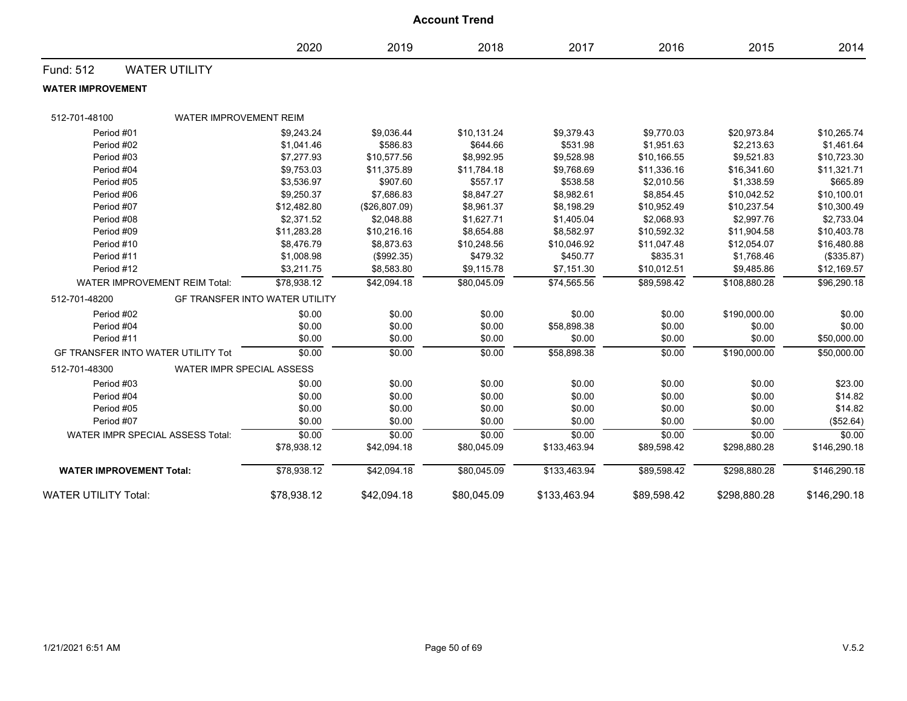|                                         | <b>Account Trend</b>             |                                       |                         |                         |                        |                           |                           |                         |  |
|-----------------------------------------|----------------------------------|---------------------------------------|-------------------------|-------------------------|------------------------|---------------------------|---------------------------|-------------------------|--|
|                                         |                                  | 2020                                  | 2019                    | 2018                    | 2017                   | 2016                      | 2015                      | 2014                    |  |
| Fund: 512                               | <b>WATER UTILITY</b>             |                                       |                         |                         |                        |                           |                           |                         |  |
| <b>WATER IMPROVEMENT</b>                |                                  |                                       |                         |                         |                        |                           |                           |                         |  |
| 512-701-48100                           | <b>WATER IMPROVEMENT REIM</b>    |                                       |                         |                         |                        |                           |                           |                         |  |
|                                         |                                  |                                       |                         |                         |                        |                           |                           |                         |  |
| Period #01                              |                                  | \$9,243.24                            | \$9,036.44              | \$10,131.24             | \$9,379.43             | \$9,770.03                | \$20,973.84               | \$10,265.74             |  |
| Period #02                              |                                  | \$1,041.46                            | \$586.83                | \$644.66                | \$531.98               | \$1,951.63                | \$2,213.63                | \$1,461.64              |  |
| Period #03                              |                                  | \$7,277.93                            | \$10,577.56             | \$8,992.95              | \$9,528.98             | \$10,166.55               | \$9,521.83                | \$10,723.30             |  |
| Period #04<br>Period #05                |                                  | \$9,753.03<br>\$3,536.97              | \$11,375.89<br>\$907.60 | \$11,784.18<br>\$557.17 | \$9,768.69<br>\$538.58 | \$11,336.16<br>\$2,010.56 | \$16,341.60<br>\$1,338.59 | \$11,321.71<br>\$665.89 |  |
| Period #06                              |                                  | \$9,250.37                            | \$7,686.83              | \$8,847.27              | \$8,982.61             | \$8,854.45                | \$10,042.52               | \$10,100.01             |  |
| Period #07                              |                                  | \$12,482.80                           | (\$26,807.09)           | \$8,961.37              | \$8,198.29             | \$10,952.49               | \$10,237.54               | \$10,300.49             |  |
| Period #08                              |                                  | \$2,371.52                            | \$2,048.88              | \$1,627.71              | \$1,405.04             | \$2,068.93                | \$2,997.76                | \$2,733.04              |  |
| Period #09                              |                                  | \$11,283.28                           | \$10,216.16             | \$8,654.88              | \$8,582.97             | \$10,592.32               | \$11,904.58               | \$10,403.78             |  |
| Period #10                              |                                  | \$8,476.79                            | \$8,873.63              | \$10,248.56             | \$10,046.92            | \$11,047.48               | \$12,054.07               | \$16,480.88             |  |
| Period #11                              |                                  | \$1,008.98                            | (\$992.35)              | \$479.32                | \$450.77               | \$835.31                  | \$1,768.46                | (\$335.87)              |  |
| Period #12                              |                                  | \$3,211.75                            | \$8,583.80              | \$9,115.78              | \$7,151.30             | \$10,012.51               | \$9,485.86                | \$12,169.57             |  |
| WATER IMPROVEMENT REIM Total:           |                                  | \$78,938.12                           | \$42,094.18             | \$80,045.09             | \$74,565.56            | \$89,598.42               | \$108,880.28              | \$96,290.18             |  |
| 512-701-48200                           |                                  | <b>GF TRANSFER INTO WATER UTILITY</b> |                         |                         |                        |                           |                           |                         |  |
| Period #02                              |                                  | \$0.00                                | \$0.00                  | \$0.00                  | \$0.00                 | \$0.00                    | \$190,000.00              | \$0.00                  |  |
| Period #04                              |                                  | \$0.00                                | \$0.00                  | \$0.00                  | \$58,898.38            | \$0.00                    | \$0.00                    | \$0.00                  |  |
| Period #11                              |                                  | \$0.00                                | \$0.00                  | \$0.00                  | \$0.00                 | \$0.00                    | \$0.00                    | \$50,000.00             |  |
| GF TRANSFER INTO WATER UTILITY Tot      |                                  | \$0.00                                | \$0.00                  | \$0.00                  | \$58,898.38            | \$0.00                    | \$190,000.00              | \$50,000.00             |  |
| 512-701-48300                           | <b>WATER IMPR SPECIAL ASSESS</b> |                                       |                         |                         |                        |                           |                           |                         |  |
| Period #03                              |                                  | \$0.00                                | \$0.00                  | \$0.00                  | \$0.00                 | \$0.00                    | \$0.00                    | \$23.00                 |  |
| Period #04                              |                                  | \$0.00                                | \$0.00                  | \$0.00                  | \$0.00                 | \$0.00                    | \$0.00                    | \$14.82                 |  |
| Period #05                              |                                  | \$0.00                                | \$0.00                  | \$0.00                  | \$0.00                 | \$0.00                    | \$0.00                    | \$14.82                 |  |
| Period #07                              |                                  | \$0.00                                | \$0.00                  | \$0.00                  | \$0.00                 | \$0.00                    | \$0.00                    | (\$52.64)               |  |
| <b>WATER IMPR SPECIAL ASSESS Total:</b> |                                  | \$0.00                                | \$0.00                  | \$0.00                  | \$0.00                 | \$0.00                    | \$0.00                    | \$0.00                  |  |
|                                         |                                  | \$78,938.12                           | \$42,094.18             | \$80,045.09             | \$133,463.94           | \$89,598.42               | \$298,880.28              | \$146,290.18            |  |
| <b>WATER IMPROVEMENT Total:</b>         |                                  | \$78,938.12                           | \$42,094.18             | \$80,045.09             | \$133,463.94           | \$89,598.42               | \$298,880.28              | \$146,290.18            |  |
| <b>WATER UTILITY Total:</b>             |                                  | \$78,938.12                           | \$42,094.18             | \$80,045.09             | \$133,463.94           | \$89,598.42               | \$298,880.28              | \$146,290.18            |  |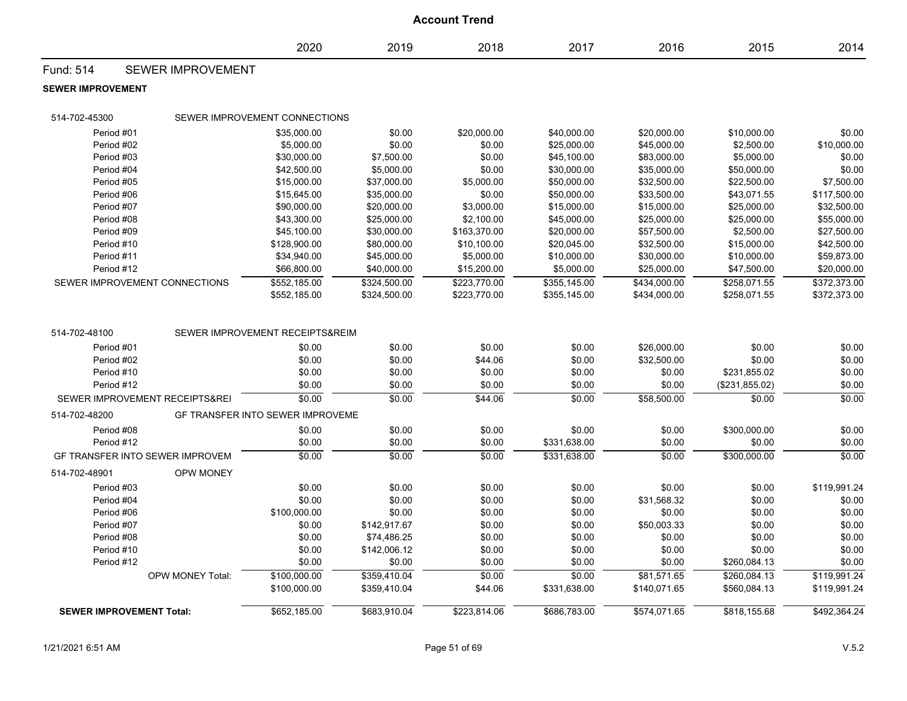| <b>Account Trend</b>     |                                 |                                  |              |              |              |              |                 |              |  |
|--------------------------|---------------------------------|----------------------------------|--------------|--------------|--------------|--------------|-----------------|--------------|--|
|                          |                                 | 2020                             | 2019         | 2018         | 2017         | 2016         | 2015            | 2014         |  |
| <b>Fund: 514</b>         | <b>SEWER IMPROVEMENT</b>        |                                  |              |              |              |              |                 |              |  |
| <b>SEWER IMPROVEMENT</b> |                                 |                                  |              |              |              |              |                 |              |  |
| 514-702-45300            |                                 | SEWER IMPROVEMENT CONNECTIONS    |              |              |              |              |                 |              |  |
| Period #01               |                                 | \$35,000.00                      | \$0.00       | \$20,000.00  | \$40,000.00  | \$20,000.00  | \$10,000.00     | \$0.00       |  |
| Period #02               |                                 | \$5,000.00                       | \$0.00       | \$0.00       | \$25.000.00  | \$45,000.00  | \$2,500.00      | \$10,000.00  |  |
| Period #03               |                                 | \$30,000.00                      | \$7,500.00   | \$0.00       | \$45,100.00  | \$83,000.00  | \$5,000.00      | \$0.00       |  |
| Period #04               |                                 | \$42,500.00                      | \$5,000.00   | \$0.00       | \$30,000.00  | \$35,000.00  | \$50,000.00     | \$0.00       |  |
| Period #05               |                                 | \$15,000.00                      | \$37,000.00  | \$5,000.00   | \$50,000.00  | \$32,500.00  | \$22,500.00     | \$7,500.00   |  |
| Period #06               |                                 | \$15,645.00                      | \$35,000.00  | \$0.00       | \$50,000.00  | \$33,500.00  | \$43,071.55     | \$117,500.00 |  |
| Period #07               |                                 | \$90,000.00                      | \$20,000.00  | \$3,000.00   | \$15,000.00  | \$15,000.00  | \$25,000.00     | \$32,500.00  |  |
| Period #08               |                                 | \$43,300.00                      | \$25,000.00  | \$2,100.00   | \$45,000.00  | \$25,000.00  | \$25,000.00     | \$55,000.00  |  |
| Period #09               |                                 | \$45,100.00                      | \$30,000.00  | \$163,370.00 | \$20,000.00  | \$57,500.00  | \$2,500.00      | \$27,500.00  |  |
| Period #10               |                                 | \$128,900.00                     | \$80,000.00  | \$10,100.00  | \$20,045.00  | \$32,500.00  | \$15,000.00     | \$42,500.00  |  |
| Period #11               |                                 | \$34,940.00                      | \$45,000.00  | \$5,000.00   | \$10,000.00  | \$30,000.00  | \$10,000.00     | \$59,873.00  |  |
| Period #12               |                                 | \$66,800.00                      | \$40,000.00  | \$15,200.00  | \$5,000.00   | \$25,000.00  | \$47,500.00     | \$20,000.00  |  |
|                          | SEWER IMPROVEMENT CONNECTIONS   | \$552,185.00                     | \$324,500.00 | \$223,770.00 | \$355,145.00 | \$434,000.00 | \$258,071.55    | \$372,373.00 |  |
|                          |                                 | \$552,185.00                     | \$324,500.00 | \$223,770.00 | \$355,145.00 | \$434,000.00 | \$258,071.55    | \$372,373.00 |  |
| 514-702-48100            |                                 | SEWER IMPROVEMENT RECEIPTS&REIM  |              |              |              |              |                 |              |  |
| Period #01               |                                 | \$0.00                           | \$0.00       | \$0.00       | \$0.00       | \$26,000.00  | \$0.00          | \$0.00       |  |
| Period #02               |                                 | \$0.00                           | \$0.00       | \$44.06      | \$0.00       | \$32,500.00  | \$0.00          | \$0.00       |  |
| Period #10               |                                 | \$0.00                           | \$0.00       | \$0.00       | \$0.00       | \$0.00       | \$231,855.02    | \$0.00       |  |
| Period #12               |                                 | \$0.00                           | \$0.00       | \$0.00       | \$0.00       | \$0.00       | (\$231, 855.02) | \$0.00       |  |
|                          | SEWER IMPROVEMENT RECEIPTS&REI  | \$0.00                           | \$0.00       | \$44.06      | \$0.00       | \$58,500.00  | \$0.00          | \$0.00       |  |
| 514-702-48200            |                                 | GF TRANSFER INTO SEWER IMPROVEME |              |              |              |              |                 |              |  |
| Period #08               |                                 | \$0.00                           | \$0.00       | \$0.00       | \$0.00       | \$0.00       | \$300,000.00    | \$0.00       |  |
| Period #12               |                                 | \$0.00                           | \$0.00       | \$0.00       | \$331,638.00 | \$0.00       | \$0.00          | \$0.00       |  |
|                          | GF TRANSFER INTO SEWER IMPROVEM | \$0.00                           | \$0.00       | \$0.00       | \$331,638.00 | \$0.00       | \$300,000.00    | \$0.00       |  |
| 514-702-48901            | <b>OPW MONEY</b>                |                                  |              |              |              |              |                 |              |  |
| Period #03               |                                 | \$0.00                           | \$0.00       | \$0.00       | \$0.00       | \$0.00       | \$0.00          | \$119,991.24 |  |
| Period #04               |                                 | \$0.00                           | \$0.00       | \$0.00       | \$0.00       | \$31,568.32  | \$0.00          | \$0.00       |  |
| Period #06               |                                 | \$100,000.00                     | \$0.00       | \$0.00       | \$0.00       | \$0.00       | \$0.00          | \$0.00       |  |
| Period #07               |                                 | \$0.00                           | \$142,917.67 | \$0.00       | \$0.00       | \$50,003.33  | \$0.00          | \$0.00       |  |
| Period #08               |                                 | \$0.00                           | \$74,486.25  | \$0.00       | \$0.00       | \$0.00       | \$0.00          | \$0.00       |  |
| Period #10               |                                 | \$0.00                           | \$142,006.12 | \$0.00       | \$0.00       | \$0.00       | \$0.00          | \$0.00       |  |
| Period #12               |                                 | \$0.00                           | \$0.00       | \$0.00       | \$0.00       | \$0.00       | \$260,084.13    | \$0.00       |  |
|                          | OPW MONEY Total:                | \$100,000.00                     | \$359,410.04 | \$0.00       | \$0.00       | \$81,571.65  | \$260,084.13    | \$119,991.24 |  |
|                          |                                 | \$100,000.00                     | \$359,410.04 | \$44.06      | \$331,638.00 | \$140,071.65 | \$560,084.13    | \$119,991.24 |  |
|                          |                                 |                                  |              |              |              |              |                 |              |  |
|                          | <b>SEWER IMPROVEMENT Total:</b> | \$652,185.00                     | \$683,910.04 | \$223,814.06 | \$686,783.00 | \$574,071.65 | \$818,155.68    | \$492,364.24 |  |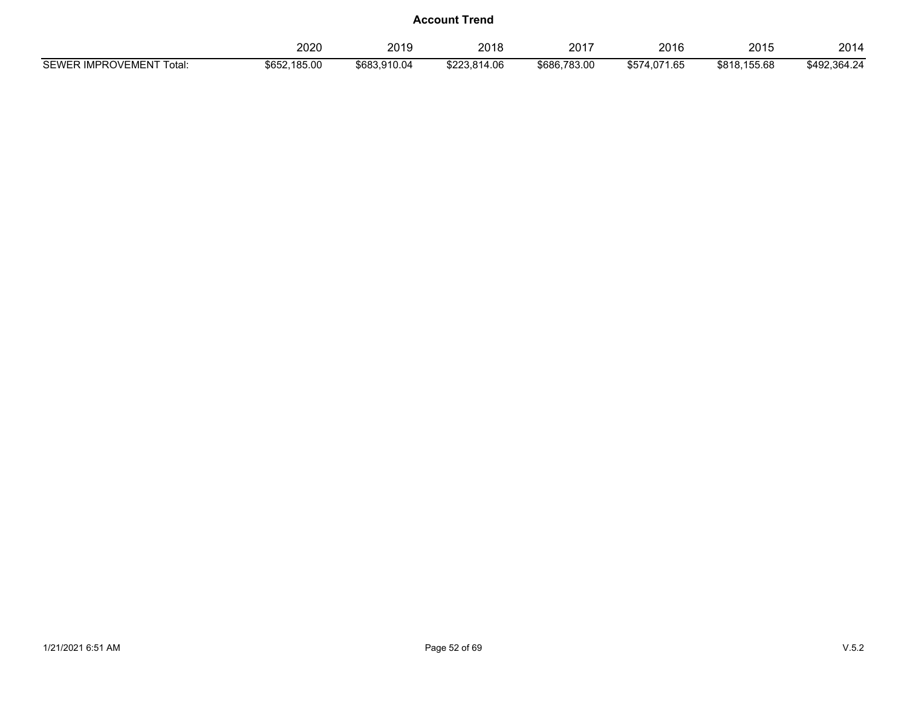|                          | 2020         | 2019         | 2018         | 2017         | 2016         | 2015         | 2014         |
|--------------------------|--------------|--------------|--------------|--------------|--------------|--------------|--------------|
|                          |              |              |              |              |              |              |              |
| SEWER IMPROVEMENT Total: | \$652,185.00 | \$683.910.04 | \$223.814.06 | \$686,783.00 | \$574,071.65 | \$818,155.68 | \$492,364.24 |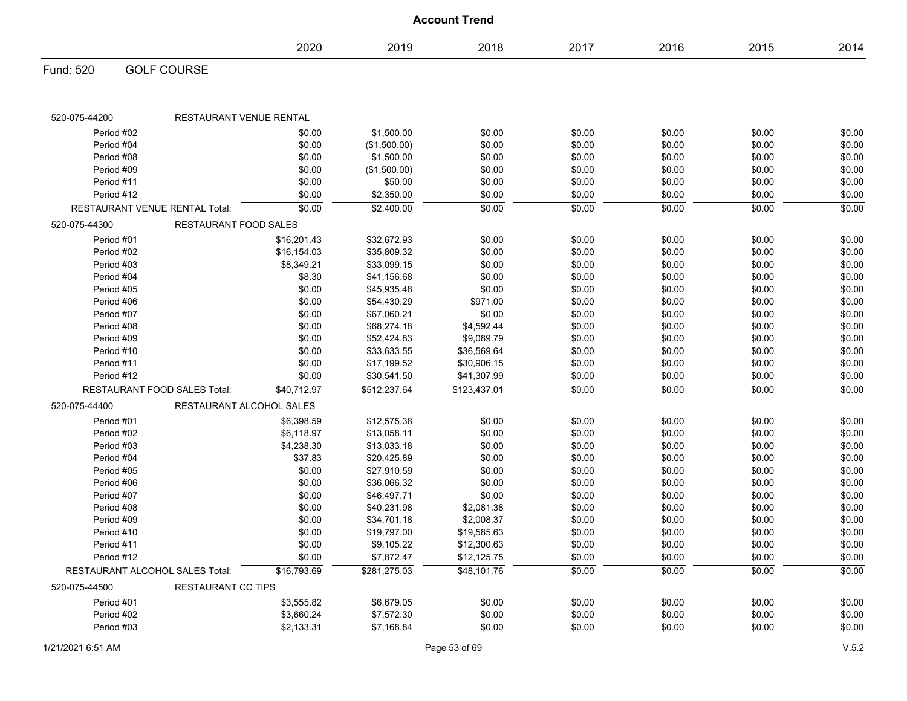|                                 |                                     |             |              | <b>Account Trend</b> |        |        |        |        |
|---------------------------------|-------------------------------------|-------------|--------------|----------------------|--------|--------|--------|--------|
|                                 |                                     | 2020        | 2019         | 2018                 | 2017   | 2016   | 2015   | 2014   |
| Fund: 520                       | <b>GOLF COURSE</b>                  |             |              |                      |        |        |        |        |
| 520-075-44200                   | RESTAURANT VENUE RENTAL             |             |              |                      |        |        |        |        |
| Period #02                      |                                     | \$0.00      | \$1,500.00   | \$0.00               | \$0.00 | \$0.00 | \$0.00 | \$0.00 |
| Period #04                      |                                     | \$0.00      | (\$1,500.00) | \$0.00               | \$0.00 | \$0.00 | \$0.00 | \$0.00 |
| Period #08                      |                                     | \$0.00      | \$1,500.00   | \$0.00               | \$0.00 | \$0.00 | \$0.00 | \$0.00 |
| Period #09                      |                                     | \$0.00      | (\$1,500.00) | \$0.00               | \$0.00 | \$0.00 | \$0.00 | \$0.00 |
| Period #11                      |                                     | \$0.00      | \$50.00      | \$0.00               | \$0.00 | \$0.00 | \$0.00 | \$0.00 |
| Period #12                      |                                     | \$0.00      | \$2,350.00   | \$0.00               | \$0.00 | \$0.00 | \$0.00 | \$0.00 |
|                                 | RESTAURANT VENUE RENTAL Total:      | \$0.00      | \$2,400.00   | \$0.00               | \$0.00 | \$0.00 | \$0.00 | \$0.00 |
| 520-075-44300                   | RESTAURANT FOOD SALES               |             |              |                      |        |        |        |        |
| Period #01                      |                                     | \$16,201.43 | \$32,672.93  | \$0.00               | \$0.00 | \$0.00 | \$0.00 | \$0.00 |
| Period #02                      |                                     | \$16,154.03 | \$35,809.32  | \$0.00               | \$0.00 | \$0.00 | \$0.00 | \$0.00 |
| Period #03                      |                                     | \$8,349.21  | \$33,099.15  | \$0.00               | \$0.00 | \$0.00 | \$0.00 | \$0.00 |
| Period #04                      |                                     | \$8.30      | \$41,156.68  | \$0.00               | \$0.00 | \$0.00 | \$0.00 | \$0.00 |
| Period #05                      |                                     | \$0.00      | \$45,935.48  | \$0.00               | \$0.00 | \$0.00 | \$0.00 | \$0.00 |
| Period #06                      |                                     | \$0.00      | \$54,430.29  | \$971.00             | \$0.00 | \$0.00 | \$0.00 | \$0.00 |
| Period #07                      |                                     | \$0.00      | \$67,060.21  | \$0.00               | \$0.00 | \$0.00 | \$0.00 | \$0.00 |
| Period #08                      |                                     | \$0.00      | \$68,274.18  | \$4,592.44           | \$0.00 | \$0.00 | \$0.00 | \$0.00 |
| Period #09                      |                                     | \$0.00      | \$52,424.83  | \$9,089.79           | \$0.00 | \$0.00 | \$0.00 | \$0.00 |
| Period #10                      |                                     | \$0.00      | \$33,633.55  | \$36,569.64          | \$0.00 | \$0.00 | \$0.00 | \$0.00 |
| Period #11                      |                                     | \$0.00      | \$17,199.52  | \$30,906.15          | \$0.00 | \$0.00 | \$0.00 | \$0.00 |
| Period #12                      |                                     | \$0.00      | \$30,541.50  | \$41,307.99          | \$0.00 | \$0.00 | \$0.00 | \$0.00 |
|                                 | <b>RESTAURANT FOOD SALES Total:</b> | \$40,712.97 | \$512,237.64 | \$123,437.01         | \$0.00 | \$0.00 | \$0.00 | \$0.00 |
| 520-075-44400                   | RESTAURANT ALCOHOL SALES            |             |              |                      |        |        |        |        |
| Period #01                      |                                     | \$6,398.59  | \$12,575.38  | \$0.00               | \$0.00 | \$0.00 | \$0.00 | \$0.00 |
| Period #02                      |                                     | \$6,118.97  | \$13,058.11  | \$0.00               | \$0.00 | \$0.00 | \$0.00 | \$0.00 |
| Period #03                      |                                     | \$4,238.30  | \$13,033.18  | \$0.00               | \$0.00 | \$0.00 | \$0.00 | \$0.00 |
| Period #04                      |                                     | \$37.83     | \$20,425.89  | \$0.00               | \$0.00 | \$0.00 | \$0.00 | \$0.00 |
| Period #05                      |                                     | \$0.00      | \$27,910.59  | \$0.00               | \$0.00 | \$0.00 | \$0.00 | \$0.00 |
| Period #06                      |                                     | \$0.00      | \$36,066.32  | \$0.00               | \$0.00 | \$0.00 | \$0.00 | \$0.00 |
| Period #07                      |                                     | \$0.00      | \$46,497.71  | \$0.00               | \$0.00 | \$0.00 | \$0.00 | \$0.00 |
| Period #08                      |                                     | \$0.00      | \$40,231.98  | \$2,081.38           | \$0.00 | \$0.00 | \$0.00 | \$0.00 |
| Period #09                      |                                     | \$0.00      | \$34,701.18  | \$2,008.37           | \$0.00 | \$0.00 | \$0.00 | \$0.00 |
| Period #10                      |                                     | \$0.00      | \$19,797.00  | \$19,585.63          | \$0.00 | \$0.00 | \$0.00 | \$0.00 |
| Period #11                      |                                     | \$0.00      | \$9,105.22   | \$12,300.63          | \$0.00 | \$0.00 | \$0.00 | \$0.00 |
| Period #12                      |                                     | \$0.00      | \$7,872.47   | \$12,125.75          | \$0.00 | \$0.00 | \$0.00 | \$0.00 |
| RESTAURANT ALCOHOL SALES Total: |                                     | \$16,793.69 | \$281,275.03 | \$48,101.76          | \$0.00 | \$0.00 | \$0.00 | \$0.00 |
| 520-075-44500                   | <b>RESTAURANT CC TIPS</b>           |             |              |                      |        |        |        |        |
| Period #01                      |                                     | \$3,555.82  | \$6,679.05   | \$0.00               | \$0.00 | \$0.00 | \$0.00 | \$0.00 |
| Period #02                      |                                     | \$3,660.24  | \$7,572.30   | \$0.00               | \$0.00 | \$0.00 | \$0.00 | \$0.00 |
| Period #03                      |                                     | \$2,133.31  | \$7,168.84   | \$0.00               | \$0.00 | \$0.00 | \$0.00 | \$0.00 |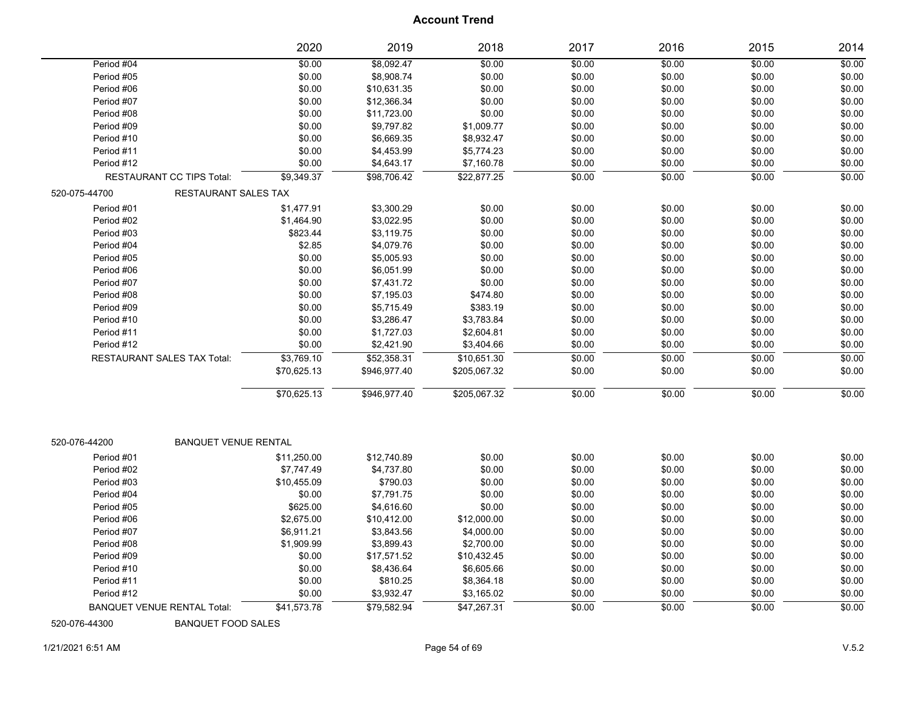|                                    | 2020                        | 2019         | 2018         | 2017   | 2016   | 2015   | 2014   |
|------------------------------------|-----------------------------|--------------|--------------|--------|--------|--------|--------|
| Period #04                         | \$0.00                      | \$8,092.47   | \$0.00       | \$0.00 | \$0.00 | \$0.00 | \$0.00 |
| Period #05                         | \$0.00                      | \$8,908.74   | \$0.00       | \$0.00 | \$0.00 | \$0.00 | \$0.00 |
| Period #06                         | \$0.00                      | \$10,631.35  | \$0.00       | \$0.00 | \$0.00 | \$0.00 | \$0.00 |
| Period #07                         | \$0.00                      | \$12,366.34  | \$0.00       | \$0.00 | \$0.00 | \$0.00 | \$0.00 |
| Period #08                         | \$0.00                      | \$11,723.00  | \$0.00       | \$0.00 | \$0.00 | \$0.00 | \$0.00 |
| Period #09                         | \$0.00                      | \$9,797.82   | \$1,009.77   | \$0.00 | \$0.00 | \$0.00 | \$0.00 |
| Period #10                         | \$0.00                      | \$6,669.35   | \$8,932.47   | \$0.00 | \$0.00 | \$0.00 | \$0.00 |
| Period #11                         | \$0.00                      | \$4,453.99   | \$5,774.23   | \$0.00 | \$0.00 | \$0.00 | \$0.00 |
| Period #12                         | \$0.00                      | \$4,643.17   | \$7,160.78   | \$0.00 | \$0.00 | \$0.00 | \$0.00 |
| <b>RESTAURANT CC TIPS Total:</b>   | \$9,349.37                  | \$98,706.42  | \$22,877.25  | \$0.00 | \$0.00 | \$0.00 | \$0.00 |
| 520-075-44700                      | RESTAURANT SALES TAX        |              |              |        |        |        |        |
| Period #01                         | \$1,477.91                  | \$3,300.29   | \$0.00       | \$0.00 | \$0.00 | \$0.00 | \$0.00 |
| Period #02                         | \$1,464.90                  | \$3,022.95   | \$0.00       | \$0.00 | \$0.00 | \$0.00 | \$0.00 |
| Period #03                         | \$823.44                    | \$3,119.75   | \$0.00       | \$0.00 | \$0.00 | \$0.00 | \$0.00 |
| Period #04                         | \$2.85                      | \$4,079.76   | \$0.00       | \$0.00 | \$0.00 | \$0.00 | \$0.00 |
| Period #05                         | \$0.00                      | \$5,005.93   | \$0.00       | \$0.00 | \$0.00 | \$0.00 | \$0.00 |
| Period #06                         | \$0.00                      | \$6,051.99   | \$0.00       | \$0.00 | \$0.00 | \$0.00 | \$0.00 |
| Period #07                         | \$0.00                      | \$7,431.72   | \$0.00       | \$0.00 | \$0.00 | \$0.00 | \$0.00 |
| Period #08                         | \$0.00                      | \$7,195.03   | \$474.80     | \$0.00 | \$0.00 | \$0.00 | \$0.00 |
| Period #09                         | \$0.00                      | \$5,715.49   | \$383.19     | \$0.00 | \$0.00 | \$0.00 | \$0.00 |
| Period #10                         | \$0.00                      | \$3,286.47   | \$3,783.84   | \$0.00 | \$0.00 | \$0.00 | \$0.00 |
| Period #11                         | \$0.00                      | \$1,727.03   | \$2,604.81   | \$0.00 | \$0.00 | \$0.00 | \$0.00 |
| Period #12                         | \$0.00                      | \$2,421.90   | \$3,404.66   | \$0.00 | \$0.00 | \$0.00 | \$0.00 |
| <b>RESTAURANT SALES TAX Total:</b> | \$3,769.10                  | \$52,358.31  | \$10,651.30  | \$0.00 | \$0.00 | \$0.00 | \$0.00 |
|                                    | \$70,625.13                 | \$946,977.40 | \$205,067.32 | \$0.00 | \$0.00 | \$0.00 | \$0.00 |
|                                    | \$70,625.13                 | \$946,977.40 | \$205,067.32 | \$0.00 | \$0.00 | \$0.00 | \$0.00 |
| 520-076-44200                      | <b>BANQUET VENUE RENTAL</b> |              |              |        |        |        |        |
| Period #01                         | \$11,250.00                 | \$12,740.89  | \$0.00       | \$0.00 | \$0.00 | \$0.00 | \$0.00 |
| Period #02                         | \$7,747.49                  | \$4,737.80   | \$0.00       | \$0.00 | \$0.00 | \$0.00 | \$0.00 |
| Period #03                         | \$10,455.09                 | \$790.03     | \$0.00       | \$0.00 | \$0.00 | \$0.00 | \$0.00 |
| Period #04                         | \$0.00                      | \$7,791.75   | \$0.00       | \$0.00 | \$0.00 | \$0.00 | \$0.00 |
| Period #05                         | \$625.00                    | \$4,616.60   | \$0.00       | \$0.00 | \$0.00 | \$0.00 | \$0.00 |
| Period #06                         | \$2,675.00                  | \$10,412.00  | \$12,000.00  | \$0.00 | \$0.00 | \$0.00 | \$0.00 |
| Period #07                         | \$6,911.21                  | \$3,843.56   | \$4,000.00   | \$0.00 | \$0.00 | \$0.00 | \$0.00 |
| Period #08                         | \$1,909.99                  | \$3,899.43   | \$2,700.00   | \$0.00 | \$0.00 | \$0.00 | \$0.00 |
| Period #09                         | \$0.00                      | \$17,571.52  | \$10,432.45  | \$0.00 | \$0.00 | \$0.00 | \$0.00 |
| Period #10                         | \$0.00                      | \$8,436.64   | \$6,605.66   | \$0.00 | \$0.00 | \$0.00 | \$0.00 |
| Period #11                         | \$0.00                      | \$810.25     | \$8,364.18   | \$0.00 | \$0.00 | \$0.00 | \$0.00 |
| Period #12                         | \$0.00                      | \$3,932.47   | \$3,165.02   | \$0.00 | \$0.00 | \$0.00 | \$0.00 |
| <b>BANQUET VENUE RENTAL Total:</b> | \$41,573.78                 | \$79.582.94  | \$47,267.31  | \$0.00 | \$0.00 | \$0.00 | \$0.00 |

520-076-44300 BANQUET FOOD SALES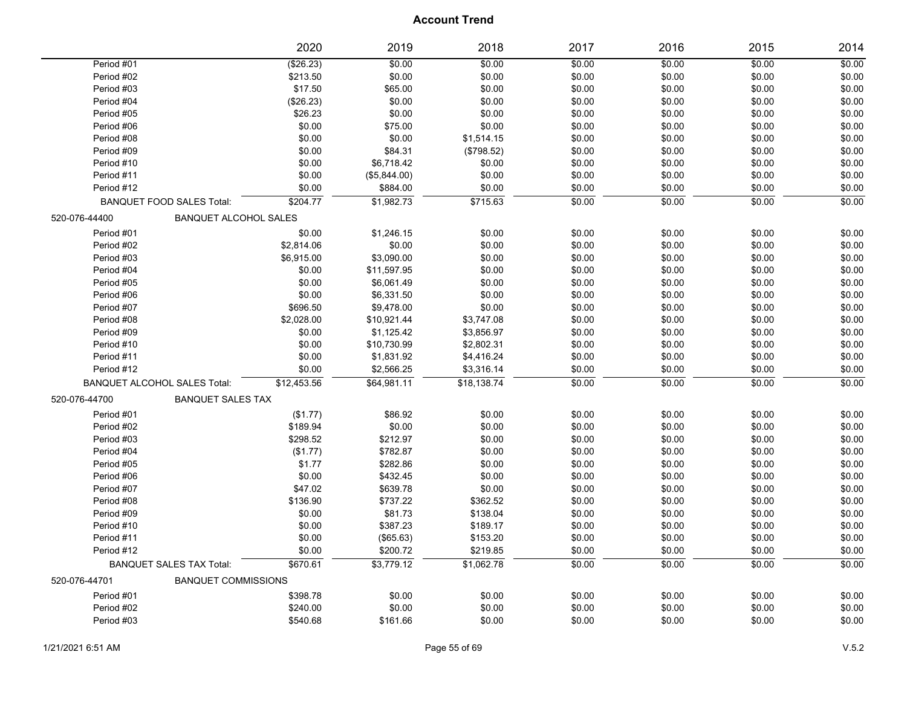|               |                                     | 2020        | 2019         | 2018        | 2017   | 2016   | 2015   | 2014   |
|---------------|-------------------------------------|-------------|--------------|-------------|--------|--------|--------|--------|
| Period #01    |                                     | (\$26.23)   | \$0.00       | \$0.00      | \$0.00 | \$0.00 | \$0.00 | \$0.00 |
| Period #02    |                                     | \$213.50    | \$0.00       | \$0.00      | \$0.00 | \$0.00 | \$0.00 | \$0.00 |
| Period #03    |                                     | \$17.50     | \$65.00      | \$0.00      | \$0.00 | \$0.00 | \$0.00 | \$0.00 |
| Period #04    |                                     | (\$26.23)   | \$0.00       | \$0.00      | \$0.00 | \$0.00 | \$0.00 | \$0.00 |
| Period #05    |                                     | \$26.23     | \$0.00       | \$0.00      | \$0.00 | \$0.00 | \$0.00 | \$0.00 |
| Period #06    |                                     | \$0.00      | \$75.00      | \$0.00      | \$0.00 | \$0.00 | \$0.00 | \$0.00 |
| Period #08    |                                     | \$0.00      | \$0.00       | \$1,514.15  | \$0.00 | \$0.00 | \$0.00 | \$0.00 |
| Period #09    |                                     | \$0.00      | \$84.31      | (\$798.52)  | \$0.00 | \$0.00 | \$0.00 | \$0.00 |
| Period #10    |                                     | \$0.00      | \$6,718.42   | \$0.00      | \$0.00 | \$0.00 | \$0.00 | \$0.00 |
| Period #11    |                                     | \$0.00      | (\$5,844.00) | \$0.00      | \$0.00 | \$0.00 | \$0.00 | \$0.00 |
| Period #12    |                                     | \$0.00      | \$884.00     | \$0.00      | \$0.00 | \$0.00 | \$0.00 | \$0.00 |
|               | BANQUET FOOD SALES Total:           | \$204.77    | \$1,982.73   | \$715.63    | \$0.00 | \$0.00 | \$0.00 | \$0.00 |
| 520-076-44400 | <b>BANQUET ALCOHOL SALES</b>        |             |              |             |        |        |        |        |
| Period #01    |                                     | \$0.00      | \$1,246.15   | \$0.00      | \$0.00 | \$0.00 | \$0.00 | \$0.00 |
| Period #02    |                                     | \$2,814.06  | \$0.00       | \$0.00      | \$0.00 | \$0.00 | \$0.00 | \$0.00 |
| Period #03    |                                     | \$6,915.00  | \$3,090.00   | \$0.00      | \$0.00 | \$0.00 | \$0.00 | \$0.00 |
| Period #04    |                                     | \$0.00      | \$11,597.95  | \$0.00      | \$0.00 | \$0.00 | \$0.00 | \$0.00 |
| Period #05    |                                     | \$0.00      | \$6,061.49   | \$0.00      | \$0.00 | \$0.00 | \$0.00 | \$0.00 |
| Period #06    |                                     | \$0.00      | \$6,331.50   | \$0.00      | \$0.00 | \$0.00 | \$0.00 | \$0.00 |
| Period #07    |                                     | \$696.50    | \$9,478.00   | \$0.00      | \$0.00 | \$0.00 | \$0.00 | \$0.00 |
| Period #08    |                                     | \$2,028.00  | \$10,921.44  | \$3,747.08  | \$0.00 | \$0.00 | \$0.00 | \$0.00 |
| Period #09    |                                     | \$0.00      | \$1,125.42   | \$3,856.97  | \$0.00 | \$0.00 | \$0.00 | \$0.00 |
| Period #10    |                                     | \$0.00      | \$10,730.99  | \$2,802.31  | \$0.00 | \$0.00 | \$0.00 | \$0.00 |
| Period #11    |                                     | \$0.00      | \$1,831.92   | \$4,416.24  | \$0.00 | \$0.00 | \$0.00 | \$0.00 |
| Period #12    |                                     | \$0.00      | \$2,566.25   | \$3,316.14  | \$0.00 | \$0.00 | \$0.00 | \$0.00 |
|               | <b>BANQUET ALCOHOL SALES Total:</b> | \$12,453.56 | \$64,981.11  | \$18,138.74 | \$0.00 | \$0.00 | \$0.00 | \$0.00 |
| 520-076-44700 | <b>BANQUET SALES TAX</b>            |             |              |             |        |        |        |        |
| Period #01    |                                     | (\$1.77)    | \$86.92      | \$0.00      | \$0.00 | \$0.00 | \$0.00 | \$0.00 |
| Period #02    |                                     | \$189.94    | \$0.00       | \$0.00      | \$0.00 | \$0.00 | \$0.00 | \$0.00 |
| Period #03    |                                     | \$298.52    | \$212.97     | \$0.00      | \$0.00 | \$0.00 | \$0.00 | \$0.00 |
| Period #04    |                                     | (\$1.77)    | \$782.87     | \$0.00      | \$0.00 | \$0.00 | \$0.00 | \$0.00 |
| Period #05    |                                     | \$1.77      | \$282.86     | \$0.00      | \$0.00 | \$0.00 | \$0.00 | \$0.00 |
| Period #06    |                                     | \$0.00      | \$432.45     | \$0.00      | \$0.00 | \$0.00 | \$0.00 | \$0.00 |
| Period #07    |                                     | \$47.02     | \$639.78     | \$0.00      | \$0.00 | \$0.00 | \$0.00 | \$0.00 |
| Period #08    |                                     | \$136.90    | \$737.22     | \$362.52    | \$0.00 | \$0.00 | \$0.00 | \$0.00 |
| Period #09    |                                     | \$0.00      | \$81.73      | \$138.04    | \$0.00 | \$0.00 | \$0.00 | \$0.00 |
| Period #10    |                                     | \$0.00      | \$387.23     | \$189.17    | \$0.00 | \$0.00 | \$0.00 | \$0.00 |
| Period #11    |                                     | \$0.00      | (\$65.63)    | \$153.20    | \$0.00 | \$0.00 | \$0.00 | \$0.00 |
| Period #12    |                                     | \$0.00      | \$200.72     | \$219.85    | \$0.00 | \$0.00 | \$0.00 | \$0.00 |
|               | <b>BANQUET SALES TAX Total:</b>     | \$670.61    | \$3,779.12   | \$1,062.78  | \$0.00 | \$0.00 | \$0.00 | \$0.00 |
| 520-076-44701 | <b>BANQUET COMMISSIONS</b>          |             |              |             |        |        |        |        |
| Period #01    |                                     | \$398.78    | \$0.00       | \$0.00      | \$0.00 | \$0.00 | \$0.00 | \$0.00 |
| Period #02    |                                     | \$240.00    | \$0.00       | \$0.00      | \$0.00 | \$0.00 | \$0.00 | \$0.00 |
| Period #03    |                                     | \$540.68    | \$161.66     | \$0.00      | \$0.00 | \$0.00 | \$0.00 | \$0.00 |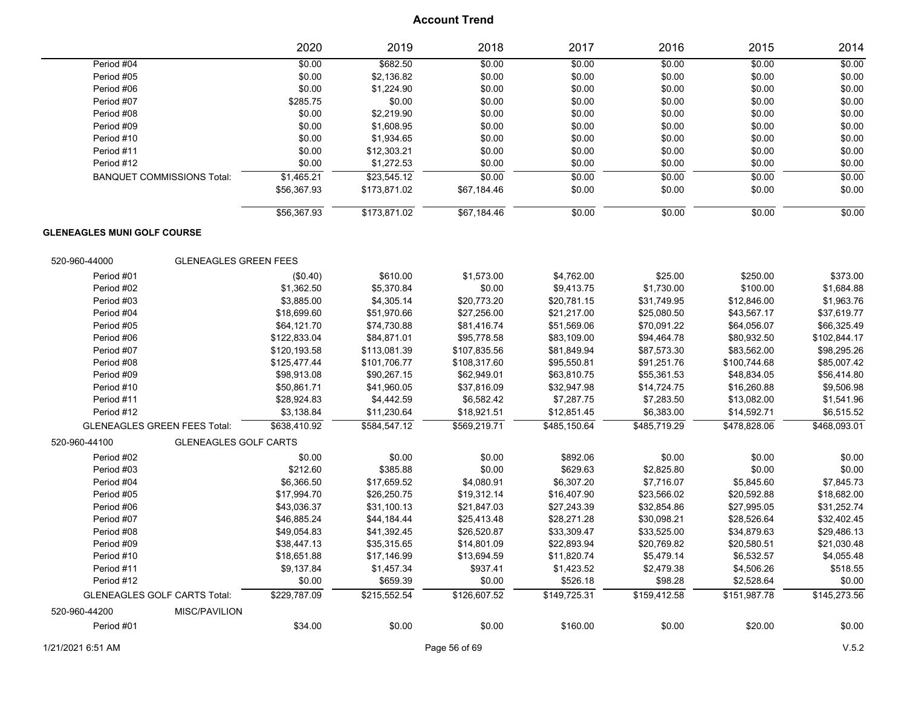|                                     |                                   | 2020         | 2019         | 2018         | 2017         | 2016         | 2015         | 2014         |
|-------------------------------------|-----------------------------------|--------------|--------------|--------------|--------------|--------------|--------------|--------------|
| Period #04                          |                                   | \$0.00       | \$682.50     | \$0.00       | \$0.00       | \$0.00       | \$0.00       | \$0.00       |
| Period #05                          |                                   | \$0.00       | \$2,136.82   | \$0.00       | \$0.00       | \$0.00       | \$0.00       | \$0.00       |
| Period #06                          |                                   | \$0.00       | \$1,224.90   | \$0.00       | \$0.00       | \$0.00       | \$0.00       | \$0.00       |
| Period #07                          |                                   | \$285.75     | \$0.00       | \$0.00       | \$0.00       | \$0.00       | \$0.00       | \$0.00       |
| Period #08                          |                                   | \$0.00       | \$2,219.90   | \$0.00       | \$0.00       | \$0.00       | \$0.00       | \$0.00       |
| Period #09                          |                                   | \$0.00       | \$1,608.95   | \$0.00       | \$0.00       | \$0.00       | \$0.00       | \$0.00       |
| Period #10                          |                                   | \$0.00       | \$1,934.65   | \$0.00       | \$0.00       | \$0.00       | \$0.00       | \$0.00       |
| Period #11                          |                                   | \$0.00       | \$12,303.21  | \$0.00       | \$0.00       | \$0.00       | \$0.00       | \$0.00       |
| Period #12                          |                                   | \$0.00       | \$1,272.53   | \$0.00       | \$0.00       | \$0.00       | \$0.00       | \$0.00       |
|                                     | <b>BANQUET COMMISSIONS Total:</b> | \$1,465.21   | \$23,545.12  | \$0.00       | \$0.00       | \$0.00       | \$0.00       | \$0.00       |
|                                     |                                   | \$56,367.93  | \$173,871.02 | \$67,184.46  | \$0.00       | \$0.00       | \$0.00       | \$0.00       |
|                                     |                                   | \$56,367.93  | \$173,871.02 | \$67,184.46  | \$0.00       | \$0.00       | \$0.00       | \$0.00       |
| <b>GLENEAGLES MUNI GOLF COURSE</b>  |                                   |              |              |              |              |              |              |              |
| 520-960-44000                       | <b>GLENEAGLES GREEN FEES</b>      |              |              |              |              |              |              |              |
| Period #01                          |                                   | (\$0.40)     | \$610.00     | \$1,573.00   | \$4,762.00   | \$25.00      | \$250.00     | \$373.00     |
| Period #02                          |                                   | \$1,362.50   | \$5,370.84   | \$0.00       | \$9,413.75   | \$1,730.00   | \$100.00     | \$1,684.88   |
| Period #03                          |                                   | \$3,885.00   | \$4,305.14   | \$20,773.20  | \$20,781.15  | \$31,749.95  | \$12,846.00  | \$1,963.76   |
| Period #04                          |                                   | \$18,699.60  | \$51,970.66  | \$27,256.00  | \$21,217.00  | \$25,080.50  | \$43,567.17  | \$37,619.77  |
| Period #05                          |                                   | \$64,121.70  | \$74,730.88  | \$81,416.74  | \$51,569.06  | \$70,091.22  | \$64,056.07  | \$66,325.49  |
| Period #06                          |                                   | \$122,833.04 | \$84,871.01  | \$95,778.58  | \$83,109.00  | \$94,464.78  | \$80,932.50  | \$102,844.17 |
| Period #07                          |                                   | \$120,193.58 | \$113,081.39 | \$107,835.56 | \$81,849.94  | \$87,573.30  | \$83,562.00  | \$98,295.26  |
| Period #08                          |                                   | \$125,477.44 | \$101,706.77 | \$108,317.60 | \$95,550.81  | \$91,251.76  | \$100,744.68 | \$85,007.42  |
| Period #09                          |                                   | \$98,913.08  | \$90,267.15  | \$62,949.01  | \$63,810.75  | \$55,361.53  | \$48,834.05  | \$56,414.80  |
| Period #10                          |                                   | \$50,861.71  | \$41,960.05  | \$37,816.09  | \$32,947.98  | \$14,724.75  | \$16,260.88  | \$9,506.98   |
| Period #11                          |                                   | \$28,924.83  | \$4,442.59   | \$6,582.42   | \$7,287.75   | \$7,283.50   | \$13,082.00  | \$1,541.96   |
| Period #12                          |                                   | \$3,138.84   | \$11,230.64  | \$18,921.51  | \$12,851.45  | \$6,383.00   | \$14,592.71  | \$6,515.52   |
| <b>GLENEAGLES GREEN FEES Total:</b> |                                   | \$638,410.92 | \$584,547.12 | \$569,219.71 | \$485,150.64 | \$485,719.29 | \$478,828.06 | \$468,093.01 |
| 520-960-44100                       | <b>GLENEAGLES GOLF CARTS</b>      |              |              |              |              |              |              |              |
| Period #02                          |                                   | \$0.00       | \$0.00       | \$0.00       | \$892.06     | \$0.00       | \$0.00       | \$0.00       |
| Period #03                          |                                   | \$212.60     | \$385.88     | \$0.00       | \$629.63     | \$2,825.80   | \$0.00       | \$0.00       |
| Period #04                          |                                   | \$6,366.50   | \$17,659.52  | \$4,080.91   | \$6,307.20   | \$7,716.07   | \$5,845.60   | \$7,845.73   |
| Period #05                          |                                   | \$17,994.70  | \$26,250.75  | \$19,312.14  | \$16,407.90  | \$23,566.02  | \$20,592.88  | \$18,682.00  |
| Period #06                          |                                   | \$43,036.37  | \$31,100.13  | \$21,847.03  | \$27,243.39  | \$32,854.86  | \$27,995.05  | \$31,252.74  |
| Period #07                          |                                   | \$46,885.24  | \$44,184.44  | \$25,413.48  | \$28,271.28  | \$30,098.21  | \$28,526.64  | \$32,402.45  |
| Period #08                          |                                   | \$49,054.83  | \$41,392.45  | \$26,520.87  | \$33,309.47  | \$33,525.00  | \$34,879.63  | \$29,486.13  |
| Period #09                          |                                   | \$38,447.13  | \$35,315.65  | \$14,801.09  | \$22,893.94  | \$20,769.82  | \$20,580.51  | \$21,030.48  |
| Period #10                          |                                   | \$18,651.88  | \$17,146.99  | \$13,694.59  | \$11,820.74  | \$5,479.14   | \$6,532.57   | \$4,055.48   |
| Period #11                          |                                   | \$9,137.84   | \$1,457.34   | \$937.41     | \$1,423.52   | \$2,479.38   | \$4,506.26   | \$518.55     |
| Period #12                          |                                   | \$0.00       | \$659.39     | \$0.00       | \$526.18     | \$98.28      | \$2,528.64   | \$0.00       |
| <b>GLENEAGLES GOLF CARTS Total:</b> |                                   | \$229.787.09 | \$215.552.54 | \$126,607.52 | \$149.725.31 | \$159.412.58 | \$151.987.78 | \$145,273.56 |
| 520-960-44200                       | MISC/PAVILION                     |              |              |              |              |              |              |              |
| Period #01                          |                                   | \$34.00      | \$0.00       | \$0.00       | \$160.00     | \$0.00       | \$20.00      | \$0.00       |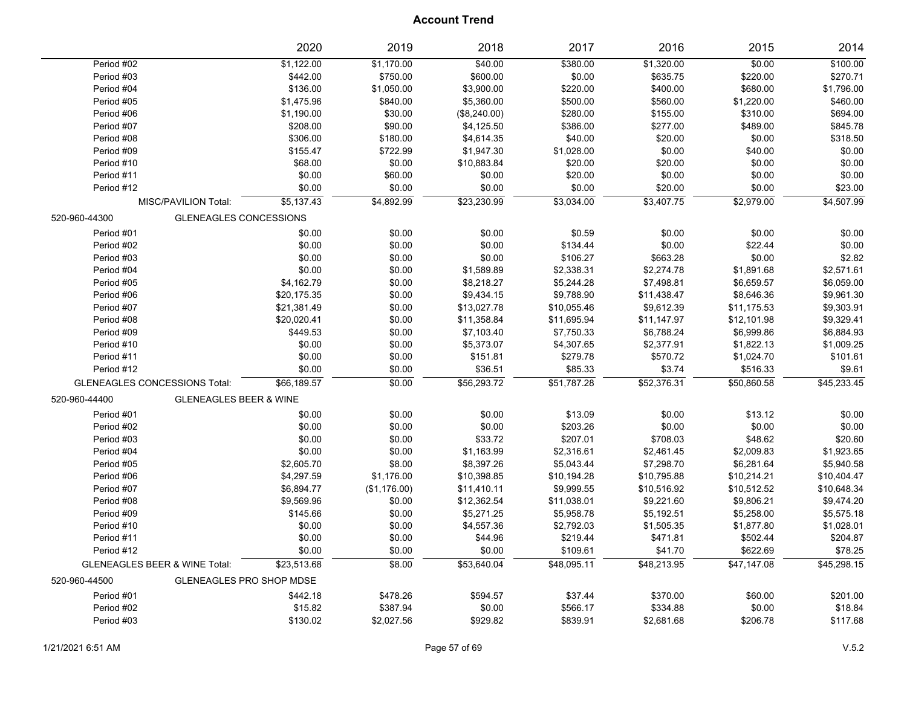|                                          | 2020                              | 2019         | 2018         | 2017        | 2016        | 2015        | 2014        |
|------------------------------------------|-----------------------------------|--------------|--------------|-------------|-------------|-------------|-------------|
| Period #02                               | \$1,122.00                        | \$1,170.00   | \$40.00      | \$380.00    | \$1,320.00  | \$0.00      | \$100.00    |
| Period #03                               | \$442.00                          | \$750.00     | \$600.00     | \$0.00      | \$635.75    | \$220.00    | \$270.71    |
| Period #04                               | \$136.00                          | \$1,050.00   | \$3,900.00   | \$220.00    | \$400.00    | \$680.00    | \$1,796.00  |
| Period #05                               | \$1,475.96                        | \$840.00     | \$5,360.00   | \$500.00    | \$560.00    | \$1,220.00  | \$460.00    |
| Period #06                               | \$1,190.00                        | \$30.00      | (\$8,240.00) | \$280.00    | \$155.00    | \$310.00    | \$694.00    |
| Period #07                               | \$208.00                          | \$90.00      | \$4,125.50   | \$386.00    | \$277.00    | \$489.00    | \$845.78    |
| Period #08                               | \$306.00                          | \$180.00     | \$4,614.35   | \$40.00     | \$20.00     | \$0.00      | \$318.50    |
| Period #09                               | \$155.47                          | \$722.99     | \$1,947.30   | \$1,028.00  | \$0.00      | \$40.00     | \$0.00      |
| Period #10                               | \$68.00                           | \$0.00       | \$10,883.84  | \$20.00     | \$20.00     | \$0.00      | \$0.00      |
| Period #11                               | \$0.00                            | \$60.00      | \$0.00       | \$20.00     | \$0.00      | \$0.00      | \$0.00      |
| Period #12                               | \$0.00                            | \$0.00       | \$0.00       | \$0.00      | \$20.00     | \$0.00      | \$23.00     |
| MISC/PAVILION Total:                     | \$5,137.43                        | \$4,892.99   | \$23,230.99  | \$3,034.00  | \$3,407.75  | \$2,979.00  | \$4,507.99  |
| 520-960-44300                            | <b>GLENEAGLES CONCESSIONS</b>     |              |              |             |             |             |             |
| Period #01                               | \$0.00                            | \$0.00       | \$0.00       | \$0.59      | \$0.00      | \$0.00      | \$0.00      |
| Period #02                               | \$0.00                            | \$0.00       | \$0.00       | \$134.44    | \$0.00      | \$22.44     | \$0.00      |
| Period #03                               | \$0.00                            | \$0.00       | \$0.00       | \$106.27    | \$663.28    | \$0.00      | \$2.82      |
| Period #04                               | \$0.00                            | \$0.00       | \$1,589.89   | \$2,338.31  | \$2,274.78  | \$1,891.68  | \$2,571.61  |
| Period #05                               | \$4,162.79                        | \$0.00       | \$8,218.27   | \$5,244.28  | \$7,498.81  | \$6,659.57  | \$6,059.00  |
| Period #06                               | \$20,175.35                       | \$0.00       | \$9,434.15   | \$9,788.90  | \$11,438.47 | \$8,646.36  | \$9,961.30  |
| Period #07                               | \$21,381.49                       | \$0.00       | \$13,027.78  | \$10,055.46 | \$9,612.39  | \$11,175.53 | \$9,303.91  |
| Period #08                               | \$20,020.41                       | \$0.00       | \$11,358.84  | \$11,695.94 | \$11,147.97 | \$12,101.98 | \$9,329.41  |
| Period #09                               | \$449.53                          | \$0.00       | \$7,103.40   | \$7,750.33  | \$6,788.24  | \$6,999.86  | \$6,884.93  |
| Period #10                               | \$0.00                            | \$0.00       | \$5,373.07   | \$4,307.65  | \$2,377.91  | \$1,822.13  | \$1,009.25  |
| Period #11                               | \$0.00                            | \$0.00       | \$151.81     | \$279.78    | \$570.72    | \$1,024.70  | \$101.61    |
| Period #12                               | \$0.00                            | \$0.00       | \$36.51      | \$85.33     | \$3.74      | \$516.33    | \$9.61      |
| <b>GLENEAGLES CONCESSIONS Total:</b>     | \$66,189.57                       | \$0.00       | \$56,293.72  | \$51,787.28 | \$52,376.31 | \$50,860.58 | \$45,233.45 |
| 520-960-44400                            | <b>GLENEAGLES BEER &amp; WINE</b> |              |              |             |             |             |             |
| Period #01                               | \$0.00                            | \$0.00       | \$0.00       | \$13.09     | \$0.00      | \$13.12     | \$0.00      |
| Period #02                               | \$0.00                            | \$0.00       | \$0.00       | \$203.26    | \$0.00      | \$0.00      | \$0.00      |
| Period #03                               | \$0.00                            | \$0.00       | \$33.72      | \$207.01    | \$708.03    | \$48.62     | \$20.60     |
| Period #04                               | \$0.00                            | \$0.00       | \$1,163.99   | \$2,316.61  | \$2,461.45  | \$2,009.83  | \$1,923.65  |
| Period #05                               | \$2,605.70                        | \$8.00       | \$8,397.26   | \$5,043.44  | \$7,298.70  | \$6,281.64  | \$5,940.58  |
| Period #06                               | \$4,297.59                        | \$1,176.00   | \$10,398.85  | \$10,194.28 | \$10,795.88 | \$10,214.21 | \$10,404.47 |
| Period #07                               | \$6,894.77                        | (\$1,176.00) | \$11,410.11  | \$9,999.55  | \$10,516.92 | \$10,512.52 | \$10,648.34 |
| Period #08                               | \$9,569.96                        | \$0.00       | \$12,362.54  | \$11,038.01 | \$9,221.60  | \$9,806.21  | \$9,474.20  |
| Period #09                               | \$145.66                          | \$0.00       | \$5,271.25   | \$5,958.78  | \$5,192.51  | \$5,258.00  | \$5,575.18  |
| Period #10                               | \$0.00                            | \$0.00       | \$4,557.36   | \$2,792.03  | \$1,505.35  | \$1,877.80  | \$1,028.01  |
| Period #11                               | \$0.00                            | \$0.00       | \$44.96      | \$219.44    | \$471.81    | \$502.44    | \$204.87    |
| Period #12                               | \$0.00                            | \$0.00       | \$0.00       | \$109.61    | \$41.70     | \$622.69    | \$78.25     |
| <b>GLENEAGLES BEER &amp; WINE Total:</b> | \$23,513.68                       | \$8.00       | \$53,640.04  | \$48,095.11 | \$48,213.95 | \$47,147.08 | \$45,298.15 |
| 520-960-44500                            | <b>GLENEAGLES PRO SHOP MDSE</b>   |              |              |             |             |             |             |
| Period #01                               | \$442.18                          | \$478.26     | \$594.57     | \$37.44     | \$370.00    | \$60.00     | \$201.00    |
| Period #02                               | \$15.82                           | \$387.94     | \$0.00       | \$566.17    | \$334.88    | \$0.00      | \$18.84     |
| Period #03                               | \$130.02                          | \$2,027.56   | \$929.82     | \$839.91    | \$2,681.68  | \$206.78    | \$117.68    |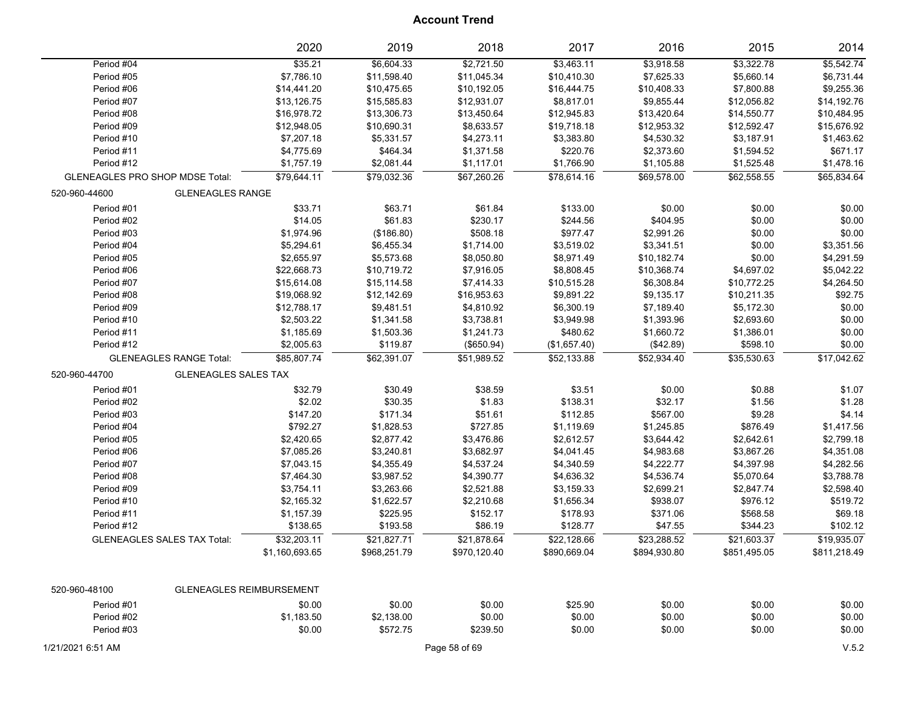|                                              | 2020                            | 2019         | 2018          | 2017         | 2016         | 2015         | 2014         |
|----------------------------------------------|---------------------------------|--------------|---------------|--------------|--------------|--------------|--------------|
| Period #04                                   | \$35.21                         | \$6,604.33   | \$2,721.50    | \$3,463.11   | \$3,918.58   | \$3,322.78   | \$5,542.74   |
| Period #05                                   | \$7,786.10                      | \$11,598.40  | \$11,045.34   | \$10,410.30  | \$7,625.33   | \$5,660.14   | \$6,731.44   |
| Period #06                                   | \$14,441.20                     | \$10,475.65  | \$10,192.05   | \$16,444.75  | \$10,408.33  | \$7,800.88   | \$9,255.36   |
| Period #07                                   | \$13,126.75                     | \$15,585.83  | \$12,931.07   | \$8,817.01   | \$9,855.44   | \$12,056.82  | \$14,192.76  |
| Period #08                                   | \$16,978.72                     | \$13,306.73  | \$13,450.64   | \$12,945.83  | \$13,420.64  | \$14,550.77  | \$10,484.95  |
| Period #09                                   | \$12,948.05                     | \$10,690.31  | \$8,633.57    | \$19,718.18  | \$12,953.32  | \$12,592.47  | \$15,676.92  |
| Period #10                                   | \$7,207.18                      | \$5,331.57   | \$4,273.11    | \$3,383.80   | \$4,530.32   | \$3,187.91   | \$1,463.62   |
| Period #11                                   | \$4,775.69                      | \$464.34     | \$1,371.58    | \$220.76     | \$2,373.60   | \$1,594.52   | \$671.17     |
| Period #12                                   | \$1,757.19                      | \$2,081.44   | \$1,117.01    | \$1,766.90   | \$1,105.88   | \$1,525.48   | \$1,478.16   |
| <b>GLENEAGLES PRO SHOP MDSE Total:</b>       | \$79,644.11                     | \$79,032.36  | \$67,260.26   | \$78,614.16  | \$69,578.00  | \$62,558.55  | \$65,834.64  |
| <b>GLENEAGLES RANGE</b><br>520-960-44600     |                                 |              |               |              |              |              |              |
| Period #01                                   | \$33.71                         | \$63.71      | \$61.84       | \$133.00     | \$0.00       | \$0.00       | \$0.00       |
| Period #02                                   | \$14.05                         | \$61.83      | \$230.17      | \$244.56     | \$404.95     | \$0.00       | \$0.00       |
| Period #03                                   | \$1,974.96                      | (\$186.80)   | \$508.18      | \$977.47     | \$2,991.26   | \$0.00       | \$0.00       |
| Period #04                                   | \$5,294.61                      | \$6,455.34   | \$1,714.00    | \$3,519.02   | \$3,341.51   | \$0.00       | \$3,351.56   |
| Period #05                                   | \$2,655.97                      | \$5,573.68   | \$8,050.80    | \$8,971.49   | \$10,182.74  | \$0.00       | \$4,291.59   |
| Period #06                                   | \$22,668.73                     | \$10,719.72  | \$7,916.05    | \$8,808.45   | \$10,368.74  | \$4,697.02   | \$5,042.22   |
| Period #07                                   | \$15,614.08                     | \$15,114.58  | \$7,414.33    | \$10,515.28  | \$6,308.84   | \$10,772.25  | \$4,264.50   |
| Period #08                                   | \$19,068.92                     | \$12,142.69  | \$16,953.63   | \$9,891.22   | \$9,135.17   | \$10,211.35  | \$92.75      |
| Period #09                                   | \$12,788.17                     | \$9,481.51   | \$4,810.92    | \$6,300.19   | \$7,189.40   | \$5,172.30   | \$0.00       |
| Period #10                                   | \$2,503.22                      | \$1,341.58   | \$3,738.81    | \$3,949.98   | \$1,393.96   | \$2,693.60   | \$0.00       |
| Period #11                                   | \$1,185.69                      | \$1,503.36   | \$1,241.73    | \$480.62     | \$1,660.72   | \$1,386.01   | \$0.00       |
| Period #12                                   | \$2,005.63                      | \$119.87     | (\$650.94)    | (\$1,657.40) | (\$42.89)    | \$598.10     | \$0.00       |
| <b>GLENEAGLES RANGE Total:</b>               | \$85,807.74                     | \$62.391.07  | \$51,989.52   | \$52,133.88  | \$52,934.40  | \$35,530.63  | \$17,042.62  |
| <b>GLENEAGLES SALES TAX</b><br>520-960-44700 |                                 |              |               |              |              |              |              |
| Period #01                                   | \$32.79                         | \$30.49      | \$38.59       | \$3.51       | \$0.00       | \$0.88       | \$1.07       |
| Period #02                                   | \$2.02                          | \$30.35      | \$1.83        | \$138.31     | \$32.17      | \$1.56       | \$1.28       |
| Period #03                                   | \$147.20                        | \$171.34     | \$51.61       | \$112.85     | \$567.00     | \$9.28       | \$4.14       |
| Period #04                                   | \$792.27                        | \$1,828.53   | \$727.85      | \$1,119.69   | \$1,245.85   | \$876.49     | \$1,417.56   |
| Period #05                                   | \$2,420.65                      | \$2,877.42   | \$3,476.86    | \$2,612.57   | \$3,644.42   | \$2,642.61   | \$2,799.18   |
| Period #06                                   | \$7,085.26                      | \$3,240.81   | \$3,682.97    | \$4,041.45   | \$4,983.68   | \$3,867.26   | \$4,351.08   |
| Period #07                                   | \$7,043.15                      | \$4,355.49   | \$4,537.24    | \$4,340.59   | \$4,222.77   | \$4,397.98   | \$4,282.56   |
| Period #08                                   | \$7,464.30                      | \$3,987.52   | \$4,390.77    | \$4,636.32   | \$4,536.74   | \$5,070.64   | \$3,788.78   |
| Period #09                                   | \$3,754.11                      | \$3,263.66   | \$2,521.88    | \$3,159.33   | \$2,699.21   | \$2,847.74   | \$2,598.40   |
| Period #10                                   | \$2,165.32                      | \$1,622.57   | \$2,210.68    | \$1,656.34   | \$938.07     | \$976.12     | \$519.72     |
| Period #11                                   | \$1,157.39                      | \$225.95     | \$152.17      | \$178.93     | \$371.06     | \$568.58     | \$69.18      |
| Period #12                                   | \$138.65                        | \$193.58     | \$86.19       | \$128.77     | \$47.55      | \$344.23     | \$102.12     |
| <b>GLENEAGLES SALES TAX Total:</b>           | \$32,203.11                     | \$21,827.71  | \$21,878.64   | \$22,128.66  | \$23,288.52  | \$21,603.37  | \$19,935.07  |
|                                              | \$1,160,693.65                  | \$968,251.79 | \$970,120.40  | \$890,669.04 | \$894,930.80 | \$851.495.05 | \$811.218.49 |
|                                              |                                 |              |               |              |              |              |              |
| 520-960-48100                                | <b>GLENEAGLES REIMBURSEMENT</b> |              |               |              |              |              |              |
| Period #01                                   | \$0.00                          | \$0.00       | \$0.00        | \$25.90      | \$0.00       | \$0.00       | \$0.00       |
| Period #02                                   | \$1,183.50                      | \$2,138.00   | \$0.00        | \$0.00       | \$0.00       | \$0.00       | \$0.00       |
| Period #03                                   | \$0.00                          | \$572.75     | \$239.50      | \$0.00       | \$0.00       | \$0.00       | \$0.00       |
|                                              |                                 |              |               |              |              |              |              |
| 1/21/2021 6:51 AM                            |                                 |              | Page 58 of 69 |              |              |              | V.5.2        |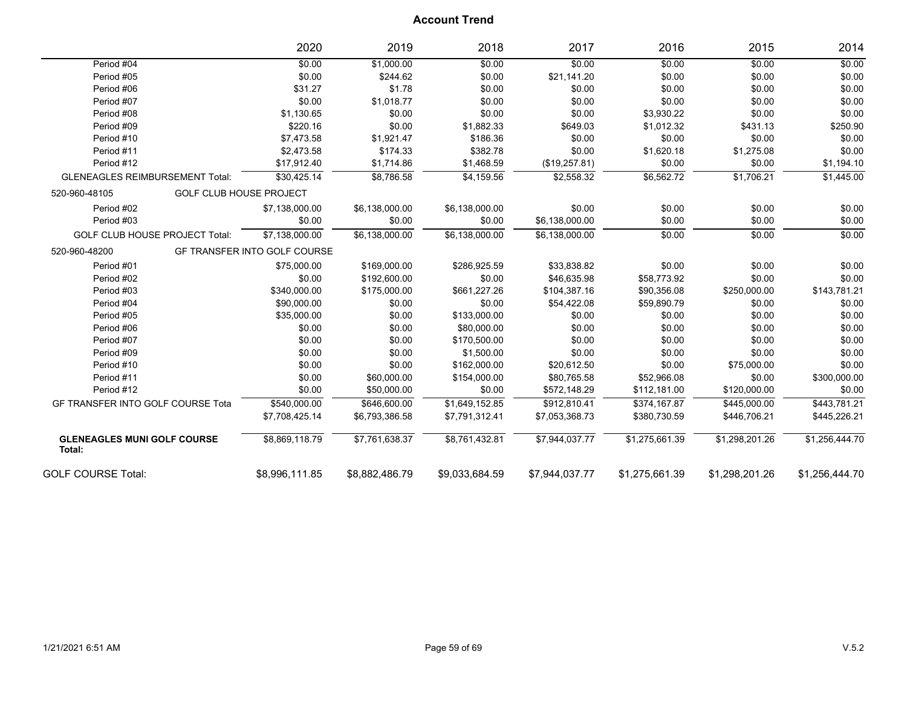|                                              | 2020                                | 2019           | 2018           | 2017           | 2016           | 2015           | 2014           |
|----------------------------------------------|-------------------------------------|----------------|----------------|----------------|----------------|----------------|----------------|
| Period #04                                   | \$0.00                              | \$1,000.00     | \$0.00         | \$0.00         | \$0.00         | \$0.00         | \$0.00         |
| Period #05                                   | \$0.00                              | \$244.62       | \$0.00         | \$21,141.20    | \$0.00         | \$0.00         | \$0.00         |
| Period #06                                   | \$31.27                             | \$1.78         | \$0.00         | \$0.00         | \$0.00         | \$0.00         | \$0.00         |
| Period #07                                   | \$0.00                              | \$1,018.77     | \$0.00         | \$0.00         | \$0.00         | \$0.00         | \$0.00         |
| Period #08                                   | \$1,130.65                          | \$0.00         | \$0.00         | \$0.00         | \$3,930.22     | \$0.00         | \$0.00         |
| Period #09                                   | \$220.16                            | \$0.00         | \$1,882.33     | \$649.03       | \$1,012.32     | \$431.13       | \$250.90       |
| Period #10                                   | \$7,473.58                          | \$1,921.47     | \$186.36       | \$0.00         | \$0.00         | \$0.00         | \$0.00         |
| Period #11                                   | \$2,473.58                          | \$174.33       | \$382.78       | \$0.00         | \$1,620.18     | \$1,275.08     | \$0.00         |
| Period #12                                   | \$17,912.40                         | \$1,714.86     | \$1,468.59     | (\$19,257.81)  | \$0.00         | \$0.00         | \$1,194.10     |
| <b>GLENEAGLES REIMBURSEMENT Total:</b>       | \$30.425.14                         | \$8.786.58     | \$4.159.56     | \$2.558.32     | \$6,562.72     | \$1.706.21     | \$1,445.00     |
| 520-960-48105                                | <b>GOLF CLUB HOUSE PROJECT</b>      |                |                |                |                |                |                |
| Period #02                                   | \$7,138,000.00                      | \$6,138,000.00 | \$6,138,000.00 | \$0.00         | \$0.00         | \$0.00         | \$0.00         |
| Period #03                                   | \$0.00                              | \$0.00         | \$0.00         | \$6,138,000.00 | \$0.00         | \$0.00         | \$0.00         |
| <b>GOLF CLUB HOUSE PROJECT Total:</b>        | \$7.138.000.00                      | \$6,138,000.00 | \$6,138,000.00 | \$6.138.000.00 | \$0.00         | \$0.00         | \$0.00         |
| 520-960-48200                                | <b>GF TRANSFER INTO GOLF COURSE</b> |                |                |                |                |                |                |
| Period #01                                   | \$75,000.00                         | \$169,000.00   | \$286,925.59   | \$33,838.82    | \$0.00         | \$0.00         | \$0.00         |
| Period #02                                   | \$0.00                              | \$192,600.00   | \$0.00         | \$46,635.98    | \$58,773.92    | \$0.00         | \$0.00         |
| Period #03                                   | \$340,000.00                        | \$175,000.00   | \$661,227.26   | \$104,387.16   | \$90,356.08    | \$250,000.00   | \$143,781.21   |
| Period #04                                   | \$90,000.00                         | \$0.00         | \$0.00         | \$54,422.08    | \$59,890.79    | \$0.00         | \$0.00         |
| Period #05                                   | \$35,000.00                         | \$0.00         | \$133,000.00   | \$0.00         | \$0.00         | \$0.00         | \$0.00         |
| Period #06                                   | \$0.00                              | \$0.00         | \$80,000.00    | \$0.00         | \$0.00         | \$0.00         | \$0.00         |
| Period #07                                   | \$0.00                              | \$0.00         | \$170,500.00   | \$0.00         | \$0.00         | \$0.00         | \$0.00         |
| Period #09                                   | \$0.00                              | \$0.00         | \$1,500.00     | \$0.00         | \$0.00         | \$0.00         | \$0.00         |
| Period #10                                   | \$0.00                              | \$0.00         | \$162,000.00   | \$20,612.50    | \$0.00         | \$75,000.00    | \$0.00         |
| Period #11                                   | \$0.00                              | \$60,000.00    | \$154,000.00   | \$80,765.58    | \$52,966.08    | \$0.00         | \$300,000.00   |
| Period #12                                   | \$0.00                              | \$50,000.00    | \$0.00         | \$572,148.29   | \$112,181.00   | \$120,000.00   | \$0.00         |
| GF TRANSFER INTO GOLF COURSE Tota            | \$540,000.00                        | \$646,600.00   | \$1,649,152.85 | \$912,810.41   | \$374,167.87   | \$445,000.00   | \$443,781.21   |
|                                              | \$7,708,425.14                      | \$6,793,386.58 | \$7,791,312.41 | \$7,053,368.73 | \$380,730.59   | \$446,706.21   | \$445,226.21   |
| <b>GLENEAGLES MUNI GOLF COURSE</b><br>Total: | \$8,869,118.79                      | \$7,761,638.37 | \$8,761,432.81 | \$7,944,037.77 | \$1,275,661.39 | \$1,298,201.26 | \$1,256,444.70 |
| <b>GOLF COURSE Total:</b>                    | \$8.996.111.85                      | \$8.882.486.79 | \$9.033.684.59 | \$7.944.037.77 | \$1,275,661.39 | \$1.298.201.26 | \$1.256.444.70 |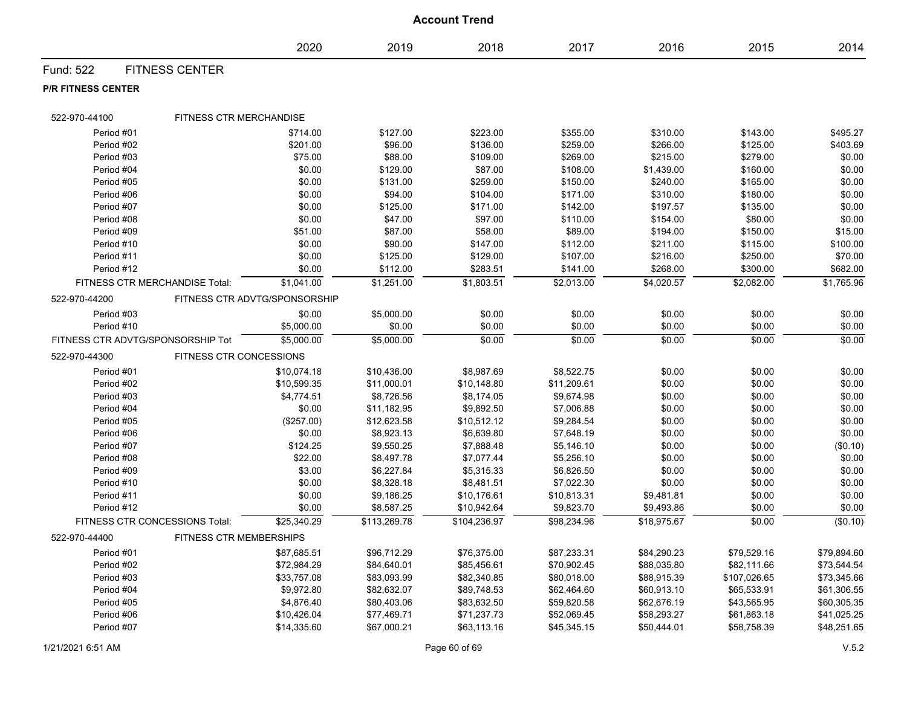|                                   |                                |                               |              | <b>Account Trend</b> |             |             |              |             |
|-----------------------------------|--------------------------------|-------------------------------|--------------|----------------------|-------------|-------------|--------------|-------------|
|                                   |                                | 2020                          | 2019         | 2018                 | 2017        | 2016        | 2015         | 2014        |
| Fund: 522                         | <b>FITNESS CENTER</b>          |                               |              |                      |             |             |              |             |
| <b>P/R FITNESS CENTER</b>         |                                |                               |              |                      |             |             |              |             |
| 522-970-44100                     | FITNESS CTR MERCHANDISE        |                               |              |                      |             |             |              |             |
| Period #01                        |                                | \$714.00                      | \$127.00     | \$223.00             | \$355.00    | \$310.00    | \$143.00     | \$495.27    |
| Period #02                        |                                | \$201.00                      | \$96.00      | \$136.00             | \$259.00    | \$266.00    | \$125.00     | \$403.69    |
| Period #03                        |                                | \$75.00                       | \$88.00      | \$109.00             | \$269.00    | \$215.00    | \$279.00     | \$0.00      |
| Period #04                        |                                | \$0.00                        | \$129.00     | \$87.00              | \$108.00    | \$1,439.00  | \$160.00     | \$0.00      |
| Period #05                        |                                | \$0.00                        | \$131.00     | \$259.00             | \$150.00    | \$240.00    | \$165.00     | \$0.00      |
| Period #06                        |                                | \$0.00                        | \$94.00      | \$104.00             | \$171.00    | \$310.00    | \$180.00     | \$0.00      |
| Period #07                        |                                | \$0.00                        | \$125.00     | \$171.00             | \$142.00    | \$197.57    | \$135.00     | \$0.00      |
| Period #08                        |                                | \$0.00                        | \$47.00      | \$97.00              | \$110.00    | \$154.00    | \$80.00      | \$0.00      |
| Period #09                        |                                | \$51.00                       | \$87.00      | \$58.00              | \$89.00     | \$194.00    | \$150.00     | \$15.00     |
| Period #10                        |                                | \$0.00                        | \$90.00      | \$147.00             | \$112.00    | \$211.00    | \$115.00     | \$100.00    |
| Period #11                        |                                | \$0.00                        | \$125.00     | \$129.00             | \$107.00    | \$216.00    | \$250.00     | \$70.00     |
| Period #12                        |                                | \$0.00                        | \$112.00     | \$283.51             | \$141.00    | \$268.00    | \$300.00     | \$682.00    |
|                                   | FITNESS CTR MERCHANDISE Total: | \$1,041.00                    | \$1,251.00   | \$1,803.51           | \$2,013.00  | \$4,020.57  | \$2,082.00   | \$1,765.96  |
| 522-970-44200                     |                                | FITNESS CTR ADVTG/SPONSORSHIP |              |                      |             |             |              |             |
| Period #03                        |                                | \$0.00                        | \$5,000.00   | \$0.00               | \$0.00      | \$0.00      | \$0.00       | \$0.00      |
| Period #10                        |                                | \$5,000.00                    | \$0.00       | \$0.00               | \$0.00      | \$0.00      | \$0.00       | \$0.00      |
| FITNESS CTR ADVTG/SPONSORSHIP Tot |                                | \$5,000.00                    | \$5,000.00   | \$0.00               | \$0.00      | \$0.00      | \$0.00       | \$0.00      |
| 522-970-44300                     | FITNESS CTR CONCESSIONS        |                               |              |                      |             |             |              |             |
| Period #01                        |                                | \$10,074.18                   | \$10,436.00  | \$8,987.69           | \$8,522.75  | \$0.00      | \$0.00       | \$0.00      |
| Period #02                        |                                | \$10,599.35                   | \$11,000.01  | \$10,148.80          | \$11,209.61 | \$0.00      | \$0.00       | \$0.00      |
| Period #03                        |                                | \$4,774.51                    | \$8,726.56   | \$8,174.05           | \$9,674.98  | \$0.00      | \$0.00       | \$0.00      |
| Period #04                        |                                | \$0.00                        | \$11,182.95  | \$9,892.50           | \$7,006.88  | \$0.00      | \$0.00       | \$0.00      |
| Period #05                        |                                | (\$257.00)                    | \$12,623.58  | \$10,512.12          | \$9,284.54  | \$0.00      | \$0.00       | \$0.00      |
| Period #06                        |                                | \$0.00                        | \$8,923.13   | \$6,639.80           | \$7,648.19  | \$0.00      | \$0.00       | \$0.00      |
| Period #07                        |                                | \$124.25                      | \$9,550.25   | \$7,888.48           | \$5,146.10  | \$0.00      | \$0.00       | (\$0.10)    |
| Period #08                        |                                | \$22.00                       | \$8,497.78   | \$7,077.44           | \$5,256.10  | \$0.00      | \$0.00       | \$0.00      |
| Period #09                        |                                | \$3.00                        | \$6,227.84   | \$5,315.33           | \$6,826.50  | \$0.00      | \$0.00       | \$0.00      |
| Period #10                        |                                | \$0.00                        | \$8,328.18   | \$8,481.51           | \$7,022.30  | \$0.00      | \$0.00       | \$0.00      |
| Period #11                        |                                | \$0.00                        | \$9,186.25   | \$10,176.61          | \$10,813.31 | \$9,481.81  | \$0.00       | \$0.00      |
| Period #12                        |                                | \$0.00                        | \$8,587.25   | \$10,942.64          | \$9,823.70  | \$9,493.86  | \$0.00       | \$0.00      |
|                                   | FITNESS CTR CONCESSIONS Total: | \$25,340.29                   | \$113,269.78 | \$104,236.97         | \$98,234.96 | \$18,975.67 | \$0.00       | (\$0.10)    |
| 522-970-44400                     | FITNESS CTR MEMBERSHIPS        |                               |              |                      |             |             |              |             |
| Period #01                        |                                | \$87,685.51                   | \$96,712.29  | \$76,375.00          | \$87,233.31 | \$84,290.23 | \$79,529.16  | \$79,894.60 |
| Period #02                        |                                | \$72,984.29                   | \$84,640.01  | \$85,456.61          | \$70,902.45 | \$88,035.80 | \$82,111.66  | \$73,544.54 |
| Period #03                        |                                | \$33,757.08                   | \$83,093.99  | \$82,340.85          | \$80,018.00 | \$88,915.39 | \$107,026.65 | \$73,345.66 |
| Period #04                        |                                | \$9,972.80                    | \$82,632.07  | \$89,748.53          | \$62,464.60 | \$60,913.10 | \$65,533.91  | \$61,306.55 |
| Period #05                        |                                | \$4,876.40                    | \$80,403.06  | \$83,632.50          | \$59,820.58 | \$62,676.19 | \$43,565.95  | \$60,305.35 |
| Period #06                        |                                | \$10,426.04                   | \$77,469.71  | \$71,237.73          | \$52,069.45 | \$58,293.27 | \$61,863.18  | \$41,025.25 |
| Period #07                        |                                | \$14,335.60                   | \$67,000.21  | \$63,113.16          | \$45,345.15 | \$50,444.01 | \$58,758.39  | \$48,251.65 |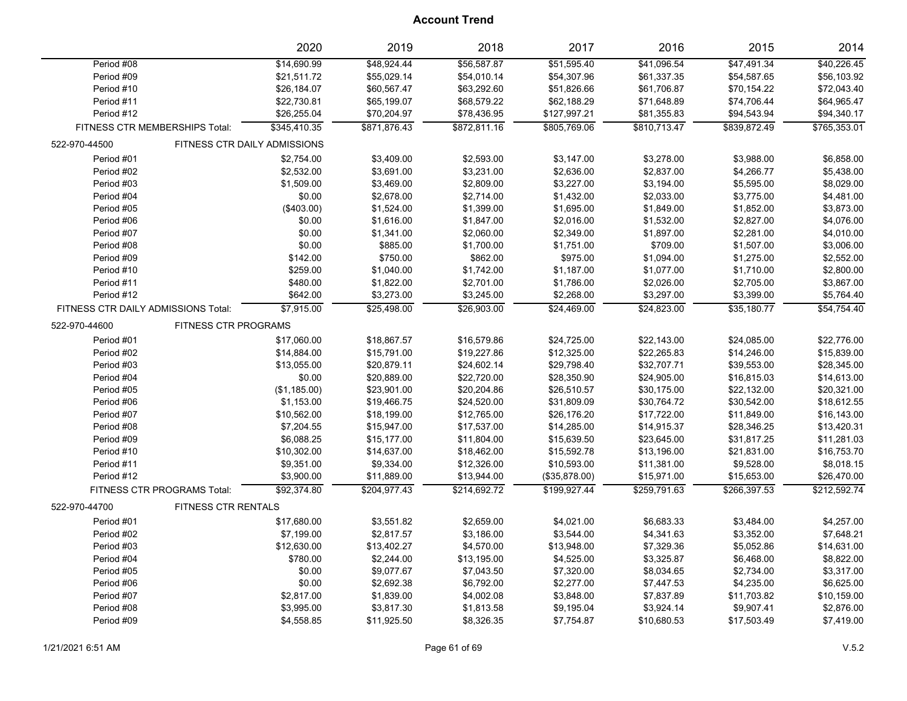|                                     |                             | 2020                         | 2019         | 2018         | 2017          | 2016         | 2015         | 2014         |
|-------------------------------------|-----------------------------|------------------------------|--------------|--------------|---------------|--------------|--------------|--------------|
| Period #08                          |                             | \$14,690.99                  | \$48,924.44  | \$56,587.87  | \$51,595.40   | \$41,096.54  | \$47,491.34  | \$40,226.45  |
| Period #09                          |                             | \$21,511.72                  | \$55,029.14  | \$54,010.14  | \$54,307.96   | \$61,337.35  | \$54,587.65  | \$56,103.92  |
| Period #10                          |                             | \$26,184.07                  | \$60,567.47  | \$63,292.60  | \$51,826.66   | \$61,706.87  | \$70,154.22  | \$72,043.40  |
| Period #11                          |                             | \$22,730.81                  | \$65,199.07  | \$68,579.22  | \$62,188.29   | \$71,648.89  | \$74,706.44  | \$64,965.47  |
| Period #12                          |                             | \$26,255.04                  | \$70,204.97  | \$78,436.95  | \$127,997.21  | \$81,355.83  | \$94,543.94  | \$94,340.17  |
| FITNESS CTR MEMBERSHIPS Total:      |                             | \$345,410.35                 | \$871,876.43 | \$872,811.16 | \$805,769.06  | \$810,713.47 | \$839,872.49 | \$765,353.01 |
| 522-970-44500                       |                             | FITNESS CTR DAILY ADMISSIONS |              |              |               |              |              |              |
| Period #01                          |                             | \$2,754.00                   | \$3,409.00   | \$2,593.00   | \$3,147.00    | \$3,278.00   | \$3,988.00   | \$6,858.00   |
| Period #02                          |                             | \$2,532.00                   | \$3,691.00   | \$3,231.00   | \$2,636.00    | \$2,837.00   | \$4,266.77   | \$5,438.00   |
| Period #03                          |                             | \$1,509.00                   | \$3,469.00   | \$2,809.00   | \$3,227.00    | \$3,194.00   | \$5,595.00   | \$8,029.00   |
| Period #04                          |                             | \$0.00                       | \$2,678.00   | \$2,714.00   | \$1,432.00    | \$2,033.00   | \$3,775.00   | \$4,481.00   |
| Period #05                          |                             | (\$403.00)                   | \$1,524.00   | \$1,399.00   | \$1,695.00    | \$1,849.00   | \$1,852.00   | \$3,873.00   |
| Period #06                          |                             | \$0.00                       | \$1,616.00   | \$1,847.00   | \$2,016.00    | \$1,532.00   | \$2,827.00   | \$4,076.00   |
| Period #07                          |                             | \$0.00                       | \$1,341.00   | \$2,060.00   | \$2,349.00    | \$1,897.00   | \$2,281.00   | \$4,010.00   |
| Period #08                          |                             | \$0.00                       | \$885.00     | \$1,700.00   | \$1,751.00    | \$709.00     | \$1,507.00   | \$3,006.00   |
| Period #09                          |                             | \$142.00                     | \$750.00     | \$862.00     | \$975.00      | \$1,094.00   | \$1,275.00   | \$2,552.00   |
| Period #10                          |                             | \$259.00                     | \$1,040.00   | \$1,742.00   | \$1,187.00    | \$1,077.00   | \$1,710.00   | \$2,800.00   |
| Period #11                          |                             | \$480.00                     | \$1,822.00   | \$2,701.00   | \$1,786.00    | \$2,026.00   | \$2,705.00   | \$3,867.00   |
| Period #12                          |                             | \$642.00                     | \$3,273.00   | \$3,245.00   | \$2,268.00    | \$3,297.00   | \$3,399.00   | \$5,764.40   |
| FITNESS CTR DAILY ADMISSIONS Total: |                             | \$7,915.00                   | \$25,498.00  | \$26,903.00  | \$24,469.00   | \$24,823.00  | \$35,180.77  | \$54,754.40  |
| 522-970-44600                       | <b>FITNESS CTR PROGRAMS</b> |                              |              |              |               |              |              |              |
| Period #01                          |                             | \$17,060.00                  | \$18,867.57  | \$16,579.86  | \$24,725.00   | \$22,143.00  | \$24,085.00  | \$22,776.00  |
| Period #02                          |                             | \$14,884.00                  | \$15,791.00  | \$19,227.86  | \$12,325.00   | \$22,265.83  | \$14,246.00  | \$15,839.00  |
| Period #03                          |                             | \$13,055.00                  | \$20,879.11  | \$24,602.14  | \$29,798.40   | \$32,707.71  | \$39,553.00  | \$28,345.00  |
| Period #04                          |                             | \$0.00                       | \$20,889.00  | \$22,720.00  | \$28,350.90   | \$24,905.00  | \$16,815.03  | \$14,613.00  |
| Period #05                          |                             | (\$1,185.00)                 | \$23,901.00  | \$20,204.86  | \$26,510.57   | \$30,175.00  | \$22,132.00  | \$20,321.00  |
| Period #06                          |                             | \$1,153.00                   | \$19,466.75  | \$24,520.00  | \$31,809.09   | \$30,764.72  | \$30,542.00  | \$18,612.55  |
| Period #07                          |                             | \$10,562.00                  | \$18,199.00  | \$12,765.00  | \$26,176.20   | \$17,722.00  | \$11,849.00  | \$16,143.00  |
| Period #08                          |                             | \$7,204.55                   | \$15,947.00  | \$17,537.00  | \$14,285.00   | \$14,915.37  | \$28,346.25  | \$13,420.31  |
| Period #09                          |                             | \$6,088.25                   | \$15,177.00  | \$11,804.00  | \$15,639.50   | \$23,645.00  | \$31,817.25  | \$11,281.03  |
| Period #10                          |                             | \$10,302.00                  | \$14,637.00  | \$18,462.00  | \$15,592.78   | \$13,196.00  | \$21,831.00  | \$16,753.70  |
| Period #11                          |                             | \$9,351.00                   | \$9,334.00   | \$12,326.00  | \$10,593.00   | \$11,381.00  | \$9,528.00   | \$8,018.15   |
| Period #12                          |                             | \$3,900.00                   | \$11,889.00  | \$13,944.00  | (\$35,878.00) | \$15,971.00  | \$15,653.00  | \$26,470.00  |
| FITNESS CTR PROGRAMS Total:         |                             | \$92,374.80                  | \$204,977.43 | \$214,692.72 | \$199,927.44  | \$259,791.63 | \$266,397.53 | \$212,592.74 |
| 522-970-44700                       | FITNESS CTR RENTALS         |                              |              |              |               |              |              |              |
| Period #01                          |                             | \$17,680.00                  | \$3,551.82   | \$2,659.00   | \$4,021.00    | \$6,683.33   | \$3,484.00   | \$4,257.00   |
| Period #02                          |                             | \$7,199.00                   | \$2,817.57   | \$3,186.00   | \$3,544.00    | \$4,341.63   | \$3,352.00   | \$7,648.21   |
| Period #03                          |                             | \$12,630.00                  | \$13,402.27  | \$4,570.00   | \$13,948.00   | \$7,329.36   | \$5,052.86   | \$14,631.00  |
| Period #04                          |                             | \$780.00                     | \$2,244.00   | \$13,195.00  | \$4,525.00    | \$3,325.87   | \$6,468.00   | \$8,822.00   |
| Period #05                          |                             | \$0.00                       | \$9,077.67   | \$7,043.50   | \$7,320.00    | \$8,034.65   | \$2,734.00   | \$3,317.00   |
| Period #06                          |                             | \$0.00                       | \$2,692.38   | \$6,792.00   | \$2,277.00    | \$7,447.53   | \$4,235.00   | \$6,625.00   |
| Period #07                          |                             | \$2,817.00                   | \$1,839.00   | \$4,002.08   | \$3,848.00    | \$7,837.89   | \$11,703.82  | \$10,159.00  |
| Period #08                          |                             | \$3,995.00                   | \$3,817.30   | \$1,813.58   | \$9,195.04    | \$3,924.14   | \$9,907.41   | \$2,876.00   |
| Period #09                          |                             | \$4,558.85                   | \$11,925.50  | \$8,326.35   | \$7,754.87    | \$10,680.53  | \$17,503.49  | \$7,419.00   |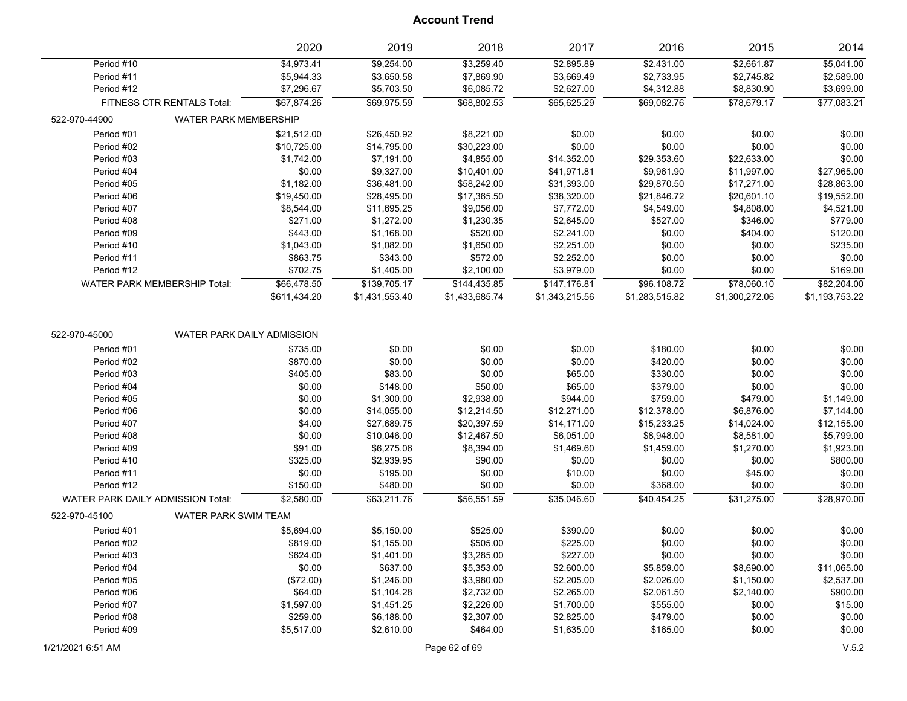|                                   |                                     | 2020         | 2019           | 2018           | 2017           | 2016           | 2015           | 2014           |
|-----------------------------------|-------------------------------------|--------------|----------------|----------------|----------------|----------------|----------------|----------------|
| Period #10                        |                                     | \$4,973.41   | \$9,254.00     | \$3,259.40     | \$2,895.89     | \$2,431.00     | \$2,661.87     | \$5,041.00     |
| Period #11                        |                                     | \$5,944.33   | \$3,650.58     | \$7,869.90     | \$3,669.49     | \$2,733.95     | \$2,745.82     | \$2,589.00     |
| Period #12                        |                                     | \$7,296.67   | \$5,703.50     | \$6,085.72     | \$2,627.00     | \$4,312.88     | \$8,830.90     | \$3,699.00     |
|                                   | FITNESS CTR RENTALS Total:          | \$67,874.26  | \$69,975.59    | \$68,802.53    | \$65,625.29    | \$69,082.76    | \$78,679.17    | \$77,083.21    |
| 522-970-44900                     | WATER PARK MEMBERSHIP               |              |                |                |                |                |                |                |
| Period #01                        |                                     | \$21,512.00  | \$26,450.92    | \$8,221.00     | \$0.00         | \$0.00         | \$0.00         | \$0.00         |
| Period #02                        |                                     | \$10,725.00  | \$14,795.00    | \$30,223.00    | \$0.00         | \$0.00         | \$0.00         | \$0.00         |
| Period #03                        |                                     | \$1,742.00   | \$7,191.00     | \$4,855.00     | \$14,352.00    | \$29,353.60    | \$22,633.00    | \$0.00         |
| Period #04                        |                                     | \$0.00       | \$9,327.00     | \$10,401.00    | \$41,971.81    | \$9,961.90     | \$11,997.00    | \$27,965.00    |
| Period #05                        |                                     | \$1,182.00   | \$36,481.00    | \$58,242.00    | \$31,393.00    | \$29,870.50    | \$17,271.00    | \$28,863.00    |
| Period #06                        |                                     | \$19,450.00  | \$28,495.00    | \$17,365.50    | \$38,320.00    | \$21,846.72    | \$20,601.10    | \$19,552.00    |
| Period #07                        |                                     | \$8,544.00   | \$11,695.25    | \$9,056.00     | \$7,772.00     | \$4,549.00     | \$4,808.00     | \$4,521.00     |
| Period #08                        |                                     | \$271.00     | \$1,272.00     | \$1,230.35     | \$2,645.00     | \$527.00       | \$346.00       | \$779.00       |
| Period #09                        |                                     | \$443.00     | \$1,168.00     | \$520.00       | \$2,241.00     | \$0.00         | \$404.00       | \$120.00       |
| Period #10                        |                                     | \$1,043.00   | \$1,082.00     | \$1,650.00     | \$2,251.00     | \$0.00         | \$0.00         | \$235.00       |
| Period #11                        |                                     | \$863.75     | \$343.00       | \$572.00       | \$2,252.00     | \$0.00         | \$0.00         | \$0.00         |
| Period #12                        |                                     | \$702.75     | \$1,405.00     | \$2,100.00     | \$3,979.00     | \$0.00         | \$0.00         | \$169.00       |
|                                   | <b>WATER PARK MEMBERSHIP Total:</b> | \$66,478.50  | \$139,705.17   | \$144,435.85   | \$147,176.81   | \$96,108.72    | \$78,060.10    | \$82,204.00    |
|                                   |                                     | \$611,434.20 | \$1,431,553.40 | \$1,433,685.74 | \$1,343,215.56 | \$1,283,515.82 | \$1,300,272.06 | \$1,193,753.22 |
| 522-970-45000                     | WATER PARK DAILY ADMISSION          |              |                |                |                |                |                |                |
| Period #01                        |                                     | \$735.00     | \$0.00         | \$0.00         | \$0.00         | \$180.00       | \$0.00         | \$0.00         |
| Period #02                        |                                     | \$870.00     | \$0.00         | \$0.00         | \$0.00         | \$420.00       | \$0.00         | \$0.00         |
| Period #03                        |                                     | \$405.00     | \$83.00        | \$0.00         | \$65.00        | \$330.00       | \$0.00         | \$0.00         |
| Period #04                        |                                     | \$0.00       | \$148.00       | \$50.00        | \$65.00        | \$379.00       | \$0.00         | \$0.00         |
| Period #05                        |                                     | \$0.00       | \$1,300.00     | \$2,938.00     | \$944.00       | \$759.00       | \$479.00       | \$1,149.00     |
| Period #06                        |                                     | \$0.00       | \$14,055.00    | \$12,214.50    | \$12,271.00    | \$12,378.00    | \$6,876.00     | \$7,144.00     |
| Period #07                        |                                     | \$4.00       | \$27,689.75    | \$20,397.59    | \$14,171.00    | \$15,233.25    | \$14,024.00    | \$12,155.00    |
| Period #08                        |                                     | \$0.00       | \$10,046.00    | \$12,467.50    | \$6,051.00     | \$8,948.00     | \$8,581.00     | \$5,799.00     |
| Period #09                        |                                     | \$91.00      | \$6,275.06     | \$8,394.00     | \$1,469.60     | \$1,459.00     | \$1,270.00     | \$1,923.00     |
| Period #10                        |                                     | \$325.00     | \$2,939.95     | \$90.00        | \$0.00         | \$0.00         | \$0.00         | \$800.00       |
| Period #11                        |                                     | \$0.00       | \$195.00       | \$0.00         | \$10.00        | \$0.00         | \$45.00        | \$0.00         |
| Period #12                        |                                     | \$150.00     | \$480.00       | \$0.00         | \$0.00         | \$368.00       | \$0.00         | \$0.00         |
| WATER PARK DAILY ADMISSION Total: |                                     | \$2,580.00   | \$63,211.76    | \$56,551.59    | \$35,046.60    | \$40,454.25    | \$31,275.00    | \$28,970.00    |
| 522-970-45100                     | <b>WATER PARK SWIM TEAM</b>         |              |                |                |                |                |                |                |
| Period #01                        |                                     | \$5,694.00   | \$5,150.00     | \$525.00       | \$390.00       | \$0.00         | \$0.00         | \$0.00         |
| Period #02                        |                                     | \$819.00     | \$1,155.00     | \$505.00       | \$225.00       | \$0.00         | \$0.00         | \$0.00         |
| Period #03                        |                                     | \$624.00     | \$1,401.00     | \$3,285.00     | \$227.00       | \$0.00         | \$0.00         | \$0.00         |
| Period #04                        |                                     | \$0.00       | \$637.00       | \$5,353.00     | \$2,600.00     | \$5,859.00     | \$8,690.00     | \$11,065.00    |
| Period #05                        |                                     | (\$72.00)    | \$1,246.00     | \$3,980.00     | \$2,205.00     | \$2,026.00     | \$1,150.00     | \$2,537.00     |
| Period #06                        |                                     | \$64.00      | \$1,104.28     | \$2,732.00     | \$2,265.00     | \$2,061.50     | \$2,140.00     | \$900.00       |
| Period #07                        |                                     | \$1,597.00   | \$1,451.25     | \$2,226.00     | \$1,700.00     | \$555.00       | \$0.00         | \$15.00        |
| Period #08                        |                                     | \$259.00     | \$6,188.00     | \$2,307.00     | \$2,825.00     | \$479.00       | \$0.00         | \$0.00         |
| Period #09                        |                                     | \$5,517.00   | \$2,610.00     | \$464.00       | \$1,635.00     | \$165.00       | \$0.00         | \$0.00         |
|                                   |                                     |              |                |                |                |                |                |                |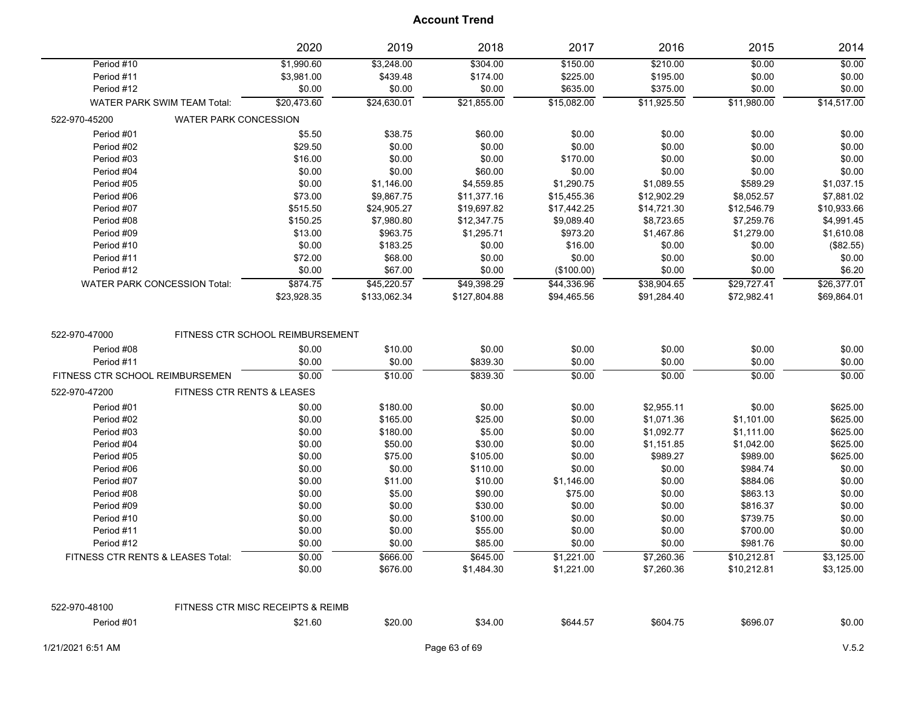|                                 |                                       | 2020                              | 2019              | 2018               | 2017             | 2016             | 2015             | 2014             |
|---------------------------------|---------------------------------------|-----------------------------------|-------------------|--------------------|------------------|------------------|------------------|------------------|
| Period #10                      |                                       | \$1,990.60                        | \$3,248.00        | \$304.00           | \$150.00         | \$210.00         | \$0.00           | \$0.00           |
| Period #11                      |                                       | \$3,981.00                        | \$439.48          | \$174.00           | \$225.00         | \$195.00         | \$0.00           | \$0.00           |
| Period #12                      |                                       | \$0.00                            | \$0.00            | \$0.00             | \$635.00         | \$375.00         | \$0.00           | \$0.00           |
|                                 | <b>WATER PARK SWIM TEAM Total:</b>    | \$20,473.60                       | \$24,630.01       | \$21,855.00        | \$15,082.00      | \$11,925.50      | \$11,980.00      | \$14,517.00      |
| 522-970-45200                   | <b>WATER PARK CONCESSION</b>          |                                   |                   |                    |                  |                  |                  |                  |
| Period #01                      |                                       | \$5.50                            | \$38.75           | \$60.00            | \$0.00           | \$0.00           | \$0.00           | \$0.00           |
| Period #02                      |                                       | \$29.50                           | \$0.00            | \$0.00             | \$0.00           | \$0.00           | \$0.00           | \$0.00           |
| Period #03                      |                                       | \$16.00                           | \$0.00            | \$0.00             | \$170.00         | \$0.00           | \$0.00           | \$0.00           |
| Period #04                      |                                       | \$0.00                            | \$0.00            | \$60.00            | \$0.00           | \$0.00           | \$0.00           | \$0.00           |
| Period #05                      |                                       | \$0.00                            | \$1,146.00        | \$4,559.85         | \$1,290.75       | \$1,089.55       | \$589.29         | \$1,037.15       |
| Period #06                      |                                       | \$73.00                           | \$9,867.75        | \$11,377.16        | \$15,455.36      | \$12,902.29      | \$8,052.57       | \$7,881.02       |
| Period #07                      |                                       | \$515.50                          | \$24,905.27       | \$19,697.82        | \$17,442.25      | \$14,721.30      | \$12,546.79      | \$10,933.66      |
| Period #08                      |                                       | \$150.25                          | \$7,980.80        | \$12,347.75        | \$9,089.40       | \$8,723.65       | \$7,259.76       | \$4,991.45       |
| Period #09                      |                                       | \$13.00                           | \$963.75          | \$1,295.71         | \$973.20         | \$1,467.86       | \$1,279.00       | \$1,610.08       |
| Period #10                      |                                       | \$0.00                            | \$183.25          | \$0.00             | \$16.00          | \$0.00           | \$0.00           | (\$82.55)        |
| Period #11                      |                                       | \$72.00                           | \$68.00           | \$0.00             | \$0.00           | \$0.00           | \$0.00           | \$0.00           |
| Period #12                      |                                       | \$0.00                            | \$67.00           | \$0.00             | (\$100.00)       | \$0.00           | \$0.00           | \$6.20           |
|                                 | <b>WATER PARK CONCESSION Total:</b>   | \$874.75                          | \$45,220.57       | \$49,398.29        | \$44,336.96      | \$38,904.65      | \$29,727.41      | \$26,377.01      |
|                                 |                                       | \$23,928.35                       | \$133,062.34      | \$127,804.88       | \$94,465.56      | \$91,284.40      | \$72,982.41      | \$69,864.01      |
| Period #08<br>Period #11        |                                       | \$0.00<br>\$0.00                  | \$10.00<br>\$0.00 | \$0.00<br>\$839.30 | \$0.00<br>\$0.00 | \$0.00<br>\$0.00 | \$0.00<br>\$0.00 | \$0.00<br>\$0.00 |
| FITNESS CTR SCHOOL REIMBURSEMEN |                                       | \$0.00                            | \$10.00           | \$839.30           | \$0.00           | \$0.00           | \$0.00           | \$0.00           |
| 522-970-47200                   | <b>FITNESS CTR RENTS &amp; LEASES</b> |                                   |                   |                    |                  |                  |                  |                  |
| Period #01                      |                                       | \$0.00                            | \$180.00          | \$0.00             | \$0.00           | \$2,955.11       | \$0.00           | \$625.00         |
| Period #02                      |                                       | \$0.00                            | \$165.00          | \$25.00            | \$0.00           | \$1,071.36       | \$1,101.00       | \$625.00         |
| Period #03                      |                                       | \$0.00                            | \$180.00          | \$5.00             | \$0.00           | \$1,092.77       | \$1,111.00       | \$625.00         |
| Period #04                      |                                       | \$0.00                            | \$50.00           | \$30.00            | \$0.00           | \$1,151.85       | \$1,042.00       | \$625.00         |
| Period #05                      |                                       | \$0.00                            | \$75.00           | \$105.00           | \$0.00           | \$989.27         | \$989.00         | \$625.00         |
| Period #06                      |                                       | \$0.00                            | \$0.00            | \$110.00           | \$0.00           | \$0.00           | \$984.74         | \$0.00           |
| Period #07                      |                                       | \$0.00                            | \$11.00           | \$10.00            | \$1,146.00       | \$0.00           | \$884.06         | \$0.00           |
| Period #08                      |                                       | \$0.00                            | \$5.00            | \$90.00            | \$75.00          | \$0.00           | \$863.13         | \$0.00           |
| Period #09                      |                                       | \$0.00                            | \$0.00            | \$30.00            | \$0.00           | \$0.00           | \$816.37         | \$0.00           |
| Period #10                      |                                       | \$0.00                            | \$0.00            | \$100.00           | \$0.00           | \$0.00           | \$739.75         | \$0.00           |
| Period #11                      |                                       | \$0.00                            | \$0.00            | \$55.00            | \$0.00           | \$0.00           | \$700.00         | \$0.00           |
| Period #12                      |                                       | \$0.00                            | \$0.00            | \$85.00            | \$0.00           | \$0.00           | \$981.76         | \$0.00           |
|                                 | FITNESS CTR RENTS & LEASES Total:     | \$0.00                            | \$666.00          | \$645.00           | \$1,221.00       | \$7,260.36       | \$10,212.81      | \$3,125.00       |
|                                 |                                       | \$0.00                            | \$676.00          | \$1,484.30         | \$1,221.00       | \$7,260.36       | \$10,212.81      | \$3,125.00       |
|                                 |                                       |                                   |                   |                    |                  |                  |                  |                  |
| 522-970-48100                   |                                       | FITNESS CTR MISC RECEIPTS & REIMB |                   |                    |                  |                  |                  |                  |
| Period #01                      |                                       | \$21.60                           | \$20.00           | \$34.00            | \$644.57         | \$604.75         | \$696.07         | \$0.00           |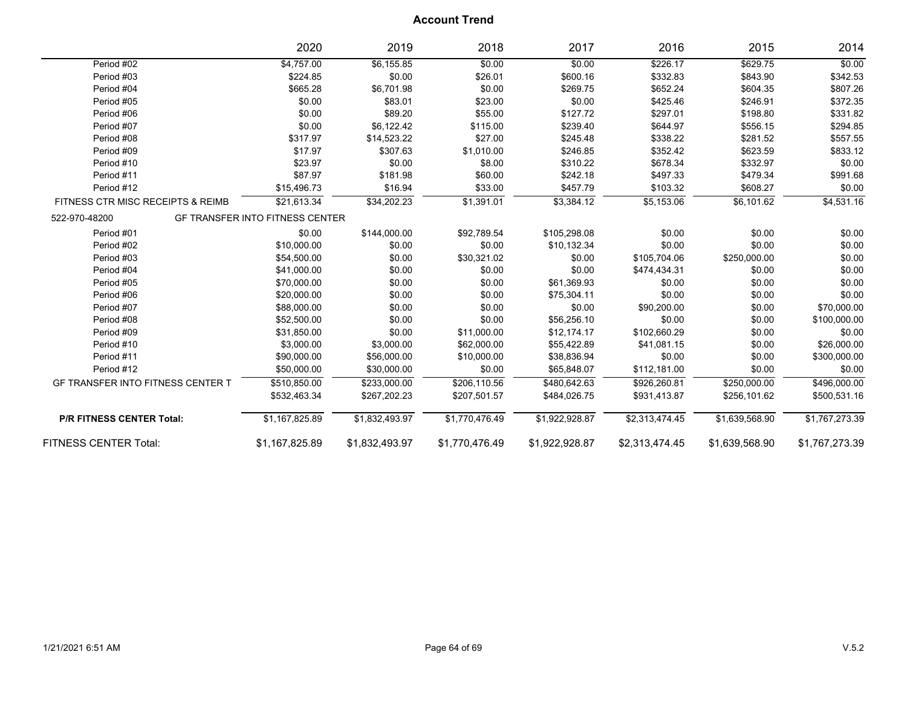|                                          | 2020                                   | 2019           | 2018           | 2017           | 2016           | 2015           | 2014           |
|------------------------------------------|----------------------------------------|----------------|----------------|----------------|----------------|----------------|----------------|
| Period #02                               | \$4,757.00                             | \$6,155.85     | \$0.00         | \$0.00         | \$226.17       | \$629.75       | \$0.00         |
| Period #03                               | \$224.85                               | \$0.00         | \$26.01        | \$600.16       | \$332.83       | \$843.90       | \$342.53       |
| Period #04                               | \$665.28                               | \$6,701.98     | \$0.00         | \$269.75       | \$652.24       | \$604.35       | \$807.26       |
| Period #05                               | \$0.00                                 | \$83.01        | \$23.00        | \$0.00         | \$425.46       | \$246.91       | \$372.35       |
| Period #06                               | \$0.00                                 | \$89.20        | \$55.00        | \$127.72       | \$297.01       | \$198.80       | \$331.82       |
| Period #07                               | \$0.00                                 | \$6,122.42     | \$115.00       | \$239.40       | \$644.97       | \$556.15       | \$294.85       |
| Period #08                               | \$317.97                               | \$14,523.22    | \$27.00        | \$245.48       | \$338.22       | \$281.52       | \$557.55       |
| Period #09                               | \$17.97                                | \$307.63       | \$1,010.00     | \$246.85       | \$352.42       | \$623.59       | \$833.12       |
| Period #10                               | \$23.97                                | \$0.00         | \$8.00         | \$310.22       | \$678.34       | \$332.97       | \$0.00         |
| Period #11                               | \$87.97                                | \$181.98       | \$60.00        | \$242.18       | \$497.33       | \$479.34       | \$991.68       |
| Period #12                               | \$15,496.73                            | \$16.94        | \$33.00        | \$457.79       | \$103.32       | \$608.27       | \$0.00         |
| FITNESS CTR MISC RECEIPTS & REIMB        | \$21,613.34                            | \$34,202.23    | \$1,391.01     | \$3,384.12     | \$5,153.06     | \$6,101.62     | \$4,531.16     |
| 522-970-48200                            | <b>GF TRANSFER INTO FITNESS CENTER</b> |                |                |                |                |                |                |
| Period #01                               | \$0.00                                 | \$144,000.00   | \$92,789.54    | \$105,298.08   | \$0.00         | \$0.00         | \$0.00         |
| Period #02                               | \$10,000.00                            | \$0.00         | \$0.00         | \$10,132.34    | \$0.00         | \$0.00         | \$0.00         |
| Period #03                               | \$54,500.00                            | \$0.00         | \$30,321.02    | \$0.00         | \$105,704.06   | \$250,000.00   | \$0.00         |
| Period #04                               | \$41,000.00                            | \$0.00         | \$0.00         | \$0.00         | \$474,434.31   | \$0.00         | \$0.00         |
| Period #05                               | \$70,000.00                            | \$0.00         | \$0.00         | \$61,369.93    | \$0.00         | \$0.00         | \$0.00         |
| Period #06                               | \$20,000.00                            | \$0.00         | \$0.00         | \$75,304.11    | \$0.00         | \$0.00         | \$0.00         |
| Period #07                               | \$88,000.00                            | \$0.00         | \$0.00         | \$0.00         | \$90,200.00    | \$0.00         | \$70,000.00    |
| Period #08                               | \$52,500.00                            | \$0.00         | \$0.00         | \$56,256.10    | \$0.00         | \$0.00         | \$100,000.00   |
| Period #09                               | \$31,850.00                            | \$0.00         | \$11,000.00    | \$12,174.17    | \$102,660.29   | \$0.00         | \$0.00         |
| Period #10                               | \$3,000.00                             | \$3,000.00     | \$62,000.00    | \$55,422.89    | \$41,081.15    | \$0.00         | \$26,000.00    |
| Period #11                               | \$90,000.00                            | \$56,000.00    | \$10,000.00    | \$38,836.94    | \$0.00         | \$0.00         | \$300,000.00   |
| Period #12                               | \$50,000.00                            | \$30,000.00    | \$0.00         | \$65,848.07    | \$112,181.00   | \$0.00         | \$0.00         |
| <b>GF TRANSFER INTO FITNESS CENTER T</b> | \$510,850.00                           | \$233,000.00   | \$206,110.56   | \$480,642.63   | \$926,260.81   | \$250,000.00   | \$496,000.00   |
|                                          | \$532,463.34                           | \$267,202.23   | \$207,501.57   | \$484,026.75   | \$931,413.87   | \$256,101.62   | \$500,531.16   |
| <b>P/R FITNESS CENTER Total:</b>         | \$1,167,825.89                         | \$1,832,493.97 | \$1,770,476.49 | \$1,922,928.87 | \$2,313,474.45 | \$1,639,568.90 | \$1,767,273.39 |
| <b>FITNESS CENTER Total:</b>             | \$1,167,825.89                         | \$1,832,493.97 | \$1,770,476.49 | \$1,922,928.87 | \$2,313,474.45 | \$1,639,568.90 | \$1,767,273.39 |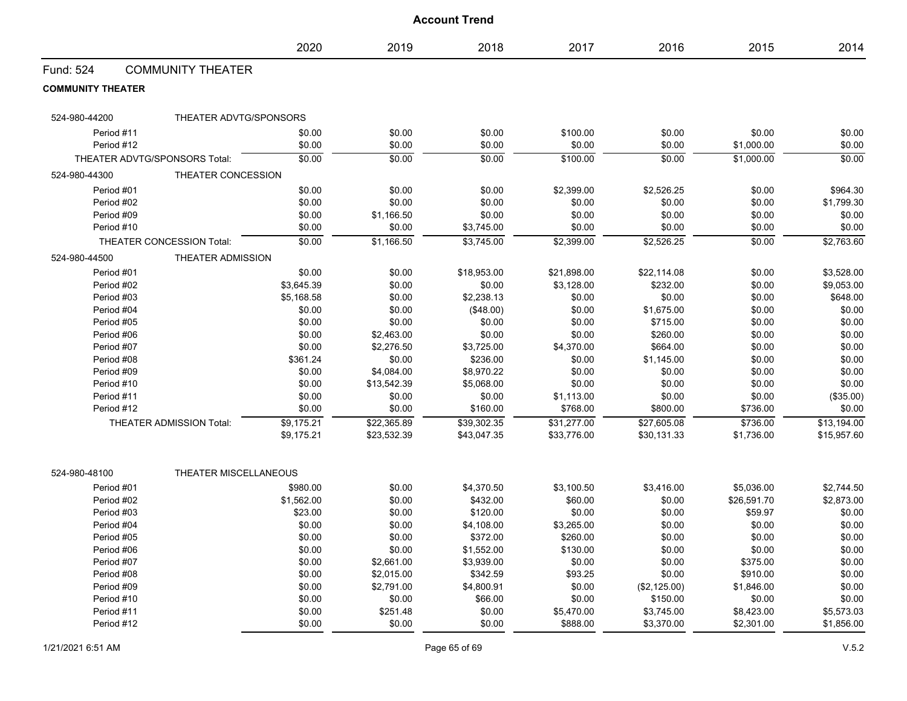| <b>Account Trend</b>          |                           |                   |                  |                        |                      |                  |                   |                  |
|-------------------------------|---------------------------|-------------------|------------------|------------------------|----------------------|------------------|-------------------|------------------|
|                               |                           | 2020              | 2019             | 2018                   | 2017                 | 2016             | 2015              | 2014             |
| Fund: 524                     | <b>COMMUNITY THEATER</b>  |                   |                  |                        |                      |                  |                   |                  |
| <b>COMMUNITY THEATER</b>      |                           |                   |                  |                        |                      |                  |                   |                  |
| 524-980-44200                 | THEATER ADVTG/SPONSORS    |                   |                  |                        |                      |                  |                   |                  |
| Period #11                    |                           | \$0.00            | \$0.00           | \$0.00                 | \$100.00             | \$0.00           | \$0.00            | \$0.00           |
| Period #12                    |                           | \$0.00            | \$0.00           | \$0.00                 | \$0.00               | \$0.00           | \$1,000.00        | \$0.00           |
| THEATER ADVTG/SPONSORS Total: |                           | \$0.00            | \$0.00           | \$0.00                 | \$100.00             | \$0.00           | \$1,000.00        | \$0.00           |
| 524-980-44300                 | THEATER CONCESSION        |                   |                  |                        |                      |                  |                   |                  |
| Period #01                    |                           | \$0.00            | \$0.00           | \$0.00                 | \$2,399.00           | \$2,526.25       | \$0.00            | \$964.30         |
| Period #02                    |                           | \$0.00            | \$0.00           | \$0.00                 | \$0.00               | \$0.00           | \$0.00            | \$1,799.30       |
| Period #09                    |                           | \$0.00            | \$1,166.50       | \$0.00                 | \$0.00               | \$0.00           | \$0.00            | \$0.00           |
| Period #10                    |                           | \$0.00            | \$0.00           | \$3,745.00             | \$0.00               | \$0.00           | \$0.00            | \$0.00           |
|                               | THEATER CONCESSION Total: | \$0.00            | \$1,166.50       | \$3,745.00             | \$2,399.00           | \$2,526.25       | \$0.00            | \$2,763.60       |
| 524-980-44500                 | <b>THEATER ADMISSION</b>  |                   |                  |                        |                      |                  |                   |                  |
| Period #01                    |                           | \$0.00            | \$0.00           | \$18,953.00            | \$21,898.00          | \$22,114.08      | \$0.00            | \$3,528.00       |
| Period #02                    |                           | \$3,645.39        | \$0.00           | \$0.00                 | \$3,128.00           | \$232.00         | \$0.00            | \$9,053.00       |
| Period #03                    |                           | \$5,168.58        | \$0.00           | \$2,238.13             | \$0.00               | \$0.00           | \$0.00            | \$648.00         |
| Period #04                    |                           | \$0.00            | \$0.00           | (\$48.00)              | \$0.00               | \$1,675.00       | \$0.00            | \$0.00           |
| Period #05                    |                           | \$0.00            | \$0.00           | \$0.00                 | \$0.00               | \$715.00         | \$0.00            | \$0.00           |
| Period #06                    |                           | \$0.00            | \$2,463.00       | \$0.00                 | \$0.00               | \$260.00         | \$0.00            | \$0.00           |
| Period #07                    |                           | \$0.00            | \$2,276.50       | \$3,725.00             | \$4,370.00           | \$664.00         | \$0.00            | \$0.00           |
| Period #08                    |                           | \$361.24          | \$0.00           | \$236.00               | \$0.00               | \$1,145.00       | \$0.00            | \$0.00           |
| Period #09                    |                           | \$0.00            | \$4,084.00       | \$8,970.22             | \$0.00               | \$0.00           | \$0.00            | \$0.00           |
| Period #10                    |                           | \$0.00            | \$13,542.39      | \$5,068.00             | \$0.00               | \$0.00           | \$0.00            | \$0.00           |
| Period #11                    |                           | \$0.00            | \$0.00           | \$0.00                 | \$1,113.00           | \$0.00           | \$0.00            | (\$35.00)        |
| Period #12                    |                           | \$0.00            | \$0.00           | \$160.00               | \$768.00             | \$800.00         | \$736.00          | \$0.00           |
|                               | THEATER ADMISSION Total:  | \$9,175.21        | \$22,365.89      | \$39,302.35            | \$31,277.00          | \$27,605.08      | \$736.00          | \$13,194.00      |
|                               |                           | \$9,175.21        | \$23,532.39      | \$43,047.35            | \$33,776.00          | \$30,131.33      | \$1,736.00        | \$15,957.60      |
| 524-980-48100                 | THEATER MISCELLANEOUS     |                   |                  |                        |                      |                  |                   |                  |
|                               |                           |                   |                  |                        |                      |                  |                   |                  |
| Period #01                    |                           | \$980.00          | \$0.00           | \$4,370.50             | \$3,100.50           | \$3,416.00       | \$5,036.00        | \$2,744.50       |
| Period #02<br>Period #03      |                           | \$1,562.00        | \$0.00           | \$432.00               | \$60.00              | \$0.00           | \$26,591.70       | \$2,873.00       |
| Period #04                    |                           | \$23.00<br>\$0.00 | \$0.00<br>\$0.00 | \$120.00<br>\$4,108.00 | \$0.00<br>\$3,265.00 | \$0.00<br>\$0.00 | \$59.97<br>\$0.00 | \$0.00<br>\$0.00 |
| Period #05                    |                           | \$0.00            | \$0.00           | \$372.00               | \$260.00             | \$0.00           | \$0.00            | \$0.00           |
| Period #06                    |                           | \$0.00            | \$0.00           | \$1,552.00             | \$130.00             | \$0.00           | \$0.00            | \$0.00           |
| Period #07                    |                           | \$0.00            | \$2,661.00       | \$3,939.00             | \$0.00               | \$0.00           | \$375.00          | \$0.00           |
| Period #08                    |                           | \$0.00            | \$2,015.00       | \$342.59               | \$93.25              | \$0.00           | \$910.00          | \$0.00           |
| Period #09                    |                           | \$0.00            | \$2,791.00       | \$4,800.91             | \$0.00               | (\$2,125.00)     | \$1,846.00        | \$0.00           |
| Period #10                    |                           | \$0.00            | \$0.00           | \$66.00                | \$0.00               | \$150.00         | \$0.00            | \$0.00           |

Period #11 \$0.00 \$251.48 \$0.00 \$5,470.00 \$3,745.00 \$8,423.00 \$5,573.03 Period #12 \$0.00 \$0.00 \$0.00 \$888.00 \$3,370.00 \$2,301.00 \$1,856.00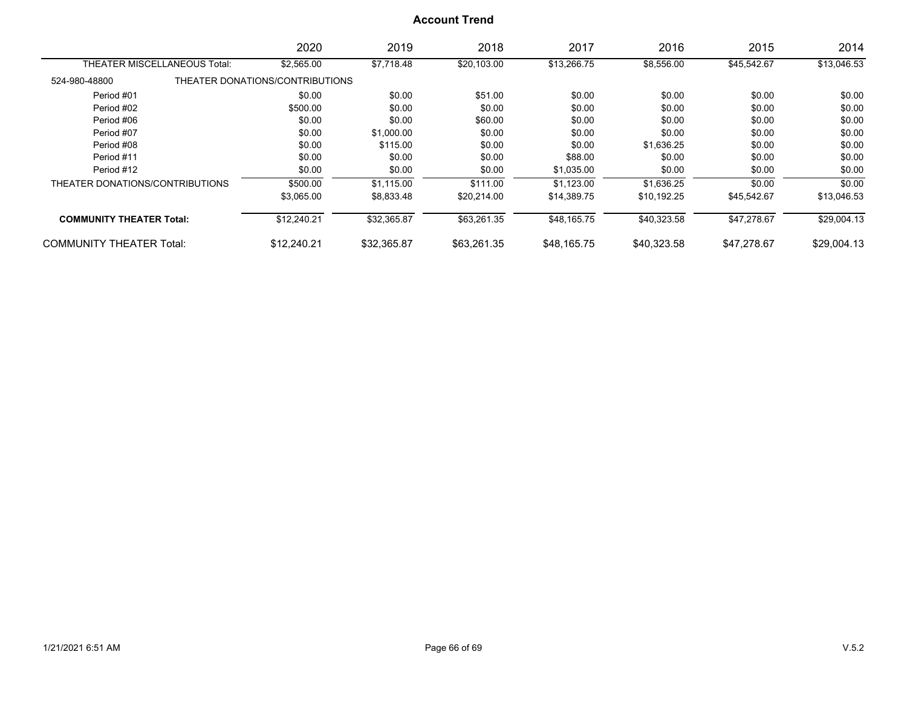|                                 | 2020                            | 2019        | 2018        | 2017        | 2016        | 2015        | 2014        |
|---------------------------------|---------------------------------|-------------|-------------|-------------|-------------|-------------|-------------|
| THEATER MISCELLANEOUS Total:    | \$2,565.00                      | \$7,718.48  | \$20,103.00 | \$13,266.75 | \$8,556.00  | \$45,542.67 | \$13,046.53 |
| 524-980-48800                   | THEATER DONATIONS/CONTRIBUTIONS |             |             |             |             |             |             |
| Period #01                      | \$0.00                          | \$0.00      | \$51.00     | \$0.00      | \$0.00      | \$0.00      | \$0.00      |
| Period #02                      | \$500.00                        | \$0.00      | \$0.00      | \$0.00      | \$0.00      | \$0.00      | \$0.00      |
| Period #06                      | \$0.00                          | \$0.00      | \$60.00     | \$0.00      | \$0.00      | \$0.00      | \$0.00      |
| Period #07                      | \$0.00                          | \$1,000.00  | \$0.00      | \$0.00      | \$0.00      | \$0.00      | \$0.00      |
| Period #08                      | \$0.00                          | \$115.00    | \$0.00      | \$0.00      | \$1,636.25  | \$0.00      | \$0.00      |
| Period #11                      | \$0.00                          | \$0.00      | \$0.00      | \$88.00     | \$0.00      | \$0.00      | \$0.00      |
| Period #12                      | \$0.00                          | \$0.00      | \$0.00      | \$1,035.00  | \$0.00      | \$0.00      | \$0.00      |
| THEATER DONATIONS/CONTRIBUTIONS | \$500.00                        | \$1,115.00  | \$111.00    | \$1.123.00  | \$1,636.25  | \$0.00      | \$0.00      |
|                                 | \$3,065.00                      | \$8,833.48  | \$20.214.00 | \$14,389.75 | \$10,192.25 | \$45,542.67 | \$13,046.53 |
| <b>COMMUNITY THEATER Total:</b> | \$12,240.21                     | \$32,365.87 | \$63,261.35 | \$48,165.75 | \$40,323.58 | \$47,278.67 | \$29,004.13 |
| <b>COMMUNITY THEATER Total:</b> | \$12.240.21                     | \$32.365.87 | \$63.261.35 | \$48.165.75 | \$40.323.58 | \$47.278.67 | \$29,004.13 |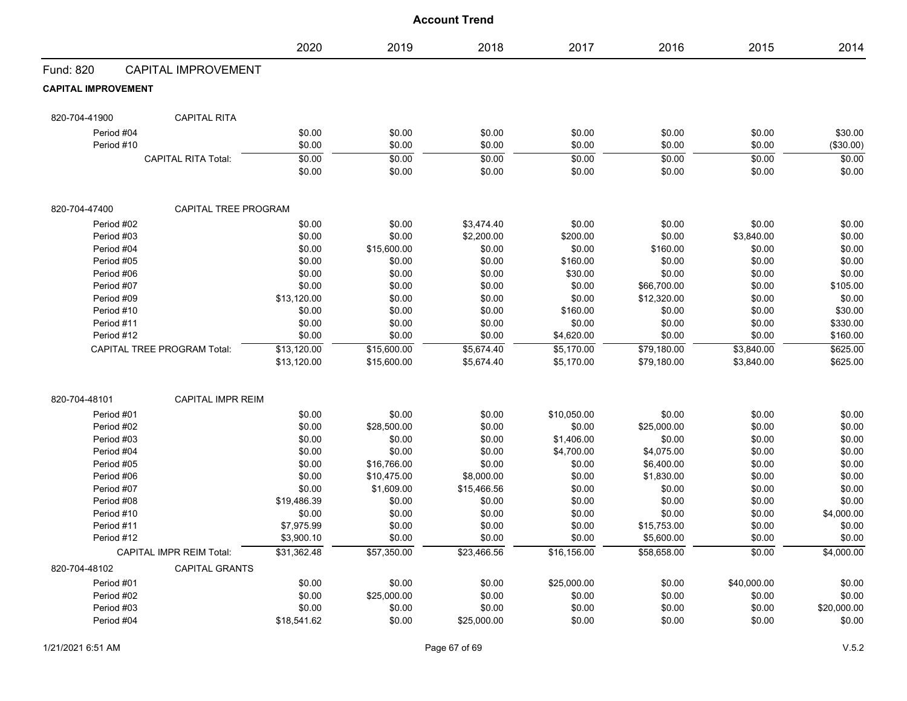|                            |                                    | 2020        | 2019        | 2018        | 2017        | 2016        | 2015        | 2014        |
|----------------------------|------------------------------------|-------------|-------------|-------------|-------------|-------------|-------------|-------------|
| Fund: 820                  | <b>CAPITAL IMPROVEMENT</b>         |             |             |             |             |             |             |             |
| <b>CAPITAL IMPROVEMENT</b> |                                    |             |             |             |             |             |             |             |
| 820-704-41900              | <b>CAPITAL RITA</b>                |             |             |             |             |             |             |             |
| Period #04                 |                                    | \$0.00      | \$0.00      | \$0.00      | \$0.00      | \$0.00      | \$0.00      | \$30.00     |
| Period #10                 |                                    | \$0.00      | \$0.00      | \$0.00      | \$0.00      | \$0.00      | \$0.00      | (\$30.00)   |
|                            | <b>CAPITAL RITA Total:</b>         | \$0.00      | \$0.00      | \$0.00      | \$0.00      | \$0.00      | \$0.00      | \$0.00      |
|                            |                                    | \$0.00      | \$0.00      | \$0.00      | \$0.00      | \$0.00      | \$0.00      | \$0.00      |
| 820-704-47400              | CAPITAL TREE PROGRAM               |             |             |             |             |             |             |             |
| Period #02                 |                                    | \$0.00      | \$0.00      | \$3,474.40  | \$0.00      | \$0.00      | \$0.00      | \$0.00      |
| Period #03                 |                                    | \$0.00      | \$0.00      | \$2,200.00  | \$200.00    | \$0.00      | \$3,840.00  | \$0.00      |
| Period #04                 |                                    | \$0.00      | \$15,600.00 | \$0.00      | \$0.00      | \$160.00    | \$0.00      | \$0.00      |
| Period #05                 |                                    | \$0.00      | \$0.00      | \$0.00      | \$160.00    | \$0.00      | \$0.00      | \$0.00      |
| Period #06                 |                                    | \$0.00      | \$0.00      | \$0.00      | \$30.00     | \$0.00      | \$0.00      | \$0.00      |
| Period #07                 |                                    | \$0.00      | \$0.00      | \$0.00      | \$0.00      | \$66,700.00 | \$0.00      | \$105.00    |
| Period #09                 |                                    | \$13,120.00 | \$0.00      | \$0.00      | \$0.00      | \$12,320.00 | \$0.00      | \$0.00      |
| Period #10                 |                                    | \$0.00      | \$0.00      | \$0.00      | \$160.00    | \$0.00      | \$0.00      | \$30.00     |
| Period #11                 |                                    | \$0.00      | \$0.00      | \$0.00      | \$0.00      | \$0.00      | \$0.00      | \$330.00    |
| Period #12                 |                                    | \$0.00      | \$0.00      | \$0.00      | \$4,620.00  | \$0.00      | \$0.00      | \$160.00    |
|                            | <b>CAPITAL TREE PROGRAM Total:</b> | \$13,120.00 | \$15,600.00 | \$5,674.40  | \$5,170.00  | \$79,180.00 | \$3,840.00  | \$625.00    |
|                            |                                    | \$13,120.00 | \$15,600.00 | \$5,674.40  | \$5,170.00  | \$79,180.00 | \$3,840.00  | \$625.00    |
| 820-704-48101              | <b>CAPITAL IMPR REIM</b>           |             |             |             |             |             |             |             |
| Period #01                 |                                    | \$0.00      | \$0.00      | \$0.00      | \$10,050.00 | \$0.00      | \$0.00      | \$0.00      |
| Period #02                 |                                    | \$0.00      | \$28,500.00 | \$0.00      | \$0.00      | \$25,000.00 | \$0.00      | \$0.00      |
| Period #03                 |                                    | \$0.00      | \$0.00      | \$0.00      | \$1,406.00  | \$0.00      | \$0.00      | \$0.00      |
| Period #04                 |                                    | \$0.00      | \$0.00      | \$0.00      | \$4,700.00  | \$4,075.00  | \$0.00      | \$0.00      |
| Period #05                 |                                    | \$0.00      | \$16,766.00 | \$0.00      | \$0.00      | \$6,400.00  | \$0.00      | \$0.00      |
| Period #06                 |                                    | \$0.00      | \$10,475.00 | \$8,000.00  | \$0.00      | \$1,830.00  | \$0.00      | \$0.00      |
| Period #07                 |                                    | \$0.00      | \$1,609.00  | \$15,466.56 | \$0.00      | \$0.00      | \$0.00      | \$0.00      |
| Period #08                 |                                    | \$19,486.39 | \$0.00      | \$0.00      | \$0.00      | \$0.00      | \$0.00      | \$0.00      |
| Period #10                 |                                    | \$0.00      | \$0.00      | \$0.00      | \$0.00      | \$0.00      | \$0.00      | \$4,000.00  |
| Period #11                 |                                    | \$7,975.99  | \$0.00      | \$0.00      | \$0.00      | \$15,753.00 | \$0.00      | \$0.00      |
| Period #12                 |                                    | \$3,900.10  | \$0.00      | \$0.00      | \$0.00      | \$5,600.00  | \$0.00      | \$0.00      |
|                            | <b>CAPITAL IMPR REIM Total:</b>    | \$31,362.48 | \$57,350.00 | \$23,466.56 | \$16,156.00 | \$58,658.00 | \$0.00      | \$4,000.00  |
| 820-704-48102              | <b>CAPITAL GRANTS</b>              |             |             |             |             |             |             |             |
| Period #01                 |                                    | \$0.00      | \$0.00      | \$0.00      | \$25,000.00 | \$0.00      | \$40,000.00 | \$0.00      |
| Period #02                 |                                    | \$0.00      | \$25,000.00 | \$0.00      | \$0.00      | \$0.00      | \$0.00      | \$0.00      |
| Period #03                 |                                    | \$0.00      | \$0.00      | \$0.00      | \$0.00      | \$0.00      | \$0.00      | \$20,000.00 |
| Period #04                 |                                    | \$18,541.62 | \$0.00      | \$25,000.00 | \$0.00      | \$0.00      | \$0.00      | \$0.00      |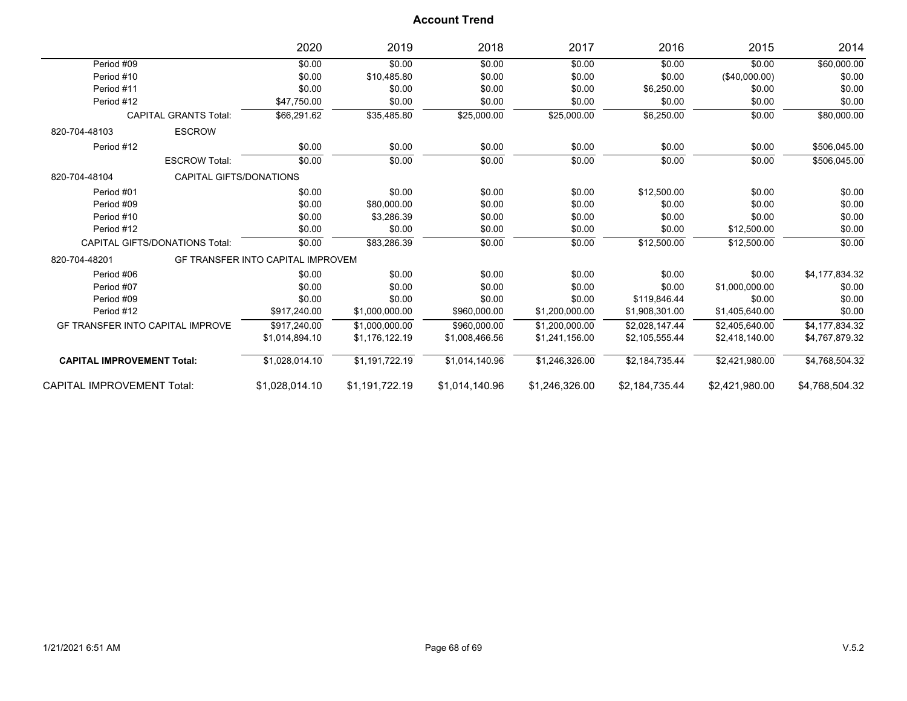|                                         |                                       | 2020                                     | 2019           | 2018           | 2017           | 2016           | 2015           | 2014           |
|-----------------------------------------|---------------------------------------|------------------------------------------|----------------|----------------|----------------|----------------|----------------|----------------|
| Period #09                              |                                       | \$0.00                                   | \$0.00         | \$0.00         | \$0.00         | \$0.00         | \$0.00         | \$60,000.00    |
| Period #10                              |                                       | \$0.00                                   | \$10,485.80    | \$0.00         | \$0.00         | \$0.00         | (\$40,000.00)  | \$0.00         |
| Period #11                              |                                       | \$0.00                                   | \$0.00         | \$0.00         | \$0.00         | \$6,250.00     | \$0.00         | \$0.00         |
| Period #12                              |                                       | \$47,750.00                              | \$0.00         | \$0.00         | \$0.00         | \$0.00         | \$0.00         | \$0.00         |
|                                         | <b>CAPITAL GRANTS Total:</b>          | \$66,291.62                              | \$35,485.80    | \$25,000.00    | \$25,000.00    | \$6,250.00     | \$0.00         | \$80,000.00    |
| 820-704-48103                           | <b>ESCROW</b>                         |                                          |                |                |                |                |                |                |
| Period #12                              |                                       | \$0.00                                   | \$0.00         | \$0.00         | \$0.00         | \$0.00         | \$0.00         | \$506,045.00   |
|                                         | <b>ESCROW Total:</b>                  | \$0.00                                   | \$0.00         | \$0.00         | \$0.00         | \$0.00         | \$0.00         | \$506,045.00   |
| 820-704-48104                           | CAPITAL GIFTS/DONATIONS               |                                          |                |                |                |                |                |                |
| Period #01                              |                                       | \$0.00                                   | \$0.00         | \$0.00         | \$0.00         | \$12,500.00    | \$0.00         | \$0.00         |
| Period #09                              |                                       | \$0.00                                   | \$80,000.00    | \$0.00         | \$0.00         | \$0.00         | \$0.00         | \$0.00         |
| Period #10                              |                                       | \$0.00                                   | \$3,286.39     | \$0.00         | \$0.00         | \$0.00         | \$0.00         | \$0.00         |
| Period #12                              |                                       | \$0.00                                   | \$0.00         | \$0.00         | \$0.00         | \$0.00         | \$12,500.00    | \$0.00         |
|                                         | <b>CAPITAL GIFTS/DONATIONS Total:</b> | \$0.00                                   | \$83,286.39    | \$0.00         | \$0.00         | \$12,500.00    | \$12,500.00    | \$0.00         |
| 820-704-48201                           |                                       | <b>GF TRANSFER INTO CAPITAL IMPROVEM</b> |                |                |                |                |                |                |
| Period #06                              |                                       | \$0.00                                   | \$0.00         | \$0.00         | \$0.00         | \$0.00         | \$0.00         | \$4,177,834.32 |
| Period #07                              |                                       | \$0.00                                   | \$0.00         | \$0.00         | \$0.00         | \$0.00         | \$1,000,000.00 | \$0.00         |
| Period #09                              |                                       | \$0.00                                   | \$0.00         | \$0.00         | \$0.00         | \$119,846.44   | \$0.00         | \$0.00         |
| Period #12                              |                                       | \$917,240.00                             | \$1,000,000.00 | \$960,000.00   | \$1,200,000.00 | \$1,908,301.00 | \$1,405,640.00 | \$0.00         |
| <b>GF TRANSFER INTO CAPITAL IMPROVE</b> |                                       | \$917.240.00                             | \$1,000,000.00 | \$960,000.00   | \$1.200.000.00 | \$2.028.147.44 | \$2,405,640.00 | \$4,177,834.32 |
|                                         |                                       | \$1,014,894.10                           | \$1,176,122.19 | \$1,008,466.56 | \$1,241,156.00 | \$2,105,555.44 | \$2,418,140.00 | \$4,767,879.32 |
| <b>CAPITAL IMPROVEMENT Total:</b>       |                                       | \$1,028,014.10                           | \$1,191,722.19 | \$1,014,140.96 | \$1,246,326.00 | \$2,184,735.44 | \$2,421,980.00 | \$4,768,504.32 |
| <b>CAPITAL IMPROVEMENT Total:</b>       |                                       | \$1.028.014.10                           | \$1,191,722.19 | \$1.014.140.96 | \$1.246.326.00 | \$2.184.735.44 | \$2.421.980.00 | \$4.768.504.32 |